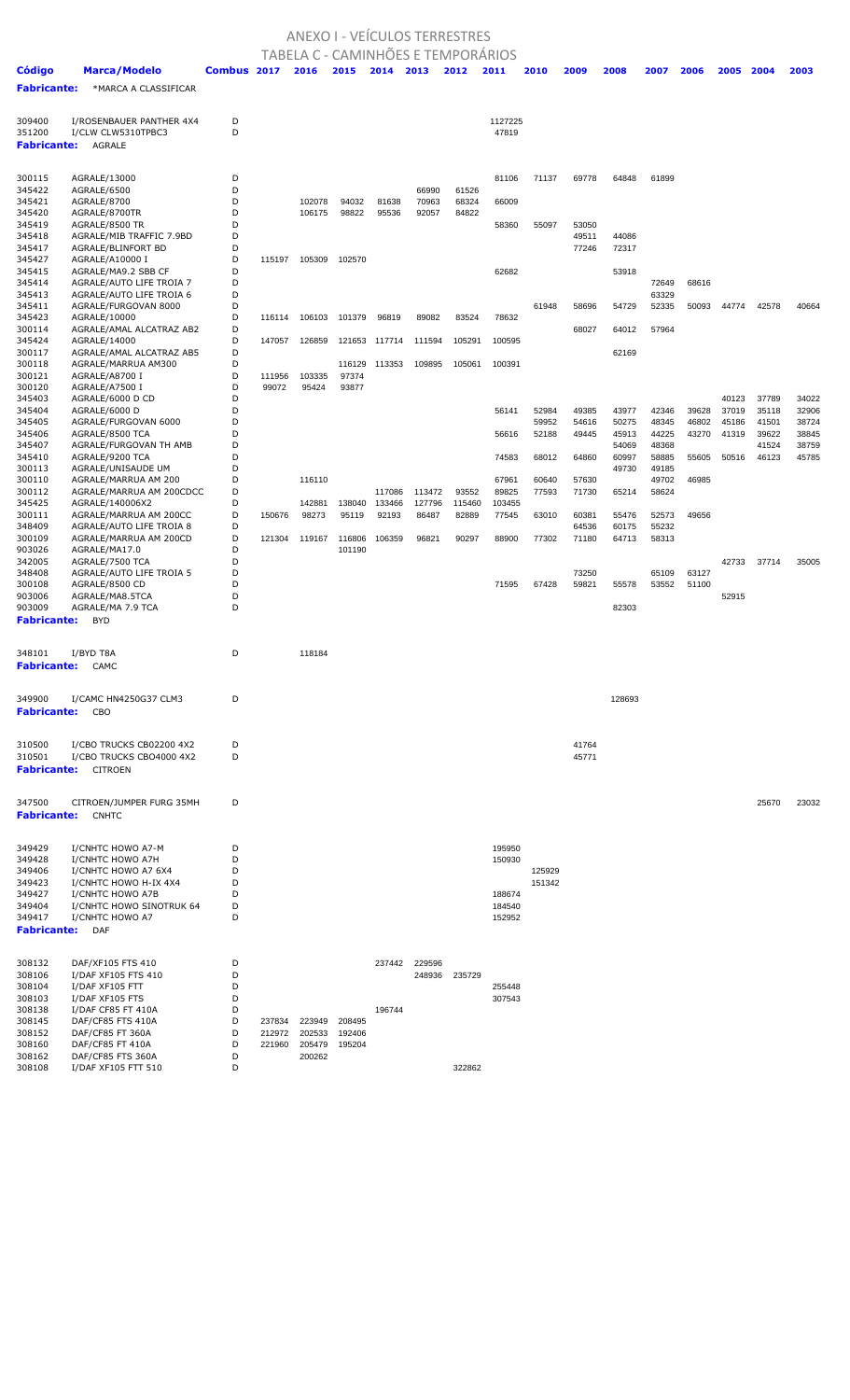## ANEXO I - VEÍCULOS TERRESTRES

|                    |                                                    |             |                  |        | TABELA C - CAMINHOES E TEMPORARIOS |        |        |        |                  |        |                |                |                |                |                |                |                |
|--------------------|----------------------------------------------------|-------------|------------------|--------|------------------------------------|--------|--------|--------|------------------|--------|----------------|----------------|----------------|----------------|----------------|----------------|----------------|
| <b>Código</b>      | <b>Marca/Modelo</b>                                | Combus 2017 |                  | 2016   | 2015                               | 2014   | 2013   | 2012   | 2011             | 2010   | 2009           | 2008           | 2007           | 2006           | 2005           | 2004           | 2003           |
| <b>Fabricante:</b> | *MARCA A CLASSIFICAR                               |             |                  |        |                                    |        |        |        |                  |        |                |                |                |                |                |                |                |
|                    |                                                    |             |                  |        |                                    |        |        |        |                  |        |                |                |                |                |                |                |                |
| 309400             | I/ROSENBAUER PANTHER 4X4                           | D           |                  |        |                                    |        |        |        | 1127225          |        |                |                |                |                |                |                |                |
| 351200             | I/CLW CLW5310TPBC3                                 | D           |                  |        |                                    |        |        |        | 47819            |        |                |                |                |                |                |                |                |
| <b>Fabricante:</b> | AGRALE                                             |             |                  |        |                                    |        |        |        |                  |        |                |                |                |                |                |                |                |
|                    |                                                    |             |                  |        |                                    |        |        |        |                  |        |                |                |                |                |                |                |                |
| 300115             | AGRALE/13000                                       | D           |                  |        |                                    |        |        |        | 81106            | 71137  | 69778          | 64848          | 61899          |                |                |                |                |
| 345422             | AGRALE/6500                                        | D           |                  |        |                                    |        | 66990  | 61526  |                  |        |                |                |                |                |                |                |                |
| 345421             | AGRALE/8700                                        | D           |                  | 102078 | 94032                              | 81638  | 70963  | 68324  | 66009            |        |                |                |                |                |                |                |                |
| 345420<br>345419   | AGRALE/8700TR<br>AGRALE/8500 TR                    | D<br>D      |                  | 106175 | 98822                              | 95536  | 92057  | 84822  |                  | 55097  | 53050          |                |                |                |                |                |                |
| 345418             | AGRALE/MIB TRAFFIC 7.9BD                           | D           |                  |        |                                    |        |        |        | 58360            |        | 49511          | 44086          |                |                |                |                |                |
| 345417             | AGRALE/BLINFORT BD                                 | D           |                  |        |                                    |        |        |        |                  |        | 77246          | 72317          |                |                |                |                |                |
| 345427             | AGRALE/A10000 I                                    | D           | 115197           | 105309 | 102570                             |        |        |        |                  |        |                |                |                |                |                |                |                |
| 345415<br>345414   | AGRALE/MA9.2 SBB CF<br>AGRALE/AUTO LIFE TROIA 7    | D<br>D      |                  |        |                                    |        |        |        | 62682            |        |                | 53918          | 72649          | 68616          |                |                |                |
| 345413             | AGRALE/AUTO LIFE TROIA 6                           | D           |                  |        |                                    |        |        |        |                  |        |                |                | 63329          |                |                |                |                |
| 345411             | AGRALE/FURGOVAN 8000                               | D           |                  |        |                                    |        |        |        |                  | 61948  | 58696          | 54729          | 52335          | 50093          | 44774          | 42578          | 40664          |
| 345423             | AGRALE/10000                                       | D           | 116114           | 106103 | 101379                             | 96819  | 89082  | 83524  | 78632            |        |                |                |                |                |                |                |                |
| 300114             | AGRALE/AMAL ALCATRAZ AB2<br>AGRALE/14000           | D<br>D      | 147057           |        | 121653                             |        |        |        |                  |        | 68027          | 64012          | 57964          |                |                |                |                |
| 345424<br>300117   | AGRALE/AMAL ALCATRAZ AB5                           | D           |                  | 126859 |                                    | 117714 | 111594 | 105291 | 100595           |        |                | 62169          |                |                |                |                |                |
| 300118             | AGRALE/MARRUA AM300                                | D           |                  |        | 116129                             | 113353 | 109895 | 105061 | 100391           |        |                |                |                |                |                |                |                |
| 300121             | AGRALE/A8700 I                                     | D           | 111956           | 103335 | 97374                              |        |        |        |                  |        |                |                |                |                |                |                |                |
| 300120             | AGRALE/A7500 I                                     | D<br>D      | 99072            | 95424  | 93877                              |        |        |        |                  |        |                |                |                |                |                |                |                |
| 345403<br>345404   | AGRALE/6000 D CD<br>AGRALE/6000 D                  | D           |                  |        |                                    |        |        |        | 56141            | 52984  | 49385          | 43977          | 42346          | 39628          | 40123<br>37019 | 37789<br>35118 | 34022<br>32906 |
| 345405             | AGRALE/FURGOVAN 6000                               | D           |                  |        |                                    |        |        |        |                  | 59952  | 54616          | 50275          | 48345          | 46802          | 45186          | 41501          | 38724          |
| 345406             | AGRALE/8500 TCA                                    | D           |                  |        |                                    |        |        |        | 56616            | 52188  | 49445          | 45913          | 44225          | 43270          | 41319          | 39622          | 38845          |
| 345407             | AGRALE/FURGOVAN TH AMB                             | D           |                  |        |                                    |        |        |        |                  |        |                | 54069          | 48368          |                |                | 41524          | 38759          |
| 345410<br>300113   | AGRALE/9200 TCA<br>AGRALE/UNISAUDE UM              | D<br>D      |                  |        |                                    |        |        |        | 74583            | 68012  | 64860          | 60997<br>49730 | 58885<br>49185 | 55605          | 50516          | 46123          | 45785          |
| 300110             | AGRALE/MARRUA AM 200                               | D           |                  | 116110 |                                    |        |        |        | 67961            | 60640  | 57630          |                | 49702          | 46985          |                |                |                |
| 300112             | AGRALE/MARRUA AM 200CDCC                           | D           |                  |        |                                    | 117086 | 113472 | 93552  | 89825            | 77593  | 71730          | 65214          | 58624          |                |                |                |                |
| 345425             | AGRALE/140006X2                                    | D           |                  | 142881 | 138040                             | 133466 | 127796 | 115460 | 103455           |        |                |                |                |                |                |                |                |
| 300111<br>348409   | AGRALE/MARRUA AM 200CC<br>AGRALE/AUTO LIFE TROIA 8 | D<br>D      | 150676           | 98273  | 95119                              | 92193  | 86487  | 82889  | 77545            | 63010  | 60381<br>64536 | 55476<br>60175 | 52573<br>55232 | 49656          |                |                |                |
| 300109             | AGRALE/MARRUA AM 200CD                             | D           | 121304           | 119167 | 116806                             | 106359 | 96821  | 90297  | 88900            | 77302  | 71180          | 64713          | 58313          |                |                |                |                |
| 903026             | AGRALE/MA17.0                                      | D           |                  |        | 101190                             |        |        |        |                  |        |                |                |                |                |                |                |                |
| 342005             | AGRALE/7500 TCA                                    | D           |                  |        |                                    |        |        |        |                  |        |                |                |                |                | 42733          | 37714          | 35005          |
| 348408<br>300108   | AGRALE/AUTO LIFE TROIA 5<br>AGRALE/8500 CD         | D<br>D      |                  |        |                                    |        |        |        | 71595            | 67428  | 73250<br>59821 | 55578          | 65109<br>53552 | 63127<br>51100 |                |                |                |
| 903006             | AGRALE/MA8.5TCA                                    | D           |                  |        |                                    |        |        |        |                  |        |                |                |                |                | 52915          |                |                |
| 903009             | AGRALE/MA 7.9 TCA                                  | D           |                  |        |                                    |        |        |        |                  |        |                | 82303          |                |                |                |                |                |
| <b>Fabricante:</b> | <b>BYD</b>                                         |             |                  |        |                                    |        |        |        |                  |        |                |                |                |                |                |                |                |
|                    |                                                    |             |                  |        |                                    |        |        |        |                  |        |                |                |                |                |                |                |                |
| 348101             | I/BYD T8A                                          | D           |                  | 118184 |                                    |        |        |        |                  |        |                |                |                |                |                |                |                |
| <b>Fabricante:</b> | CAMC                                               |             |                  |        |                                    |        |        |        |                  |        |                |                |                |                |                |                |                |
|                    |                                                    |             |                  |        |                                    |        |        |        |                  |        |                |                |                |                |                |                |                |
| 349900             | I/CAMC HN4250G37 CLM3                              | D           |                  |        |                                    |        |        |        |                  |        |                | 128693         |                |                |                |                |                |
| <b>Fabricante:</b> | CBO                                                |             |                  |        |                                    |        |        |        |                  |        |                |                |                |                |                |                |                |
|                    |                                                    |             |                  |        |                                    |        |        |        |                  |        |                |                |                |                |                |                |                |
| 310500             | I/CBO TRUCKS CB02200 4X2                           | D           |                  |        |                                    |        |        |        |                  |        | 41764          |                |                |                |                |                |                |
| 310501             | I/CBO TRUCKS CBO4000 4X2                           | D           |                  |        |                                    |        |        |        |                  |        | 45771          |                |                |                |                |                |                |
| <b>Fabricante:</b> | CITROEN                                            |             |                  |        |                                    |        |        |        |                  |        |                |                |                |                |                |                |                |
|                    |                                                    |             |                  |        |                                    |        |        |        |                  |        |                |                |                |                |                |                |                |
| 347500             | CITROEN/JUMPER FURG 35MH                           | D           |                  |        |                                    |        |        |        |                  |        |                |                |                |                |                | 25670          | 23032          |
| <b>Fabricante:</b> | <b>CNHTC</b>                                       |             |                  |        |                                    |        |        |        |                  |        |                |                |                |                |                |                |                |
|                    |                                                    |             |                  |        |                                    |        |        |        |                  |        |                |                |                |                |                |                |                |
| 349429             | I/CNHTC HOWO A7-M                                  | D           |                  |        |                                    |        |        |        | 195950           |        |                |                |                |                |                |                |                |
| 349428             | I/CNHTC HOWO A7H                                   | D           |                  |        |                                    |        |        |        | 150930           |        |                |                |                |                |                |                |                |
| 349406             | I/CNHTC HOWO A7 6X4                                | D           |                  |        |                                    |        |        |        |                  | 125929 |                |                |                |                |                |                |                |
| 349423             | I/CNHTC HOWO H-IX 4X4                              | D           |                  |        |                                    |        |        |        |                  | 151342 |                |                |                |                |                |                |                |
| 349427             | I/CNHTC HOWO A7B                                   | D           |                  |        |                                    |        |        |        | 188674           |        |                |                |                |                |                |                |                |
| 349404<br>349417   | I/CNHTC HOWO SINOTRUK 64<br>I/CNHTC HOWO A7        | D<br>D      |                  |        |                                    |        |        |        | 184540<br>152952 |        |                |                |                |                |                |                |                |
| <b>Fabricante:</b> | <b>DAF</b>                                         |             |                  |        |                                    |        |        |        |                  |        |                |                |                |                |                |                |                |
|                    |                                                    |             |                  |        |                                    |        |        |        |                  |        |                |                |                |                |                |                |                |
| 308132             | DAF/XF105 FTS 410                                  | D           |                  |        |                                    | 237442 | 229596 |        |                  |        |                |                |                |                |                |                |                |
| 308106             | I/DAF XF105 FTS 410                                | D           |                  |        |                                    |        | 248936 | 235729 |                  |        |                |                |                |                |                |                |                |
| 308104             | I/DAF XF105 FTT                                    | D           |                  |        |                                    |        |        |        | 255448           |        |                |                |                |                |                |                |                |
| 308103             | I/DAF XF105 FTS                                    | D           |                  |        |                                    |        |        |        | 307543           |        |                |                |                |                |                |                |                |
| 308138             | I/DAF CF85 FT 410A                                 | D<br>D      |                  | 223949 | 208495                             | 196744 |        |        |                  |        |                |                |                |                |                |                |                |
| 308145<br>308152   | DAF/CF85 FTS 410A<br>DAF/CF85 FT 360A              | D           | 237834<br>212972 | 202533 | 192406                             |        |        |        |                  |        |                |                |                |                |                |                |                |
| 308160             | DAF/CF85 FT 410A                                   | D           | 221960           | 205479 | 195204                             |        |        |        |                  |        |                |                |                |                |                |                |                |
| 308162             | DAF/CF85 FTS 360A                                  | D           |                  | 200262 |                                    |        |        |        |                  |        |                |                |                |                |                |                |                |

I/DAF XF105 FTT 510 D 322862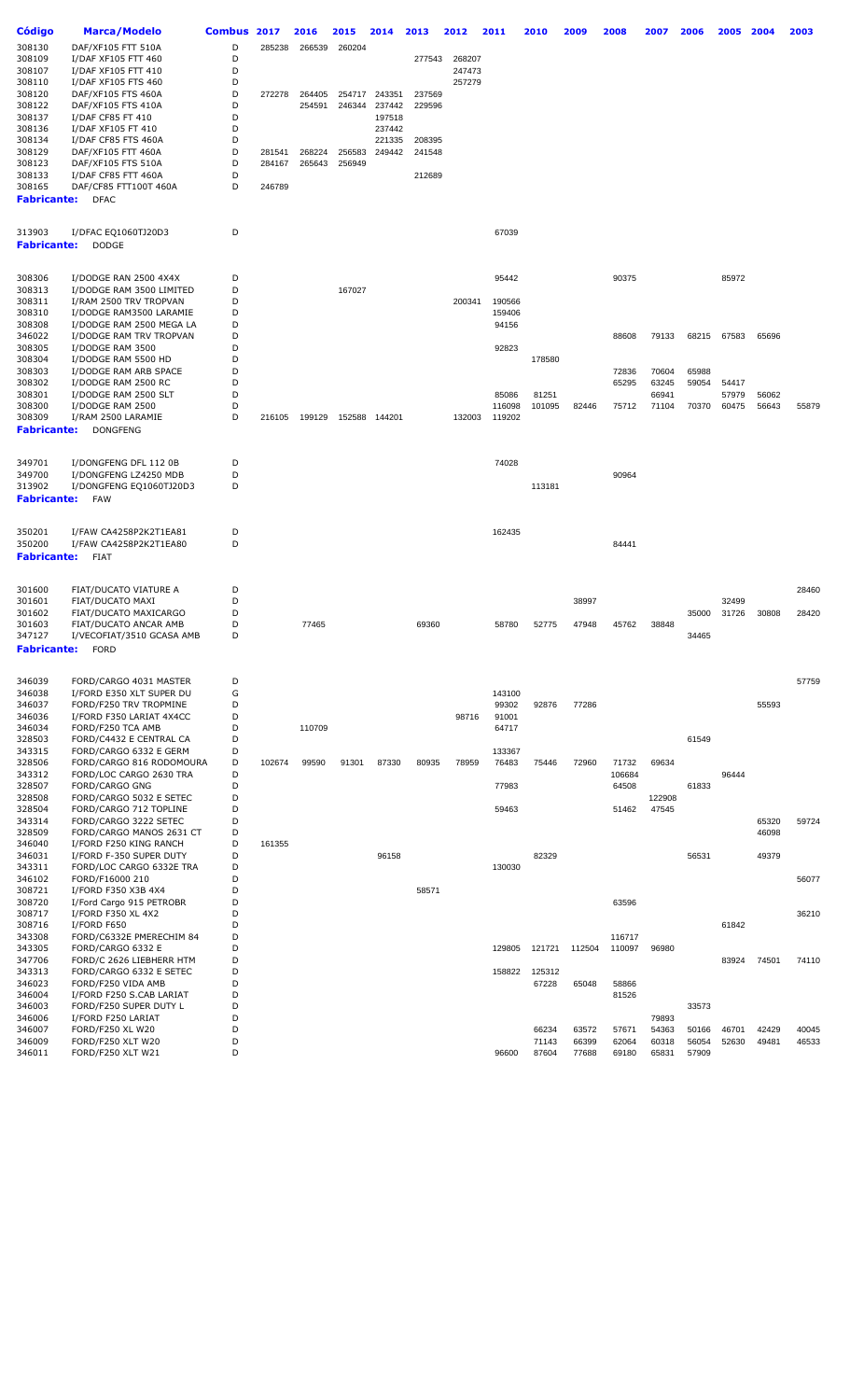| Código             | <b>Marca/Modelo</b>       | <b>Combus</b> | 2017   | 2016   | 2015   | 2014          | 2013   | 2012   | 2011   | 2010   | 2009   | 2008   | 2007   | 2006  | 2005  | 2004  | 2003  |
|--------------------|---------------------------|---------------|--------|--------|--------|---------------|--------|--------|--------|--------|--------|--------|--------|-------|-------|-------|-------|
| 308130             | DAF/XF105 FTT 510A        | D             |        |        |        |               |        |        |        |        |        |        |        |       |       |       |       |
|                    |                           |               | 285238 | 266539 | 260204 |               |        |        |        |        |        |        |        |       |       |       |       |
| 308109             | I/DAF XF105 FTT 460       | D             |        |        |        |               | 277543 | 268207 |        |        |        |        |        |       |       |       |       |
| 308107             | I/DAF XF105 FTT 410       | D             |        |        |        |               |        | 247473 |        |        |        |        |        |       |       |       |       |
| 308110             | I/DAF XF105 FTS 460       | D             |        |        |        |               |        | 257279 |        |        |        |        |        |       |       |       |       |
| 308120             | DAF/XF105 FTS 460A        | D             | 272278 | 264405 | 254717 | 243351        | 237569 |        |        |        |        |        |        |       |       |       |       |
| 308122             | DAF/XF105 FTS 410A        | D             |        | 254591 | 246344 | 237442        | 229596 |        |        |        |        |        |        |       |       |       |       |
| 308137             | I/DAF CF85 FT 410         | D             |        |        |        | 197518        |        |        |        |        |        |        |        |       |       |       |       |
| 308136             | I/DAF XF105 FT 410        | D             |        |        |        | 237442        |        |        |        |        |        |        |        |       |       |       |       |
| 308134             | I/DAF CF85 FTS 460A       | D             |        |        |        | 221335        | 208395 |        |        |        |        |        |        |       |       |       |       |
|                    |                           |               |        |        |        |               |        |        |        |        |        |        |        |       |       |       |       |
| 308129             | DAF/XF105 FTT 460A        | D             | 281541 | 268224 | 256583 | 249442        | 241548 |        |        |        |        |        |        |       |       |       |       |
| 308123             | DAF/XF105 FTS 510A        | D             | 284167 | 265643 | 256949 |               |        |        |        |        |        |        |        |       |       |       |       |
| 308133             | I/DAF CF85 FTT 460A       | D             |        |        |        |               | 212689 |        |        |        |        |        |        |       |       |       |       |
| 308165             | DAF/CF85 FTT100T 460A     | D             | 246789 |        |        |               |        |        |        |        |        |        |        |       |       |       |       |
| <b>Fabricante:</b> | <b>DFAC</b>               |               |        |        |        |               |        |        |        |        |        |        |        |       |       |       |       |
|                    |                           |               |        |        |        |               |        |        |        |        |        |        |        |       |       |       |       |
| 313903             | I/DFAC EQ1060TJ20D3       | D             |        |        |        |               |        |        | 67039  |        |        |        |        |       |       |       |       |
| Fabricante:        | <b>DODGE</b>              |               |        |        |        |               |        |        |        |        |        |        |        |       |       |       |       |
|                    |                           |               |        |        |        |               |        |        |        |        |        |        |        |       |       |       |       |
|                    |                           |               |        |        |        |               |        |        |        |        |        |        |        |       |       |       |       |
| 308306             | I/DODGE RAN 2500 4X4X     | D             |        |        |        |               |        |        | 95442  |        |        | 90375  |        |       | 85972 |       |       |
| 308313             | I/DODGE RAM 3500 LIMITED  | D             |        |        | 167027 |               |        |        |        |        |        |        |        |       |       |       |       |
| 308311             | I/RAM 2500 TRV TROPVAN    | D             |        |        |        |               |        | 200341 | 190566 |        |        |        |        |       |       |       |       |
| 308310             | I/DODGE RAM3500 LARAMIE   | D             |        |        |        |               |        |        | 159406 |        |        |        |        |       |       |       |       |
|                    |                           |               |        |        |        |               |        |        |        |        |        |        |        |       |       |       |       |
| 308308             | I/DODGE RAM 2500 MEGA LA  | D             |        |        |        |               |        |        | 94156  |        |        |        |        |       |       |       |       |
| 346022             | I/DODGE RAM TRV TROPVAN   | D             |        |        |        |               |        |        |        |        |        | 88608  | 79133  | 68215 | 67583 | 65696 |       |
| 308305             | I/DODGE RAM 3500          | D             |        |        |        |               |        |        | 92823  |        |        |        |        |       |       |       |       |
| 308304             | I/DODGE RAM 5500 HD       | D             |        |        |        |               |        |        |        | 178580 |        |        |        |       |       |       |       |
| 308303             | I/DODGE RAM ARB SPACE     | D             |        |        |        |               |        |        |        |        |        | 72836  | 70604  | 65988 |       |       |       |
| 308302             | I/DODGE RAM 2500 RC       | D             |        |        |        |               |        |        |        |        |        | 65295  | 63245  | 59054 | 54417 |       |       |
|                    |                           | D             |        |        |        |               |        |        | 85086  |        |        |        | 66941  |       |       |       |       |
| 308301             | I/DODGE RAM 2500 SLT      |               |        |        |        |               |        |        |        | 81251  |        |        |        |       | 57979 | 56062 |       |
| 308300             | I/DODGE RAM 2500          | D             |        |        |        |               |        |        | 116098 | 101095 | 82446  | 75712  | 71104  | 70370 | 60475 | 56643 | 55879 |
| 308309             | I/RAM 2500 LARAMIE        | D             | 216105 | 199129 |        | 152588 144201 |        | 132003 | 119202 |        |        |        |        |       |       |       |       |
| Fabricante:        | <b>DONGFENG</b>           |               |        |        |        |               |        |        |        |        |        |        |        |       |       |       |       |
|                    |                           |               |        |        |        |               |        |        |        |        |        |        |        |       |       |       |       |
| 349701             | I/DONGFENG DFL 112 0B     | D             |        |        |        |               |        |        | 74028  |        |        |        |        |       |       |       |       |
| 349700             | I/DONGFENG LZ4250 MDB     | D             |        |        |        |               |        |        |        |        |        | 90964  |        |       |       |       |       |
|                    |                           |               |        |        |        |               |        |        |        |        |        |        |        |       |       |       |       |
| 313902             | I/DONGFENG EQ1060TJ20D3   | D             |        |        |        |               |        |        |        | 113181 |        |        |        |       |       |       |       |
| <b>Fabricante:</b> | <b>FAW</b>                |               |        |        |        |               |        |        |        |        |        |        |        |       |       |       |       |
|                    |                           |               |        |        |        |               |        |        |        |        |        |        |        |       |       |       |       |
| 350201             | I/FAW CA4258P2K2T1EA81    | D             |        |        |        |               |        |        | 162435 |        |        |        |        |       |       |       |       |
| 350200             | I/FAW CA4258P2K2T1EA80    | D             |        |        |        |               |        |        |        |        |        | 84441  |        |       |       |       |       |
|                    |                           |               |        |        |        |               |        |        |        |        |        |        |        |       |       |       |       |
| Fabricante:        | <b>FIAT</b>               |               |        |        |        |               |        |        |        |        |        |        |        |       |       |       |       |
|                    |                           |               |        |        |        |               |        |        |        |        |        |        |        |       |       |       |       |
| 301600             | FIAT/DUCATO VIATURE A     | D             |        |        |        |               |        |        |        |        |        |        |        |       |       |       | 28460 |
| 301601             | FIAT/DUCATO MAXI          | D             |        |        |        |               |        |        |        |        | 38997  |        |        |       | 32499 |       |       |
|                    |                           |               |        |        |        |               |        |        |        |        |        |        |        |       |       |       |       |
| 301602             | FIAT/DUCATO MAXICARGO     | D             |        |        |        |               |        |        |        |        |        |        |        | 35000 | 31726 | 30808 | 28420 |
| 301603             | FIAT/DUCATO ANCAR AMB     | D             |        | 77465  |        |               | 69360  |        | 58780  | 52775  | 47948  | 45762  | 38848  |       |       |       |       |
| 347127             | I/VECOFIAT/3510 GCASA AMB | D             |        |        |        |               |        |        |        |        |        |        |        | 34465 |       |       |       |
| Fabricante:        | <b>FORD</b>               |               |        |        |        |               |        |        |        |        |        |        |        |       |       |       |       |
|                    |                           |               |        |        |        |               |        |        |        |        |        |        |        |       |       |       |       |
| 346039             | FORD/CARGO 4031 MASTER    | D             |        |        |        |               |        |        |        |        |        |        |        |       |       |       | 57759 |
| 346038             | I/FORD E350 XLT SUPER DU  | G             |        |        |        |               |        |        | 143100 |        |        |        |        |       |       |       |       |
| 346037             | FORD/F250 TRV TROPMINE    | D             |        |        |        |               |        |        |        | 92876  | 77286  |        |        |       |       | 55593 |       |
|                    |                           |               |        |        |        |               |        |        | 99302  |        |        |        |        |       |       |       |       |
| 346036             | I/FORD F350 LARIAT 4X4CC  | D             |        |        |        |               |        | 98716  | 91001  |        |        |        |        |       |       |       |       |
| 346034             | FORD/F250 TCA AMB         | D             |        | 110709 |        |               |        |        | 64717  |        |        |        |        |       |       |       |       |
| 328503             | FORD/C4432 E CENTRAL CA   | D             |        |        |        |               |        |        |        |        |        |        |        | 61549 |       |       |       |
| 343315             | FORD/CARGO 6332 E GERM    | D             |        |        |        |               |        |        | 133367 |        |        |        |        |       |       |       |       |
| 328506             | FORD/CARGO 816 RODOMOURA  | D             | 102674 | 99590  | 91301  | 87330         | 80935  | 78959  | 76483  | 75446  | 72960  | 71732  | 69634  |       |       |       |       |
| 343312             | FORD/LOC CARGO 2630 TRA   | D             |        |        |        |               |        |        |        |        |        | 106684 |        |       | 96444 |       |       |
| 328507             | <b>FORD/CARGO GNG</b>     | D             |        |        |        |               |        |        | 77983  |        |        | 64508  |        | 61833 |       |       |       |
|                    |                           |               |        |        |        |               |        |        |        |        |        |        |        |       |       |       |       |
| 328508             | FORD/CARGO 5032 E SETEC   | D             |        |        |        |               |        |        |        |        |        |        | 122908 |       |       |       |       |
| 328504             | FORD/CARGO 712 TOPLINE    | D             |        |        |        |               |        |        | 59463  |        |        | 51462  | 47545  |       |       |       |       |
| 343314             | FORD/CARGO 3222 SETEC     | D             |        |        |        |               |        |        |        |        |        |        |        |       |       | 65320 | 59724 |
| 328509             | FORD/CARGO MANOS 2631 CT  | D             |        |        |        |               |        |        |        |        |        |        |        |       |       | 46098 |       |
| 346040             | I/FORD F250 KING RANCH    | D             | 161355 |        |        |               |        |        |        |        |        |        |        |       |       |       |       |
| 346031             | I/FORD F-350 SUPER DUTY   | D             |        |        |        | 96158         |        |        |        | 82329  |        |        |        | 56531 |       | 49379 |       |
| 343311             | FORD/LOC CARGO 6332E TRA  | D             |        |        |        |               |        |        | 130030 |        |        |        |        |       |       |       |       |
|                    |                           |               |        |        |        |               |        |        |        |        |        |        |        |       |       |       |       |
| 346102             | FORD/F16000 210           | D             |        |        |        |               |        |        |        |        |        |        |        |       |       |       | 56077 |
| 308721             | I/FORD F350 X3B 4X4       | D             |        |        |        |               | 58571  |        |        |        |        |        |        |       |       |       |       |
| 308720             | I/Ford Cargo 915 PETROBR  | D             |        |        |        |               |        |        |        |        |        | 63596  |        |       |       |       |       |
| 308717             | I/FORD F350 XL 4X2        | D             |        |        |        |               |        |        |        |        |        |        |        |       |       |       | 36210 |
| 308716             | I/FORD F650               | D             |        |        |        |               |        |        |        |        |        |        |        |       | 61842 |       |       |
| 343308             | FORD/C6332E PMERECHIM 84  | D             |        |        |        |               |        |        |        |        |        | 116717 |        |       |       |       |       |
| 343305             | FORD/CARGO 6332 E         | D             |        |        |        |               |        |        | 129805 | 121721 | 112504 | 110097 | 96980  |       |       |       |       |
|                    |                           |               |        |        |        |               |        |        |        |        |        |        |        |       |       |       |       |
| 347706             | FORD/C 2626 LIEBHERR HTM  | D             |        |        |        |               |        |        |        |        |        |        |        |       | 83924 | 74501 | 74110 |
| 343313             | FORD/CARGO 6332 E SETEC   | D             |        |        |        |               |        |        | 158822 | 125312 |        |        |        |       |       |       |       |
| 346023             | FORD/F250 VIDA AMB        | D             |        |        |        |               |        |        |        | 67228  | 65048  | 58866  |        |       |       |       |       |
| 346004             | I/FORD F250 S.CAB LARIAT  | D             |        |        |        |               |        |        |        |        |        | 81526  |        |       |       |       |       |
| 346003             | FORD/F250 SUPER DUTY L    | D             |        |        |        |               |        |        |        |        |        |        |        | 33573 |       |       |       |
| 346006             | I/FORD F250 LARIAT        | D             |        |        |        |               |        |        |        |        |        |        | 79893  |       |       |       |       |
| 346007             | FORD/F250 XL W20          | D             |        |        |        |               |        |        |        | 66234  | 63572  |        |        |       |       | 42429 | 40045 |
|                    |                           |               |        |        |        |               |        |        |        |        |        | 57671  | 54363  | 50166 | 46701 |       |       |
| 346009             | FORD/F250 XLT W20         | D             |        |        |        |               |        |        |        | 71143  | 66399  | 62064  | 60318  | 56054 | 52630 | 49481 | 46533 |
| 346011             | FORD/F250 XLT W21         | D             |        |        |        |               |        |        | 96600  | 87604  | 77688  | 69180  | 65831  | 57909 |       |       |       |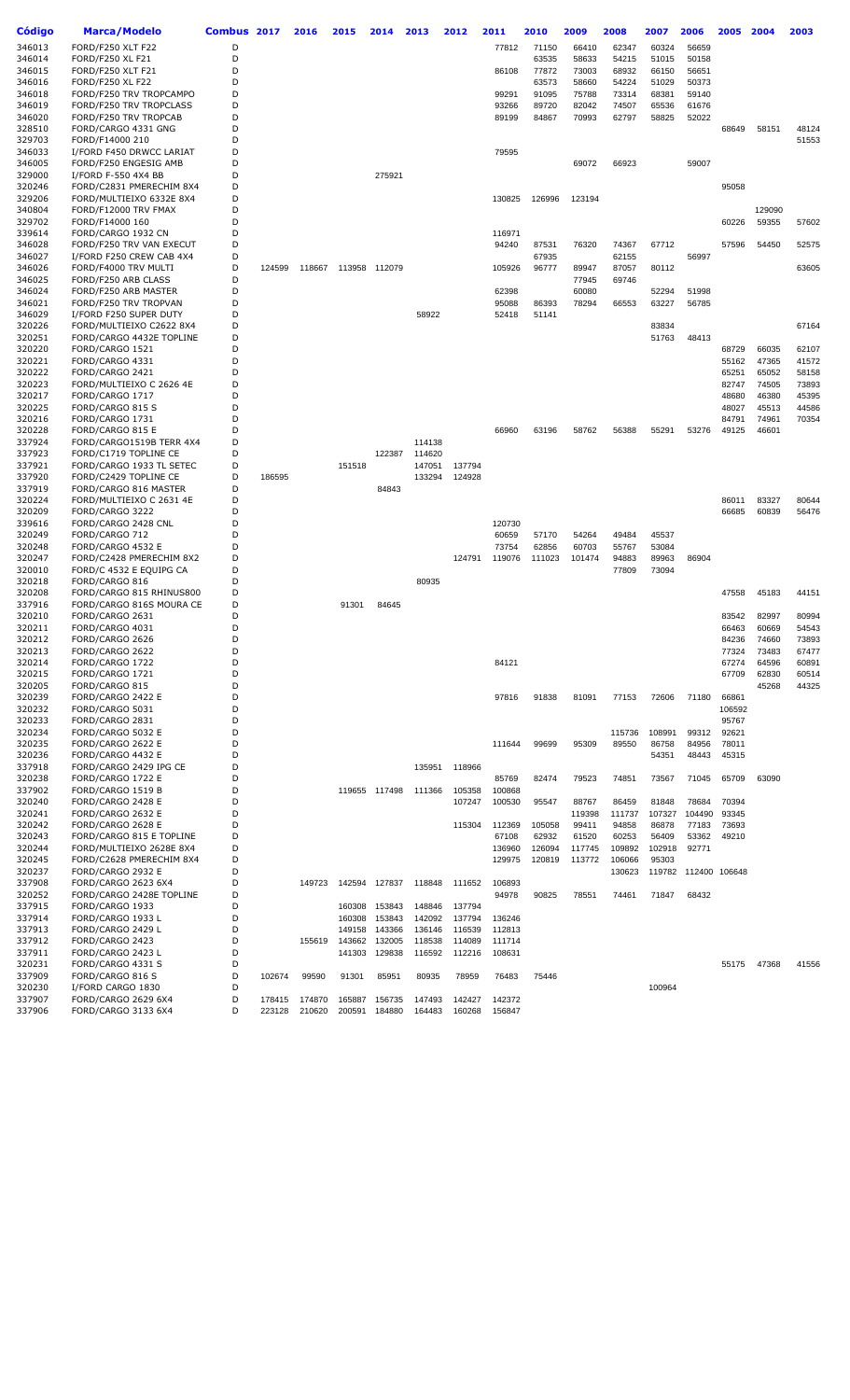| Código           | <b>Marca/Modelo</b>                               | Combus 2017 |        | 2016   | 2015   | 2014          | 2013             | 2012   | 2011            | 2010            | 2009            | 2008             | 2007           | 2006                 | 2005           | 2004           | 2003           |
|------------------|---------------------------------------------------|-------------|--------|--------|--------|---------------|------------------|--------|-----------------|-----------------|-----------------|------------------|----------------|----------------------|----------------|----------------|----------------|
| 346013           | FORD/F250 XLT F22                                 | D           |        |        |        |               |                  |        | 77812           | 71150           | 66410           | 62347            | 60324          | 56659                |                |                |                |
| 346014           | FORD/F250 XL F21                                  | D           |        |        |        |               |                  |        |                 | 63535           | 58633           | 54215            | 51015          | 50158                |                |                |                |
| 346015           | FORD/F250 XLT F21                                 | D           |        |        |        |               |                  |        | 86108           | 77872           | 73003           | 68932            | 66150          | 56651                |                |                |                |
| 346016           | FORD/F250 XL F22                                  | D           |        |        |        |               |                  |        |                 | 63573           | 58660           | 54224            | 51029          | 50373                |                |                |                |
| 346018           | FORD/F250 TRV TROPCAMPO                           | D           |        |        |        |               |                  |        | 99291           | 91095           | 75788           | 73314            | 68381          | 59140                |                |                |                |
| 346019           | FORD/F250 TRV TROPCLASS                           | D           |        |        |        |               |                  |        | 93266           | 89720           | 82042           | 74507            | 65536          | 61676                |                |                |                |
| 346020           | FORD/F250 TRV TROPCAB                             | D           |        |        |        |               |                  |        | 89199           | 84867           | 70993           | 62797            | 58825          | 52022                |                |                |                |
| 328510<br>329703 | FORD/CARGO 4331 GNG<br>FORD/F14000 210            | D<br>D      |        |        |        |               |                  |        |                 |                 |                 |                  |                |                      | 68649          | 58151          | 48124<br>51553 |
| 346033           | I/FORD F450 DRWCC LARIAT                          | D           |        |        |        |               |                  |        | 79595           |                 |                 |                  |                |                      |                |                |                |
| 346005           | FORD/F250 ENGESIG AMB                             | D           |        |        |        |               |                  |        |                 |                 | 69072           | 66923            |                | 59007                |                |                |                |
| 329000           | I/FORD F-550 4X4 BB                               | D           |        |        |        | 275921        |                  |        |                 |                 |                 |                  |                |                      |                |                |                |
| 320246           | FORD/C2831 PMERECHIM 8X4                          | D           |        |        |        |               |                  |        |                 |                 |                 |                  |                |                      | 95058          |                |                |
| 329206           | FORD/MULTIEIXO 6332E 8X4                          | D           |        |        |        |               |                  |        | 130825          | 126996          | 123194          |                  |                |                      |                |                |                |
| 340804           | FORD/F12000 TRV FMAX                              | D           |        |        |        |               |                  |        |                 |                 |                 |                  |                |                      |                | 129090         |                |
| 329702           | FORD/F14000 160                                   | D<br>D      |        |        |        |               |                  |        |                 |                 |                 |                  |                |                      | 60226          | 59355          | 57602          |
| 339614<br>346028 | FORD/CARGO 1932 CN<br>FORD/F250 TRV VAN EXECUT    | D           |        |        |        |               |                  |        | 116971<br>94240 | 87531           | 76320           | 74367            | 67712          |                      | 57596          | 54450          | 52575          |
| 346027           | I/FORD F250 CREW CAB 4X4                          | D           |        |        |        |               |                  |        |                 | 67935           |                 | 62155            |                | 56997                |                |                |                |
| 346026           | FORD/F4000 TRV MULTI                              | D           | 124599 | 118667 |        | 113958 112079 |                  |        | 105926          | 96777           | 89947           | 87057            | 80112          |                      |                |                | 63605          |
| 346025           | FORD/F250 ARB CLASS                               | D           |        |        |        |               |                  |        |                 |                 | 77945           | 69746            |                |                      |                |                |                |
| 346024           | FORD/F250 ARB MASTER                              | D           |        |        |        |               |                  |        | 62398           |                 | 60080           |                  | 52294          | 51998                |                |                |                |
| 346021           | FORD/F250 TRV TROPVAN                             | D           |        |        |        |               |                  |        | 95088           | 86393           | 78294           | 66553            | 63227          | 56785                |                |                |                |
| 346029           | I/FORD F250 SUPER DUTY                            | D           |        |        |        |               | 58922            |        | 52418           | 51141           |                 |                  |                |                      |                |                |                |
| 320226           | FORD/MULTIEIXO C2622 8X4                          | D           |        |        |        |               |                  |        |                 |                 |                 |                  | 83834          |                      |                |                | 67164          |
| 320251<br>320220 | FORD/CARGO 4432E TOPLINE<br>FORD/CARGO 1521       | D<br>D      |        |        |        |               |                  |        |                 |                 |                 |                  | 51763          | 48413                | 68729          | 66035          | 62107          |
| 320221           | FORD/CARGO 4331                                   | D           |        |        |        |               |                  |        |                 |                 |                 |                  |                |                      | 55162          | 47365          | 41572          |
| 320222           | FORD/CARGO 2421                                   | D           |        |        |        |               |                  |        |                 |                 |                 |                  |                |                      | 65251          | 65052          | 58158          |
| 320223           | FORD/MULTIEIXO C 2626 4E                          | D           |        |        |        |               |                  |        |                 |                 |                 |                  |                |                      | 82747          | 74505          | 73893          |
| 320217           | FORD/CARGO 1717                                   | D           |        |        |        |               |                  |        |                 |                 |                 |                  |                |                      | 48680          | 46380          | 45395          |
| 320225           | FORD/CARGO 815 S                                  | D           |        |        |        |               |                  |        |                 |                 |                 |                  |                |                      | 48027          | 45513          | 44586          |
| 320216           | FORD/CARGO 1731                                   | D           |        |        |        |               |                  |        |                 |                 |                 |                  |                |                      | 84791          | 74961          | 70354          |
| 320228           | FORD/CARGO 815 E                                  | D           |        |        |        |               |                  |        | 66960           | 63196           | 58762           | 56388            | 55291          | 53276                | 49125          | 46601          |                |
| 337924<br>337923 | FORD/CARGO1519B TERR 4X4<br>FORD/C1719 TOPLINE CE | D<br>D      |        |        |        | 122387        | 114138<br>114620 |        |                 |                 |                 |                  |                |                      |                |                |                |
| 337921           | FORD/CARGO 1933 TL SETEC                          | D           |        |        | 151518 |               | 147051           | 137794 |                 |                 |                 |                  |                |                      |                |                |                |
| 337920           | FORD/C2429 TOPLINE CE                             | D           | 186595 |        |        |               | 133294           | 124928 |                 |                 |                 |                  |                |                      |                |                |                |
| 337919           | FORD/CARGO 816 MASTER                             | D           |        |        |        | 84843         |                  |        |                 |                 |                 |                  |                |                      |                |                |                |
| 320224           | FORD/MULTIEIXO C 2631 4E                          | D           |        |        |        |               |                  |        |                 |                 |                 |                  |                |                      | 86011          | 83327          | 80644          |
| 320209           | FORD/CARGO 3222                                   | D           |        |        |        |               |                  |        |                 |                 |                 |                  |                |                      | 66685          | 60839          | 56476          |
| 339616           | FORD/CARGO 2428 CNL                               | D           |        |        |        |               |                  |        | 120730          |                 |                 |                  |                |                      |                |                |                |
| 320249           | FORD/CARGO 712                                    | D           |        |        |        |               |                  |        | 60659           | 57170           | 54264           | 49484            | 45537          |                      |                |                |                |
| 320248<br>320247 | FORD/CARGO 4532 E<br>FORD/C2428 PMERECHIM 8X2     | D<br>D      |        |        |        |               |                  | 124791 | 73754<br>119076 | 62856<br>111023 | 60703<br>101474 | 55767            | 53084<br>89963 | 86904                |                |                |                |
| 320010           | FORD/C 4532 E EQUIPG CA                           | D           |        |        |        |               |                  |        |                 |                 |                 | 94883<br>77809   | 73094          |                      |                |                |                |
| 320218           | FORD/CARGO 816                                    | D           |        |        |        |               | 80935            |        |                 |                 |                 |                  |                |                      |                |                |                |
| 320208           | FORD/CARGO 815 RHINUS800                          | D           |        |        |        |               |                  |        |                 |                 |                 |                  |                |                      | 47558          | 45183          | 44151          |
| 337916           | FORD/CARGO 816S MOURA CE                          | D           |        |        | 91301  | 84645         |                  |        |                 |                 |                 |                  |                |                      |                |                |                |
| 320210           | FORD/CARGO 2631                                   | D           |        |        |        |               |                  |        |                 |                 |                 |                  |                |                      | 83542          | 82997          | 80994          |
| 320211           | FORD/CARGO 4031                                   | D           |        |        |        |               |                  |        |                 |                 |                 |                  |                |                      | 66463          | 60669          | 54543          |
| 320212           | FORD/CARGO 2626                                   | D           |        |        |        |               |                  |        |                 |                 |                 |                  |                |                      | 84236          | 74660          | 73893          |
| 320213<br>320214 | FORD/CARGO 2622<br>FORD/CARGO 1722                | D<br>D      |        |        |        |               |                  |        | 84121           |                 |                 |                  |                |                      | 77324<br>67274 | 73483<br>64596 | 67477<br>60891 |
| 320215           | FORD/CARGO 1721                                   | D           |        |        |        |               |                  |        |                 |                 |                 |                  |                |                      | 67709          | 62830          | 60514          |
| 320205           | FORD/CARGO 815                                    | D           |        |        |        |               |                  |        |                 |                 |                 |                  |                |                      |                | 45268          | 44325          |
| 320239           | FORD/CARGO 2422 E                                 | D           |        |        |        |               |                  |        | 97816           | 91838           | 81091           | 77153            | 72606          | 71180                | 66861          |                |                |
| 320232           | FORD/CARGO 5031                                   | D           |        |        |        |               |                  |        |                 |                 |                 |                  |                |                      | 106592         |                |                |
| 320233           | FORD/CARGO 2831                                   | D           |        |        |        |               |                  |        |                 |                 |                 |                  |                |                      | 95767          |                |                |
| 320234           | FORD/CARGO 5032 E                                 | D           |        |        |        |               |                  |        |                 |                 |                 | 115736           | 108991         | 99312                | 92621          |                |                |
| 320235           | FORD/CARGO 2622 E                                 | D<br>D      |        |        |        |               |                  |        | 111644          | 99699           | 95309           | 89550            | 86758          | 84956                | 78011          |                |                |
| 320236<br>337918 | FORD/CARGO 4432 E<br>FORD/CARGO 2429 IPG CE       | D           |        |        |        |               | 135951           | 118966 |                 |                 |                 |                  | 54351          | 48443                | 45315          |                |                |
| 320238           | FORD/CARGO 1722 E                                 | D           |        |        |        |               |                  |        | 85769           | 82474           | 79523           | 74851            | 73567          | 71045                | 65709          | 63090          |                |
| 337902           | FORD/CARGO 1519 B                                 | D           |        |        |        | 119655 117498 | 111366           | 105358 | 100868          |                 |                 |                  |                |                      |                |                |                |
| 320240           | FORD/CARGO 2428 E                                 | D           |        |        |        |               |                  | 107247 | 100530          | 95547           | 88767           | 86459            | 81848          | 78684                | 70394          |                |                |
| 320241           | FORD/CARGO 2632 E                                 | D           |        |        |        |               |                  |        |                 |                 | 119398          | 111737           | 107327         | 104490               | 93345          |                |                |
| 320242           | FORD/CARGO 2628 E                                 | D           |        |        |        |               |                  | 115304 | 112369          | 105058          | 99411           | 94858            | 86878          | 77183                | 73693          |                |                |
| 320243           | FORD/CARGO 815 E TOPLINE                          | D           |        |        |        |               |                  |        | 67108           | 62932           | 61520           | 60253            | 56409          | 53362                | 49210          |                |                |
| 320244           | FORD/MULTIEIXO 2628E 8X4                          | D           |        |        |        |               |                  |        | 136960          | 126094          | 117745          | 109892           | 102918         | 92771                |                |                |                |
| 320245<br>320237 | FORD/C2628 PMERECHIM 8X4<br>FORD/CARGO 2932 E     | D<br>D      |        |        |        |               |                  |        | 129975          | 120819          | 113772          | 106066<br>130623 | 95303          | 119782 112400 106648 |                |                |                |
| 337908           | FORD/CARGO 2623 6X4                               | D           |        | 149723 | 142594 | 127837        | 118848           | 111652 | 106893          |                 |                 |                  |                |                      |                |                |                |
| 320252           | FORD/CARGO 2428E TOPLINE                          | D           |        |        |        |               |                  |        | 94978           | 90825           | 78551           | 74461            | 71847          | 68432                |                |                |                |
| 337915           | FORD/CARGO 1933                                   | D           |        |        | 160308 | 153843        | 148846           | 137794 |                 |                 |                 |                  |                |                      |                |                |                |
| 337914           | FORD/CARGO 1933 L                                 | D           |        |        | 160308 | 153843        | 142092           | 137794 | 136246          |                 |                 |                  |                |                      |                |                |                |
| 337913           | FORD/CARGO 2429 L                                 | D           |        |        | 149158 | 143366        | 136146           | 116539 | 112813          |                 |                 |                  |                |                      |                |                |                |
| 337912           | FORD/CARGO 2423                                   | D           |        | 155619 | 143662 | 132005        | 118538           | 114089 | 111714          |                 |                 |                  |                |                      |                |                |                |
| 337911           | FORD/CARGO 2423 L                                 | D<br>D      |        |        | 141303 | 129838        | 116592           | 112216 | 108631          |                 |                 |                  |                |                      |                |                |                |
| 320231<br>337909 | FORD/CARGO 4331 S<br>FORD/CARGO 816 S             | D           | 102674 | 99590  | 91301  | 85951         | 80935            | 78959  | 76483           | 75446           |                 |                  |                |                      | 55175          | 47368          | 41556          |
| 320230           | I/FORD CARGO 1830                                 | D           |        |        |        |               |                  |        |                 |                 |                 |                  | 100964         |                      |                |                |                |
| 337907           | FORD/CARGO 2629 6X4                               | D           | 178415 | 174870 | 165887 | 156735        | 147493           | 142427 | 142372          |                 |                 |                  |                |                      |                |                |                |
| 337906           | FORD/CARGO 3133 6X4                               | D           | 223128 | 210620 | 200591 | 184880        | 164483           | 160268 | 156847          |                 |                 |                  |                |                      |                |                |                |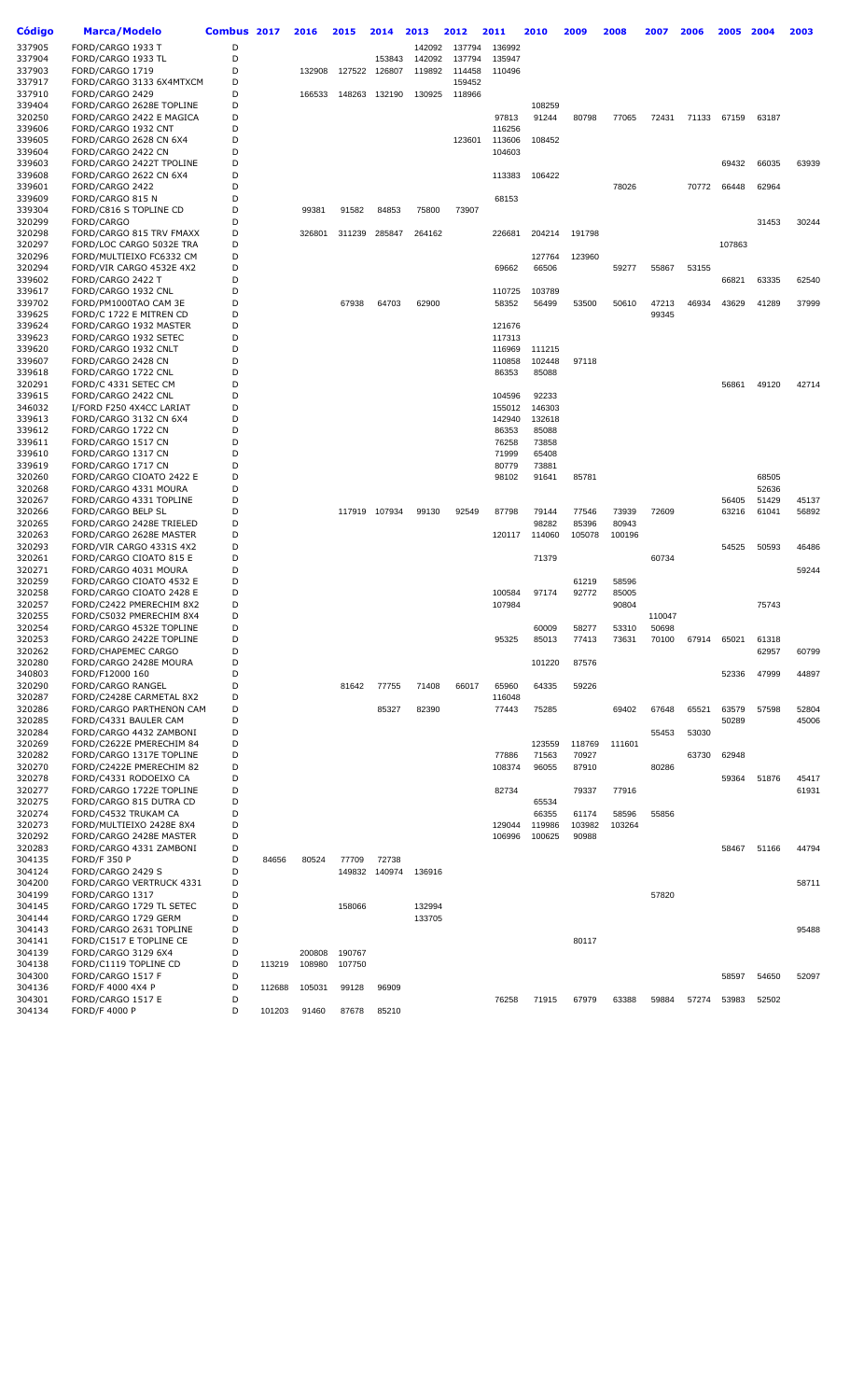| Código           | <b>Marca/Modelo</b>                                  | Combus 2017 |        | 2016   | 2015   | 2014   | 2013   | 2012   | 2011            | 2010            | 2009   | 2008   | 2007            | 2006  | 2005   | 2004  | 2003  |
|------------------|------------------------------------------------------|-------------|--------|--------|--------|--------|--------|--------|-----------------|-----------------|--------|--------|-----------------|-------|--------|-------|-------|
| 337905           | FORD/CARGO 1933 T                                    | D           |        |        |        |        | 142092 | 137794 | 136992          |                 |        |        |                 |       |        |       |       |
| 337904           | FORD/CARGO 1933 TL                                   | D           |        |        |        | 153843 | 142092 | 137794 | 135947          |                 |        |        |                 |       |        |       |       |
| 337903           | FORD/CARGO 1719                                      | D           |        | 132908 | 127522 | 126807 | 119892 | 114458 | 110496          |                 |        |        |                 |       |        |       |       |
| 337917           | FORD/CARGO 3133 6X4MTXCM                             | D           |        |        |        |        |        | 159452 |                 |                 |        |        |                 |       |        |       |       |
| 337910           | FORD/CARGO 2429                                      | D           |        | 166533 | 148263 | 132190 | 130925 | 118966 |                 |                 |        |        |                 |       |        |       |       |
| 339404           | FORD/CARGO 2628E TOPLINE                             | D           |        |        |        |        |        |        |                 | 108259          |        |        |                 |       |        |       |       |
| 320250           | FORD/CARGO 2422 E MAGICA                             | D<br>D      |        |        |        |        |        |        | 97813<br>116256 | 91244           | 80798  | 77065  | 72431           | 71133 | 67159  | 63187 |       |
| 339606<br>339605 | FORD/CARGO 1932 CNT<br>FORD/CARGO 2628 CN 6X4        | D           |        |        |        |        |        | 123601 | 113606          | 108452          |        |        |                 |       |        |       |       |
| 339604           | FORD/CARGO 2422 CN                                   | D           |        |        |        |        |        |        | 104603          |                 |        |        |                 |       |        |       |       |
| 339603           | FORD/CARGO 2422T TPOLINE                             | D           |        |        |        |        |        |        |                 |                 |        |        |                 |       | 69432  | 66035 | 63939 |
| 339608           | FORD/CARGO 2622 CN 6X4                               | D           |        |        |        |        |        |        | 113383          | 106422          |        |        |                 |       |        |       |       |
| 339601           | FORD/CARGO 2422                                      | D           |        |        |        |        |        |        |                 |                 |        | 78026  |                 | 70772 | 66448  | 62964 |       |
| 339609           | FORD/CARGO 815 N                                     | D           |        |        |        |        |        |        | 68153           |                 |        |        |                 |       |        |       |       |
| 339304           | FORD/C816 S TOPLINE CD                               | D           |        | 99381  | 91582  | 84853  | 75800  | 73907  |                 |                 |        |        |                 |       |        |       |       |
| 320299           | FORD/CARGO                                           | D           |        |        |        |        |        |        |                 |                 |        |        |                 |       |        | 31453 | 30244 |
| 320298           | FORD/CARGO 815 TRV FMAXX                             | D           |        | 326801 | 311239 | 285847 | 264162 |        | 226681          | 204214          | 191798 |        |                 |       |        |       |       |
| 320297           | FORD/LOC CARGO 5032E TRA                             | D           |        |        |        |        |        |        |                 |                 |        |        |                 |       | 107863 |       |       |
| 320296<br>320294 | FORD/MULTIEIXO FC6332 CM<br>FORD/VIR CARGO 4532E 4X2 | D<br>D      |        |        |        |        |        |        | 69662           | 127764<br>66506 | 123960 | 59277  | 55867           | 53155 |        |       |       |
| 339602           | FORD/CARGO 2422 T                                    | D           |        |        |        |        |        |        |                 |                 |        |        |                 |       | 66821  | 63335 | 62540 |
| 339617           | FORD/CARGO 1932 CNL                                  | D           |        |        |        |        |        |        | 110725          | 103789          |        |        |                 |       |        |       |       |
| 339702           | FORD/PM1000TAO CAM 3E                                | D           |        |        | 67938  | 64703  | 62900  |        | 58352           | 56499           | 53500  | 50610  | 47213           | 46934 | 43629  | 41289 | 37999 |
| 339625           | FORD/C 1722 E MITREN CD                              | D           |        |        |        |        |        |        |                 |                 |        |        | 99345           |       |        |       |       |
| 339624           | FORD/CARGO 1932 MASTER                               | D           |        |        |        |        |        |        | 121676          |                 |        |        |                 |       |        |       |       |
| 339623           | FORD/CARGO 1932 SETEC                                | D           |        |        |        |        |        |        | 117313          |                 |        |        |                 |       |        |       |       |
| 339620           | FORD/CARGO 1932 CNLT                                 | D           |        |        |        |        |        |        | 116969          | 111215          |        |        |                 |       |        |       |       |
| 339607           | FORD/CARGO 2428 CN                                   | D           |        |        |        |        |        |        | 110858          | 102448          | 97118  |        |                 |       |        |       |       |
| 339618           | FORD/CARGO 1722 CNL                                  | D           |        |        |        |        |        |        | 86353           | 85088           |        |        |                 |       |        |       |       |
| 320291           | FORD/C 4331 SETEC CM                                 | D           |        |        |        |        |        |        |                 |                 |        |        |                 |       | 56861  | 49120 | 42714 |
| 339615           | FORD/CARGO 2422 CNL                                  | D           |        |        |        |        |        |        | 104596          | 92233           |        |        |                 |       |        |       |       |
| 346032           | I/FORD F250 4X4CC LARIAT                             | D           |        |        |        |        |        |        | 155012          | 146303          |        |        |                 |       |        |       |       |
| 339613           | FORD/CARGO 3132 CN 6X4                               | D<br>D      |        |        |        |        |        |        | 142940          | 132618          |        |        |                 |       |        |       |       |
| 339612<br>339611 | FORD/CARGO 1722 CN<br>FORD/CARGO 1517 CN             | D           |        |        |        |        |        |        | 86353<br>76258  | 85088           |        |        |                 |       |        |       |       |
| 339610           | FORD/CARGO 1317 CN                                   | D           |        |        |        |        |        |        | 71999           | 73858<br>65408  |        |        |                 |       |        |       |       |
| 339619           | FORD/CARGO 1717 CN                                   | D           |        |        |        |        |        |        | 80779           | 73881           |        |        |                 |       |        |       |       |
| 320260           | FORD/CARGO CIOATO 2422 E                             | D           |        |        |        |        |        |        | 98102           | 91641           | 85781  |        |                 |       |        | 68505 |       |
| 320268           | FORD/CARGO 4331 MOURA                                | D           |        |        |        |        |        |        |                 |                 |        |        |                 |       |        | 52636 |       |
| 320267           | FORD/CARGO 4331 TOPLINE                              | D           |        |        |        |        |        |        |                 |                 |        |        |                 |       | 56405  | 51429 | 45137 |
| 320266           | FORD/CARGO BELP SL                                   | D           |        |        | 117919 | 107934 | 99130  | 92549  | 87798           | 79144           | 77546  | 73939  | 72609           |       | 63216  | 61041 | 56892 |
| 320265           | FORD/CARGO 2428E TRIELED                             | D           |        |        |        |        |        |        |                 | 98282           | 85396  | 80943  |                 |       |        |       |       |
| 320263           | FORD/CARGO 2628E MASTER                              | D           |        |        |        |        |        |        | 120117          | 114060          | 105078 | 100196 |                 |       |        |       |       |
| 320293           | FORD/VIR CARGO 4331S 4X2                             | D           |        |        |        |        |        |        |                 |                 |        |        |                 |       | 54525  | 50593 | 46486 |
| 320261           | FORD/CARGO CIOATO 815 E                              | D           |        |        |        |        |        |        |                 | 71379           |        |        | 60734           |       |        |       |       |
| 320271           | FORD/CARGO 4031 MOURA                                | D           |        |        |        |        |        |        |                 |                 |        |        |                 |       |        |       | 59244 |
| 320259           | FORD/CARGO CIOATO 4532 E                             | D           |        |        |        |        |        |        |                 |                 | 61219  | 58596  |                 |       |        |       |       |
| 320258           | FORD/CARGO CIOATO 2428 E                             | D           |        |        |        |        |        |        | 100584          | 97174           | 92772  | 85005  |                 |       |        |       |       |
| 320257           | FORD/C2422 PMERECHIM 8X2                             | D           |        |        |        |        |        |        | 107984          |                 |        | 90804  |                 |       |        | 75743 |       |
| 320255<br>320254 | FORD/C5032 PMERECHIM 8X4<br>FORD/CARGO 4532E TOPLINE | D<br>D      |        |        |        |        |        |        |                 | 60009           | 58277  | 53310  | 110047<br>50698 |       |        |       |       |
| 320253           | FORD/CARGO 2422E TOPLINE                             | D           |        |        |        |        |        |        | 95325           | 85013           | 77413  | 73631  | 70100           | 67914 | 65021  | 61318 |       |
| 320262           | <b>FORD/CHAPEMEC CARGO</b>                           | D           |        |        |        |        |        |        |                 |                 |        |        |                 |       |        | 62957 | 60799 |
| 320280           | FORD/CARGO 2428E MOURA                               | D           |        |        |        |        |        |        |                 | 101220          | 87576  |        |                 |       |        |       |       |
| 340803           | FORD/F12000 160                                      | D           |        |        |        |        |        |        |                 |                 |        |        |                 |       | 52336  | 47999 | 44897 |
| 320290           | <b>FORD/CARGO RANGEL</b>                             | D           |        |        | 81642  | 77755  | 71408  | 66017  | 65960           | 64335           | 59226  |        |                 |       |        |       |       |
| 320287           | FORD/C2428E CARMETAL 8X2                             | D           |        |        |        |        |        |        | 116048          |                 |        |        |                 |       |        |       |       |
| 320286           | FORD/CARGO PARTHENON CAM                             | D           |        |        |        | 85327  | 82390  |        | 77443           | 75285           |        | 69402  | 67648           | 65521 | 63579  | 57598 | 52804 |
| 320285           | FORD/C4331 BAULER CAM                                | D           |        |        |        |        |        |        |                 |                 |        |        |                 |       | 50289  |       | 45006 |
| 320284           | FORD/CARGO 4432 ZAMBONI                              | D           |        |        |        |        |        |        |                 |                 |        |        | 55453           | 53030 |        |       |       |
| 320269           | FORD/C2622E PMERECHIM 84                             | D           |        |        |        |        |        |        |                 | 123559          | 118769 | 111601 |                 |       |        |       |       |
| 320282           | FORD/CARGO 1317E TOPLINE                             | D           |        |        |        |        |        |        | 77886           | 71563           | 70927  |        |                 | 63730 | 62948  |       |       |
| 320270<br>320278 | FORD/C2422E PMERECHIM 82<br>FORD/C4331 RODOEIXO CA   | D<br>D      |        |        |        |        |        |        | 108374          | 96055           | 87910  |        | 80286           |       |        |       | 45417 |
|                  |                                                      | D           |        |        |        |        |        |        | 82734           |                 |        | 77916  |                 |       | 59364  | 51876 | 61931 |
| 320277<br>320275 | FORD/CARGO 1722E TOPLINE<br>FORD/CARGO 815 DUTRA CD  | D           |        |        |        |        |        |        |                 | 65534           | 79337  |        |                 |       |        |       |       |
| 320274           | FORD/C4532 TRUKAM CA                                 | D           |        |        |        |        |        |        |                 | 66355           | 61174  | 58596  | 55856           |       |        |       |       |
| 320273           | FORD/MULTIEIXO 2428E 8X4                             | D           |        |        |        |        |        |        | 129044          | 119986          | 103982 | 103264 |                 |       |        |       |       |
| 320292           | FORD/CARGO 2428E MASTER                              | D           |        |        |        |        |        |        | 106996          | 100625          | 90988  |        |                 |       |        |       |       |
| 320283           | FORD/CARGO 4331 ZAMBONI                              | D           |        |        |        |        |        |        |                 |                 |        |        |                 |       | 58467  | 51166 | 44794 |
| 304135           | <b>FORD/F 350 P</b>                                  | D           | 84656  | 80524  | 77709  | 72738  |        |        |                 |                 |        |        |                 |       |        |       |       |
| 304124           | FORD/CARGO 2429 S                                    | D           |        |        | 149832 | 140974 | 136916 |        |                 |                 |        |        |                 |       |        |       |       |
| 304200           | FORD/CARGO VERTRUCK 4331                             | D           |        |        |        |        |        |        |                 |                 |        |        |                 |       |        |       | 58711 |
| 304199           | FORD/CARGO 1317                                      | D           |        |        |        |        |        |        |                 |                 |        |        | 57820           |       |        |       |       |
| 304145           | FORD/CARGO 1729 TL SETEC                             | D           |        |        | 158066 |        | 132994 |        |                 |                 |        |        |                 |       |        |       |       |
| 304144           | FORD/CARGO 1729 GERM                                 | D           |        |        |        |        | 133705 |        |                 |                 |        |        |                 |       |        |       |       |
| 304143           | FORD/CARGO 2631 TOPLINE                              | D           |        |        |        |        |        |        |                 |                 |        |        |                 |       |        |       | 95488 |
| 304141           | FORD/C1517 E TOPLINE CE                              | D           |        |        |        |        |        |        |                 |                 | 80117  |        |                 |       |        |       |       |
| 304139           | FORD/CARGO 3129 6X4                                  | D           |        | 200808 | 190767 |        |        |        |                 |                 |        |        |                 |       |        |       |       |
| 304138           | FORD/C1119 TOPLINE CD                                | D           | 113219 | 108980 | 107750 |        |        |        |                 |                 |        |        |                 |       |        |       |       |
| 304300<br>304136 | FORD/CARGO 1517 F<br>FORD/F 4000 4X4 P               | D<br>D      | 112688 | 105031 | 99128  | 96909  |        |        |                 |                 |        |        |                 |       | 58597  | 54650 | 52097 |
| 304301           | FORD/CARGO 1517 E                                    | D           |        |        |        |        |        |        | 76258           | 71915           | 67979  | 63388  | 59884           | 57274 | 53983  | 52502 |       |
| 304134           | <b>FORD/F 4000 P</b>                                 | D           | 101203 | 91460  | 87678  | 85210  |        |        |                 |                 |        |        |                 |       |        |       |       |
|                  |                                                      |             |        |        |        |        |        |        |                 |                 |        |        |                 |       |        |       |       |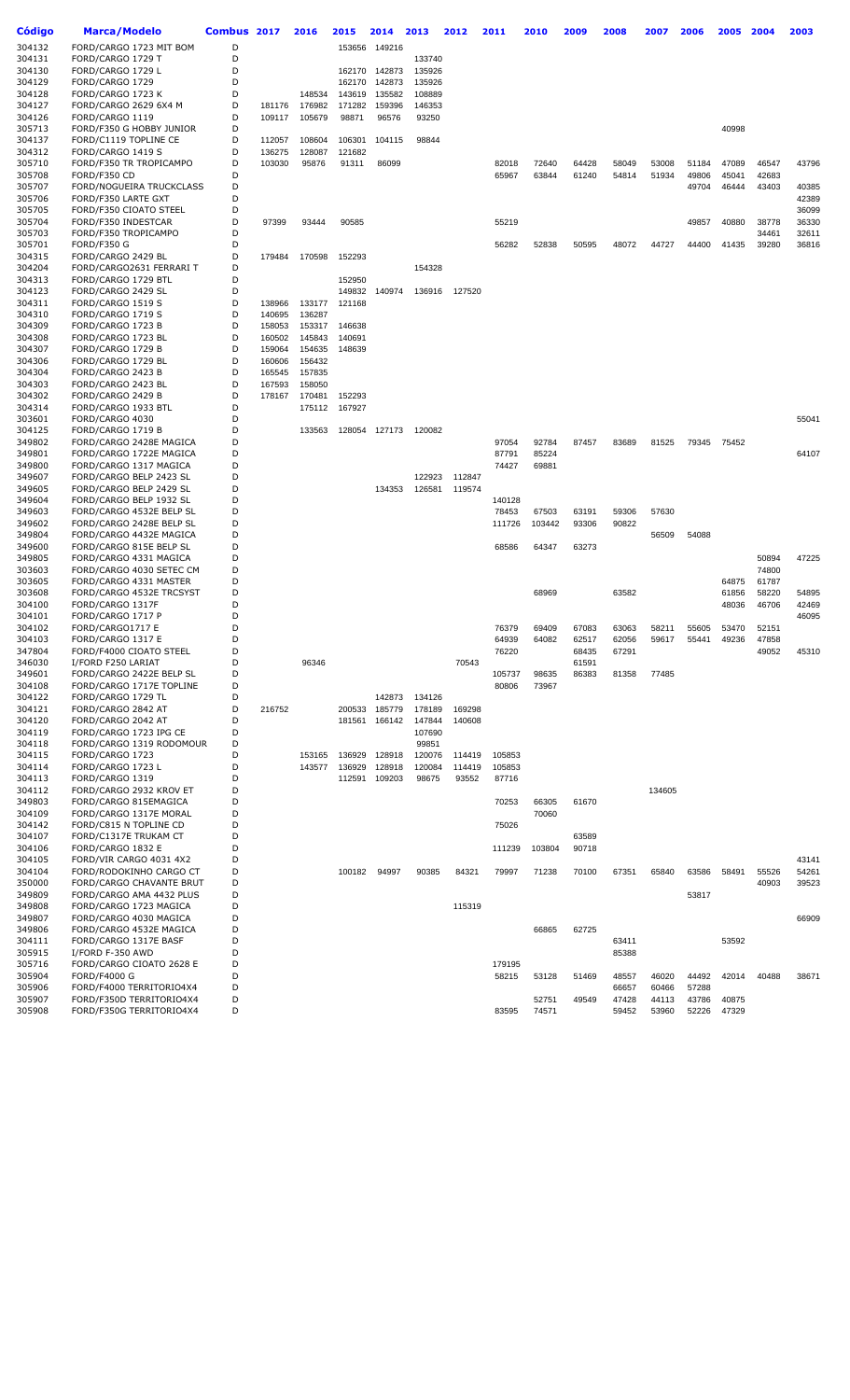| Código           | <b>Marca/Modelo</b>                            | Combus 2017 |        | 2016   | 2015   | 2014                    | 2013             | 2012             | 2011   | 2010   | 2009  | 2008  | 2007   | 2006  | 2005  | 2004  | 2003  |
|------------------|------------------------------------------------|-------------|--------|--------|--------|-------------------------|------------------|------------------|--------|--------|-------|-------|--------|-------|-------|-------|-------|
| 304132           | FORD/CARGO 1723 MIT BOM                        | D           |        |        | 153656 | 149216                  |                  |                  |        |        |       |       |        |       |       |       |       |
| 304131           | FORD/CARGO 1729 T                              | D           |        |        |        |                         | 133740           |                  |        |        |       |       |        |       |       |       |       |
| 304130           | FORD/CARGO 1729 L                              | D           |        |        | 162170 | 142873                  | 135926           |                  |        |        |       |       |        |       |       |       |       |
| 304129           | FORD/CARGO 1729                                | D           |        |        | 162170 | 142873                  | 135926           |                  |        |        |       |       |        |       |       |       |       |
| 304128           | FORD/CARGO 1723 K                              | D           |        | 148534 | 143619 | 135582                  | 108889           |                  |        |        |       |       |        |       |       |       |       |
| 304127           | FORD/CARGO 2629 6X4 M                          | D           | 181176 | 176982 | 171282 | 159396                  | 146353           |                  |        |        |       |       |        |       |       |       |       |
| 304126           | FORD/CARGO 1119                                | D           | 109117 | 105679 | 98871  | 96576                   | 93250            |                  |        |        |       |       |        |       |       |       |       |
| 305713           | FORD/F350 G HOBBY JUNIOR                       | D           |        |        |        |                         |                  |                  |        |        |       |       |        |       | 40998 |       |       |
| 304137           | FORD/C1119 TOPLINE CE                          | D           | 112057 | 108604 | 106301 | 104115                  | 98844            |                  |        |        |       |       |        |       |       |       |       |
| 304312           | FORD/CARGO 1419 S                              | D           | 136275 | 128087 | 121682 |                         |                  |                  |        |        |       |       |        |       |       |       |       |
| 305710           | FORD/F350 TR TROPICAMPO                        | D           | 103030 | 95876  | 91311  | 86099                   |                  |                  | 82018  | 72640  | 64428 | 58049 | 53008  | 51184 | 47089 | 46547 | 43796 |
| 305708           | FORD/F350 CD                                   | D           |        |        |        |                         |                  |                  | 65967  | 63844  | 61240 | 54814 | 51934  | 49806 | 45041 | 42683 |       |
| 305707           | FORD/NOGUEIRA TRUCKCLASS                       | D           |        |        |        |                         |                  |                  |        |        |       |       |        | 49704 | 46444 | 43403 | 40385 |
| 305706           | FORD/F350 LARTE GXT                            | D           |        |        |        |                         |                  |                  |        |        |       |       |        |       |       |       | 42389 |
| 305705           | FORD/F350 CIOATO STEEL                         | D           |        |        |        |                         |                  |                  |        |        |       |       |        |       |       |       | 36099 |
| 305704           | FORD/F350 INDESTCAR                            | D           | 97399  | 93444  | 90585  |                         |                  |                  | 55219  |        |       |       |        | 49857 | 40880 | 38778 | 36330 |
| 305703           | FORD/F350 TROPICAMPO                           | D           |        |        |        |                         |                  |                  |        |        |       |       |        |       |       | 34461 | 32611 |
| 305701           | <b>FORD/F350 G</b>                             | D<br>D      |        |        |        |                         |                  |                  | 56282  | 52838  | 50595 | 48072 | 44727  | 44400 | 41435 | 39280 | 36816 |
| 304315<br>304204 | FORD/CARGO 2429 BL<br>FORD/CARGO2631 FERRARI T | D           | 179484 | 170598 | 152293 |                         | 154328           |                  |        |        |       |       |        |       |       |       |       |
| 304313           | FORD/CARGO 1729 BTL                            | D           |        |        | 152950 |                         |                  |                  |        |        |       |       |        |       |       |       |       |
| 304123           | FORD/CARGO 2429 SL                             | D           |        |        | 149832 | 140974                  | 136916           | 127520           |        |        |       |       |        |       |       |       |       |
| 304311           | FORD/CARGO 1519 S                              | D           | 138966 | 133177 | 121168 |                         |                  |                  |        |        |       |       |        |       |       |       |       |
| 304310           | FORD/CARGO 1719 S                              | D           | 140695 | 136287 |        |                         |                  |                  |        |        |       |       |        |       |       |       |       |
| 304309           | FORD/CARGO 1723 B                              | D           | 158053 | 153317 | 146638 |                         |                  |                  |        |        |       |       |        |       |       |       |       |
| 304308           | FORD/CARGO 1723 BL                             | D           | 160502 | 145843 | 140691 |                         |                  |                  |        |        |       |       |        |       |       |       |       |
| 304307           | FORD/CARGO 1729 B                              | D           | 159064 | 154635 | 148639 |                         |                  |                  |        |        |       |       |        |       |       |       |       |
| 304306           | FORD/CARGO 1729 BL                             | D           | 160606 | 156432 |        |                         |                  |                  |        |        |       |       |        |       |       |       |       |
| 304304           | FORD/CARGO 2423 B                              | D           | 165545 | 157835 |        |                         |                  |                  |        |        |       |       |        |       |       |       |       |
| 304303           | FORD/CARGO 2423 BL                             | D           | 167593 | 158050 |        |                         |                  |                  |        |        |       |       |        |       |       |       |       |
| 304302           | FORD/CARGO 2429 B                              | D           | 178167 | 170481 | 152293 |                         |                  |                  |        |        |       |       |        |       |       |       |       |
| 304314           | FORD/CARGO 1933 BTL                            | D           |        | 175112 | 167927 |                         |                  |                  |        |        |       |       |        |       |       |       |       |
| 303601           | FORD/CARGO 4030                                | D           |        |        |        |                         |                  |                  |        |        |       |       |        |       |       |       | 55041 |
| 304125           | FORD/CARGO 1719 B                              | D           |        | 133563 |        | 128054 127173           | 120082           |                  |        |        |       |       |        |       |       |       |       |
| 349802           | FORD/CARGO 2428E MAGICA                        | D           |        |        |        |                         |                  |                  | 97054  | 92784  | 87457 | 83689 | 81525  | 79345 | 75452 |       |       |
| 349801           | FORD/CARGO 1722E MAGICA                        | D           |        |        |        |                         |                  |                  | 87791  | 85224  |       |       |        |       |       |       | 64107 |
| 349800           | FORD/CARGO 1317 MAGICA                         | D           |        |        |        |                         |                  |                  | 74427  | 69881  |       |       |        |       |       |       |       |
| 349607           | FORD/CARGO BELP 2423 SL                        | D           |        |        |        |                         | 122923           | 112847           |        |        |       |       |        |       |       |       |       |
| 349605           | FORD/CARGO BELP 2429 SL                        | D           |        |        |        | 134353                  | 126581           | 119574           |        |        |       |       |        |       |       |       |       |
| 349604           | FORD/CARGO BELP 1932 SL                        | D           |        |        |        |                         |                  |                  | 140128 |        |       |       |        |       |       |       |       |
| 349603           | FORD/CARGO 4532E BELP SL                       | D           |        |        |        |                         |                  |                  | 78453  | 67503  | 63191 | 59306 | 57630  |       |       |       |       |
| 349602           | FORD/CARGO 2428E BELP SL                       | D           |        |        |        |                         |                  |                  | 111726 | 103442 | 93306 | 90822 |        |       |       |       |       |
| 349804           | FORD/CARGO 4432E MAGICA                        | D           |        |        |        |                         |                  |                  |        |        |       |       | 56509  | 54088 |       |       |       |
| 349600           | FORD/CARGO 815E BELP SL                        | D           |        |        |        |                         |                  |                  | 68586  | 64347  | 63273 |       |        |       |       |       |       |
| 349805           | FORD/CARGO 4331 MAGICA                         | D           |        |        |        |                         |                  |                  |        |        |       |       |        |       |       | 50894 | 47225 |
| 303603           | FORD/CARGO 4030 SETEC CM                       | D           |        |        |        |                         |                  |                  |        |        |       |       |        |       |       | 74800 |       |
| 303605           | FORD/CARGO 4331 MASTER                         | D           |        |        |        |                         |                  |                  |        |        |       |       |        |       | 64875 | 61787 |       |
| 303608           | FORD/CARGO 4532E TRCSYST                       | D           |        |        |        |                         |                  |                  |        | 68969  |       | 63582 |        |       | 61856 | 58220 | 54895 |
| 304100           | FORD/CARGO 1317F                               | D           |        |        |        |                         |                  |                  |        |        |       |       |        |       | 48036 | 46706 | 42469 |
| 304101           | FORD/CARGO 1717 P                              | D           |        |        |        |                         |                  |                  |        |        |       |       |        |       |       |       | 46095 |
| 304102           | FORD/CARGO1717 E                               | D           |        |        |        |                         |                  |                  | 76379  | 69409  | 67083 | 63063 | 58211  | 55605 | 53470 | 52151 |       |
| 304103           | FORD/CARGO 1317 E                              | D           |        |        |        |                         |                  |                  | 64939  | 64082  | 62517 | 62056 | 59617  | 55441 | 49236 | 47858 |       |
| 347804           | FORD/F4000 CIOATO STEEL                        | D           |        |        |        |                         |                  |                  | 76220  |        | 68435 | 67291 |        |       |       | 49052 | 45310 |
| 346030           | I/FORD F250 LARIAT                             | D           |        | 96346  |        |                         |                  | 70543            |        |        | 61591 |       |        |       |       |       |       |
| 349601           | FORD/CARGO 2422E BELP SL                       | D           |        |        |        |                         |                  |                  | 105737 | 98635  | 86383 | 81358 | 77485  |       |       |       |       |
| 304108           | FORD/CARGO 1717E TOPLINE                       | D<br>D      |        |        |        |                         |                  |                  | 80806  | 73967  |       |       |        |       |       |       |       |
| 304122           | FORD/CARGO 1729 TL                             |             |        |        |        | 142873<br>200533 185779 | 134126           |                  |        |        |       |       |        |       |       |       |       |
| 304121<br>304120 | FORD/CARGO 2842 AT<br>FORD/CARGO 2042 AT       | D<br>D      | 216752 |        |        |                         | 178189           | 169298<br>140608 |        |        |       |       |        |       |       |       |       |
| 304119           | FORD/CARGO 1723 IPG CE                         | D           |        |        | 181561 | 166142                  | 147844<br>107690 |                  |        |        |       |       |        |       |       |       |       |
| 304118           | FORD/CARGO 1319 RODOMOUR                       | D           |        |        |        |                         | 99851            |                  |        |        |       |       |        |       |       |       |       |
| 304115           | FORD/CARGO 1723                                | D           |        | 153165 | 136929 | 128918                  | 120076           | 114419           | 105853 |        |       |       |        |       |       |       |       |
| 304114           | FORD/CARGO 1723 L                              | D           |        | 143577 | 136929 | 128918                  | 120084           | 114419           | 105853 |        |       |       |        |       |       |       |       |
| 304113           | FORD/CARGO 1319                                | D           |        |        | 112591 | 109203                  | 98675            | 93552            | 87716  |        |       |       |        |       |       |       |       |
| 304112           | FORD/CARGO 2932 KROV ET                        | D           |        |        |        |                         |                  |                  |        |        |       |       | 134605 |       |       |       |       |
| 349803           | FORD/CARGO 815EMAGICA                          | D           |        |        |        |                         |                  |                  | 70253  | 66305  | 61670 |       |        |       |       |       |       |
| 304109           | FORD/CARGO 1317E MORAL                         | D           |        |        |        |                         |                  |                  |        | 70060  |       |       |        |       |       |       |       |
| 304142           | FORD/C815 N TOPLINE CD                         | D           |        |        |        |                         |                  |                  | 75026  |        |       |       |        |       |       |       |       |
| 304107           | FORD/C1317E TRUKAM CT                          | D           |        |        |        |                         |                  |                  |        |        | 63589 |       |        |       |       |       |       |
| 304106           | FORD/CARGO 1832 E                              | D           |        |        |        |                         |                  |                  | 111239 | 103804 | 90718 |       |        |       |       |       |       |
| 304105           | FORD/VIR CARGO 4031 4X2                        | D           |        |        |        |                         |                  |                  |        |        |       |       |        |       |       |       | 43141 |
| 304104           | FORD/RODOKINHO CARGO CT                        | D           |        |        | 100182 | 94997                   | 90385            | 84321            | 79997  | 71238  | 70100 | 67351 | 65840  | 63586 | 58491 | 55526 | 54261 |
| 350000           | FORD/CARGO CHAVANTE BRUT                       | D           |        |        |        |                         |                  |                  |        |        |       |       |        |       |       | 40903 | 39523 |
| 349809           | FORD/CARGO AMA 4432 PLUS                       | D           |        |        |        |                         |                  |                  |        |        |       |       |        | 53817 |       |       |       |
| 349808           | FORD/CARGO 1723 MAGICA                         | D           |        |        |        |                         |                  | 115319           |        |        |       |       |        |       |       |       |       |
| 349807           | FORD/CARGO 4030 MAGICA                         | D           |        |        |        |                         |                  |                  |        |        |       |       |        |       |       |       | 66909 |
| 349806           | FORD/CARGO 4532E MAGICA                        | D           |        |        |        |                         |                  |                  |        | 66865  | 62725 |       |        |       |       |       |       |
| 304111           | FORD/CARGO 1317E BASF                          | D           |        |        |        |                         |                  |                  |        |        |       | 63411 |        |       | 53592 |       |       |
| 305915           | I/FORD F-350 AWD                               | D           |        |        |        |                         |                  |                  |        |        |       | 85388 |        |       |       |       |       |
| 305716           | FORD/CARGO CIOATO 2628 E                       | D           |        |        |        |                         |                  |                  | 179195 |        |       |       |        |       |       |       |       |
| 305904           | <b>FORD/F4000 G</b>                            | D           |        |        |        |                         |                  |                  | 58215  | 53128  | 51469 | 48557 | 46020  | 44492 | 42014 | 40488 | 38671 |
| 305906           | FORD/F4000 TERRITORIO4X4                       | D           |        |        |        |                         |                  |                  |        |        |       | 66657 | 60466  | 57288 |       |       |       |
| 305907           | FORD/F350D TERRITORIO4X4                       | D           |        |        |        |                         |                  |                  |        | 52751  | 49549 | 47428 | 44113  | 43786 | 40875 |       |       |
| 305908           | FORD/F350G TERRITORIO4X4                       | D           |        |        |        |                         |                  |                  | 83595  | 74571  |       | 59452 | 53960  | 52226 | 47329 |       |       |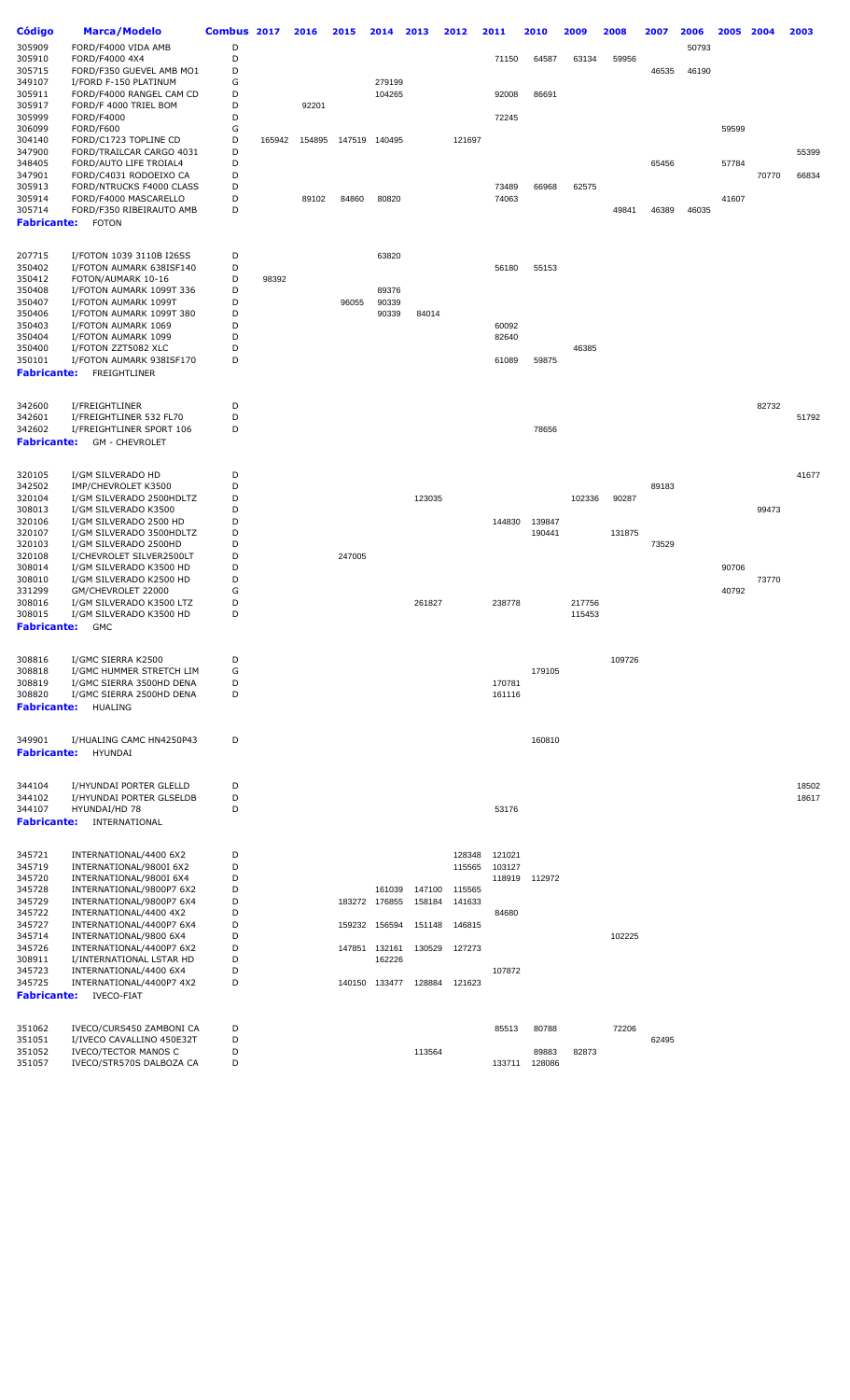| Código             | <b>Marca/Modelo</b>                                      | Combus 2017 |        | 2016   | 2015   | 2014          | 2013   | 2012   | 2011             | 2010   | 2009   | 2008   | 2007  | 2006  | 2005  | 2004  | 2003  |
|--------------------|----------------------------------------------------------|-------------|--------|--------|--------|---------------|--------|--------|------------------|--------|--------|--------|-------|-------|-------|-------|-------|
| 305909             | FORD/F4000 VIDA AMB                                      | D           |        |        |        |               |        |        |                  |        |        |        |       | 50793 |       |       |       |
| 305910             | FORD/F4000 4X4                                           | D           |        |        |        |               |        |        | 71150            | 64587  | 63134  | 59956  |       |       |       |       |       |
| 305715             | FORD/F350 GUEVEL AMB MO1                                 | D           |        |        |        |               |        |        |                  |        |        |        | 46535 | 46190 |       |       |       |
| 349107             | I/FORD F-150 PLATINUM                                    | G<br>D      |        |        |        | 279199        |        |        |                  |        |        |        |       |       |       |       |       |
| 305911<br>305917   | FORD/F4000 RANGEL CAM CD<br>FORD/F 4000 TRIEL BOM        | D           |        | 92201  |        | 104265        |        |        | 92008            | 86691  |        |        |       |       |       |       |       |
| 305999             | FORD/F4000                                               | D           |        |        |        |               |        |        | 72245            |        |        |        |       |       |       |       |       |
| 306099             | FORD/F600                                                | G           |        |        |        |               |        |        |                  |        |        |        |       |       | 59599 |       |       |
| 304140             | FORD/C1723 TOPLINE CD                                    | D           | 165942 | 154895 |        | 147519 140495 |        | 121697 |                  |        |        |        |       |       |       |       |       |
| 347900             | FORD/TRAILCAR CARGO 4031                                 | D           |        |        |        |               |        |        |                  |        |        |        |       |       |       |       | 55399 |
| 348405             | FORD/AUTO LIFE TROIAL4                                   | D           |        |        |        |               |        |        |                  |        |        |        | 65456 |       | 57784 |       |       |
| 347901             | FORD/C4031 RODOEIXO CA<br>FORD/NTRUCKS F4000 CLASS       | D<br>D      |        |        |        |               |        |        | 73489            | 66968  | 62575  |        |       |       |       | 70770 | 66834 |
| 305913<br>305914   | FORD/F4000 MASCARELLO                                    | D           |        | 89102  | 84860  | 80820         |        |        | 74063            |        |        |        |       |       | 41607 |       |       |
| 305714             | FORD/F350 RIBEIRAUTO AMB                                 | D           |        |        |        |               |        |        |                  |        |        | 49841  | 46389 | 46035 |       |       |       |
| <b>Fabricante:</b> | <b>FOTON</b>                                             |             |        |        |        |               |        |        |                  |        |        |        |       |       |       |       |       |
|                    |                                                          |             |        |        |        |               |        |        |                  |        |        |        |       |       |       |       |       |
| 207715             | I/FOTON 1039 3110B I26SS                                 | D           |        |        |        | 63820         |        |        |                  |        |        |        |       |       |       |       |       |
| 350402             | I/FOTON AUMARK 638ISF140                                 | D           |        |        |        |               |        |        | 56180            | 55153  |        |        |       |       |       |       |       |
| 350412             | FOTON/AUMARK 10-16                                       | D           | 98392  |        |        |               |        |        |                  |        |        |        |       |       |       |       |       |
| 350408             | I/FOTON AUMARK 1099T 336                                 | D           |        |        |        | 89376         |        |        |                  |        |        |        |       |       |       |       |       |
| 350407             | I/FOTON AUMARK 1099T                                     | D           |        |        | 96055  | 90339         |        |        |                  |        |        |        |       |       |       |       |       |
| 350406             | I/FOTON AUMARK 1099T 380                                 | D           |        |        |        | 90339         | 84014  |        |                  |        |        |        |       |       |       |       |       |
| 350403             | I/FOTON AUMARK 1069                                      | D           |        |        |        |               |        |        | 60092            |        |        |        |       |       |       |       |       |
| 350404             | I/FOTON AUMARK 1099                                      | D           |        |        |        |               |        |        | 82640            |        |        |        |       |       |       |       |       |
| 350400<br>350101   | I/FOTON ZZT5082 XLC<br>I/FOTON AUMARK 938ISF170          | D<br>D      |        |        |        |               |        |        | 61089            | 59875  | 46385  |        |       |       |       |       |       |
| <b>Fabricante:</b> | FREIGHTLINER                                             |             |        |        |        |               |        |        |                  |        |        |        |       |       |       |       |       |
|                    |                                                          |             |        |        |        |               |        |        |                  |        |        |        |       |       |       |       |       |
|                    |                                                          |             |        |        |        |               |        |        |                  |        |        |        |       |       |       |       |       |
| 342600<br>342601   | I/FREIGHTLINER<br>I/FREIGHTLINER 532 FL70                | D<br>D      |        |        |        |               |        |        |                  |        |        |        |       |       |       | 82732 | 51792 |
| 342602             | I/FREIGHTLINER SPORT 106                                 | D           |        |        |        |               |        |        |                  | 78656  |        |        |       |       |       |       |       |
| <b>Fabricante:</b> | <b>GM - CHEVROLET</b>                                    |             |        |        |        |               |        |        |                  |        |        |        |       |       |       |       |       |
|                    |                                                          |             |        |        |        |               |        |        |                  |        |        |        |       |       |       |       |       |
| 320105             | I/GM SILVERADO HD                                        | D           |        |        |        |               |        |        |                  |        |        |        |       |       |       |       | 41677 |
| 342502             | IMP/CHEVROLET K3500                                      | D           |        |        |        |               |        |        |                  |        |        |        | 89183 |       |       |       |       |
| 320104             | I/GM SILVERADO 2500HDLTZ                                 | D           |        |        |        |               | 123035 |        |                  |        | 102336 | 90287  |       |       |       |       |       |
| 308013             | I/GM SILVERADO K3500                                     | D           |        |        |        |               |        |        |                  |        |        |        |       |       |       | 99473 |       |
| 320106             | I/GM SILVERADO 2500 HD                                   | D           |        |        |        |               |        |        | 144830           | 139847 |        |        |       |       |       |       |       |
| 320107             | I/GM SILVERADO 3500HDLTZ                                 | D           |        |        |        |               |        |        |                  | 190441 |        | 131875 |       |       |       |       |       |
| 320103<br>320108   | I/GM SILVERADO 2500HD<br>I/CHEVROLET SILVER2500LT        | D<br>D      |        |        | 247005 |               |        |        |                  |        |        |        | 73529 |       |       |       |       |
| 308014             | I/GM SILVERADO K3500 HD                                  | D           |        |        |        |               |        |        |                  |        |        |        |       |       | 90706 |       |       |
| 308010             | I/GM SILVERADO K2500 HD                                  | D           |        |        |        |               |        |        |                  |        |        |        |       |       |       | 73770 |       |
| 331299             | GM/CHEVROLET 22000                                       | G           |        |        |        |               |        |        |                  |        |        |        |       |       | 40792 |       |       |
| 308016             | I/GM SILVERADO K3500 LTZ                                 | D           |        |        |        |               | 261827 |        | 238778           |        | 217756 |        |       |       |       |       |       |
| 308015             | I/GM SILVERADO K3500 HD                                  | D           |        |        |        |               |        |        |                  |        | 115453 |        |       |       |       |       |       |
| <b>Fabricante:</b> | <b>GMC</b>                                               |             |        |        |        |               |        |        |                  |        |        |        |       |       |       |       |       |
|                    |                                                          |             |        |        |        |               |        |        |                  |        |        |        |       |       |       |       |       |
| 308816             | I/GMC SIERRA K2500                                       | D           |        |        |        |               |        |        |                  |        |        | 109726 |       |       |       |       |       |
| 308818             | I/GMC HUMMER STRETCH LIM                                 | G<br>D      |        |        |        |               |        |        |                  | 179105 |        |        |       |       |       |       |       |
| 308819<br>308820   | I/GMC SIERRA 3500HD DENA<br>I/GMC SIERRA 2500HD DENA     | D           |        |        |        |               |        |        | 170781<br>161116 |        |        |        |       |       |       |       |       |
| <b>Fabricante:</b> | <b>HUALING</b>                                           |             |        |        |        |               |        |        |                  |        |        |        |       |       |       |       |       |
|                    |                                                          |             |        |        |        |               |        |        |                  |        |        |        |       |       |       |       |       |
| 349901             | I/HUALING CAMC HN4250P43                                 | D           |        |        |        |               |        |        |                  | 160810 |        |        |       |       |       |       |       |
| <b>Fabricante:</b> | HYUNDAI                                                  |             |        |        |        |               |        |        |                  |        |        |        |       |       |       |       |       |
|                    |                                                          |             |        |        |        |               |        |        |                  |        |        |        |       |       |       |       |       |
| 344104             | I/HYUNDAI PORTER GLELLD                                  | D           |        |        |        |               |        |        |                  |        |        |        |       |       |       |       | 18502 |
| 344102             | I/HYUNDAI PORTER GLSELDB                                 | D           |        |        |        |               |        |        |                  |        |        |        |       |       |       |       | 18617 |
| 344107             | HYUNDAI/HD 78                                            | D           |        |        |        |               |        |        | 53176            |        |        |        |       |       |       |       |       |
| <b>Fabricante:</b> | INTERNATIONAL                                            |             |        |        |        |               |        |        |                  |        |        |        |       |       |       |       |       |
|                    |                                                          |             |        |        |        |               |        |        |                  |        |        |        |       |       |       |       |       |
| 345721             | INTERNATIONAL/4400 6X2                                   | D           |        |        |        |               |        | 128348 | 121021           |        |        |        |       |       |       |       |       |
| 345719             | INTERNATIONAL/9800I 6X2                                  | D           |        |        |        |               |        | 115565 | 103127           |        |        |        |       |       |       |       |       |
| 345720             | INTERNATIONAL/9800I 6X4                                  | D           |        |        |        |               |        |        | 118919           | 112972 |        |        |       |       |       |       |       |
| 345728             | INTERNATIONAL/9800P7 6X2                                 | D           |        |        |        | 161039        | 147100 | 115565 |                  |        |        |        |       |       |       |       |       |
| 345729             | INTERNATIONAL/9800P7 6X4                                 | D           |        |        |        | 183272 176855 | 158184 | 141633 |                  |        |        |        |       |       |       |       |       |
| 345722<br>345727   | INTERNATIONAL/4400 4X2<br>INTERNATIONAL/4400P7 6X4       | D<br>D      |        |        |        | 159232 156594 | 151148 | 146815 | 84680            |        |        |        |       |       |       |       |       |
| 345714             | INTERNATIONAL/9800 6X4                                   | D           |        |        |        |               |        |        |                  |        |        | 102225 |       |       |       |       |       |
| 345726             | INTERNATIONAL/4400P7 6X2                                 | D           |        |        |        | 147851 132161 | 130529 | 127273 |                  |        |        |        |       |       |       |       |       |
| 308911             | I/INTERNATIONAL LSTAR HD                                 | D           |        |        |        | 162226        |        |        |                  |        |        |        |       |       |       |       |       |
| 345723             | INTERNATIONAL/4400 6X4                                   | D           |        |        |        |               |        |        | 107872           |        |        |        |       |       |       |       |       |
| 345725             | INTERNATIONAL/4400P7 4X2                                 | D           |        |        |        | 140150 133477 | 128884 | 121623 |                  |        |        |        |       |       |       |       |       |
| <b>Fabricante:</b> | <b>IVECO-FIAT</b>                                        |             |        |        |        |               |        |        |                  |        |        |        |       |       |       |       |       |
|                    |                                                          |             |        |        |        |               |        |        |                  |        |        |        |       |       |       |       |       |
| 351062             | IVECO/CURS450 ZAMBONI CA                                 | D           |        |        |        |               |        |        | 85513            | 80788  |        | 72206  |       |       |       |       |       |
| 351051<br>351052   | I/IVECO CAVALLINO 450E32T<br><b>IVECO/TECTOR MANOS C</b> | D<br>D      |        |        |        |               | 113564 |        |                  | 89883  | 82873  |        | 62495 |       |       |       |       |
| 351057             | IVECO/STR570S DALBOZA CA                                 | D           |        |        |        |               |        |        | 133711           | 128086 |        |        |       |       |       |       |       |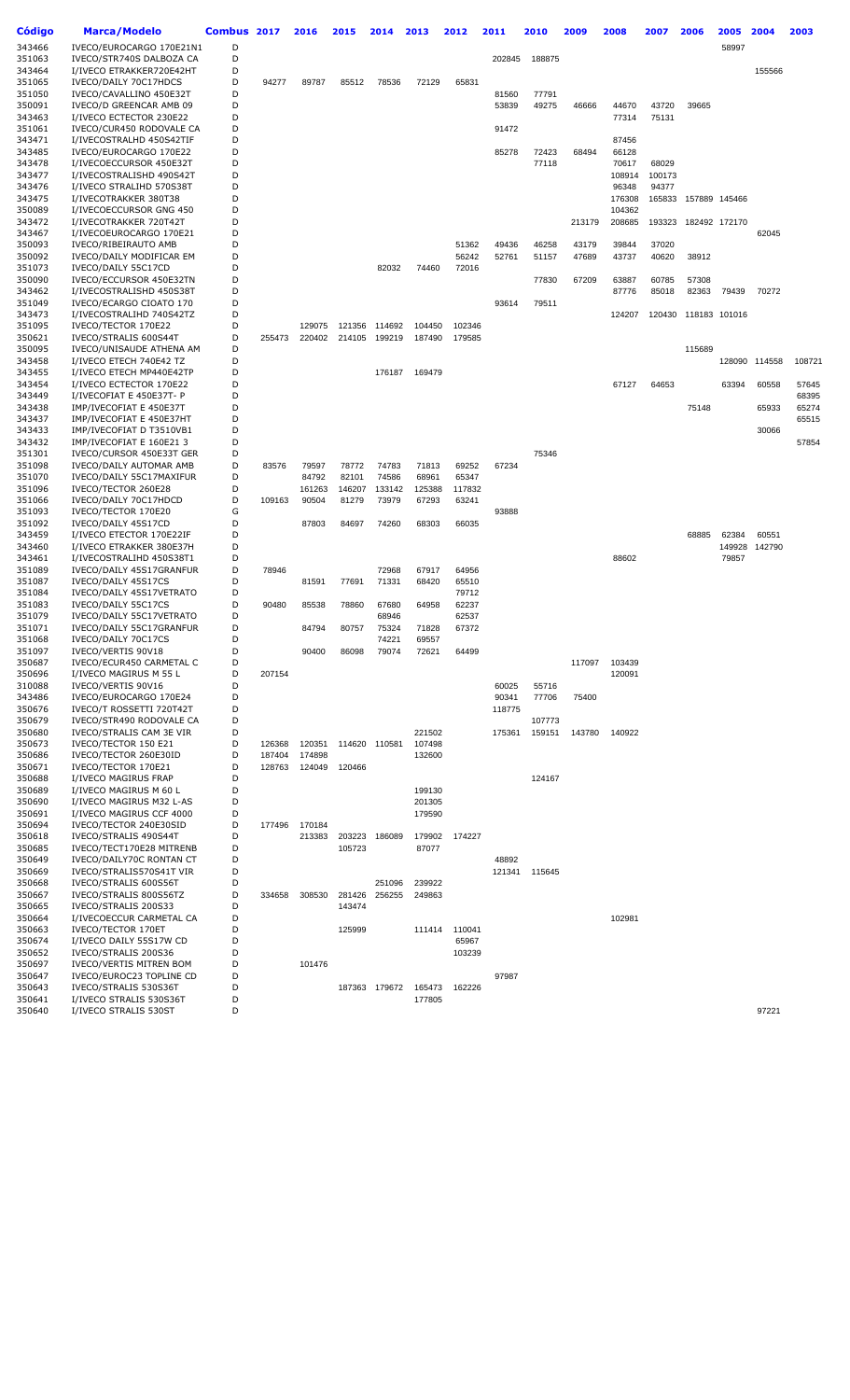| Código           | <b>Marca/Modelo</b>                                  | Combus 2017 |        | 2016             | 2015   | 2014          | 2013             | 2012   | 2011   | 2010          | 2009   | 2008   | 2007   | 2006          | 2005   | 2004          | 2003   |
|------------------|------------------------------------------------------|-------------|--------|------------------|--------|---------------|------------------|--------|--------|---------------|--------|--------|--------|---------------|--------|---------------|--------|
| 343466           | IVECO/EUROCARGO 170E21N1                             | D           |        |                  |        |               |                  |        |        |               |        |        |        |               | 58997  |               |        |
| 351063           | IVECO/STR740S DALBOZA CA                             | D           |        |                  |        |               |                  |        | 202845 | 188875        |        |        |        |               |        |               |        |
| 343464           | I/IVECO ETRAKKER720E42HT                             | D           |        |                  |        |               |                  |        |        |               |        |        |        |               |        | 155566        |        |
| 351065           | IVECO/DAILY 70C17HDCS                                | D           | 94277  | 89787            | 85512  | 78536         | 72129            | 65831  |        |               |        |        |        |               |        |               |        |
| 351050           | IVECO/CAVALLINO 450E32T                              | D           |        |                  |        |               |                  |        | 81560  | 77791         |        |        |        |               |        |               |        |
| 350091           | IVECO/D GREENCAR AMB 09                              | D           |        |                  |        |               |                  |        | 53839  | 49275         | 46666  | 44670  | 43720  | 39665         |        |               |        |
| 343463           | I/IVECO ECTECTOR 230E22                              | D           |        |                  |        |               |                  |        |        |               |        | 77314  | 75131  |               |        |               |        |
| 351061           | IVECO/CUR450 RODOVALE CA                             | D           |        |                  |        |               |                  |        | 91472  |               |        |        |        |               |        |               |        |
| 343471           | I/IVECOSTRALHD 450S42TIF                             | D           |        |                  |        |               |                  |        |        |               |        | 87456  |        |               |        |               |        |
| 343485           | IVECO/EUROCARGO 170E22                               | D           |        |                  |        |               |                  |        | 85278  | 72423         | 68494  | 66128  |        |               |        |               |        |
| 343478           | I/IVECOECCURSOR 450E32T                              | D           |        |                  |        |               |                  |        |        | 77118         |        | 70617  | 68029  |               |        |               |        |
| 343477           | I/IVECOSTRALISHD 490S42T                             | D           |        |                  |        |               |                  |        |        |               |        | 108914 | 100173 |               |        |               |        |
| 343476           | I/IVECO STRALIHD 570S38T                             | D           |        |                  |        |               |                  |        |        |               |        | 96348  | 94377  |               |        |               |        |
| 343475           | I/IVECOTRAKKER 380T38                                | D           |        |                  |        |               |                  |        |        |               |        | 176308 | 165833 | 157889 145466 |        |               |        |
| 350089           | I/IVECOECCURSOR GNG 450                              | D           |        |                  |        |               |                  |        |        |               |        | 104362 |        |               |        |               |        |
| 343472           | I/IVECOTRAKKER 720T42T                               | D           |        |                  |        |               |                  |        |        |               | 213179 | 208685 | 193323 | 182492 172170 |        |               |        |
| 343467           | I/IVECOEUROCARGO 170E21                              | D           |        |                  |        |               |                  |        |        |               |        |        |        |               |        | 62045         |        |
| 350093           | IVECO/RIBEIRAUTO AMB                                 | D           |        |                  |        |               |                  | 51362  | 49436  | 46258         | 43179  | 39844  | 37020  |               |        |               |        |
| 350092           | IVECO/DAILY MODIFICAR EM                             | D           |        |                  |        |               |                  | 56242  | 52761  | 51157         | 47689  | 43737  | 40620  | 38912         |        |               |        |
| 351073           | IVECO/DAILY 55C17CD                                  | D           |        |                  |        | 82032         | 74460            | 72016  |        |               |        |        |        |               |        |               |        |
| 350090<br>343462 | IVECO/ECCURSOR 450E32TN                              | D<br>D      |        |                  |        |               |                  |        |        | 77830         | 67209  | 63887  | 60785  | 57308         |        |               |        |
|                  | I/IVECOSTRALISHD 450S38T                             | D           |        |                  |        |               |                  |        | 93614  |               |        | 87776  | 85018  | 82363         | 79439  | 70272         |        |
| 351049<br>343473 | IVECO/ECARGO CIOATO 170<br>I/IVECOSTRALIHD 740S42TZ  | D           |        |                  |        |               |                  |        |        | 79511         |        | 124207 | 120430 | 118183 101016 |        |               |        |
| 351095           | IVECO/TECTOR 170E22                                  | D           |        | 129075           | 121356 | 114692        | 104450           | 102346 |        |               |        |        |        |               |        |               |        |
| 350621           | IVECO/STRALIS 600S44T                                | D           | 255473 | 220402           | 214105 | 199219        | 187490           | 179585 |        |               |        |        |        |               |        |               |        |
| 350095           | IVECO/UNISAUDE ATHENA AM                             | D           |        |                  |        |               |                  |        |        |               |        |        |        | 115689        |        |               |        |
| 343458           | I/IVECO ETECH 740E42 TZ                              | D           |        |                  |        |               |                  |        |        |               |        |        |        |               |        | 128090 114558 | 108721 |
| 343455           | I/IVECO ETECH MP440E42TP                             | D           |        |                  |        | 176187        | 169479           |        |        |               |        |        |        |               |        |               |        |
| 343454           | I/IVECO ECTECTOR 170E22                              | D           |        |                  |        |               |                  |        |        |               |        | 67127  | 64653  |               | 63394  | 60558         | 57645  |
| 343449           | I/IVECOFIAT E 450E37T- P                             | D           |        |                  |        |               |                  |        |        |               |        |        |        |               |        |               | 68395  |
| 343438           | IMP/IVECOFIAT E 450E37T                              | D           |        |                  |        |               |                  |        |        |               |        |        |        | 75148         |        | 65933         | 65274  |
| 343437           | IMP/IVECOFIAT E 450E37HT                             | D           |        |                  |        |               |                  |        |        |               |        |        |        |               |        |               | 65515  |
| 343433           | IMP/IVECOFIAT D T3510VB1                             | D           |        |                  |        |               |                  |        |        |               |        |        |        |               |        | 30066         |        |
| 343432           | IMP/IVECOFIAT E 160E21 3                             | D           |        |                  |        |               |                  |        |        |               |        |        |        |               |        |               | 57854  |
| 351301           | IVECO/CURSOR 450E33T GER                             | D           |        |                  |        |               |                  |        |        | 75346         |        |        |        |               |        |               |        |
| 351098           | IVECO/DAILY AUTOMAR AMB                              | D           | 83576  | 79597            | 78772  | 74783         | 71813            | 69252  | 67234  |               |        |        |        |               |        |               |        |
| 351070           | IVECO/DAILY 55C17MAXIFUR                             | D           |        | 84792            | 82101  | 74586         | 68961            | 65347  |        |               |        |        |        |               |        |               |        |
| 351096           | IVECO/TECTOR 260E28                                  | D           |        | 161263           | 146207 | 133142        | 125388           | 117832 |        |               |        |        |        |               |        |               |        |
| 351066           | IVECO/DAILY 70C17HDCD                                | D           | 109163 | 90504            | 81279  | 73979         | 67293            | 63241  |        |               |        |        |        |               |        |               |        |
| 351093           | IVECO/TECTOR 170E20                                  | G           |        |                  |        |               |                  |        | 93888  |               |        |        |        |               |        |               |        |
| 351092           | IVECO/DAILY 45S17CD                                  | D           |        | 87803            | 84697  | 74260         | 68303            | 66035  |        |               |        |        |        |               |        |               |        |
| 343459           | I/IVECO ETECTOR 170E22IF                             | D           |        |                  |        |               |                  |        |        |               |        |        |        | 68885         | 62384  | 60551         |        |
| 343460           | I/IVECO ETRAKKER 380E37H                             | D           |        |                  |        |               |                  |        |        |               |        |        |        |               | 149928 | 142790        |        |
| 343461           | I/IVECOSTRALIHD 450S38T1                             | D           |        |                  |        |               |                  |        |        |               |        | 88602  |        |               | 79857  |               |        |
| 351089           | IVECO/DAILY 45S17GRANFUR                             | D           | 78946  |                  |        | 72968         | 67917            | 64956  |        |               |        |        |        |               |        |               |        |
| 351087           | IVECO/DAILY 45S17CS                                  | D           |        | 81591            | 77691  | 71331         | 68420            | 65510  |        |               |        |        |        |               |        |               |        |
| 351084           | IVECO/DAILY 45S17VETRATO                             | D           |        |                  |        |               |                  | 79712  |        |               |        |        |        |               |        |               |        |
| 351083           | IVECO/DAILY 55C17CS                                  | D           | 90480  | 85538            | 78860  | 67680         | 64958            | 62237  |        |               |        |        |        |               |        |               |        |
| 351079           | IVECO/DAILY 55C17VETRATO                             | D           |        |                  |        | 68946         |                  | 62537  |        |               |        |        |        |               |        |               |        |
| 351071           | IVECO/DAILY 55C17GRANFUR                             | D           |        | 84794            | 80757  | 75324         | 71828            | 67372  |        |               |        |        |        |               |        |               |        |
| 351068           | IVECO/DAILY 70C17CS                                  | D           |        |                  |        | 74221         | 69557            |        |        |               |        |        |        |               |        |               |        |
| 351097           | IVECO/VERTIS 90V18                                   | D           |        | 90400            | 86098  | 79074         | 72621            | 64499  |        |               |        |        |        |               |        |               |        |
| 350687           | IVECO/ECUR450 CARMETAL C                             | D           |        |                  |        |               |                  |        |        |               | 117097 | 103439 |        |               |        |               |        |
| 350696           | I/IVECO MAGIRUS M 55 L                               | D           | 207154 |                  |        |               |                  |        |        |               |        | 120091 |        |               |        |               |        |
| 310088           | IVECO/VERTIS 90V16                                   | D           |        |                  |        |               |                  |        | 60025  | 55716         |        |        |        |               |        |               |        |
| 343486           | IVECO/EUROCARGO 170E24                               | D           |        |                  |        |               |                  |        | 90341  | 77706         | 75400  |        |        |               |        |               |        |
| 350676           | IVECO/T ROSSETTI 720T42T                             | D           |        |                  |        |               |                  |        | 118775 |               |        |        |        |               |        |               |        |
| 350679           | IVECO/STR490 RODOVALE CA                             | D           |        |                  |        |               |                  |        |        | 107773        |        |        |        |               |        |               |        |
| 350680           | IVECO/STRALIS CAM 3E VIR                             | D           |        |                  |        |               | 221502           |        | 175361 | 159151        | 143780 | 140922 |        |               |        |               |        |
| 350673           | IVECO/TECTOR 150 E21                                 | D           | 126368 | 120351           |        | 114620 110581 | 107498           |        |        |               |        |        |        |               |        |               |        |
| 350686           | IVECO/TECTOR 260E30ID                                | D           | 187404 | 174898           |        |               | 132600           |        |        |               |        |        |        |               |        |               |        |
| 350671           | IVECO/TECTOR 170E21                                  | D           | 128763 | 124049           | 120466 |               |                  |        |        |               |        |        |        |               |        |               |        |
| 350688           | I/IVECO MAGIRUS FRAP                                 | D           |        |                  |        |               |                  |        |        | 124167        |        |        |        |               |        |               |        |
| 350689           | I/IVECO MAGIRUS M 60 L<br>I/IVECO MAGIRUS M32 L-AS   | D<br>D      |        |                  |        |               | 199130           |        |        |               |        |        |        |               |        |               |        |
| 350690<br>350691 | I/IVECO MAGIRUS CCF 4000                             | D           |        |                  |        |               | 201305<br>179590 |        |        |               |        |        |        |               |        |               |        |
| 350694           |                                                      | D           |        |                  |        |               |                  |        |        |               |        |        |        |               |        |               |        |
| 350618           | IVECO/TECTOR 240E30SID<br>IVECO/STRALIS 490S44T      | D           | 177496 | 170184<br>213383 | 203223 | 186089        |                  | 174227 |        |               |        |        |        |               |        |               |        |
|                  |                                                      | D           |        |                  |        |               | 179902           |        |        |               |        |        |        |               |        |               |        |
| 350685<br>350649 | IVECO/TECT170E28 MITRENB<br>IVECO/DAILY70C RONTAN CT | D           |        |                  | 105723 |               | 87077            |        | 48892  |               |        |        |        |               |        |               |        |
| 350669           | IVECO/STRALIS570S41T VIR                             | D           |        |                  |        |               |                  |        |        | 121341 115645 |        |        |        |               |        |               |        |
| 350668           | IVECO/STRALIS 600S56T                                | D           |        |                  |        | 251096        | 239922           |        |        |               |        |        |        |               |        |               |        |
| 350667           | IVECO/STRALIS 800S56TZ                               | D           | 334658 | 308530           | 281426 | 256255        | 249863           |        |        |               |        |        |        |               |        |               |        |
| 350665           | IVECO/STRALIS 200S33                                 | D           |        |                  | 143474 |               |                  |        |        |               |        |        |        |               |        |               |        |
| 350664           | I/IVECOECCUR CARMETAL CA                             | D           |        |                  |        |               |                  |        |        |               |        | 102981 |        |               |        |               |        |
| 350663           | IVECO/TECTOR 170ET                                   | D           |        |                  | 125999 |               | 111414           | 110041 |        |               |        |        |        |               |        |               |        |
| 350674           | I/IVECO DAILY 55S17W CD                              | D           |        |                  |        |               |                  | 65967  |        |               |        |        |        |               |        |               |        |
| 350652           | IVECO/STRALIS 200S36                                 | D           |        |                  |        |               |                  | 103239 |        |               |        |        |        |               |        |               |        |
| 350697           | IVECO/VERTIS MITREN BOM                              | D           |        | 101476           |        |               |                  |        |        |               |        |        |        |               |        |               |        |
| 350647           | IVECO/EUROC23 TOPLINE CD                             | D           |        |                  |        |               |                  |        | 97987  |               |        |        |        |               |        |               |        |
| 350643           | IVECO/STRALIS 530S36T                                | D           |        |                  |        | 187363 179672 | 165473           | 162226 |        |               |        |        |        |               |        |               |        |
| 350641           | I/IVECO STRALIS 530S36T                              | D           |        |                  |        |               | 177805           |        |        |               |        |        |        |               |        |               |        |
| 350640           | I/IVECO STRALIS 530ST                                | D           |        |                  |        |               |                  |        |        |               |        |        |        |               |        | 97221         |        |
|                  |                                                      |             |        |                  |        |               |                  |        |        |               |        |        |        |               |        |               |        |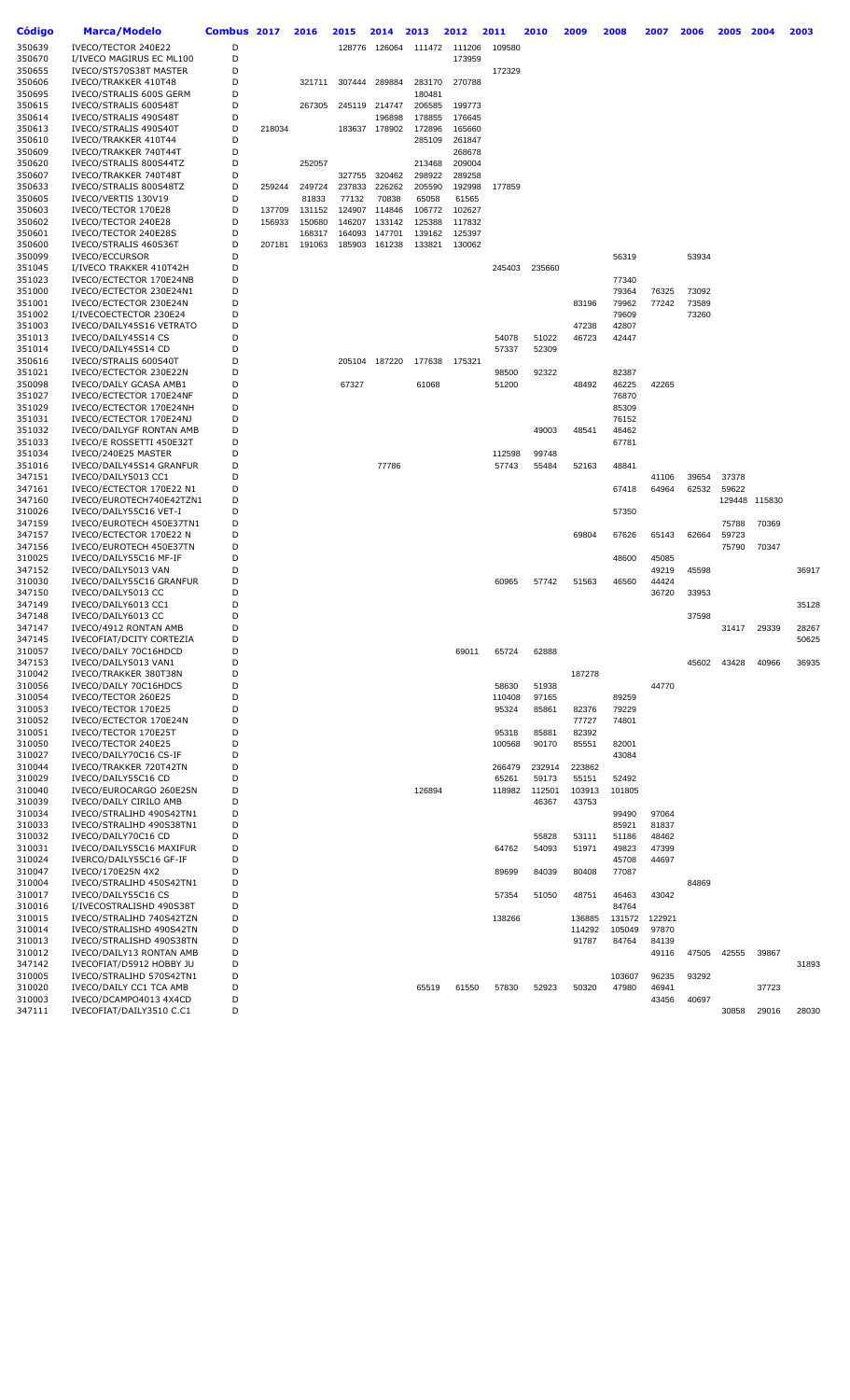| <b>Código</b>    | Marca/Modelo                                         | Combus 2017 |        | 2016   | 2015   | 2014          | 2013             | 2012             | 2011   | 2010   | 2009            | 2008            | 2007           | 2006  | 2005           | 2004   | 2003  |
|------------------|------------------------------------------------------|-------------|--------|--------|--------|---------------|------------------|------------------|--------|--------|-----------------|-----------------|----------------|-------|----------------|--------|-------|
| 350639           | IVECO/TECTOR 240E22                                  | D           |        |        | 128776 | 126064        | 111472           | 111206           | 109580 |        |                 |                 |                |       |                |        |       |
| 350670           | I/IVECO MAGIRUS EC ML100                             | D           |        |        |        |               |                  | 173959           |        |        |                 |                 |                |       |                |        |       |
| 350655           | IVECO/ST570S38T MASTER                               | D           |        |        |        |               |                  |                  | 172329 |        |                 |                 |                |       |                |        |       |
| 350606           | IVECO/TRAKKER 410T48                                 | D           |        | 321711 | 307444 | 289884        | 283170           | 270788           |        |        |                 |                 |                |       |                |        |       |
| 350695           | IVECO/STRALIS 600S GERM                              | D           |        |        |        |               | 180481           |                  |        |        |                 |                 |                |       |                |        |       |
| 350615           | IVECO/STRALIS 600S48T                                | D           |        | 267305 | 245119 | 214747        | 206585           | 199773           |        |        |                 |                 |                |       |                |        |       |
| 350614           | IVECO/STRALIS 490S48T                                | D<br>D      |        |        |        | 196898        | 178855           | 176645           |        |        |                 |                 |                |       |                |        |       |
| 350613<br>350610 | IVECO/STRALIS 490S40T<br>IVECO/TRAKKER 410T44        | D           | 218034 |        |        | 183637 178902 | 172896<br>285109 | 165660<br>261847 |        |        |                 |                 |                |       |                |        |       |
| 350609           | IVECO/TRAKKER 740T44T                                | D           |        |        |        |               |                  | 268678           |        |        |                 |                 |                |       |                |        |       |
| 350620           | IVECO/STRALIS 800S44TZ                               | D           |        | 252057 |        |               | 213468           | 209004           |        |        |                 |                 |                |       |                |        |       |
| 350607           | IVECO/TRAKKER 740T48T                                | D           |        |        | 327755 | 320462        | 298922           | 289258           |        |        |                 |                 |                |       |                |        |       |
| 350633           | IVECO/STRALIS 800S48TZ                               | D           | 259244 | 249724 | 237833 | 226262        | 205590           | 192998           | 177859 |        |                 |                 |                |       |                |        |       |
| 350605           | IVECO/VERTIS 130V19                                  | D           |        | 81833  | 77132  | 70838         | 65058            | 61565            |        |        |                 |                 |                |       |                |        |       |
| 350603           | IVECO/TECTOR 170E28                                  | D           | 137709 | 131152 |        | 124907 114846 | 106772           | 102627           |        |        |                 |                 |                |       |                |        |       |
| 350602           | IVECO/TECTOR 240E28                                  | D           | 156933 | 150680 | 146207 | 133142        | 125388           | 117832           |        |        |                 |                 |                |       |                |        |       |
| 350601           | IVECO/TECTOR 240E28S                                 | D           |        | 168317 | 164093 | 147701        | 139162           | 125397           |        |        |                 |                 |                |       |                |        |       |
| 350600           | IVECO/STRALIS 460S36T                                | D           | 207181 | 191063 | 185903 | 161238        | 133821           | 130062           |        |        |                 |                 |                |       |                |        |       |
| 350099           | <b>IVECO/ECCURSOR</b>                                | D           |        |        |        |               |                  |                  |        |        |                 | 56319           |                | 53934 |                |        |       |
| 351045<br>351023 | I/IVECO TRAKKER 410T42H<br>IVECO/ECTECTOR 170E24NB   | D<br>D      |        |        |        |               |                  |                  | 245403 | 235660 |                 | 77340           |                |       |                |        |       |
| 351000           | IVECO/ECTECTOR 230E24N1                              | D           |        |        |        |               |                  |                  |        |        |                 | 79364           | 76325          | 73092 |                |        |       |
| 351001           | IVECO/ECTECTOR 230E24N                               | D           |        |        |        |               |                  |                  |        |        | 83196           | 79962           | 77242          | 73589 |                |        |       |
| 351002           | I/IVECOECTECTOR 230E24                               | D           |        |        |        |               |                  |                  |        |        |                 | 79609           |                | 73260 |                |        |       |
| 351003           | IVECO/DAILY45S16 VETRATO                             | D           |        |        |        |               |                  |                  |        |        | 47238           | 42807           |                |       |                |        |       |
| 351013           | IVECO/DAILY45S14 CS                                  | D           |        |        |        |               |                  |                  | 54078  | 51022  | 46723           | 42447           |                |       |                |        |       |
| 351014           | IVECO/DAILY45S14 CD                                  | D           |        |        |        |               |                  |                  | 57337  | 52309  |                 |                 |                |       |                |        |       |
| 350616           | IVECO/STRALIS 600S40T                                | D           |        |        |        | 205104 187220 | 177638           | 175321           |        |        |                 |                 |                |       |                |        |       |
| 351021           | IVECO/ECTECTOR 230E22N                               | D           |        |        |        |               |                  |                  | 98500  | 92322  |                 | 82387           |                |       |                |        |       |
| 350098           | IVECO/DAILY GCASA AMB1                               | D           |        |        | 67327  |               | 61068            |                  | 51200  |        | 48492           | 46225           | 42265          |       |                |        |       |
| 351027           | IVECO/ECTECTOR 170E24NF                              | D           |        |        |        |               |                  |                  |        |        |                 | 76870           |                |       |                |        |       |
| 351029           | IVECO/ECTECTOR 170E24NH                              | D           |        |        |        |               |                  |                  |        |        |                 | 85309           |                |       |                |        |       |
| 351031<br>351032 | IVECO/ECTECTOR 170E24NJ                              | D<br>D      |        |        |        |               |                  |                  |        |        |                 | 76152           |                |       |                |        |       |
| 351033           | IVECO/DAILYGF RONTAN AMB<br>IVECO/E ROSSETTI 450E32T | D           |        |        |        |               |                  |                  |        | 49003  | 48541           | 46462<br>67781  |                |       |                |        |       |
| 351034           | IVECO/240E25 MASTER                                  | D           |        |        |        |               |                  |                  | 112598 | 99748  |                 |                 |                |       |                |        |       |
| 351016           | IVECO/DAILY45S14 GRANFUR                             | D           |        |        |        | 77786         |                  |                  | 57743  | 55484  | 52163           | 48841           |                |       |                |        |       |
| 347151           | IVECO/DAILY5013 CC1                                  | D           |        |        |        |               |                  |                  |        |        |                 |                 | 41106          | 39654 | 37378          |        |       |
| 347161           | IVECO/ECTECTOR 170E22 N1                             | D           |        |        |        |               |                  |                  |        |        |                 | 67418           | 64964          | 62532 | 59622          |        |       |
| 347160           | IVECO/EUROTECH740E42TZN1                             | D           |        |        |        |               |                  |                  |        |        |                 |                 |                |       | 129448         | 115830 |       |
| 310026           | IVECO/DAILY55C16 VET-I                               | D           |        |        |        |               |                  |                  |        |        |                 | 57350           |                |       |                |        |       |
| 347159           | IVECO/EUROTECH 450E37TN1                             | D<br>D      |        |        |        |               |                  |                  |        |        |                 |                 |                |       | 75788          | 70369  |       |
| 347157<br>347156 | IVECO/ECTECTOR 170E22 N<br>IVECO/EUROTECH 450E37TN   | D           |        |        |        |               |                  |                  |        |        | 69804           | 67626           | 65143          | 62664 | 59723<br>75790 | 70347  |       |
| 310025           | IVECO/DAILY55C16 MF-IF                               | D           |        |        |        |               |                  |                  |        |        |                 | 48600           | 45085          |       |                |        |       |
| 347152           | IVECO/DAILY5013 VAN                                  | D           |        |        |        |               |                  |                  |        |        |                 |                 | 49219          | 45598 |                |        | 36917 |
| 310030           | IVECO/DAILY55C16 GRANFUR                             | D           |        |        |        |               |                  |                  | 60965  | 57742  | 51563           | 46560           | 44424          |       |                |        |       |
| 347150           | IVECO/DAILY5013 CC                                   | D           |        |        |        |               |                  |                  |        |        |                 |                 | 36720          | 33953 |                |        |       |
| 347149           | IVECO/DAILY6013 CC1                                  | D           |        |        |        |               |                  |                  |        |        |                 |                 |                |       |                |        | 35128 |
| 347148           | IVECO/DAILY6013 CC                                   | D           |        |        |        |               |                  |                  |        |        |                 |                 |                | 37598 |                |        |       |
| 347147           | IVECO/4912 RONTAN AMB                                | D           |        |        |        |               |                  |                  |        |        |                 |                 |                |       | 31417          | 29339  | 28267 |
| 347145           | IVECOFIAT/DCITY CORTEZIA                             | D           |        |        |        |               |                  |                  |        |        |                 |                 |                |       |                |        | 50625 |
| 310057           | IVECO/DAILY 70C16HDCD                                | D           |        |        |        |               |                  | 69011            | 65724  | 62888  |                 |                 |                |       |                |        |       |
| 347153<br>310042 | IVECO/DAILY5013 VAN1<br>IVECO/TRAKKER 380T38N        | D<br>D      |        |        |        |               |                  |                  |        |        | 187278          |                 |                | 45602 | 43428          | 40966  | 36935 |
| 310056           | IVECO/DAILY 70C16HDCS                                | D           |        |        |        |               |                  |                  | 58630  | 51938  |                 |                 | 44770          |       |                |        |       |
| 310054           | IVECO/TECTOR 260E25                                  | D           |        |        |        |               |                  |                  | 110408 | 97165  |                 | 89259           |                |       |                |        |       |
| 310053           | IVECO/TECTOR 170E25                                  | D           |        |        |        |               |                  |                  | 95324  | 85861  | 82376           | 79229           |                |       |                |        |       |
| 310052           | IVECO/ECTECTOR 170E24N                               | D           |        |        |        |               |                  |                  |        |        | 77727           | 74801           |                |       |                |        |       |
| 310051           | IVECO/TECTOR 170E25T                                 | D           |        |        |        |               |                  |                  | 95318  | 85881  | 82392           |                 |                |       |                |        |       |
| 310050           | IVECO/TECTOR 240E25                                  | D           |        |        |        |               |                  |                  | 100568 | 90170  | 85551           | 82001           |                |       |                |        |       |
| 310027           | IVECO/DAILY70C16 CS-IF                               | D           |        |        |        |               |                  |                  |        |        |                 | 43084           |                |       |                |        |       |
| 310044           | IVECO/TRAKKER 720T42TN                               | D           |        |        |        |               |                  |                  | 266479 | 232914 | 223862          |                 |                |       |                |        |       |
| 310029           | IVECO/DAILY55C16 CD                                  | D           |        |        |        |               |                  |                  | 65261  | 59173  | 55151           | 52492           |                |       |                |        |       |
| 310040           | IVECO/EUROCARGO 260E25N                              | D           |        |        |        |               | 126894           |                  | 118982 | 112501 | 103913          | 101805          |                |       |                |        |       |
| 310039<br>310034 | IVECO/DAILY CIRILO AMB<br>IVECO/STRALIHD 490S42TN1   | D<br>D      |        |        |        |               |                  |                  |        | 46367  | 43753           | 99490           | 97064          |       |                |        |       |
| 310033           | IVECO/STRALIHD 490S38TN1                             | D           |        |        |        |               |                  |                  |        |        |                 | 85921           | 81837          |       |                |        |       |
| 310032           | IVECO/DAILY70C16 CD                                  | D           |        |        |        |               |                  |                  |        | 55828  | 53111           | 51186           | 48462          |       |                |        |       |
| 310031           | IVECO/DAILY55C16 MAXIFUR                             | D           |        |        |        |               |                  |                  | 64762  | 54093  | 51971           | 49823           | 47399          |       |                |        |       |
| 310024           | IVERCO/DAILY55C16 GF-IF                              | D           |        |        |        |               |                  |                  |        |        |                 | 45708           | 44697          |       |                |        |       |
| 310047           | IVECO/170E25N 4X2                                    | D           |        |        |        |               |                  |                  | 89699  | 84039  | 80408           | 77087           |                |       |                |        |       |
| 310004           | IVECO/STRALIHD 450S42TN1                             | D           |        |        |        |               |                  |                  |        |        |                 |                 |                | 84869 |                |        |       |
| 310017           | IVECO/DAILY55C16 CS                                  | D           |        |        |        |               |                  |                  | 57354  | 51050  | 48751           | 46463           | 43042          |       |                |        |       |
| 310016           | I/IVECOSTRALISHD 490S38T                             | D           |        |        |        |               |                  |                  |        |        |                 | 84764           |                |       |                |        |       |
| 310015           | IVECO/STRALIHD 740S42TZN                             | D           |        |        |        |               |                  |                  | 138266 |        | 136885          | 131572          | 122921         |       |                |        |       |
| 310014<br>310013 | IVECO/STRALISHD 490S42TN<br>IVECO/STRALISHD 490S38TN | D<br>D      |        |        |        |               |                  |                  |        |        | 114292<br>91787 | 105049<br>84764 | 97870<br>84139 |       |                |        |       |
| 310012           | IVECO/DAILY13 RONTAN AMB                             | D           |        |        |        |               |                  |                  |        |        |                 |                 | 49116          | 47505 | 42555          | 39867  |       |
| 347142           | IVECOFIAT/D5912 HOBBY JU                             | D           |        |        |        |               |                  |                  |        |        |                 |                 |                |       |                |        | 31893 |
| 310005           | IVECO/STRALIHD 570S42TN1                             | D           |        |        |        |               |                  |                  |        |        |                 | 103607          | 96235          | 93292 |                |        |       |
| 310020           | IVECO/DAILY CC1 TCA AMB                              | D           |        |        |        |               | 65519            | 61550            | 57830  | 52923  | 50320           | 47980           | 46941          |       |                | 37723  |       |
| 310003           | IVECO/DCAMPO4013 4X4CD                               | D           |        |        |        |               |                  |                  |        |        |                 |                 | 43456          | 40697 |                |        |       |
| 347111           | IVECOFIAT/DAILY3510 C.C1                             | D           |        |        |        |               |                  |                  |        |        |                 |                 |                |       | 30858          | 29016  | 28030 |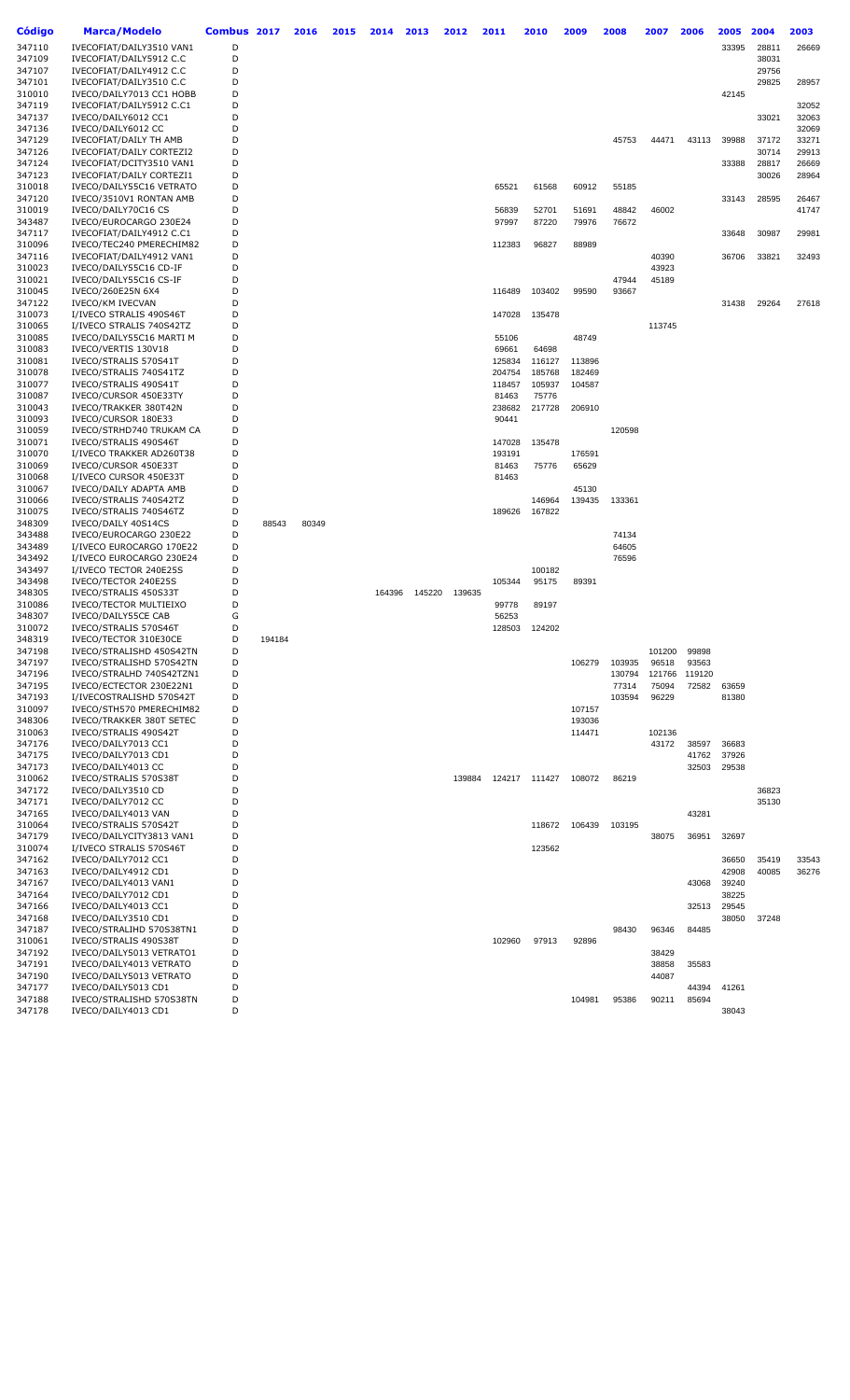| Código           | Marca/Modelo                                         | Combus 2017 |        | 2016  | 2015 | 2014   | 2013   | 2012   | 2011            | 2010           | 2009           | 2008           | 2007   | 2006   | 2005           | 2004  | 2003  |
|------------------|------------------------------------------------------|-------------|--------|-------|------|--------|--------|--------|-----------------|----------------|----------------|----------------|--------|--------|----------------|-------|-------|
| 347110           | IVECOFIAT/DAILY3510 VAN1                             | D           |        |       |      |        |        |        |                 |                |                |                |        |        | 33395          | 28811 | 26669 |
| 347109           | IVECOFIAT/DAILY5912 C.C                              | D           |        |       |      |        |        |        |                 |                |                |                |        |        |                | 38031 |       |
| 347107           | IVECOFIAT/DAILY4912 C.C                              | D           |        |       |      |        |        |        |                 |                |                |                |        |        |                | 29756 |       |
| 347101           | IVECOFIAT/DAILY3510 C.C                              | D           |        |       |      |        |        |        |                 |                |                |                |        |        |                | 29825 | 28957 |
| 310010           | IVECO/DAILY7013 CC1 HOBB                             | D           |        |       |      |        |        |        |                 |                |                |                |        |        | 42145          |       |       |
| 347119           | IVECOFIAT/DAILY5912 C.C1                             | D           |        |       |      |        |        |        |                 |                |                |                |        |        |                |       | 32052 |
| 347137           | IVECO/DAILY6012 CC1                                  | D           |        |       |      |        |        |        |                 |                |                |                |        |        |                | 33021 | 32063 |
| 347136           | IVECO/DAILY6012 CC                                   | D           |        |       |      |        |        |        |                 |                |                |                |        |        |                |       | 32069 |
| 347129           | IVECOFIAT/DAILY TH AMB                               | D           |        |       |      |        |        |        |                 |                |                | 45753          | 44471  | 43113  | 39988          | 37172 | 33271 |
| 347126           | IVECOFIAT/DAILY CORTEZI2                             | D           |        |       |      |        |        |        |                 |                |                |                |        |        |                | 30714 | 29913 |
| 347124           | IVECOFIAT/DCITY3510 VAN1                             | D           |        |       |      |        |        |        |                 |                |                |                |        |        | 33388          | 28817 | 26669 |
| 347123           | IVECOFIAT/DAILY CORTEZI1                             | D           |        |       |      |        |        |        |                 |                |                |                |        |        |                | 30026 | 28964 |
| 310018           | IVECO/DAILY55C16 VETRATO                             | D           |        |       |      |        |        |        | 65521           | 61568          | 60912          | 55185          |        |        |                |       |       |
| 347120           | IVECO/3510V1 RONTAN AMB                              | D<br>D      |        |       |      |        |        |        |                 |                |                |                |        |        | 33143          | 28595 | 26467 |
| 310019<br>343487 | IVECO/DAILY70C16 CS<br>IVECO/EUROCARGO 230E24        | D           |        |       |      |        |        |        | 56839<br>97997  | 52701<br>87220 | 51691<br>79976 | 48842<br>76672 | 46002  |        |                |       | 41747 |
| 347117           | IVECOFIAT/DAILY4912 C.C1                             | D           |        |       |      |        |        |        |                 |                |                |                |        |        | 33648          | 30987 | 29981 |
| 310096           | IVECO/TEC240 PMERECHIM82                             | D           |        |       |      |        |        |        | 112383          | 96827          | 88989          |                |        |        |                |       |       |
| 347116           | IVECOFIAT/DAILY4912 VAN1                             | D           |        |       |      |        |        |        |                 |                |                |                | 40390  |        | 36706          | 33821 | 32493 |
| 310023           | IVECO/DAILY55C16 CD-IF                               | D           |        |       |      |        |        |        |                 |                |                |                | 43923  |        |                |       |       |
| 310021           | IVECO/DAILY55C16 CS-IF                               | D           |        |       |      |        |        |        |                 |                |                | 47944          | 45189  |        |                |       |       |
| 310045           | IVECO/260E25N 6X4                                    | D           |        |       |      |        |        |        | 116489          | 103402         | 99590          | 93667          |        |        |                |       |       |
| 347122           | <b>IVECO/KM IVECVAN</b>                              | D           |        |       |      |        |        |        |                 |                |                |                |        |        | 31438          | 29264 | 27618 |
| 310073           | I/IVECO STRALIS 490S46T                              | D           |        |       |      |        |        |        | 147028          | 135478         |                |                |        |        |                |       |       |
| 310065           | I/IVECO STRALIS 740S42TZ                             | D           |        |       |      |        |        |        |                 |                |                |                | 113745 |        |                |       |       |
| 310085           | IVECO/DAILY55C16 MARTI M                             | D           |        |       |      |        |        |        | 55106           |                | 48749          |                |        |        |                |       |       |
| 310083           | IVECO/VERTIS 130V18                                  | D           |        |       |      |        |        |        | 69661           | 64698          |                |                |        |        |                |       |       |
| 310081           | IVECO/STRALIS 570S41T                                | D           |        |       |      |        |        |        | 125834          | 116127         | 113896         |                |        |        |                |       |       |
| 310078           | IVECO/STRALIS 740S41TZ                               | D           |        |       |      |        |        |        | 204754          | 185768         | 182469         |                |        |        |                |       |       |
| 310077           | IVECO/STRALIS 490S41T                                | D<br>D      |        |       |      |        |        |        | 118457          | 105937         | 104587         |                |        |        |                |       |       |
| 310087           | IVECO/CURSOR 450E33TY<br>IVECO/TRAKKER 380T42N       | D           |        |       |      |        |        |        | 81463           | 75776          |                |                |        |        |                |       |       |
| 310043<br>310093 | IVECO/CURSOR 180E33                                  | D           |        |       |      |        |        |        | 238682<br>90441 | 217728         | 206910         |                |        |        |                |       |       |
| 310059           | IVECO/STRHD740 TRUKAM CA                             | D           |        |       |      |        |        |        |                 |                |                | 120598         |        |        |                |       |       |
| 310071           | IVECO/STRALIS 490S46T                                | D           |        |       |      |        |        |        | 147028          | 135478         |                |                |        |        |                |       |       |
| 310070           | I/IVECO TRAKKER AD260T38                             | D           |        |       |      |        |        |        | 193191          |                | 176591         |                |        |        |                |       |       |
| 310069           | IVECO/CURSOR 450E33T                                 | D           |        |       |      |        |        |        | 81463           | 75776          | 65629          |                |        |        |                |       |       |
| 310068           | I/IVECO CURSOR 450E33T                               | D           |        |       |      |        |        |        | 81463           |                |                |                |        |        |                |       |       |
| 310067           | IVECO/DAILY ADAPTA AMB                               | D           |        |       |      |        |        |        |                 |                | 45130          |                |        |        |                |       |       |
| 310066           | IVECO/STRALIS 740S42TZ                               | D           |        |       |      |        |        |        |                 | 146964         | 139435         | 133361         |        |        |                |       |       |
| 310075           | IVECO/STRALIS 740S46TZ                               | D           |        |       |      |        |        |        | 189626          | 167822         |                |                |        |        |                |       |       |
| 348309           | IVECO/DAILY 40S14CS                                  | D           | 88543  | 80349 |      |        |        |        |                 |                |                |                |        |        |                |       |       |
| 343488           | IVECO/EUROCARGO 230E22                               | D           |        |       |      |        |        |        |                 |                |                | 74134          |        |        |                |       |       |
| 343489           | I/IVECO EUROCARGO 170E22<br>I/IVECO EUROCARGO 230E24 | D<br>D      |        |       |      |        |        |        |                 |                |                | 64605          |        |        |                |       |       |
| 343492<br>343497 | I/IVECO TECTOR 240E25S                               | D           |        |       |      |        |        |        |                 | 100182         |                | 76596          |        |        |                |       |       |
| 343498           | IVECO/TECTOR 240E25S                                 | D           |        |       |      |        |        |        | 105344          | 95175          | 89391          |                |        |        |                |       |       |
| 348305           | IVECO/STRALIS 450S33T                                | D           |        |       |      | 164396 | 145220 | 139635 |                 |                |                |                |        |        |                |       |       |
| 310086           | <b>IVECO/TECTOR MULTIEIXO</b>                        | D           |        |       |      |        |        |        | 99778           | 89197          |                |                |        |        |                |       |       |
| 348307           | IVECO/DAILY55CE CAB                                  | G           |        |       |      |        |        |        | 56253           |                |                |                |        |        |                |       |       |
| 310072           | IVECO/STRALIS 570S46T                                | D           |        |       |      |        |        |        | 128503          | 124202         |                |                |        |        |                |       |       |
| 348319           | IVECO/TECTOR 310E30CE                                | D           | 194184 |       |      |        |        |        |                 |                |                |                |        |        |                |       |       |
| 347198           | IVECO/STRALISHD 450S42TN                             | D           |        |       |      |        |        |        |                 |                |                |                | 101200 | 99898  |                |       |       |
| 347197           | IVECO/STRALISHD 570S42TN                             | D           |        |       |      |        |        |        |                 |                | 106279         | 103935         | 96518  | 93563  |                |       |       |
| 347196           | IVECO/STRALHD 740S42TZN1                             | D           |        |       |      |        |        |        |                 |                |                | 130794         | 121766 | 119120 |                |       |       |
| 347195           | IVECO/ECTECTOR 230E22N1                              | D           |        |       |      |        |        |        |                 |                |                | 77314          | 75094  | 72582  | 63659          |       |       |
| 347193<br>310097 | I/IVECOSTRALISHD 570S42T                             | D<br>D      |        |       |      |        |        |        |                 |                | 107157         | 103594         | 96229  |        | 81380          |       |       |
| 348306           | IVECO/STH570 PMERECHIM82<br>IVECO/TRAKKER 380T SETEC | D           |        |       |      |        |        |        |                 |                | 193036         |                |        |        |                |       |       |
| 310063           | IVECO/STRALIS 490S42T                                | D           |        |       |      |        |        |        |                 |                | 114471         |                | 102136 |        |                |       |       |
| 347176           | IVECO/DAILY7013 CC1                                  | D           |        |       |      |        |        |        |                 |                |                |                | 43172  | 38597  | 36683          |       |       |
| 347175           | IVECO/DAILY7013 CD1                                  | D           |        |       |      |        |        |        |                 |                |                |                |        | 41762  | 37926          |       |       |
| 347173           | IVECO/DAILY4013 CC                                   | D           |        |       |      |        |        |        |                 |                |                |                |        | 32503  | 29538          |       |       |
| 310062           | IVECO/STRALIS 570S38T                                | D           |        |       |      |        |        | 139884 |                 | 124217 111427  | 108072         | 86219          |        |        |                |       |       |
| 347172           | IVECO/DAILY3510 CD                                   | D           |        |       |      |        |        |        |                 |                |                |                |        |        |                | 36823 |       |
| 347171           | IVECO/DAILY7012 CC                                   | D           |        |       |      |        |        |        |                 |                |                |                |        |        |                | 35130 |       |
| 347165           | IVECO/DAILY4013 VAN                                  | D           |        |       |      |        |        |        |                 |                |                |                |        | 43281  |                |       |       |
| 310064           | IVECO/STRALIS 570S42T                                | D           |        |       |      |        |        |        |                 | 118672         | 106439         | 103195         |        |        |                |       |       |
| 347179           | IVECO/DAILYCITY3813 VAN1                             | D           |        |       |      |        |        |        |                 |                |                |                | 38075  | 36951  | 32697          |       |       |
| 310074           | I/IVECO STRALIS 570S46T                              | D           |        |       |      |        |        |        |                 | 123562         |                |                |        |        |                |       |       |
| 347162           | IVECO/DAILY7012 CC1                                  | D           |        |       |      |        |        |        |                 |                |                |                |        |        | 36650          | 35419 | 33543 |
| 347163<br>347167 | IVECO/DAILY4912 CD1<br>IVECO/DAILY4013 VAN1          | D<br>D      |        |       |      |        |        |        |                 |                |                |                |        | 43068  | 42908<br>39240 | 40085 | 36276 |
| 347164           | IVECO/DAILY7012 CD1                                  | D           |        |       |      |        |        |        |                 |                |                |                |        |        | 38225          |       |       |
| 347166           | IVECO/DAILY4013 CC1                                  | D           |        |       |      |        |        |        |                 |                |                |                |        | 32513  | 29545          |       |       |
| 347168           | IVECO/DAILY3510 CD1                                  | D           |        |       |      |        |        |        |                 |                |                |                |        |        | 38050          | 37248 |       |
| 347187           | IVECO/STRALIHD 570S38TN1                             | D           |        |       |      |        |        |        |                 |                |                | 98430          | 96346  | 84485  |                |       |       |
| 310061           | IVECO/STRALIS 490S38T                                | D           |        |       |      |        |        |        | 102960          | 97913          | 92896          |                |        |        |                |       |       |
| 347192           | IVECO/DAILY5013 VETRATO1                             | D           |        |       |      |        |        |        |                 |                |                |                | 38429  |        |                |       |       |
| 347191           | IVECO/DAILY4013 VETRATO                              | D           |        |       |      |        |        |        |                 |                |                |                | 38858  | 35583  |                |       |       |
| 347190           | IVECO/DAILY5013 VETRATO                              | D           |        |       |      |        |        |        |                 |                |                |                | 44087  |        |                |       |       |
| 347177           | IVECO/DAILY5013 CD1                                  | D           |        |       |      |        |        |        |                 |                |                |                |        | 44394  | 41261          |       |       |
| 347188           | IVECO/STRALISHD 570S38TN                             | D           |        |       |      |        |        |        |                 |                | 104981         | 95386          | 90211  | 85694  |                |       |       |
| 347178           | IVECO/DAILY4013 CD1                                  | D           |        |       |      |        |        |        |                 |                |                |                |        |        | 38043          |       |       |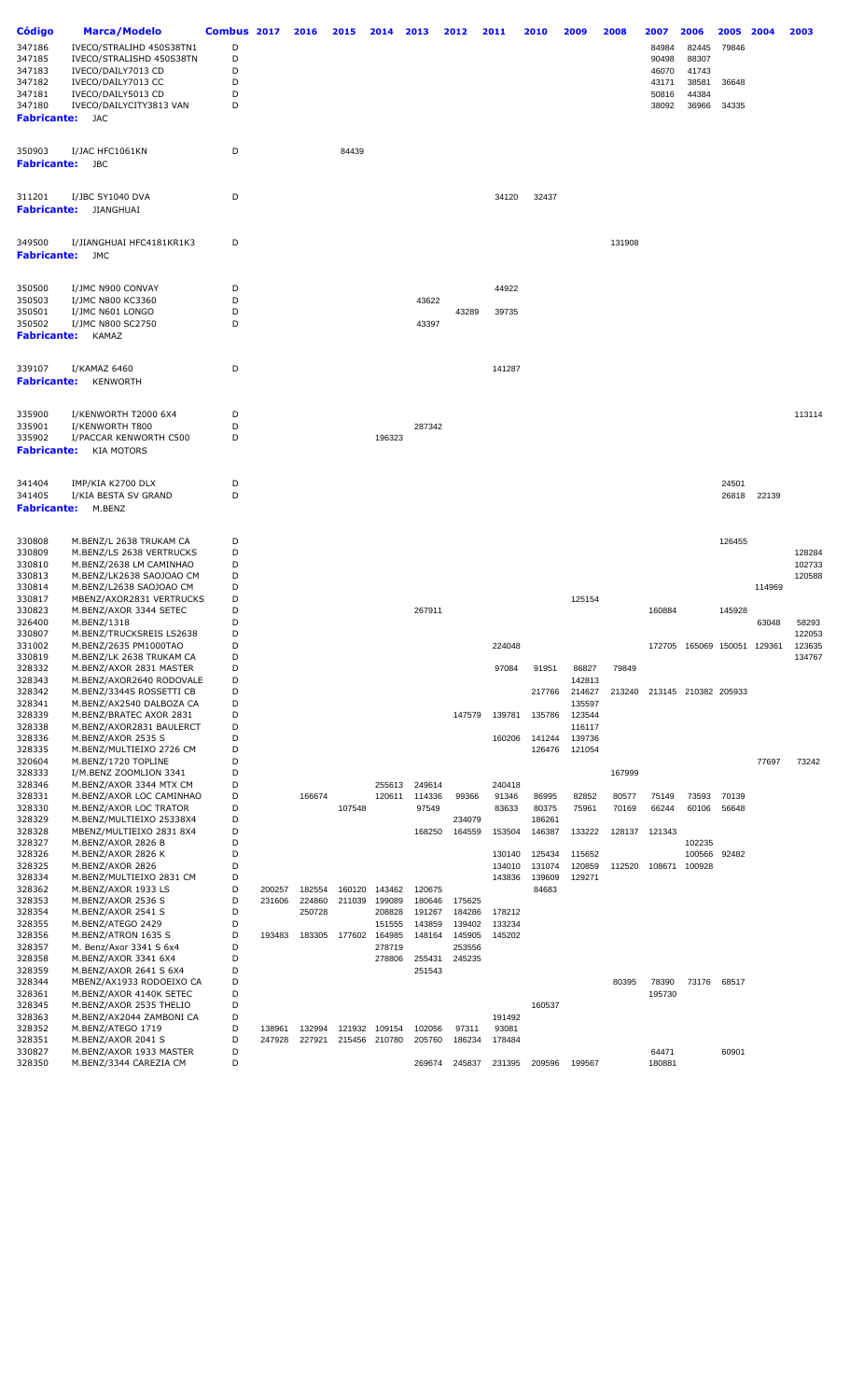| Código                | <b>Marca/Modelo</b>                                 | Combus 2017 |        | 2016   | 2015   | 2014             | 2013             | 2012             | 2011             | 2010             | 2009             | 2008   | 2007            | 2006                        | 2005           | 2004   | 2003             |
|-----------------------|-----------------------------------------------------|-------------|--------|--------|--------|------------------|------------------|------------------|------------------|------------------|------------------|--------|-----------------|-----------------------------|----------------|--------|------------------|
| 347186                | IVECO/STRALIHD 450S38TN1                            | D           |        |        |        |                  |                  |                  |                  |                  |                  |        | 84984           | 82445                       | 79846          |        |                  |
| 347185                | IVECO/STRALISHD 450S38TN                            | D           |        |        |        |                  |                  |                  |                  |                  |                  |        | 90498           | 88307                       |                |        |                  |
| 347183                | IVECO/DAILY7013 CD                                  | D           |        |        |        |                  |                  |                  |                  |                  |                  |        | 46070           | 41743                       |                |        |                  |
| 347182<br>347181      | IVECO/DAILY7013 CC<br>IVECO/DAILY5013 CD            | D<br>D      |        |        |        |                  |                  |                  |                  |                  |                  |        | 43171<br>50816  | 38581<br>44384              | 36648          |        |                  |
| 347180                | IVECO/DAILYCITY3813 VAN                             | D           |        |        |        |                  |                  |                  |                  |                  |                  |        | 38092           | 36966                       | 34335          |        |                  |
| Fabricante:           | JAC                                                 |             |        |        |        |                  |                  |                  |                  |                  |                  |        |                 |                             |                |        |                  |
|                       |                                                     |             |        |        |        |                  |                  |                  |                  |                  |                  |        |                 |                             |                |        |                  |
| 350903                | I/JAC HFC1061KN                                     | D           |        |        | 84439  |                  |                  |                  |                  |                  |                  |        |                 |                             |                |        |                  |
| Fabricante:           | JBC                                                 |             |        |        |        |                  |                  |                  |                  |                  |                  |        |                 |                             |                |        |                  |
|                       |                                                     |             |        |        |        |                  |                  |                  |                  |                  |                  |        |                 |                             |                |        |                  |
| 311201                | I/JBC SY1040 DVA                                    | D           |        |        |        |                  |                  |                  | 34120            | 32437            |                  |        |                 |                             |                |        |                  |
| Fabricante:           | JIANGHUAI                                           |             |        |        |        |                  |                  |                  |                  |                  |                  |        |                 |                             |                |        |                  |
|                       |                                                     |             |        |        |        |                  |                  |                  |                  |                  |                  |        |                 |                             |                |        |                  |
| 349500                | I/JIANGHUAI HFC4181KR1K3                            | D           |        |        |        |                  |                  |                  |                  |                  |                  | 131908 |                 |                             |                |        |                  |
| Fabricante:           | JMC                                                 |             |        |        |        |                  |                  |                  |                  |                  |                  |        |                 |                             |                |        |                  |
|                       |                                                     |             |        |        |        |                  |                  |                  |                  |                  |                  |        |                 |                             |                |        |                  |
| 350500                | I/JMC N900 CONVAY                                   | D           |        |        |        |                  |                  |                  | 44922            |                  |                  |        |                 |                             |                |        |                  |
| 350503                | I/JMC N800 KC3360                                   | D           |        |        |        |                  | 43622            |                  |                  |                  |                  |        |                 |                             |                |        |                  |
| 350501<br>350502      | I/JMC N601 LONGO<br>I/JMC N800 SC2750               | D<br>D      |        |        |        |                  | 43397            | 43289            | 39735            |                  |                  |        |                 |                             |                |        |                  |
| <b>Fabricante:</b>    | <b>KAMAZ</b>                                        |             |        |        |        |                  |                  |                  |                  |                  |                  |        |                 |                             |                |        |                  |
|                       |                                                     |             |        |        |        |                  |                  |                  |                  |                  |                  |        |                 |                             |                |        |                  |
| 339107                | I/KAMAZ 6460                                        | D           |        |        |        |                  |                  |                  | 141287           |                  |                  |        |                 |                             |                |        |                  |
| <b>Fabricante:</b>    | <b>KENWORTH</b>                                     |             |        |        |        |                  |                  |                  |                  |                  |                  |        |                 |                             |                |        |                  |
|                       |                                                     |             |        |        |        |                  |                  |                  |                  |                  |                  |        |                 |                             |                |        |                  |
| 335900                | I/KENWORTH T2000 6X4                                | D           |        |        |        |                  |                  |                  |                  |                  |                  |        |                 |                             |                |        | 113114           |
| 335901                | I/KENWORTH T800                                     | D           |        |        |        |                  | 287342           |                  |                  |                  |                  |        |                 |                             |                |        |                  |
| 335902<br>Fabricante: | I/PACCAR KENWORTH C500<br><b>KIA MOTORS</b>         | D           |        |        |        | 196323           |                  |                  |                  |                  |                  |        |                 |                             |                |        |                  |
|                       |                                                     |             |        |        |        |                  |                  |                  |                  |                  |                  |        |                 |                             |                |        |                  |
|                       |                                                     |             |        |        |        |                  |                  |                  |                  |                  |                  |        |                 |                             |                |        |                  |
| 341404<br>341405      | IMP/KIA K2700 DLX<br>I/KIA BESTA SV GRAND           | D<br>D      |        |        |        |                  |                  |                  |                  |                  |                  |        |                 |                             | 24501<br>26818 | 22139  |                  |
| Fabricante:           | M.BENZ                                              |             |        |        |        |                  |                  |                  |                  |                  |                  |        |                 |                             |                |        |                  |
|                       |                                                     |             |        |        |        |                  |                  |                  |                  |                  |                  |        |                 |                             |                |        |                  |
| 330808                | M.BENZ/L 2638 TRUKAM CA                             | D           |        |        |        |                  |                  |                  |                  |                  |                  |        |                 |                             | 126455         |        |                  |
| 330809                | M.BENZ/LS 2638 VERTRUCKS                            | D           |        |        |        |                  |                  |                  |                  |                  |                  |        |                 |                             |                |        | 128284           |
| 330810                | M.BENZ/2638 LM CAMINHAO                             | D           |        |        |        |                  |                  |                  |                  |                  |                  |        |                 |                             |                |        | 102733           |
| 330813<br>330814      | M.BENZ/LK2638 SAOJOAO CM<br>M.BENZ/L2638 SAOJOAO CM | D<br>D      |        |        |        |                  |                  |                  |                  |                  |                  |        |                 |                             |                | 114969 | 120588           |
| 330817                | MBENZ/AXOR2831 VERTRUCKS                            | D           |        |        |        |                  |                  |                  |                  |                  | 125154           |        |                 |                             |                |        |                  |
| 330823                | M.BENZ/AXOR 3344 SETEC                              | D           |        |        |        |                  | 267911           |                  |                  |                  |                  |        | 160884          |                             | 145928         |        |                  |
| 326400                | M.BENZ/1318                                         | D           |        |        |        |                  |                  |                  |                  |                  |                  |        |                 |                             |                | 63048  | 58293            |
| 330807<br>331002      | M.BENZ/TRUCKSREIS LS2638                            | D           |        |        |        |                  |                  |                  |                  |                  |                  |        |                 |                             |                |        | 122053<br>123635 |
| 330819                | M.BENZ/2635 PM1000TAO<br>M.BENZ/LK 2638 TRUKAM CA   | D<br>D      |        |        |        |                  |                  |                  | 224048           |                  |                  |        |                 | 172705 165069 150051 129361 |                |        | 134767           |
| 328332                | M.BENZ/AXOR 2831 MASTER                             | D           |        |        |        |                  |                  |                  | 97084            | 91951            | 86827            | 79849  |                 |                             |                |        |                  |
| 328343                | M.BENZ/AXOR2640 RODOVALE                            | D           |        |        |        |                  |                  |                  |                  |                  | 142813           |        |                 |                             |                |        |                  |
| 328342                | M.BENZ/3344S ROSSETTI CB                            | D           |        |        |        |                  |                  |                  |                  | 217766           | 214627           |        |                 | 213240 213145 210382 205933 |                |        |                  |
| 328341                | M.BENZ/AX2540 DALBOZA CA                            | D<br>D      |        |        |        |                  |                  |                  |                  |                  | 135597           |        |                 |                             |                |        |                  |
| 328339<br>328338      | M.BENZ/BRATEC AXOR 2831<br>M.BENZ/AXOR2831 BAULERCT | D           |        |        |        |                  |                  | 147579           | 139781           | 135786           | 123544<br>116117 |        |                 |                             |                |        |                  |
| 328336                | M.BENZ/AXOR 2535 S                                  | D           |        |        |        |                  |                  |                  | 160206           | 141244           | 139736           |        |                 |                             |                |        |                  |
| 328335                | M.BENZ/MULTIEIXO 2726 CM                            | D           |        |        |        |                  |                  |                  |                  | 126476           | 121054           |        |                 |                             |                |        |                  |
| 320604                | M.BENZ/1720 TOPLINE                                 | D           |        |        |        |                  |                  |                  |                  |                  |                  |        |                 |                             |                | 77697  | 73242            |
| 328333<br>328346      | I/M.BENZ ZOOMLION 3341<br>M.BENZ/AXOR 3344 MTX CM   | D<br>D      |        |        |        |                  |                  |                  |                  |                  |                  | 167999 |                 |                             |                |        |                  |
| 328331                | M.BENZ/AXOR LOC CAMINHAO                            | D           |        | 166674 |        | 255613<br>120611 | 249614<br>114336 | 99366            | 240418<br>91346  | 86995            | 82852            | 80577  | 75149           | 73593                       | 70139          |        |                  |
| 328330                | M.BENZ/AXOR LOC TRATOR                              | D           |        |        | 107548 |                  | 97549            |                  | 83633            | 80375            | 75961            | 70169  | 66244           | 60106                       | 56648          |        |                  |
| 328329                | M.BENZ/MULTIEIXO 25338X4                            | D           |        |        |        |                  |                  | 234079           |                  | 186261           |                  |        |                 |                             |                |        |                  |
| 328328                | MBENZ/MULTIEIXO 2831 8X4                            | D           |        |        |        |                  | 168250           | 164559           | 153504           | 146387           | 133222           | 128137 | 121343          |                             |                |        |                  |
| 328327                | M.BENZ/AXOR 2826 B                                  | D<br>D      |        |        |        |                  |                  |                  |                  |                  |                  |        |                 | 102235                      |                |        |                  |
| 328326<br>328325      | M.BENZ/AXOR 2826 K<br>M.BENZ/AXOR 2826              | D           |        |        |        |                  |                  |                  | 130140<br>134010 | 125434<br>131074 | 115652<br>120859 | 112520 | 108671          | 100566<br>100928            | 92482          |        |                  |
| 328334                | M.BENZ/MULTIEIXO 2831 CM                            | D           |        |        |        |                  |                  |                  | 143836           | 139609           | 129271           |        |                 |                             |                |        |                  |
| 328362                | M.BENZ/AXOR 1933 LS                                 | D           | 200257 | 182554 | 160120 | 143462           | 120675           |                  |                  | 84683            |                  |        |                 |                             |                |        |                  |
| 328353                | M.BENZ/AXOR 2536 S                                  | D           | 231606 | 224860 | 211039 | 199089           | 180646           | 175625           |                  |                  |                  |        |                 |                             |                |        |                  |
| 328354                | M.BENZ/AXOR 2541 S                                  | D           |        | 250728 |        | 208828           | 191267           | 184286           | 178212           |                  |                  |        |                 |                             |                |        |                  |
| 328355<br>328356      | M.BENZ/ATEGO 2429<br>M.BENZ/ATRON 1635 S            | D<br>D      | 193483 | 183305 | 177602 | 151555<br>164985 | 143859<br>148164 | 139402<br>145905 | 133234<br>145202 |                  |                  |        |                 |                             |                |        |                  |
| 328357                | M. Benz/Axor 3341 S 6x4                             | D           |        |        |        | 278719           |                  | 253556           |                  |                  |                  |        |                 |                             |                |        |                  |
| 328358                | M.BENZ/AXOR 3341 6X4                                | D           |        |        |        | 278806           | 255431           | 245235           |                  |                  |                  |        |                 |                             |                |        |                  |
| 328359                | M.BENZ/AXOR 2641 S 6X4                              | D           |        |        |        |                  | 251543           |                  |                  |                  |                  |        |                 |                             |                |        |                  |
| 328344                | MBENZ/AX1933 RODOEIXO CA                            | D           |        |        |        |                  |                  |                  |                  |                  |                  | 80395  | 78390           | 73176                       | 68517          |        |                  |
| 328361<br>328345      | M.BENZ/AXOR 4140K SETEC<br>M.BENZ/AXOR 2535 THELIO  | D<br>D      |        |        |        |                  |                  |                  |                  | 160537           |                  |        | 195730          |                             |                |        |                  |
| 328363                | M.BENZ/AX2044 ZAMBONI CA                            | D           |        |        |        |                  |                  |                  | 191492           |                  |                  |        |                 |                             |                |        |                  |
| 328352                | M.BENZ/ATEGO 1719                                   | D           | 138961 | 132994 |        | 121932 109154    | 102056           | 97311            | 93081            |                  |                  |        |                 |                             |                |        |                  |
| 328351                | M.BENZ/AXOR 2041 S                                  | D           | 247928 | 227921 |        | 215456 210780    | 205760           | 186234           | 178484           |                  |                  |        |                 |                             |                |        |                  |
| 330827<br>328350      | M.BENZ/AXOR 1933 MASTER<br>M.BENZ/3344 CAREZIA CM   | D<br>D      |        |        |        |                  | 269674           | 245837           | 231395           | 209596           | 199567           |        | 64471<br>180881 |                             | 60901          |        |                  |
|                       |                                                     |             |        |        |        |                  |                  |                  |                  |                  |                  |        |                 |                             |                |        |                  |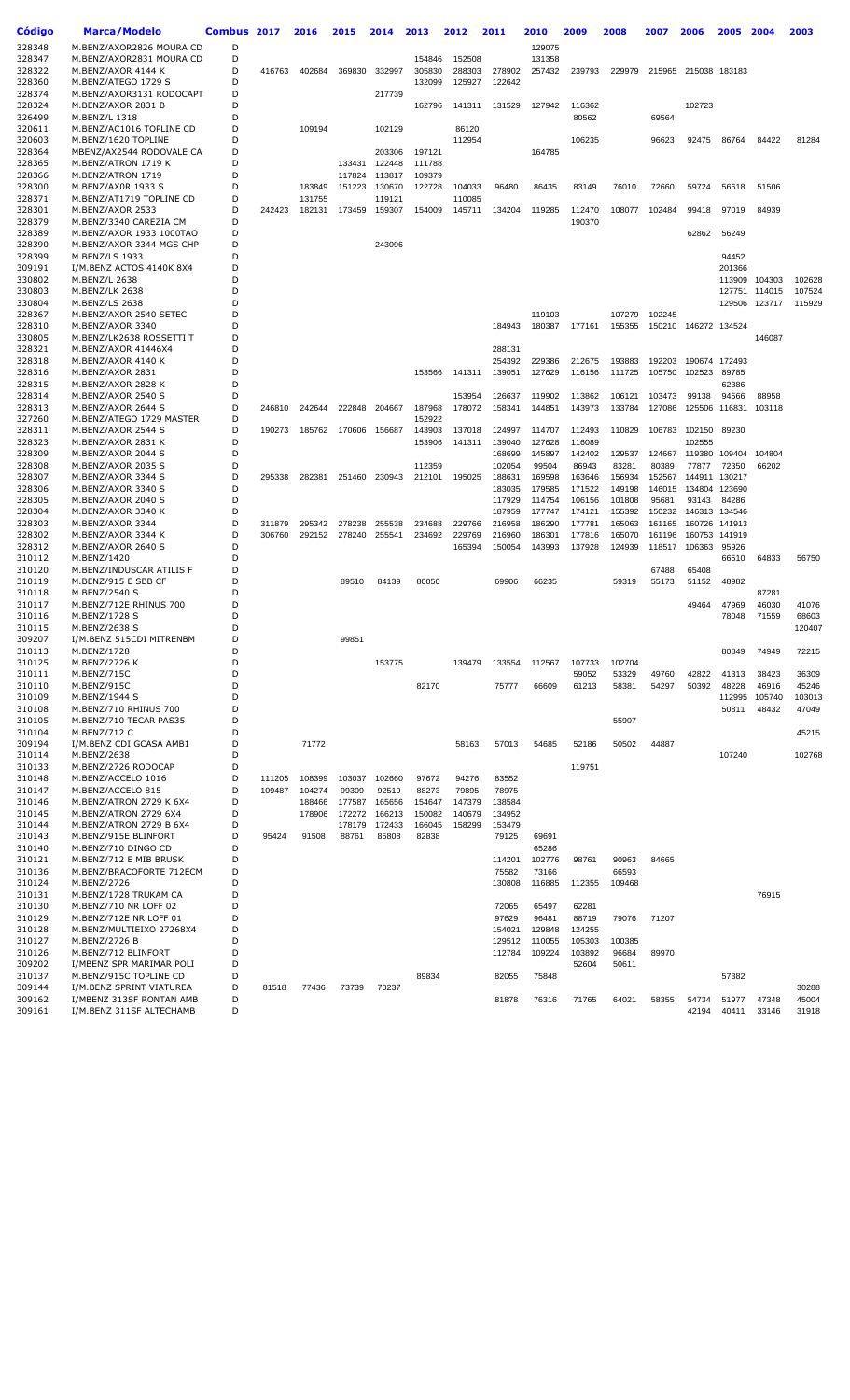| Código           | Marca/Modelo                                       | Combus 2017 |        | 2016             | 2015            | 2014            | 2013            | 2012            | 2011             | 2010             | 2009             | 2008             | 2007             | 2006          | 2005           | 2004   | 2003   |
|------------------|----------------------------------------------------|-------------|--------|------------------|-----------------|-----------------|-----------------|-----------------|------------------|------------------|------------------|------------------|------------------|---------------|----------------|--------|--------|
| 328348           | M.BENZ/AXOR2826 MOURA CD                           | D           |        |                  |                 |                 |                 |                 |                  | 129075           |                  |                  |                  |               |                |        |        |
| 328347           | M.BENZ/AXOR2831 MOURA CD                           | D           |        |                  |                 |                 | 154846          | 152508          |                  | 131358           |                  |                  |                  |               |                |        |        |
| 328322           | M.BENZ/AXOR 4144 K                                 | D           | 416763 | 402684           | 369830          | 332997          | 305830          | 288303          | 278902           | 257432           | 239793           | 229979           | 215965           | 215038        | 183183         |        |        |
| 328360           | M.BENZ/ATEGO 1729 S                                | D           |        |                  |                 |                 | 132099          | 125927          | 122642           |                  |                  |                  |                  |               |                |        |        |
| 328374           | M.BENZ/AXOR3131 RODOCAPT                           | D           |        |                  |                 | 217739          |                 |                 |                  |                  |                  |                  |                  |               |                |        |        |
| 328324           | M.BENZ/AXOR 2831 B                                 | D           |        |                  |                 |                 | 162796          | 141311          | 131529           | 127942           | 116362           |                  |                  | 102723        |                |        |        |
| 326499<br>320611 | M.BENZ/L 1318                                      | D<br>D      |        |                  |                 |                 |                 | 86120           |                  |                  | 80562            |                  | 69564            |               |                |        |        |
| 320603           | M.BENZ/AC1016 TOPLINE CD<br>M.BENZ/1620 TOPLINE    | D           |        | 109194           |                 | 102129          |                 | 112954          |                  |                  | 106235           |                  | 96623            | 92475         | 86764          | 84422  | 81284  |
| 328364           | MBENZ/AX2544 RODOVALE CA                           | D           |        |                  |                 | 203306          | 197121          |                 |                  | 164785           |                  |                  |                  |               |                |        |        |
| 328365           | M.BENZ/ATRON 1719 K                                | D           |        |                  | 133431          | 122448          | 111788          |                 |                  |                  |                  |                  |                  |               |                |        |        |
| 328366           | M.BENZ/ATRON 1719                                  | D           |        |                  | 117824          | 113817          | 109379          |                 |                  |                  |                  |                  |                  |               |                |        |        |
| 328300           | M.BENZ/AX0R 1933 S                                 | D           |        | 183849           | 151223          | 130670          | 122728          | 104033          | 96480            | 86435            | 83149            | 76010            | 72660            | 59724         | 56618          | 51506  |        |
| 328371           | M.BENZ/AT1719 TOPLINE CD                           | D           |        | 131755           |                 | 119121          |                 | 110085          |                  |                  |                  |                  |                  |               |                |        |        |
| 328301           | M.BENZ/AXOR 2533                                   | D           | 242423 | 182131           | 173459          | 159307          | 154009          | 145711          | 134204           | 119285           | 112470           | 108077           | 102484           | 99418         | 97019          | 84939  |        |
| 328379           | M.BENZ/3340 CAREZIA CM                             | D           |        |                  |                 |                 |                 |                 |                  |                  | 190370           |                  |                  |               |                |        |        |
| 328389           | M.BENZ/AXOR 1933 1000TAO                           | D           |        |                  |                 |                 |                 |                 |                  |                  |                  |                  |                  | 62862         | 56249          |        |        |
| 328390<br>328399 | M.BENZ/AXOR 3344 MGS CHP                           | D<br>D      |        |                  |                 | 243096          |                 |                 |                  |                  |                  |                  |                  |               | 94452          |        |        |
| 309191           | M.BENZ/LS 1933<br>I/M.BENZ ACTOS 4140K 8X4         | D           |        |                  |                 |                 |                 |                 |                  |                  |                  |                  |                  |               | 201366         |        |        |
| 330802           | M.BENZ/L 2638                                      | D           |        |                  |                 |                 |                 |                 |                  |                  |                  |                  |                  |               | 113909         | 104303 | 102628 |
| 330803           | M.BENZ/LK 2638                                     | D           |        |                  |                 |                 |                 |                 |                  |                  |                  |                  |                  |               | 127751         | 114015 | 107524 |
| 330804           | M.BENZ/LS 2638                                     | D           |        |                  |                 |                 |                 |                 |                  |                  |                  |                  |                  |               | 129506         | 123717 | 115929 |
| 328367           | M.BENZ/AXOR 2540 SETEC                             | D           |        |                  |                 |                 |                 |                 |                  | 119103           |                  | 107279           | 102245           |               |                |        |        |
| 328310           | M.BENZ/AXOR 3340                                   | D           |        |                  |                 |                 |                 |                 | 184943           | 180387           | 177161           | 155355           | 150210           |               | 146272 134524  |        |        |
| 330805           | M.BENZ/LK2638 ROSSETTI T                           | D           |        |                  |                 |                 |                 |                 |                  |                  |                  |                  |                  |               |                | 146087 |        |
| 328321           | M.BENZ/AXOR 41446X4                                | D           |        |                  |                 |                 |                 |                 | 288131           |                  |                  |                  |                  |               |                |        |        |
| 328318           | M.BENZ/AXOR 4140 K                                 | D           |        |                  |                 |                 |                 |                 | 254392           | 229386           | 212675           | 193883           | 192203           |               | 190674 172493  |        |        |
| 328316           | M.BENZ/AXOR 2831                                   | D           |        |                  |                 |                 | 153566          | 141311          | 139051           | 127629           | 116156           | 111725           | 105750           | 102523        | 89785          |        |        |
| 328315<br>328314 | M.BENZ/AXOR 2828 K<br>M.BENZ/AXOR 2540 S           | D<br>D      |        |                  |                 |                 |                 | 153954          | 126637           | 119902           | 113862           | 106121           | 103473           | 99138         | 62386<br>94566 | 88958  |        |
| 328313           | M.BENZ/AXOR 2644 S                                 | D           | 246810 | 242644           | 222848          | 204667          | 187968          | 178072          | 158341           | 144851           | 143973           | 133784           | 127086           | 125506        | 116831         | 103118 |        |
| 327260           | M.BENZ/ATEGO 1729 MASTER                           | D           |        |                  |                 |                 | 152922          |                 |                  |                  |                  |                  |                  |               |                |        |        |
| 328311           | M.BENZ/AXOR 2544 S                                 | D           | 190273 | 185762           | 170606          | 156687          | 143903          | 137018          | 124997           | 114707           | 112493           | 110829           | 106783           | 102150        | 89230          |        |        |
| 328323           | M.BENZ/AXOR 2831 K                                 | D           |        |                  |                 |                 | 153906          | 141311          | 139040           | 127628           | 116089           |                  |                  | 102555        |                |        |        |
| 328309           | M.BENZ/AXOR 2044 S                                 | D           |        |                  |                 |                 |                 |                 | 168699           | 145897           | 142402           | 129537           | 124667           | 119380        | 109404         | 104804 |        |
| 328308           | M.BENZ/AXOR 2035 S                                 | D           |        |                  |                 |                 | 112359          |                 | 102054           | 99504            | 86943            | 83281            | 80389            | 77877         | 72350          | 66202  |        |
| 328307           | M.BENZ/AXOR 3344 S                                 | D           | 295338 | 282381           | 251460          | 230943          | 212101          | 195025          | 188631           | 169598           | 163646           | 156934           | 152567           |               | 144911 130217  |        |        |
| 328306           | M.BENZ/AXOR 3340 S                                 | D           |        |                  |                 |                 |                 |                 | 183035           | 179585           | 171522           | 149198           | 146015           | 134804        | 123690         |        |        |
| 328305           | M.BENZ/AXOR 2040 S                                 | D           |        |                  |                 |                 |                 |                 | 117929           | 114754           | 106156           | 101808           | 95681            | 93143         | 84286          |        |        |
| 328304<br>328303 | M.BENZ/AXOR 3340 K<br>M.BENZ/AXOR 3344             | D<br>D      | 311879 | 295342           | 278238          | 255538          | 234688          | 229766          | 187959<br>216958 | 177747<br>186290 | 174121<br>177781 | 155392<br>165063 | 150232<br>161165 | 146313 134546 | 160726 141913  |        |        |
| 328302           | M.BENZ/AXOR 3344 K                                 | D           | 306760 | 292152           | 278240          | 255541          | 234692          | 229769          | 216960           | 186301           | 177816           | 165070           | 161196           |               | 160753 141919  |        |        |
| 328312           | M.BENZ/AXOR 2640 S                                 | D           |        |                  |                 |                 |                 | 165394          | 150054           | 143993           | 137928           | 124939           | 118517           | 106363        | 95926          |        |        |
| 310112           | M.BENZ/1420                                        | D           |        |                  |                 |                 |                 |                 |                  |                  |                  |                  |                  |               | 66510          | 64833  | 56750  |
| 310120           | M.BENZ/INDUSCAR ATILIS F                           | D           |        |                  |                 |                 |                 |                 |                  |                  |                  |                  | 67488            | 65408         |                |        |        |
| 310119           | M.BENZ/915 E SBB CF                                | D           |        |                  | 89510           | 84139           | 80050           |                 | 69906            | 66235            |                  | 59319            | 55173            | 51152         | 48982          |        |        |
| 310118           | M.BENZ/2540 S                                      | D           |        |                  |                 |                 |                 |                 |                  |                  |                  |                  |                  |               |                | 87281  |        |
| 310117           | M.BENZ/712E RHINUS 700                             | D           |        |                  |                 |                 |                 |                 |                  |                  |                  |                  |                  | 49464         | 47969          | 46030  | 41076  |
| 310116           | M.BENZ/1728 S                                      | D           |        |                  |                 |                 |                 |                 |                  |                  |                  |                  |                  |               | 78048          | 71559  | 68603  |
| 310115           | M.BENZ/2638 S                                      | D           |        |                  |                 |                 |                 |                 |                  |                  |                  |                  |                  |               |                |        | 120407 |
| 309207<br>310113 | I/M.BENZ 515CDI MITRENBM                           | D<br>D      |        |                  | 99851           |                 |                 |                 |                  |                  |                  |                  |                  |               |                |        |        |
| 310125           | M.BENZ/1728<br>M.BENZ/2726 K                       | D           |        |                  |                 | 153775          |                 | 139479          | 133554           | 112567           | 107733           | 102704           |                  |               | 80849          | 74949  | 72215  |
| 310111           | M.BENZ/715C                                        | D           |        |                  |                 |                 |                 |                 |                  |                  | 59052            | 53329            | 49760            | 42822         | 41313          | 38423  | 36309  |
| 310110           | M.BENZ/915C                                        | D           |        |                  |                 |                 | 82170           |                 | 75777            | 66609            | 61213            | 58381            | 54297            | 50392         | 48228          | 46916  | 45246  |
| 310109           | M.BENZ/1944 S                                      | D           |        |                  |                 |                 |                 |                 |                  |                  |                  |                  |                  |               | 112995         | 105740 | 103013 |
| 310108           | M.BENZ/710 RHINUS 700                              | D           |        |                  |                 |                 |                 |                 |                  |                  |                  |                  |                  |               | 50811          | 48432  | 47049  |
| 310105           | M.BENZ/710 TECAR PAS35                             | D           |        |                  |                 |                 |                 |                 |                  |                  |                  | 55907            |                  |               |                |        |        |
| 310104           | M.BENZ/712 C                                       | D           |        |                  |                 |                 |                 |                 |                  |                  |                  |                  |                  |               |                |        | 45215  |
| 309194           | I/M.BENZ CDI GCASA AMB1                            | D           |        | 71772            |                 |                 |                 | 58163           | 57013            | 54685            | 52186            | 50502            | 44887            |               |                |        |        |
| 310114           | M.BENZ/2638                                        | D           |        |                  |                 |                 |                 |                 |                  |                  |                  |                  |                  |               | 107240         |        | 102768 |
| 310133           | M.BENZ/2726 RODOCAP                                | D           |        |                  |                 |                 |                 |                 |                  |                  | 119751           |                  |                  |               |                |        |        |
| 310148<br>310147 | M.BENZ/ACCELO 1016                                 | D           | 111205 | 108399           | 103037          | 102660          | 97672           | 94276           | 83552            |                  |                  |                  |                  |               |                |        |        |
| 310146           | M.BENZ/ACCELO 815<br>M.BENZ/ATRON 2729 K 6X4       | D<br>D      | 109487 | 104274<br>188466 | 99309<br>177587 | 92519<br>165656 | 88273<br>154647 | 79895<br>147379 | 78975<br>138584  |                  |                  |                  |                  |               |                |        |        |
| 310145           | M.BENZ/ATRON 2729 6X4                              | D           |        | 178906           | 172272          | 166213          | 150082          | 140679          | 134952           |                  |                  |                  |                  |               |                |        |        |
| 310144           | M.BENZ/ATRON 2729 B 6X4                            | D           |        |                  | 178179          | 172433          | 166045          | 158299          | 153479           |                  |                  |                  |                  |               |                |        |        |
| 310143           | M.BENZ/915E BLINFORT                               | D           | 95424  | 91508            | 88761           | 85808           | 82838           |                 | 79125            | 69691            |                  |                  |                  |               |                |        |        |
| 310140           | M.BENZ/710 DINGO CD                                | D           |        |                  |                 |                 |                 |                 |                  | 65286            |                  |                  |                  |               |                |        |        |
| 310121           | M.BENZ/712 E MIB BRUSK                             | D           |        |                  |                 |                 |                 |                 | 114201           | 102776           | 98761            | 90963            | 84665            |               |                |        |        |
| 310136           | M.BENZ/BRACOFORTE 712ECM                           | D           |        |                  |                 |                 |                 |                 | 75582            | 73166            |                  | 66593            |                  |               |                |        |        |
| 310124           | M.BENZ/2726                                        | D           |        |                  |                 |                 |                 |                 | 130808           | 116885           | 112355           | 109468           |                  |               |                |        |        |
| 310131           | M.BENZ/1728 TRUKAM CA                              | D           |        |                  |                 |                 |                 |                 |                  |                  |                  |                  |                  |               |                | 76915  |        |
| 310130           | M.BENZ/710 NR LOFF 02                              | D<br>D      |        |                  |                 |                 |                 |                 | 72065            | 65497            | 62281            |                  |                  |               |                |        |        |
| 310129<br>310128 | M.BENZ/712E NR LOFF 01<br>M.BENZ/MULTIEIXO 27268X4 | D           |        |                  |                 |                 |                 |                 | 97629<br>154021  | 96481<br>129848  | 88719<br>124255  | 79076            | 71207            |               |                |        |        |
| 310127           | M.BENZ/2726 B                                      | D           |        |                  |                 |                 |                 |                 | 129512           | 110055           | 105303           | 100385           |                  |               |                |        |        |
| 310126           | M.BENZ/712 BLINFORT                                | D           |        |                  |                 |                 |                 |                 | 112784           | 109224           | 103892           | 96684            | 89970            |               |                |        |        |
| 309202           | I/MBENZ SPR MARIMAR POLI                           | D           |        |                  |                 |                 |                 |                 |                  |                  | 52604            | 50611            |                  |               |                |        |        |
| 310137           | M.BENZ/915C TOPLINE CD                             | D           |        |                  |                 |                 | 89834           |                 | 82055            | 75848            |                  |                  |                  |               | 57382          |        |        |
| 309144           | I/M.BENZ SPRINT VIATUREA                           | D           | 81518  | 77436            | 73739           | 70237           |                 |                 |                  |                  |                  |                  |                  |               |                |        | 30288  |
| 309162           | I/MBENZ 313SF RONTAN AMB                           | D           |        |                  |                 |                 |                 |                 | 81878            | 76316            | 71765            | 64021            | 58355            | 54734         | 51977          | 47348  | 45004  |
| 309161           | I/M.BENZ 311SF ALTECHAMB                           | D           |        |                  |                 |                 |                 |                 |                  |                  |                  |                  |                  | 42194         | 40411          | 33146  | 31918  |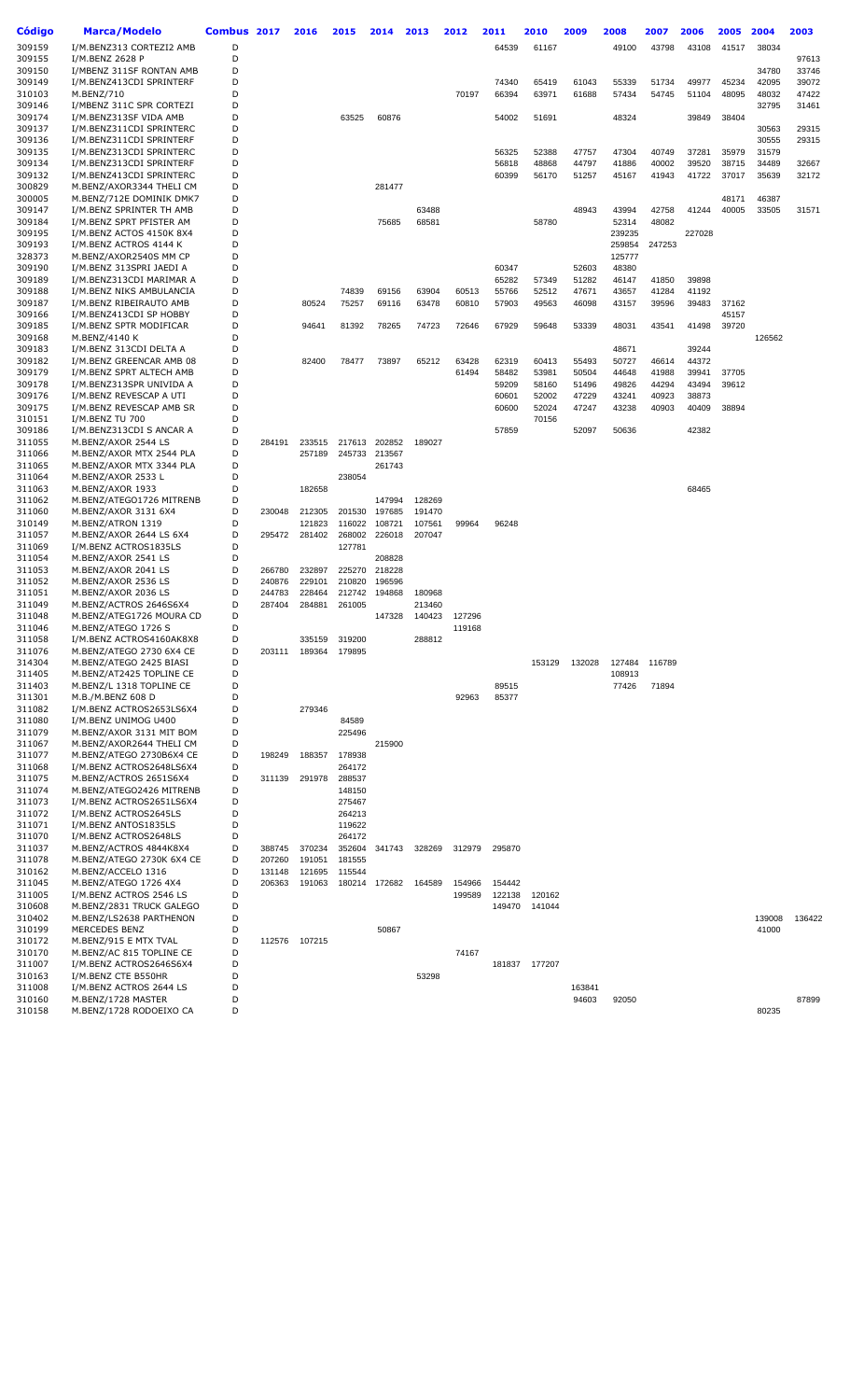| <b>Código</b>    | <b>Marca/Modelo</b>                                  | Combus 2017 |                  | 2016             | 2015             | 2014             | 2013             | 2012   | 2011   | 2010           | 2009           | 2008           | 2007           | 2006           | 2005           | 2004           | 2003           |
|------------------|------------------------------------------------------|-------------|------------------|------------------|------------------|------------------|------------------|--------|--------|----------------|----------------|----------------|----------------|----------------|----------------|----------------|----------------|
| 309159           | I/M.BENZ313 CORTEZI2 AMB                             | D           |                  |                  |                  |                  |                  |        | 64539  | 61167          |                | 49100          | 43798          | 43108          | 41517          | 38034          |                |
| 309155           | I/M.BENZ 2628 P                                      | D           |                  |                  |                  |                  |                  |        |        |                |                |                |                |                |                |                | 97613          |
| 309150           | I/MBENZ 311SF RONTAN AMB                             | D           |                  |                  |                  |                  |                  |        |        |                |                |                |                |                |                | 34780          | 33746          |
| 309149           | I/M.BENZ413CDI SPRINTERF                             | D           |                  |                  |                  |                  |                  |        | 74340  | 65419          | 61043          | 55339          | 51734          | 49977          | 45234          | 42095          | 39072          |
| 310103           | M.BENZ/710                                           | D           |                  |                  |                  |                  |                  | 70197  | 66394  | 63971          | 61688          | 57434          | 54745          | 51104          | 48095          | 48032          | 47422          |
| 309146           | I/MBENZ 311C SPR CORTEZI                             | D           |                  |                  |                  |                  |                  |        |        |                |                |                |                |                |                | 32795          | 31461          |
| 309174           | I/M.BENZ313SF VIDA AMB                               | D           |                  |                  | 63525            | 60876            |                  |        | 54002  | 51691          |                | 48324          |                | 39849          | 38404          |                |                |
| 309137           | I/M.BENZ311CDI SPRINTERC                             | D           |                  |                  |                  |                  |                  |        |        |                |                |                |                |                |                | 30563          | 29315          |
| 309136           | I/M.BENZ311CDI SPRINTERF                             | D           |                  |                  |                  |                  |                  |        |        |                |                |                |                |                |                | 30555          | 29315          |
| 309135           | I/M.BENZ313CDI SPRINTERC                             | D           |                  |                  |                  |                  |                  |        | 56325  | 52388          | 47757          | 47304          | 40749          | 37281          | 35979          | 31579          |                |
| 309134<br>309132 | I/M.BENZ313CDI SPRINTERF<br>I/M.BENZ413CDI SPRINTERC | D<br>D      |                  |                  |                  |                  |                  |        | 56818  | 48868<br>56170 | 44797<br>51257 | 41886<br>45167 | 40002<br>41943 | 39520<br>41722 | 38715<br>37017 | 34489<br>35639 | 32667<br>32172 |
| 300829           | M.BENZ/AXOR3344 THELI CM                             | D           |                  |                  |                  | 281477           |                  |        | 60399  |                |                |                |                |                |                |                |                |
| 300005           | M.BENZ/712E DOMINIK DMK7                             | D           |                  |                  |                  |                  |                  |        |        |                |                |                |                |                | 48171          | 46387          |                |
| 309147           | I/M.BENZ SPRINTER TH AMB                             | D           |                  |                  |                  |                  | 63488            |        |        |                | 48943          | 43994          | 42758          | 41244          | 40005          | 33505          | 31571          |
| 309184           | I/M.BENZ SPRT PFISTER AM                             | D           |                  |                  |                  | 75685            | 68581            |        |        | 58780          |                | 52314          | 48082          |                |                |                |                |
| 309195           | I/M.BENZ ACTOS 4150K 8X4                             | D           |                  |                  |                  |                  |                  |        |        |                |                | 239235         |                | 227028         |                |                |                |
| 309193           | I/M.BENZ ACTROS 4144 K                               | D           |                  |                  |                  |                  |                  |        |        |                |                | 259854         | 247253         |                |                |                |                |
| 328373           | M.BENZ/AXOR2540S MM CP                               | D           |                  |                  |                  |                  |                  |        |        |                |                | 125777         |                |                |                |                |                |
| 309190           | I/M.BENZ 313SPRI JAEDI A                             | D           |                  |                  |                  |                  |                  |        | 60347  |                | 52603          | 48380          |                |                |                |                |                |
| 309189           | I/M.BENZ313CDI MARIMAR A                             | D           |                  |                  |                  |                  |                  |        | 65282  | 57349          | 51282          | 46147          | 41850          | 39898          |                |                |                |
| 309188           | I/M.BENZ NIKS AMBULANCIA                             | D           |                  |                  | 74839            | 69156            | 63904            | 60513  | 55766  | 52512          | 47671          | 43657          | 41284          | 41192          |                |                |                |
| 309187<br>309166 | I/M.BENZ RIBEIRAUTO AMB<br>I/M.BENZ413CDI SP HOBBY   | D<br>D      |                  | 80524            | 75257            | 69116            | 63478            | 60810  | 57903  | 49563          | 46098          | 43157          | 39596          | 39483          | 37162<br>45157 |                |                |
| 309185           | I/M.BENZ SPTR MODIFICAR                              | D           |                  | 94641            | 81392            | 78265            | 74723            | 72646  | 67929  | 59648          | 53339          | 48031          | 43541          | 41498          | 39720          |                |                |
| 309168           | M.BENZ/4140 K                                        | D           |                  |                  |                  |                  |                  |        |        |                |                |                |                |                |                | 126562         |                |
| 309183           | I/M.BENZ 313CDI DELTA A                              | D           |                  |                  |                  |                  |                  |        |        |                |                | 48671          |                | 39244          |                |                |                |
| 309182           | I/M.BENZ GREENCAR AMB 08                             | D           |                  | 82400            | 78477            | 73897            | 65212            | 63428  | 62319  | 60413          | 55493          | 50727          | 46614          | 44372          |                |                |                |
| 309179           | I/M.BENZ SPRT ALTECH AMB                             | D           |                  |                  |                  |                  |                  | 61494  | 58482  | 53981          | 50504          | 44648          | 41988          | 39941          | 37705          |                |                |
| 309178           | I/M.BENZ313SPR UNIVIDA A                             | D           |                  |                  |                  |                  |                  |        | 59209  | 58160          | 51496          | 49826          | 44294          | 43494          | 39612          |                |                |
| 309176           | I/M.BENZ REVESCAP A UTI                              | D           |                  |                  |                  |                  |                  |        | 60601  | 52002          | 47229          | 43241          | 40923          | 38873          |                |                |                |
| 309175           | I/M.BENZ REVESCAP AMB SR                             | D           |                  |                  |                  |                  |                  |        | 60600  | 52024          | 47247          | 43238          | 40903          | 40409          | 38894          |                |                |
| 310151           | I/M.BENZ TU 700                                      | D           |                  |                  |                  |                  |                  |        |        | 70156          |                |                |                |                |                |                |                |
| 309186           | I/M.BENZ313CDI S ANCAR A                             | D           |                  |                  |                  |                  |                  |        | 57859  |                | 52097          | 50636          |                | 42382          |                |                |                |
| 311055           | M.BENZ/AXOR 2544 LS                                  | D           | 284191           | 233515           | 217613           | 202852           | 189027           |        |        |                |                |                |                |                |                |                |                |
| 311066<br>311065 | M.BENZ/AXOR MTX 2544 PLA                             | D<br>D      |                  | 257189           | 245733           | 213567<br>261743 |                  |        |        |                |                |                |                |                |                |                |                |
| 311064           | M.BENZ/AXOR MTX 3344 PLA<br>M.BENZ/AXOR 2533 L       | D           |                  |                  | 238054           |                  |                  |        |        |                |                |                |                |                |                |                |                |
| 311063           | M.BENZ/AXOR 1933                                     | D           |                  | 182658           |                  |                  |                  |        |        |                |                |                |                | 68465          |                |                |                |
| 311062           | M.BENZ/ATEGO1726 MITRENB                             | D           |                  |                  |                  | 147994           | 128269           |        |        |                |                |                |                |                |                |                |                |
| 311060           | M.BENZ/AXOR 3131 6X4                                 | D           | 230048           | 212305           | 201530           | 197685           | 191470           |        |        |                |                |                |                |                |                |                |                |
| 310149           | M.BENZ/ATRON 1319                                    | D           |                  | 121823           | 116022           | 108721           | 107561           | 99964  | 96248  |                |                |                |                |                |                |                |                |
| 311057           | M.BENZ/AXOR 2644 LS 6X4                              | D           | 295472           | 281402           | 268002           | 226018           | 207047           |        |        |                |                |                |                |                |                |                |                |
| 311069           | I/M.BENZ ACTROS1835LS                                | D           |                  |                  | 127781           |                  |                  |        |        |                |                |                |                |                |                |                |                |
| 311054           | M.BENZ/AXOR 2541 LS                                  | D           |                  |                  |                  | 208828           |                  |        |        |                |                |                |                |                |                |                |                |
| 311053           | M.BENZ/AXOR 2041 LS                                  | D           | 266780           | 232897           | 225270           | 218228           |                  |        |        |                |                |                |                |                |                |                |                |
| 311052           | M.BENZ/AXOR 2536 LS                                  | D           | 240876           | 229101           | 210820           | 196596           |                  |        |        |                |                |                |                |                |                |                |                |
| 311051           | M.BENZ/AXOR 2036 LS<br>M.BENZ/ACTROS 2646S6X4        | D<br>D      | 244783<br>287404 | 228464<br>284881 | 212742<br>261005 | 194868           | 180968           |        |        |                |                |                |                |                |                |                |                |
| 311049<br>311048 | M.BENZ/ATEG1726 MOURA CD                             | D           |                  |                  |                  | 147328           | 213460<br>140423 | 127296 |        |                |                |                |                |                |                |                |                |
| 311046           | M.BENZ/ATEGO 1726 S                                  | D           |                  |                  |                  |                  |                  | 119168 |        |                |                |                |                |                |                |                |                |
| 311058           | I/M.BENZ ACTROS4160AK8X8                             | D           |                  | 335159           | 319200           |                  | 288812           |        |        |                |                |                |                |                |                |                |                |
| 311076           | M.BENZ/ATEGO 2730 6X4 CE                             | D           | 203111           |                  | 189364 179895    |                  |                  |        |        |                |                |                |                |                |                |                |                |
| 314304           | M.BENZ/ATEGO 2425 BIASI                              | D           |                  |                  |                  |                  |                  |        |        | 153129         | 132028         | 127484         | 116789         |                |                |                |                |
| 311405           | M.BENZ/AT2425 TOPLINE CE                             | D           |                  |                  |                  |                  |                  |        |        |                |                | 108913         |                |                |                |                |                |
| 311403           | M.BENZ/L 1318 TOPLINE CE                             | D           |                  |                  |                  |                  |                  |        | 89515  |                |                | 77426          | 71894          |                |                |                |                |
| 311301           | M.B./M.BENZ 608 D                                    | D           |                  |                  |                  |                  |                  | 92963  | 85377  |                |                |                |                |                |                |                |                |
| 311082           | I/M.BENZ ACTROS2653LS6X4                             | D           |                  | 279346           |                  |                  |                  |        |        |                |                |                |                |                |                |                |                |
| 311080           | I/M.BENZ UNIMOG U400                                 | D           |                  |                  | 84589            |                  |                  |        |        |                |                |                |                |                |                |                |                |
| 311079<br>311067 | M.BENZ/AXOR 3131 MIT BOM<br>M.BENZ/AXOR2644 THELI CM | D<br>D      |                  |                  | 225496           | 215900           |                  |        |        |                |                |                |                |                |                |                |                |
| 311077           | M.BENZ/ATEGO 2730B6X4 CE                             | D           | 198249           | 188357           | 178938           |                  |                  |        |        |                |                |                |                |                |                |                |                |
| 311068           | I/M.BENZ ACTROS2648LS6X4                             | D           |                  |                  | 264172           |                  |                  |        |        |                |                |                |                |                |                |                |                |
| 311075           | M.BENZ/ACTROS 2651S6X4                               | D           | 311139           | 291978           | 288537           |                  |                  |        |        |                |                |                |                |                |                |                |                |
| 311074           | M.BENZ/ATEGO2426 MITRENB                             | D           |                  |                  | 148150           |                  |                  |        |        |                |                |                |                |                |                |                |                |
| 311073           | I/M.BENZ ACTROS2651LS6X4                             | D           |                  |                  | 275467           |                  |                  |        |        |                |                |                |                |                |                |                |                |
| 311072           | I/M.BENZ ACTROS2645LS                                | D           |                  |                  | 264213           |                  |                  |        |        |                |                |                |                |                |                |                |                |
| 311071           | I/M.BENZ ANTOS1835LS                                 | D           |                  |                  | 119622           |                  |                  |        |        |                |                |                |                |                |                |                |                |
| 311070           | I/M.BENZ ACTROS2648LS                                | D           |                  |                  | 264172           |                  |                  |        |        |                |                |                |                |                |                |                |                |
| 311037           | M.BENZ/ACTROS 4844K8X4                               | D           | 388745           | 370234           | 352604           | 341743           | 328269           | 312979 | 295870 |                |                |                |                |                |                |                |                |
| 311078           | M.BENZ/ATEGO 2730K 6X4 CE                            | D           | 207260           | 191051           | 181555           |                  |                  |        |        |                |                |                |                |                |                |                |                |
| 310162<br>311045 | M.BENZ/ACCELO 1316<br>M.BENZ/ATEGO 1726 4X4          | D<br>D      | 131148<br>206363 | 121695<br>191063 | 115544<br>180214 | 172682           | 164589           | 154966 | 154442 |                |                |                |                |                |                |                |                |
| 311005           | I/M.BENZ ACTROS 2546 LS                              | D           |                  |                  |                  |                  |                  | 199589 | 122138 | 120162         |                |                |                |                |                |                |                |
| 310608           | M.BENZ/2831 TRUCK GALEGO                             | D           |                  |                  |                  |                  |                  |        | 149470 | 141044         |                |                |                |                |                |                |                |
| 310402           | M.BENZ/LS2638 PARTHENON                              | D           |                  |                  |                  |                  |                  |        |        |                |                |                |                |                |                | 139008         | 136422         |
| 310199           | MERCEDES BENZ                                        | D           |                  |                  |                  | 50867            |                  |        |        |                |                |                |                |                |                | 41000          |                |
| 310172           | M.BENZ/915 E MTX TVAL                                | D           |                  | 112576 107215    |                  |                  |                  |        |        |                |                |                |                |                |                |                |                |
| 310170           | M.BENZ/AC 815 TOPLINE CE                             | D           |                  |                  |                  |                  |                  | 74167  |        |                |                |                |                |                |                |                |                |
| 311007           | I/M.BENZ ACTROS2646S6X4                              | D           |                  |                  |                  |                  |                  |        |        | 181837 177207  |                |                |                |                |                |                |                |
| 310163           | I/M.BENZ CTE B550HR                                  | D           |                  |                  |                  |                  | 53298            |        |        |                |                |                |                |                |                |                |                |
| 311008           | I/M.BENZ ACTROS 2644 LS                              | D           |                  |                  |                  |                  |                  |        |        |                | 163841         |                |                |                |                |                |                |
| 310160<br>310158 | M.BENZ/1728 MASTER<br>M.BENZ/1728 RODOEIXO CA        | D<br>D      |                  |                  |                  |                  |                  |        |        |                | 94603          | 92050          |                |                |                | 80235          | 87899          |
|                  |                                                      |             |                  |                  |                  |                  |                  |        |        |                |                |                |                |                |                |                |                |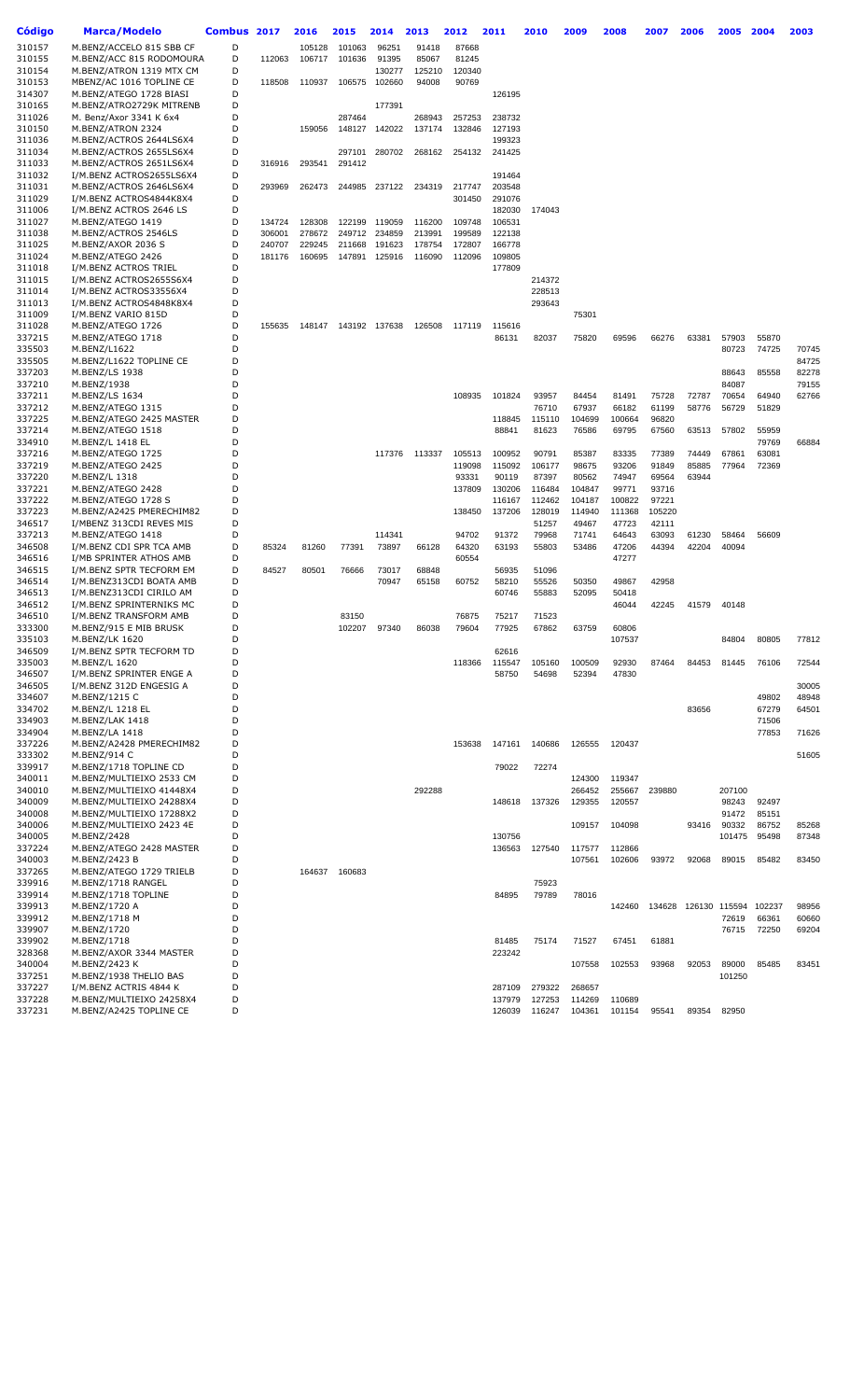| Código           | Marca/Modelo                                   | Combus 2017 |        | 2016   | 2015   | 2014   | 2013   | 2012   | 2011             | 2010   | 2009   | 2008   | 2007   | 2006                 | 2005   | 2004   | 2003  |
|------------------|------------------------------------------------|-------------|--------|--------|--------|--------|--------|--------|------------------|--------|--------|--------|--------|----------------------|--------|--------|-------|
| 310157           | M.BENZ/ACCELO 815 SBB CF                       | D           |        | 105128 | 101063 |        | 91418  | 87668  |                  |        |        |        |        |                      |        |        |       |
|                  | M.BENZ/ACC 815 RODOMOURA                       |             |        |        | 101636 | 96251  |        |        |                  |        |        |        |        |                      |        |        |       |
| 310155           |                                                | D           | 112063 | 106717 |        | 91395  | 85067  | 81245  |                  |        |        |        |        |                      |        |        |       |
| 310154           | M.BENZ/ATRON 1319 MTX CM                       | D           |        |        |        | 130277 | 125210 | 120340 |                  |        |        |        |        |                      |        |        |       |
| 310153           | MBENZ/AC 1016 TOPLINE CE                       | D           | 118508 | 110937 | 106575 | 102660 | 94008  | 90769  |                  |        |        |        |        |                      |        |        |       |
| 314307           | M.BENZ/ATEGO 1728 BIASI                        | D           |        |        |        |        |        |        | 126195           |        |        |        |        |                      |        |        |       |
| 310165           | M.BENZ/ATRO2729K MITRENB                       | D           |        |        |        | 177391 |        |        |                  |        |        |        |        |                      |        |        |       |
| 311026           | M. Benz/Axor 3341 K 6x4                        | D           |        |        | 287464 |        | 268943 | 257253 | 238732           |        |        |        |        |                      |        |        |       |
| 310150           | M.BENZ/ATRON 2324                              | D           |        | 159056 | 148127 | 142022 | 137174 | 132846 | 127193           |        |        |        |        |                      |        |        |       |
| 311036           | M.BENZ/ACTROS 2644LS6X4                        | D           |        |        |        |        |        |        | 199323           |        |        |        |        |                      |        |        |       |
| 311034           | M.BENZ/ACTROS 2655LS6X4                        | D           |        |        | 297101 | 280702 | 268162 | 254132 | 241425           |        |        |        |        |                      |        |        |       |
| 311033           | M.BENZ/ACTROS 2651LS6X4                        | D           | 316916 | 293541 | 291412 |        |        |        |                  |        |        |        |        |                      |        |        |       |
| 311032           | I/M.BENZ ACTROS2655LS6X4                       | D           |        |        |        |        |        |        | 191464           |        |        |        |        |                      |        |        |       |
| 311031           | M.BENZ/ACTROS 2646LS6X4                        | D           | 293969 | 262473 | 244985 | 237122 | 234319 | 217747 | 203548           |        |        |        |        |                      |        |        |       |
| 311029           | I/M.BENZ ACTROS4844K8X4                        | D           |        |        |        |        |        | 301450 | 291076           |        |        |        |        |                      |        |        |       |
| 311006           | I/M.BENZ ACTROS 2646 LS                        | D           |        |        |        |        |        |        | 182030           | 174043 |        |        |        |                      |        |        |       |
| 311027           | M.BENZ/ATEGO 1419                              | D           | 134724 | 128308 | 122199 | 119059 | 116200 | 109748 | 106531           |        |        |        |        |                      |        |        |       |
| 311038           | M.BENZ/ACTROS 2546LS                           | D           | 306001 | 278672 | 249712 | 234859 | 213991 | 199589 | 122138           |        |        |        |        |                      |        |        |       |
| 311025           | M.BENZ/AXOR 2036 S                             | D           | 240707 | 229245 | 211668 | 191623 | 178754 | 172807 | 166778           |        |        |        |        |                      |        |        |       |
| 311024           | M.BENZ/ATEGO 2426                              | D           | 181176 | 160695 | 147891 | 125916 | 116090 | 112096 | 109805           |        |        |        |        |                      |        |        |       |
| 311018           | I/M.BENZ ACTROS TRIEL                          | D           |        |        |        |        |        |        | 177809           |        |        |        |        |                      |        |        |       |
| 311015           | I/M.BENZ ACTROS2655S6X4                        | D           |        |        |        |        |        |        |                  | 214372 |        |        |        |                      |        |        |       |
| 311014           | I/M.BENZ ACTROS33556X4                         | D           |        |        |        |        |        |        |                  | 228513 |        |        |        |                      |        |        |       |
| 311013           | I/M.BENZ ACTROS4848K8X4                        | D           |        |        |        |        |        |        |                  | 293643 |        |        |        |                      |        |        |       |
| 311009           | I/M.BENZ VARIO 815D                            | D           |        |        |        |        |        |        |                  |        | 75301  |        |        |                      |        |        |       |
| 311028           | M.BENZ/ATEGO 1726                              | D           | 155635 | 148147 | 143192 | 137638 | 126508 | 117119 | 115616           |        |        |        |        |                      |        |        |       |
| 337215           | M.BENZ/ATEGO 1718                              | D           |        |        |        |        |        |        | 86131            | 82037  | 75820  | 69596  | 66276  | 63381                | 57903  | 55870  |       |
| 335503           | M.BENZ/L1622                                   | D           |        |        |        |        |        |        |                  |        |        |        |        |                      | 80723  | 74725  | 70745 |
| 335505           | M.BENZ/L1622 TOPLINE CE                        | D           |        |        |        |        |        |        |                  |        |        |        |        |                      |        |        | 84725 |
| 337203           | M.BENZ/LS 1938                                 | D           |        |        |        |        |        |        |                  |        |        |        |        |                      | 88643  | 85558  | 82278 |
| 337210           | M.BENZ/1938                                    | D           |        |        |        |        |        |        |                  |        |        |        |        |                      | 84087  |        | 79155 |
| 337211           | M.BENZ/LS 1634                                 | D           |        |        |        |        |        | 108935 | 101824           | 93957  | 84454  | 81491  | 75728  | 72787                | 70654  | 64940  | 62766 |
| 337212           | M.BENZ/ATEGO 1315                              | D           |        |        |        |        |        |        |                  | 76710  | 67937  | 66182  | 61199  | 58776                | 56729  | 51829  |       |
| 337225           | M.BENZ/ATEGO 2425 MASTER                       | D           |        |        |        |        |        |        | 118845           | 115110 | 104699 | 100664 | 96820  |                      |        |        |       |
| 337214           | M.BENZ/ATEGO 1518                              | D           |        |        |        |        |        |        | 88841            | 81623  | 76586  | 69795  | 67560  | 63513                | 57802  | 55959  |       |
| 334910           | M.BENZ/L 1418 EL                               | D           |        |        |        |        |        |        |                  |        |        |        |        |                      |        | 79769  | 66884 |
| 337216           | M.BENZ/ATEGO 1725                              | D           |        |        |        | 117376 | 113337 | 105513 | 100952           | 90791  | 85387  | 83335  | 77389  | 74449                | 67861  | 63081  |       |
| 337219           | M.BENZ/ATEGO 2425                              | D           |        |        |        |        |        | 119098 | 115092           | 106177 | 98675  | 93206  | 91849  | 85885                | 77964  | 72369  |       |
| 337220           | M.BENZ/L 1318                                  | D           |        |        |        |        |        | 93331  | 90119            | 87397  | 80562  | 74947  | 69564  | 63944                |        |        |       |
| 337221           | M.BENZ/ATEGO 2428                              | D           |        |        |        |        |        | 137809 | 130206           | 116484 | 104847 | 99771  | 93716  |                      |        |        |       |
| 337222           | M.BENZ/ATEGO 1728 S                            | D           |        |        |        |        |        |        | 116167           | 112462 | 104187 | 100822 | 97221  |                      |        |        |       |
| 337223           | M.BENZ/A2425 PMERECHIM82                       | D           |        |        |        |        |        | 138450 | 137206           | 128019 | 114940 | 111368 | 105220 |                      |        |        |       |
| 346517           | I/MBENZ 313CDI REVES MIS                       | D           |        |        |        |        |        |        |                  | 51257  | 49467  | 47723  | 42111  |                      |        |        |       |
| 337213           | M.BENZ/ATEGO 1418                              | D           |        |        |        | 114341 |        | 94702  | 91372            | 79968  | 71741  | 64643  | 63093  | 61230                | 58464  | 56609  |       |
| 346508           | I/M.BENZ CDI SPR TCA AMB                       | D           | 85324  | 81260  | 77391  | 73897  | 66128  | 64320  | 63193            | 55803  | 53486  | 47206  | 44394  | 42204                | 40094  |        |       |
| 346516           | I/MB SPRINTER ATHOS AMB                        | D           |        |        |        |        |        | 60554  |                  |        |        | 47277  |        |                      |        |        |       |
| 346515           | I/M.BENZ SPTR TECFORM EM                       | D           | 84527  | 80501  | 76666  | 73017  | 68848  |        | 56935            | 51096  |        |        |        |                      |        |        |       |
| 346514           | I/M.BENZ313CDI BOATA AMB                       | D           |        |        |        | 70947  | 65158  | 60752  | 58210            | 55526  | 50350  | 49867  | 42958  |                      |        |        |       |
| 346513           | I/M.BENZ313CDI CIRILO AM                       | D           |        |        |        |        |        |        | 60746            | 55883  | 52095  | 50418  |        |                      |        |        |       |
| 346512           | I/M.BENZ SPRINTERNIKS MC                       | D           |        |        |        |        |        |        |                  |        |        | 46044  | 42245  | 41579                | 40148  |        |       |
| 346510           | I/M.BENZ TRANSFORM AMB                         | D           |        |        | 83150  |        |        | 76875  | 75217            | 71523  |        |        |        |                      |        |        |       |
| 333300           | M.BENZ/915 E MIB BRUSK                         | D           |        |        | 102207 | 97340  | 86038  | 79604  | 77925            | 67862  | 63759  | 60806  |        |                      |        |        |       |
| 335103           | M.BENZ/LK 1620                                 | D           |        |        |        |        |        |        |                  |        |        | 107537 |        |                      | 84804  | 80805  | 77812 |
| 346509           | I/M.BENZ SPTR TECFORM TD                       | D           |        |        |        |        |        |        | 62616            |        |        |        |        |                      |        |        |       |
| 335003           | M.BENZ/L 1620                                  | D           |        |        |        |        |        | 118366 | 115547           | 105160 | 100509 | 92930  | 87464  | 84453                | 81445  | 76106  | 72544 |
| 346507           | I/M.BENZ SPRINTER ENGE A                       | D           |        |        |        |        |        |        | 58750            | 54698  | 52394  | 47830  |        |                      |        |        |       |
| 346505           | I/M.BENZ 312D ENGESIG A                        | D           |        |        |        |        |        |        |                  |        |        |        |        |                      |        |        | 30005 |
| 334607           | M.BENZ/1215 C                                  | D           |        |        |        |        |        |        |                  |        |        |        |        |                      |        | 49802  | 48948 |
| 334702           | M.BENZ/L 1218 EL                               | D<br>D      |        |        |        |        |        |        |                  |        |        |        |        | 83656                |        | 67279  | 64501 |
| 334903           | M.BENZ/LAK 1418                                | D           |        |        |        |        |        |        |                  |        |        |        |        |                      |        | 71506  |       |
| 334904           | M.BENZ/LA 1418                                 | D           |        |        |        |        |        | 153638 | 147161           |        |        | 120437 |        |                      |        | 77853  | 71626 |
| 337226           | M.BENZ/A2428 PMERECHIM82                       |             |        |        |        |        |        |        |                  | 140686 | 126555 |        |        |                      |        |        |       |
| 333302           | M.BENZ/914 C<br>M.BENZ/1718 TOPLINE CD         | D<br>D      |        |        |        |        |        |        |                  |        |        |        |        |                      |        |        | 51605 |
| 339917           | M.BENZ/MULTIEIXO 2533 CM                       |             |        |        |        |        |        |        | 79022            | 72274  |        |        |        |                      |        |        |       |
| 340011           |                                                | D           |        |        |        |        |        |        |                  |        | 124300 | 119347 |        |                      |        |        |       |
| 340010           | M.BENZ/MULTIEIXO 41448X4                       | D           |        |        |        |        | 292288 |        |                  |        | 266452 | 255667 | 239880 |                      | 207100 |        |       |
| 340009           | M.BENZ/MULTIEIXO 24288X4                       | D<br>D      |        |        |        |        |        |        | 148618           | 137326 | 129355 | 120557 |        |                      | 98243  | 92497  |       |
| 340008           | M.BENZ/MULTIEIXO 17288X2                       |             |        |        |        |        |        |        |                  |        |        |        |        |                      | 91472  | 85151  |       |
| 340006           | M.BENZ/MULTIEIXO 2423 4E                       | D           |        |        |        |        |        |        |                  |        | 109157 | 104098 |        | 93416                | 90332  | 86752  | 85268 |
| 340005<br>337224 | M.BENZ/2428<br>M.BENZ/ATEGO 2428 MASTER        | D<br>D      |        |        |        |        |        |        | 130756<br>136563 | 127540 | 117577 | 112866 |        |                      | 101475 | 95498  | 87348 |
|                  |                                                | D           |        |        |        |        |        |        |                  |        |        |        |        |                      |        |        |       |
| 340003<br>337265 | M.BENZ/2423 B                                  | D           |        | 164637 | 160683 |        |        |        |                  |        | 107561 | 102606 | 93972  | 92068                | 89015  | 85482  | 83450 |
| 339916           | M.BENZ/ATEGO 1729 TRIELB<br>M.BENZ/1718 RANGEL | D           |        |        |        |        |        |        |                  | 75923  |        |        |        |                      |        |        |       |
| 339914           | M.BENZ/1718 TOPLINE                            | D           |        |        |        |        |        |        | 84895            | 79789  | 78016  |        |        |                      |        |        |       |
| 339913           | M.BENZ/1720 A                                  | D           |        |        |        |        |        |        |                  |        |        | 142460 |        | 134628 126130 115594 |        | 102237 | 98956 |
| 339912           | M.BENZ/1718 M                                  | D           |        |        |        |        |        |        |                  |        |        |        |        |                      | 72619  | 66361  | 60660 |
| 339907           | M.BENZ/1720                                    | D           |        |        |        |        |        |        |                  |        |        |        |        |                      | 76715  | 72250  | 69204 |
| 339902           | M.BENZ/1718                                    | D           |        |        |        |        |        |        | 81485            | 75174  | 71527  | 67451  | 61881  |                      |        |        |       |
| 328368           | M.BENZ/AXOR 3344 MASTER                        | D           |        |        |        |        |        |        | 223242           |        |        |        |        |                      |        |        |       |
| 340004           | M.BENZ/2423 K                                  | D           |        |        |        |        |        |        |                  |        | 107558 | 102553 | 93968  | 92053                | 89000  | 85485  | 83451 |
| 337251           | M.BENZ/1938 THELIO BAS                         | D           |        |        |        |        |        |        |                  |        |        |        |        |                      | 101250 |        |       |
| 337227           | I/M.BENZ ACTRIS 4844 K                         | D           |        |        |        |        |        |        | 287109           | 279322 | 268657 |        |        |                      |        |        |       |
| 337228           | M.BENZ/MULTIEIXO 24258X4                       | D           |        |        |        |        |        |        | 137979           | 127253 | 114269 | 110689 |        |                      |        |        |       |
| 337231           | M.BENZ/A2425 TOPLINE CE                        | D           |        |        |        |        |        |        | 126039           | 116247 | 104361 | 101154 | 95541  | 89354                | 82950  |        |       |
|                  |                                                |             |        |        |        |        |        |        |                  |        |        |        |        |                      |        |        |       |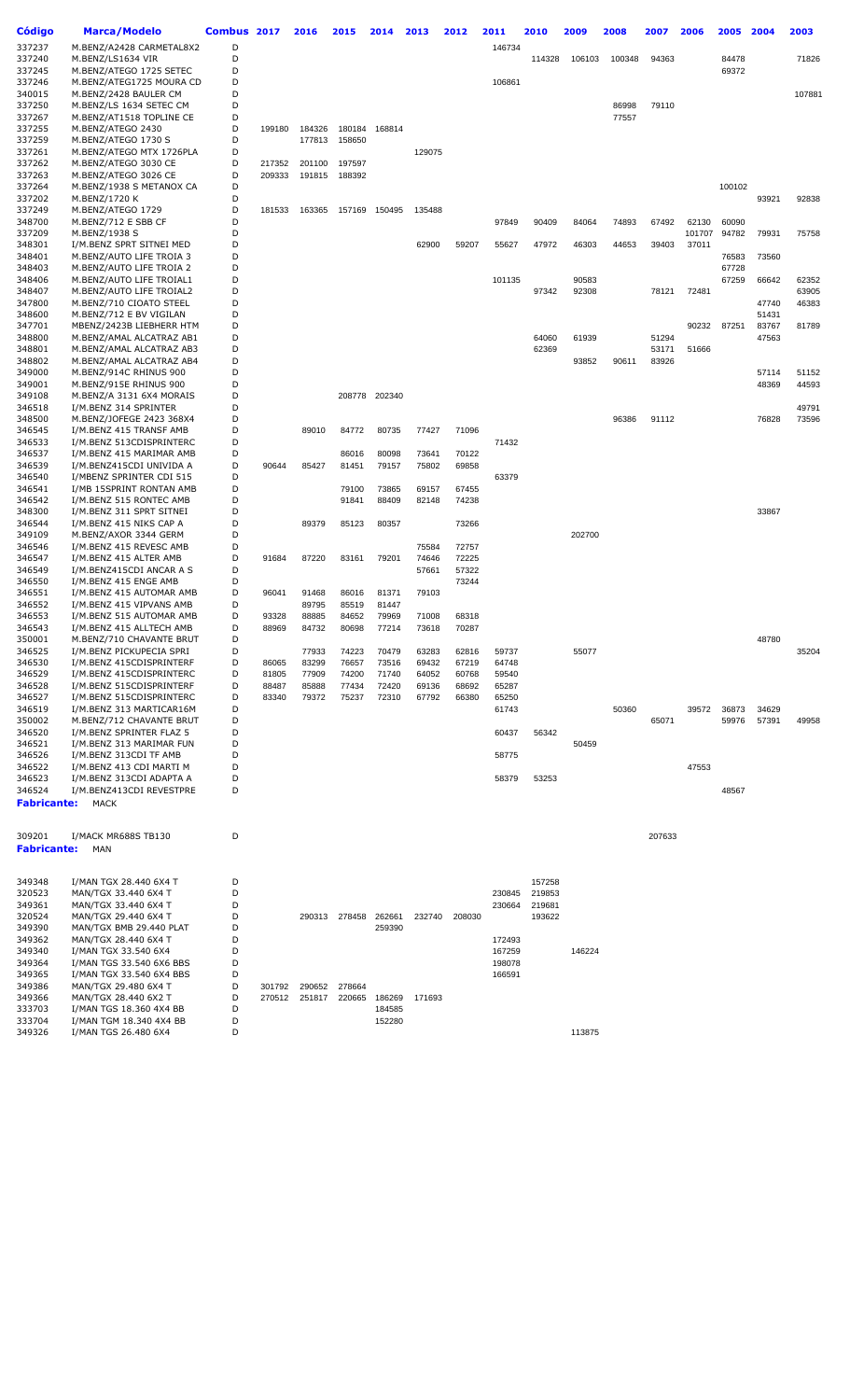| Código             | <b>Marca/Modelo</b>                                  | Combus 2017 |                | 2016           | 2015           | 2014           | 2013           | 2012           | 2011   | 2010             | 2009   | 2008   | 2007   | 2006   | 2005   | 2004           | 2003   |
|--------------------|------------------------------------------------------|-------------|----------------|----------------|----------------|----------------|----------------|----------------|--------|------------------|--------|--------|--------|--------|--------|----------------|--------|
| 337237             | M.BENZ/A2428 CARMETAL8X2                             | D           |                |                |                |                |                |                | 146734 |                  |        |        |        |        |        |                |        |
| 337240             | M.BENZ/LS1634 VIR                                    | D           |                |                |                |                |                |                |        | 114328           | 106103 | 100348 | 94363  |        | 84478  |                | 71826  |
| 337245             | M.BENZ/ATEGO 1725 SETEC                              | D           |                |                |                |                |                |                |        |                  |        |        |        |        | 69372  |                |        |
| 337246             | M.BENZ/ATEG1725 MOURA CD                             | D           |                |                |                |                |                |                | 106861 |                  |        |        |        |        |        |                |        |
| 340015             | M.BENZ/2428 BAULER CM                                | D           |                |                |                |                |                |                |        |                  |        |        |        |        |        |                | 107881 |
| 337250             | M.BENZ/LS 1634 SETEC CM                              | D           |                |                |                |                |                |                |        |                  |        | 86998  | 79110  |        |        |                |        |
| 337267             | M.BENZ/AT1518 TOPLINE CE                             | D           |                |                |                |                |                |                |        |                  |        | 77557  |        |        |        |                |        |
| 337255             | M.BENZ/ATEGO 2430                                    | D           | 199180         | 184326         | 180184         | 168814         |                |                |        |                  |        |        |        |        |        |                |        |
| 337259             | M.BENZ/ATEGO 1730 S                                  | D           |                | 177813         | 158650         |                |                |                |        |                  |        |        |        |        |        |                |        |
| 337261             | M.BENZ/ATEGO MTX 1726PLA                             | D           |                |                |                |                | 129075         |                |        |                  |        |        |        |        |        |                |        |
| 337262             | M.BENZ/ATEGO 3030 CE                                 | D           | 217352         | 201100         | 197597         |                |                |                |        |                  |        |        |        |        |        |                |        |
| 337263<br>337264   | M.BENZ/ATEGO 3026 CE<br>M.BENZ/1938 S METANOX CA     | D<br>D      | 209333         | 191815         | 188392         |                |                |                |        |                  |        |        |        |        | 100102 |                |        |
| 337202             | M.BENZ/1720 K                                        | D           |                |                |                |                |                |                |        |                  |        |        |        |        |        | 93921          | 92838  |
| 337249             | M.BENZ/ATEGO 1729                                    | D           | 181533         | 163365         |                | 157169 150495  | 135488         |                |        |                  |        |        |        |        |        |                |        |
| 348700             | M.BENZ/712 E SBB CF                                  | D           |                |                |                |                |                |                | 97849  | 90409            | 84064  | 74893  | 67492  | 62130  | 60090  |                |        |
| 337209             | M.BENZ/1938 S                                        | D           |                |                |                |                |                |                |        |                  |        |        |        | 101707 | 94782  | 79931          | 75758  |
| 348301             | I/M.BENZ SPRT SITNEI MED                             | D           |                |                |                |                | 62900          | 59207          | 55627  | 47972            | 46303  | 44653  | 39403  | 37011  |        |                |        |
| 348401             | M.BENZ/AUTO LIFE TROIA 3                             | D           |                |                |                |                |                |                |        |                  |        |        |        |        | 76583  | 73560          |        |
| 348403             | M.BENZ/AUTO LIFE TROIA 2                             | D           |                |                |                |                |                |                |        |                  |        |        |        |        | 67728  |                |        |
| 348406             | M.BENZ/AUTO LIFE TROIAL1                             | D           |                |                |                |                |                |                | 101135 |                  | 90583  |        |        |        | 67259  | 66642          | 62352  |
| 348407             | M.BENZ/AUTO LIFE TROIAL2                             | D           |                |                |                |                |                |                |        | 97342            | 92308  |        | 78121  | 72481  |        |                | 63905  |
| 347800             | M.BENZ/710 CIOATO STEEL                              | D           |                |                |                |                |                |                |        |                  |        |        |        |        |        | 47740          | 46383  |
| 348600<br>347701   | M.BENZ/712 E BV VIGILAN<br>MBENZ/2423B LIEBHERR HTM  | D<br>D      |                |                |                |                |                |                |        |                  |        |        |        | 90232  | 87251  | 51431<br>83767 | 81789  |
| 348800             | M.BENZ/AMAL ALCATRAZ AB1                             | D           |                |                |                |                |                |                |        | 64060            | 61939  |        | 51294  |        |        | 47563          |        |
| 348801             | M.BENZ/AMAL ALCATRAZ AB3                             | D           |                |                |                |                |                |                |        | 62369            |        |        | 53171  | 51666  |        |                |        |
| 348802             | M.BENZ/AMAL ALCATRAZ AB4                             | D           |                |                |                |                |                |                |        |                  | 93852  | 90611  | 83926  |        |        |                |        |
| 349000             | M.BENZ/914C RHINUS 900                               | D           |                |                |                |                |                |                |        |                  |        |        |        |        |        | 57114          | 51152  |
| 349001             | M.BENZ/915E RHINUS 900                               | D           |                |                |                |                |                |                |        |                  |        |        |        |        |        | 48369          | 44593  |
| 349108             | M.BENZ/A 3131 6X4 MORAIS                             | D           |                |                | 208778         | 202340         |                |                |        |                  |        |        |        |        |        |                |        |
| 346518             | I/M.BENZ 314 SPRINTER                                | D           |                |                |                |                |                |                |        |                  |        |        |        |        |        |                | 49791  |
| 348500             | M.BENZ/JOFEGE 2423 368X4                             | D           |                |                |                |                |                |                |        |                  |        | 96386  | 91112  |        |        | 76828          | 73596  |
| 346545             | I/M.BENZ 415 TRANSF AMB                              | D           |                | 89010          | 84772          | 80735          | 77427          | 71096          |        |                  |        |        |        |        |        |                |        |
| 346533             | I/M.BENZ 513CDISPRINTERC                             | D           |                |                |                |                |                |                | 71432  |                  |        |        |        |        |        |                |        |
| 346537             | I/M.BENZ 415 MARIMAR AMB                             | D           |                |                | 86016          | 80098          | 73641          | 70122          |        |                  |        |        |        |        |        |                |        |
| 346539             | I/M.BENZ415CDI UNIVIDA A                             | D           | 90644          | 85427          | 81451          | 79157          | 75802          | 69858          |        |                  |        |        |        |        |        |                |        |
| 346540<br>346541   | I/MBENZ SPRINTER CDI 515<br>I/MB 15SPRINT RONTAN AMB | D<br>D      |                |                | 79100          | 73865          | 69157          | 67455          | 63379  |                  |        |        |        |        |        |                |        |
| 346542             | I/M.BENZ 515 RONTEC AMB                              | D           |                |                | 91841          | 88409          | 82148          | 74238          |        |                  |        |        |        |        |        |                |        |
| 348300             | I/M.BENZ 311 SPRT SITNEI                             | D           |                |                |                |                |                |                |        |                  |        |        |        |        |        | 33867          |        |
| 346544             | I/M.BENZ 415 NIKS CAP A                              | D           |                | 89379          | 85123          | 80357          |                | 73266          |        |                  |        |        |        |        |        |                |        |
| 349109             | M.BENZ/AXOR 3344 GERM                                | D           |                |                |                |                |                |                |        |                  | 202700 |        |        |        |        |                |        |
| 346546             | I/M.BENZ 415 REVESC AMB                              | D           |                |                |                |                | 75584          | 72757          |        |                  |        |        |        |        |        |                |        |
| 346547             | I/M.BENZ 415 ALTER AMB                               | D           | 91684          | 87220          | 83161          | 79201          | 74646          | 72225          |        |                  |        |        |        |        |        |                |        |
| 346549             | I/M.BENZ415CDI ANCAR A S                             | D           |                |                |                |                | 57661          | 57322          |        |                  |        |        |        |        |        |                |        |
| 346550             | I/M.BENZ 415 ENGE AMB                                | D           |                |                |                |                |                | 73244          |        |                  |        |        |        |        |        |                |        |
| 346551             | I/M.BENZ 415 AUTOMAR AMB                             | D           | 96041          | 91468          | 86016          | 81371          | 79103          |                |        |                  |        |        |        |        |        |                |        |
| 346552             | I/M.BENZ 415 VIPVANS AMB                             | D           |                | 89795          | 85519          | 81447          |                |                |        |                  |        |        |        |        |        |                |        |
| 346553<br>346543   | I/M.BENZ 515 AUTOMAR AMB<br>I/M.BENZ 415 ALLTECH AMB | D<br>D      | 93328<br>88969 | 88885<br>84732 | 84652<br>80698 | 79969<br>77214 | 71008<br>73618 | 68318<br>70287 |        |                  |        |        |        |        |        |                |        |
| 350001             | M.BENZ/710 CHAVANTE BRUT                             | D           |                |                |                |                |                |                |        |                  |        |        |        |        |        | 48780          |        |
| 346525             | I/M.BENZ PICKUPECIA SPRI                             | D           |                | 77933          | 74223          | 70479          | 63283          | 62816          | 59737  |                  | 55077  |        |        |        |        |                | 35204  |
| 346530             | I/M.BENZ 415CDISPRINTERF                             | D           | 86065          | 83299          | 76657          | 73516          | 69432          | 67219          | 64748  |                  |        |        |        |        |        |                |        |
| 346529             | I/M.BENZ 415CDISPRINTERC                             | D           | 81805          | 77909          | 74200          | 71740          | 64052          | 60768          | 59540  |                  |        |        |        |        |        |                |        |
| 346528             | I/M.BENZ 515CDISPRINTERF                             | D           | 88487          | 85888          | 77434          | 72420          | 69136          | 68692          | 65287  |                  |        |        |        |        |        |                |        |
| 346527             | I/M.BENZ 515CDISPRINTERC                             | D           | 83340          | 79372          | 75237          | 72310          | 67792          | 66380          | 65250  |                  |        |        |        |        |        |                |        |
| 346519             | I/M.BENZ 313 MARTICAR16M                             | D           |                |                |                |                |                |                | 61743  |                  |        | 50360  |        | 39572  | 36873  | 34629          |        |
| 350002             | M.BENZ/712 CHAVANTE BRUT                             | D           |                |                |                |                |                |                |        |                  |        |        | 65071  |        | 59976  | 57391          | 49958  |
| 346520             | I/M.BENZ SPRINTER FLAZ 5<br>I/M.BENZ 313 MARIMAR FUN | D<br>D      |                |                |                |                |                |                | 60437  | 56342            |        |        |        |        |        |                |        |
| 346521<br>346526   | I/M.BENZ 313CDI TF AMB                               | D           |                |                |                |                |                |                | 58775  |                  | 50459  |        |        |        |        |                |        |
| 346522             | I/M.BENZ 413 CDI MARTI M                             | D           |                |                |                |                |                |                |        |                  |        |        |        | 47553  |        |                |        |
| 346523             | I/M.BENZ 313CDI ADAPTA A                             | D           |                |                |                |                |                |                | 58379  | 53253            |        |        |        |        |        |                |        |
| 346524             | I/M.BENZ413CDI REVESTPRE                             | D           |                |                |                |                |                |                |        |                  |        |        |        |        | 48567  |                |        |
| <b>Fabricante:</b> | <b>MACK</b>                                          |             |                |                |                |                |                |                |        |                  |        |        |        |        |        |                |        |
|                    |                                                      |             |                |                |                |                |                |                |        |                  |        |        |        |        |        |                |        |
| 309201             | I/MACK MR688S TB130                                  | D           |                |                |                |                |                |                |        |                  |        |        | 207633 |        |        |                |        |
| <b>Fabricante:</b> | MAN                                                  |             |                |                |                |                |                |                |        |                  |        |        |        |        |        |                |        |
|                    |                                                      |             |                |                |                |                |                |                |        |                  |        |        |        |        |        |                |        |
| 349348             | I/MAN TGX 28.440 6X4 T                               | D           |                |                |                |                |                |                |        | 157258           |        |        |        |        |        |                |        |
| 320523             | MAN/TGX 33.440 6X4 T                                 | D<br>D      |                |                |                |                |                |                | 230845 | 219853           |        |        |        |        |        |                |        |
| 349361<br>320524   | MAN/TGX 33.440 6X4 T<br>MAN/TGX 29.440 6X4 T         | D           |                | 290313         | 278458         | 262661         | 232740         | 208030         | 230664 | 219681<br>193622 |        |        |        |        |        |                |        |
| 349390             | MAN/TGX BMB 29.440 PLAT                              | D           |                |                |                | 259390         |                |                |        |                  |        |        |        |        |        |                |        |
| 349362             | MAN/TGX 28.440 6X4 T                                 | D           |                |                |                |                |                |                | 172493 |                  |        |        |        |        |        |                |        |
| 349340             | I/MAN TGX 33.540 6X4                                 | D           |                |                |                |                |                |                | 167259 |                  | 146224 |        |        |        |        |                |        |
| 349364             | I/MAN TGS 33.540 6X6 BBS                             | D           |                |                |                |                |                |                | 198078 |                  |        |        |        |        |        |                |        |
| 349365             | I/MAN TGX 33.540 6X4 BBS                             | D           |                |                |                |                |                |                | 166591 |                  |        |        |        |        |        |                |        |
| 349386             | MAN/TGX 29.480 6X4 T                                 | D           | 301792         | 290652         | 278664         |                |                |                |        |                  |        |        |        |        |        |                |        |
| 349366             | MAN/TGX 28.440 6X2 T                                 | D           | 270512         | 251817         | 220665         | 186269         | 171693         |                |        |                  |        |        |        |        |        |                |        |
| 333703             | I/MAN TGS 18.360 4X4 BB                              | D           |                |                |                | 184585         |                |                |        |                  |        |        |        |        |        |                |        |
| 333704             | I/MAN TGM 18.340 4X4 BB                              | D<br>D      |                |                |                | 152280         |                |                |        |                  |        |        |        |        |        |                |        |
| 349326             | I/MAN TGS 26.480 6X4                                 |             |                |                |                |                |                |                |        |                  | 113875 |        |        |        |        |                |        |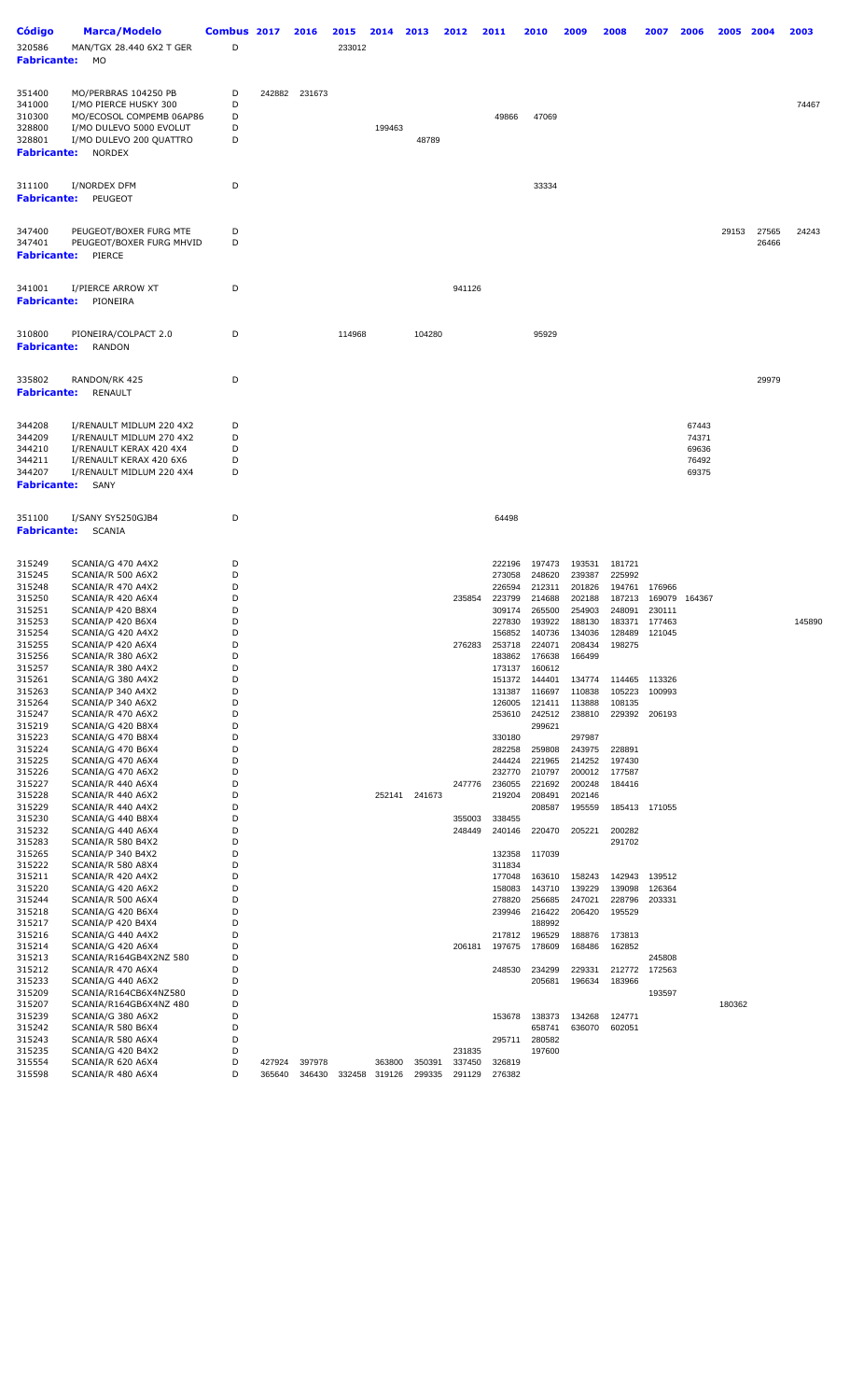| <b>Código</b><br>320586<br><b>Fabricante:</b>                                                                                                                                                                                                                                                                                | Marca/Modelo<br>MAN/TGX 28.440 6X2 T GER<br>МO                                                                                                                                                                                                                                                                                                                                                                                                                                                                                                                                                                                                                                               | Combus 2017<br>D                                                                                                                                             |                  | 2016             | 2015<br>233012 | 2014             | 2013             | 2012                                           | 2011                                                                                                                                                                                                                                                                                 | 2010                                                                                                                                                                                                                                                                                 | 2009                                                                                                                                                                                                                                                   | 2008                                                                                                                                                                                                                               | 2007                                                                                                       | 2006                                      | 2005   | 2004           | 2003   |
|------------------------------------------------------------------------------------------------------------------------------------------------------------------------------------------------------------------------------------------------------------------------------------------------------------------------------|----------------------------------------------------------------------------------------------------------------------------------------------------------------------------------------------------------------------------------------------------------------------------------------------------------------------------------------------------------------------------------------------------------------------------------------------------------------------------------------------------------------------------------------------------------------------------------------------------------------------------------------------------------------------------------------------|--------------------------------------------------------------------------------------------------------------------------------------------------------------|------------------|------------------|----------------|------------------|------------------|------------------------------------------------|--------------------------------------------------------------------------------------------------------------------------------------------------------------------------------------------------------------------------------------------------------------------------------------|--------------------------------------------------------------------------------------------------------------------------------------------------------------------------------------------------------------------------------------------------------------------------------------|--------------------------------------------------------------------------------------------------------------------------------------------------------------------------------------------------------------------------------------------------------|------------------------------------------------------------------------------------------------------------------------------------------------------------------------------------------------------------------------------------|------------------------------------------------------------------------------------------------------------|-------------------------------------------|--------|----------------|--------|
| 351400<br>341000<br>310300<br>328800<br>328801<br><b>Fabricante:</b>                                                                                                                                                                                                                                                         | MO/PERBRAS 104250 PB<br>I/MO PIERCE HUSKY 300<br>MO/ECOSOL COMPEMB 06AP86<br>I/MO DULEVO 5000 EVOLUT<br>I/MO DULEVO 200 QUATTRO<br><b>NORDEX</b>                                                                                                                                                                                                                                                                                                                                                                                                                                                                                                                                             | D<br>D<br>D<br>D<br>D                                                                                                                                        | 242882           | 231673           |                | 199463           | 48789            |                                                | 49866                                                                                                                                                                                                                                                                                | 47069                                                                                                                                                                                                                                                                                |                                                                                                                                                                                                                                                        |                                                                                                                                                                                                                                    |                                                                                                            |                                           |        |                | 74467  |
| 311100<br><b>Fabricante:</b>                                                                                                                                                                                                                                                                                                 | I/NORDEX DFM<br>PEUGEOT                                                                                                                                                                                                                                                                                                                                                                                                                                                                                                                                                                                                                                                                      | D                                                                                                                                                            |                  |                  |                |                  |                  |                                                |                                                                                                                                                                                                                                                                                      | 33334                                                                                                                                                                                                                                                                                |                                                                                                                                                                                                                                                        |                                                                                                                                                                                                                                    |                                                                                                            |                                           |        |                |        |
| 347400<br>347401<br><b>Fabricante:</b>                                                                                                                                                                                                                                                                                       | PEUGEOT/BOXER FURG MTE<br>PEUGEOT/BOXER FURG MHVID<br>PIERCE                                                                                                                                                                                                                                                                                                                                                                                                                                                                                                                                                                                                                                 | D<br>D                                                                                                                                                       |                  |                  |                |                  |                  |                                                |                                                                                                                                                                                                                                                                                      |                                                                                                                                                                                                                                                                                      |                                                                                                                                                                                                                                                        |                                                                                                                                                                                                                                    |                                                                                                            |                                           | 29153  | 27565<br>26466 | 24243  |
| 341001<br><b>Fabricante:</b>                                                                                                                                                                                                                                                                                                 | I/PIERCE ARROW XT<br>PIONEIRA                                                                                                                                                                                                                                                                                                                                                                                                                                                                                                                                                                                                                                                                | D                                                                                                                                                            |                  |                  |                |                  |                  | 941126                                         |                                                                                                                                                                                                                                                                                      |                                                                                                                                                                                                                                                                                      |                                                                                                                                                                                                                                                        |                                                                                                                                                                                                                                    |                                                                                                            |                                           |        |                |        |
| 310800<br><b>Fabricante:</b>                                                                                                                                                                                                                                                                                                 | PIONEIRA/COLPACT 2.0<br><b>RANDON</b>                                                                                                                                                                                                                                                                                                                                                                                                                                                                                                                                                                                                                                                        | D                                                                                                                                                            |                  |                  | 114968         |                  | 104280           |                                                |                                                                                                                                                                                                                                                                                      | 95929                                                                                                                                                                                                                                                                                |                                                                                                                                                                                                                                                        |                                                                                                                                                                                                                                    |                                                                                                            |                                           |        |                |        |
| 335802<br><b>Fabricante:</b>                                                                                                                                                                                                                                                                                                 | RANDON/RK 425<br><b>RENAULT</b>                                                                                                                                                                                                                                                                                                                                                                                                                                                                                                                                                                                                                                                              | D                                                                                                                                                            |                  |                  |                |                  |                  |                                                |                                                                                                                                                                                                                                                                                      |                                                                                                                                                                                                                                                                                      |                                                                                                                                                                                                                                                        |                                                                                                                                                                                                                                    |                                                                                                            |                                           |        | 29979          |        |
| 344208<br>344209<br>344210<br>344211<br>344207<br><b>Fabricante:</b>                                                                                                                                                                                                                                                         | I/RENAULT MIDLUM 220 4X2<br>I/RENAULT MIDLUM 270 4X2<br>I/RENAULT KERAX 420 4X4<br>I/RENAULT KERAX 420 6X6<br>I/RENAULT MIDLUM 220 4X4<br>SANY                                                                                                                                                                                                                                                                                                                                                                                                                                                                                                                                               | D<br>D<br>D<br>D<br>D                                                                                                                                        |                  |                  |                |                  |                  |                                                |                                                                                                                                                                                                                                                                                      |                                                                                                                                                                                                                                                                                      |                                                                                                                                                                                                                                                        |                                                                                                                                                                                                                                    |                                                                                                            | 67443<br>74371<br>69636<br>76492<br>69375 |        |                |        |
| 351100<br><b>Fabricante:</b>                                                                                                                                                                                                                                                                                                 | I/SANY SY5250GJB4<br>SCANIA                                                                                                                                                                                                                                                                                                                                                                                                                                                                                                                                                                                                                                                                  | D                                                                                                                                                            |                  |                  |                |                  |                  |                                                | 64498                                                                                                                                                                                                                                                                                |                                                                                                                                                                                                                                                                                      |                                                                                                                                                                                                                                                        |                                                                                                                                                                                                                                    |                                                                                                            |                                           |        |                |        |
| 315249<br>315245<br>315248<br>315250<br>315251<br>315253<br>315254<br>315255<br>315256<br>315257<br>315261<br>315263<br>315264<br>315247<br>315219<br>315223<br>315224<br>315225<br>315226<br>315227<br>315228<br>315229<br>315230<br>315232<br>315283<br>315265<br>315222<br>315211<br>315220<br>315244<br>315218<br>315217 | SCANIA/G 470 A4X2<br>SCANIA/R 500 A6X2<br>SCANIA/R 470 A4X2<br>SCANIA/R 420 A6X4<br>SCANIA/P 420 B8X4<br>SCANIA/P 420 B6X4<br>SCANIA/G 420 A4X2<br>SCANIA/P 420 A6X4<br>SCANIA/R 380 A6X2<br>SCANIA/R 380 A4X2<br>SCANIA/G 380 A4X2<br>SCANIA/P 340 A4X2<br>SCANIA/P 340 A6X2<br>SCANIA/R 470 A6X2<br>SCANIA/G 420 B8X4<br>SCANIA/G 470 B8X4<br>SCANIA/G 470 B6X4<br>SCANIA/G 470 A6X4<br>SCANIA/G 470 A6X2<br>SCANIA/R 440 A6X4<br>SCANIA/R 440 A6X2<br>SCANIA/R 440 A4X2<br>SCANIA/G 440 B8X4<br>SCANIA/G 440 A6X4<br>SCANIA/R 580 B4X2<br>SCANIA/P 340 B4X2<br>SCANIA/R 580 A8X4<br>SCANIA/R 420 A4X2<br>SCANIA/G 420 A6X2<br>SCANIA/R 500 A6X4<br>SCANIA/G 420 B6X4<br>SCANIA/P 420 B4X4 | D<br>D<br>D<br>D<br>D<br>D<br>D<br>D<br>D<br>D<br>D<br>D<br>D<br>D<br>D<br>D<br>D<br>D<br>D<br>D<br>D<br>D<br>D<br>D<br>D<br>D<br>D<br>D<br>D<br>D<br>D<br>D |                  |                  |                | 252141           | 241673           | 235854<br>276283<br>247776<br>355003<br>248449 | 222196<br>273058<br>226594<br>223799<br>309174<br>227830<br>156852<br>253718<br>183862<br>173137<br>151372<br>131387<br>126005<br>253610<br>330180<br>282258<br>244424<br>232770<br>236055<br>219204<br>338455<br>240146<br>132358<br>311834<br>177048<br>158083<br>278820<br>239946 | 197473<br>248620<br>212311<br>214688<br>265500<br>193922<br>140736<br>224071<br>176638<br>160612<br>144401<br>116697<br>121411<br>242512<br>299621<br>259808<br>221965<br>210797<br>221692<br>208491<br>208587<br>220470<br>117039<br>163610<br>143710<br>256685<br>216422<br>188992 | 193531<br>239387<br>201826<br>202188<br>254903<br>188130<br>134036<br>208434<br>166499<br>134774<br>110838<br>113888<br>238810<br>297987<br>243975<br>214252<br>200012<br>200248<br>202146<br>195559<br>205221<br>158243<br>139229<br>247021<br>206420 | 181721<br>225992<br>194761<br>187213<br>248091<br>183371<br>128489<br>198275<br>114465<br>105223<br>108135<br>229392<br>228891<br>197430<br>177587<br>184416<br>185413<br>200282<br>291702<br>142943<br>139098<br>228796<br>195529 | 176966<br>230111<br>177463<br>121045<br>113326<br>100993<br>206193<br>171055<br>139512<br>126364<br>203331 | 169079 164367                             |        |                | 145890 |
| 315216<br>315214<br>315213<br>315212<br>315233<br>315209<br>315207<br>315239<br>315242<br>315243<br>315235<br>315554<br>315598                                                                                                                                                                                               | SCANIA/G 440 A4X2<br>SCANIA/G 420 A6X4<br>SCANIA/R164GB4X2NZ 580<br>SCANIA/R 470 A6X4<br>SCANIA/G 440 A6X2<br>SCANIA/R164CB6X4NZ580<br>SCANIA/R164GB6X4NZ 480<br>SCANIA/G 380 A6X2<br>SCANIA/R 580 B6X4<br>SCANIA/R 580 A6X4<br>SCANIA/G 420 B4X2<br>SCANIA/R 620 A6X4<br>SCANIA/R 480 A6X4                                                                                                                                                                                                                                                                                                                                                                                                  | D<br>D<br>D<br>D<br>D<br>D<br>D<br>D<br>D<br>D<br>D<br>D<br>D                                                                                                | 427924<br>365640 | 397978<br>346430 | 332458         | 363800<br>319126 | 350391<br>299335 | 206181<br>231835<br>337450<br>291129           | 217812<br>197675<br>248530<br>153678<br>295711<br>326819<br>276382                                                                                                                                                                                                                   | 196529<br>178609<br>234299<br>205681<br>138373<br>658741<br>280582<br>197600                                                                                                                                                                                                         | 188876<br>168486<br>229331<br>196634<br>134268<br>636070                                                                                                                                                                                               | 173813<br>162852<br>212772<br>183966<br>124771<br>602051                                                                                                                                                                           | 245808<br>172563<br>193597                                                                                 |                                           | 180362 |                |        |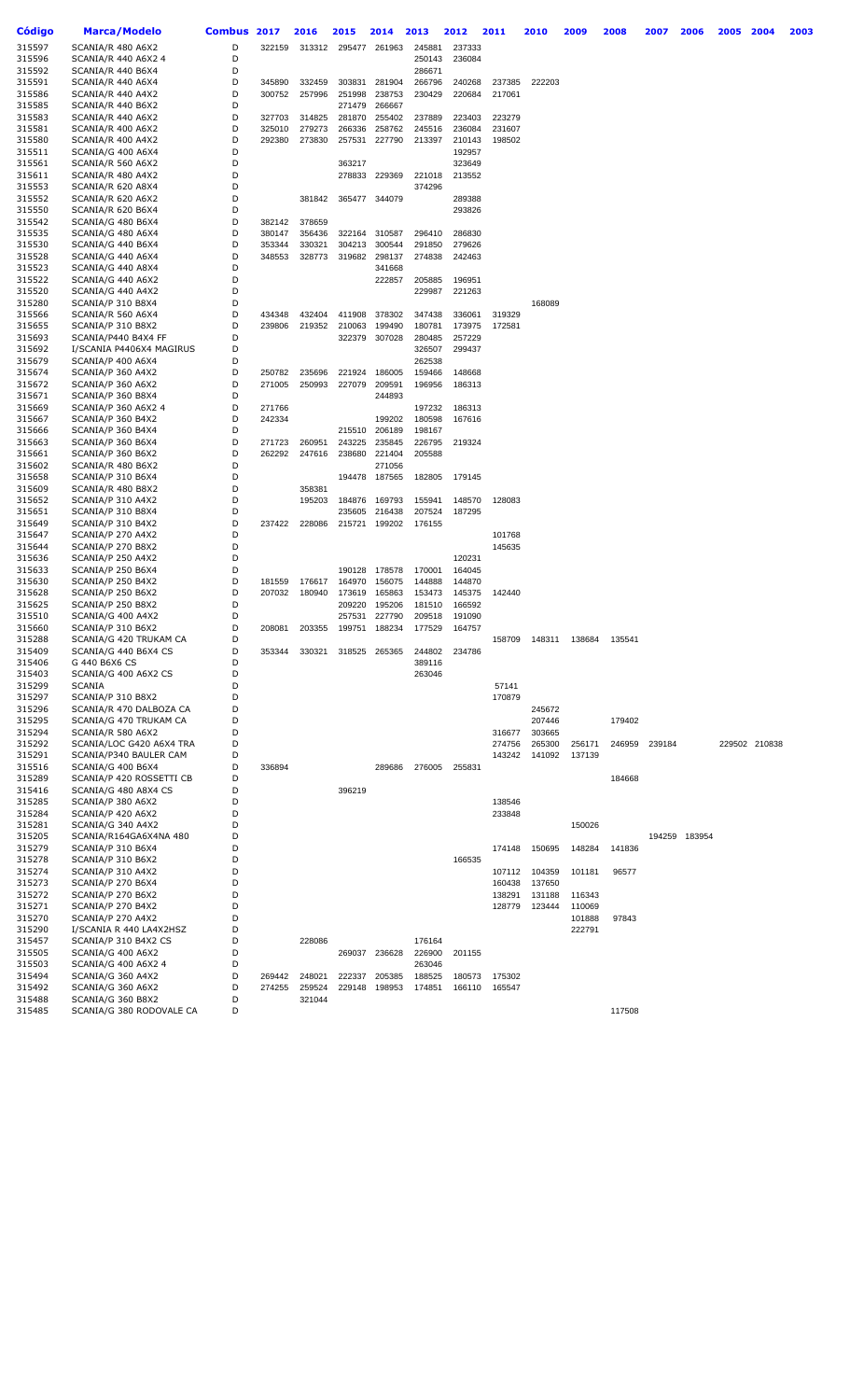| <b>Código</b>    | <b>Marca/Modelo</b>                               | <b>Combus</b> | 2017             | 2016             | 2015             | 2014             | 2013             | 2012             | 2011             | 2010             | 2009             | 2008   | 2007   | 2006          | 2005 | 2004          | 2003 |
|------------------|---------------------------------------------------|---------------|------------------|------------------|------------------|------------------|------------------|------------------|------------------|------------------|------------------|--------|--------|---------------|------|---------------|------|
| 315597           | SCANIA/R 480 A6X2                                 | D             | 322159           | 313312           | 295477           | 261963           | 245881           | 237333           |                  |                  |                  |        |        |               |      |               |      |
| 315596           | SCANIA/R 440 A6X2 4                               | D             |                  |                  |                  |                  | 250143           | 236084           |                  |                  |                  |        |        |               |      |               |      |
| 315592           | SCANIA/R 440 B6X4                                 | D             |                  |                  |                  |                  | 286671           |                  |                  |                  |                  |        |        |               |      |               |      |
| 315591           | SCANIA/R 440 A6X4                                 | D             | 345890           | 332459           | 303831           | 281904           | 266796           | 240268           | 237385           | 222203           |                  |        |        |               |      |               |      |
| 315586           | SCANIA/R 440 A4X2                                 | D             | 300752           | 257996           | 251998           | 238753           | 230429           | 220684           | 217061           |                  |                  |        |        |               |      |               |      |
| 315585<br>315583 | SCANIA/R 440 B6X2                                 | D<br>D        |                  |                  | 271479           | 266667           |                  |                  |                  |                  |                  |        |        |               |      |               |      |
| 315581           | SCANIA/R 440 A6X2<br>SCANIA/R 400 A6X2            | D             | 327703<br>325010 | 314825<br>279273 | 281870<br>266336 | 255402<br>258762 | 237889<br>245516 | 223403<br>236084 | 223279<br>231607 |                  |                  |        |        |               |      |               |      |
| 315580           | SCANIA/R 400 A4X2                                 | D             | 292380           | 273830           | 257531           | 227790           | 213397           | 210143           | 198502           |                  |                  |        |        |               |      |               |      |
| 315511           | SCANIA/G 400 A6X4                                 | D             |                  |                  |                  |                  |                  | 192957           |                  |                  |                  |        |        |               |      |               |      |
| 315561           | SCANIA/R 560 A6X2                                 | D             |                  |                  | 363217           |                  |                  | 323649           |                  |                  |                  |        |        |               |      |               |      |
| 315611           | SCANIA/R 480 A4X2                                 | D             |                  |                  | 278833           | 229369           | 221018           | 213552           |                  |                  |                  |        |        |               |      |               |      |
| 315553           | SCANIA/R 620 A8X4                                 | D             |                  |                  |                  |                  | 374296           |                  |                  |                  |                  |        |        |               |      |               |      |
| 315552           | SCANIA/R 620 A6X2                                 | D             |                  | 381842           | 365477           | 344079           |                  | 289388           |                  |                  |                  |        |        |               |      |               |      |
| 315550<br>315542 | SCANIA/R 620 B6X4<br>SCANIA/G 480 B6X4            | D<br>D        | 382142           | 378659           |                  |                  |                  | 293826           |                  |                  |                  |        |        |               |      |               |      |
| 315535           | SCANIA/G 480 A6X4                                 | D             | 380147           | 356436           | 322164           | 310587           | 296410           | 286830           |                  |                  |                  |        |        |               |      |               |      |
| 315530           | SCANIA/G 440 B6X4                                 | D             | 353344           | 330321           | 304213           | 300544           | 291850           | 279626           |                  |                  |                  |        |        |               |      |               |      |
| 315528           | SCANIA/G 440 A6X4                                 | D             | 348553           | 328773           | 319682           | 298137           | 274838           | 242463           |                  |                  |                  |        |        |               |      |               |      |
| 315523           | SCANIA/G 440 A8X4                                 | D             |                  |                  |                  | 341668           |                  |                  |                  |                  |                  |        |        |               |      |               |      |
| 315522           | SCANIA/G 440 A6X2                                 | D             |                  |                  |                  | 222857           | 205885           | 196951           |                  |                  |                  |        |        |               |      |               |      |
| 315520           | SCANIA/G 440 A4X2                                 | D             |                  |                  |                  |                  | 229987           | 221263           |                  |                  |                  |        |        |               |      |               |      |
| 315280           | SCANIA/P 310 B8X4                                 | D<br>D        |                  |                  |                  |                  |                  |                  |                  | 168089           |                  |        |        |               |      |               |      |
| 315566<br>315655 | SCANIA/R 560 A6X4<br>SCANIA/P 310 B8X2            | D             | 434348<br>239806 | 432404<br>219352 | 411908<br>210063 | 378302<br>199490 | 347438<br>180781 | 336061<br>173975 | 319329<br>172581 |                  |                  |        |        |               |      |               |      |
| 315693           | SCANIA/P440 B4X4 FF                               | D             |                  |                  | 322379           | 307028           | 280485           | 257229           |                  |                  |                  |        |        |               |      |               |      |
| 315692           | I/SCANIA P4406X4 MAGIRUS                          | D             |                  |                  |                  |                  | 326507           | 299437           |                  |                  |                  |        |        |               |      |               |      |
| 315679           | SCANIA/P 400 A6X4                                 | D             |                  |                  |                  |                  | 262538           |                  |                  |                  |                  |        |        |               |      |               |      |
| 315674           | SCANIA/P 360 A4X2                                 | D             | 250782           | 235696           | 221924           | 186005           | 159466           | 148668           |                  |                  |                  |        |        |               |      |               |      |
| 315672           | SCANIA/P 360 A6X2                                 | D             | 271005           | 250993           | 227079           | 209591           | 196956           | 186313           |                  |                  |                  |        |        |               |      |               |      |
| 315671           | SCANIA/P 360 B8X4                                 | D             |                  |                  |                  | 244893           |                  |                  |                  |                  |                  |        |        |               |      |               |      |
| 315669           | SCANIA/P 360 A6X2 4                               | D             | 271766           |                  |                  |                  | 197232           | 186313           |                  |                  |                  |        |        |               |      |               |      |
| 315667<br>315666 | SCANIA/P 360 B4X2<br>SCANIA/P 360 B4X4            | D<br>D        | 242334           |                  | 215510           | 199202<br>206189 | 180598<br>198167 | 167616           |                  |                  |                  |        |        |               |      |               |      |
| 315663           | SCANIA/P 360 B6X4                                 | D             | 271723           | 260951           | 243225           | 235845           | 226795           | 219324           |                  |                  |                  |        |        |               |      |               |      |
| 315661           | SCANIA/P 360 B6X2                                 | D             | 262292           | 247616           | 238680           | 221404           | 205588           |                  |                  |                  |                  |        |        |               |      |               |      |
| 315602           | SCANIA/R 480 B6X2                                 | D             |                  |                  |                  | 271056           |                  |                  |                  |                  |                  |        |        |               |      |               |      |
| 315658           | SCANIA/P 310 B6X4                                 | D             |                  |                  | 194478           | 187565           | 182805           | 179145           |                  |                  |                  |        |        |               |      |               |      |
| 315609           | SCANIA/R 480 B8X2                                 | D             |                  | 358381           |                  |                  |                  |                  |                  |                  |                  |        |        |               |      |               |      |
| 315652           | SCANIA/P 310 A4X2                                 | D             |                  | 195203           | 184876           | 169793           | 155941           | 148570           | 128083           |                  |                  |        |        |               |      |               |      |
| 315651<br>315649 | SCANIA/P 310 B8X4<br>SCANIA/P 310 B4X2            | D<br>D        | 237422           | 228086           | 235605<br>215721 | 216438<br>199202 | 207524<br>176155 | 187295           |                  |                  |                  |        |        |               |      |               |      |
| 315647           | SCANIA/P 270 A4X2                                 | D             |                  |                  |                  |                  |                  |                  | 101768           |                  |                  |        |        |               |      |               |      |
| 315644           | SCANIA/P 270 B8X2                                 | D             |                  |                  |                  |                  |                  |                  | 145635           |                  |                  |        |        |               |      |               |      |
| 315636           | SCANIA/P 250 A4X2                                 | D             |                  |                  |                  |                  |                  | 120231           |                  |                  |                  |        |        |               |      |               |      |
| 315633           | SCANIA/P 250 B6X4                                 | D             |                  |                  | 190128           | 178578           | 170001           | 164045           |                  |                  |                  |        |        |               |      |               |      |
| 315630           | SCANIA/P 250 B4X2                                 | D             | 181559           | 176617           | 164970           | 156075           | 144888           | 144870           |                  |                  |                  |        |        |               |      |               |      |
| 315628           | SCANIA/P 250 B6X2                                 | D             | 207032           | 180940           | 173619           | 165863           | 153473           | 145375           | 142440           |                  |                  |        |        |               |      |               |      |
| 315625           | SCANIA/P 250 B8X2                                 | D<br>D        |                  |                  | 209220           | 195206           | 181510           | 166592           |                  |                  |                  |        |        |               |      |               |      |
| 315510<br>315660 | SCANIA/G 400 A4X2<br>SCANIA/P 310 B6X2            | D             | 208081           | 203355           | 257531<br>199751 | 227790<br>188234 | 209518<br>177529 | 191090<br>164757 |                  |                  |                  |        |        |               |      |               |      |
| 315288           | SCANIA/G 420 TRUKAM CA                            | D             |                  |                  |                  |                  |                  |                  | 158709           | 148311           | 138684           | 135541 |        |               |      |               |      |
| 315409           | SCANIA/G 440 B6X4 CS                              | D             | 353344           | 330321           | 318525           | 265365           | 244802           | 234786           |                  |                  |                  |        |        |               |      |               |      |
| 315406           | G 440 B6X6 CS                                     | D             |                  |                  |                  |                  | 389116           |                  |                  |                  |                  |        |        |               |      |               |      |
| 315403           | SCANIA/G 400 A6X2 CS                              | D             |                  |                  |                  |                  | 263046           |                  |                  |                  |                  |        |        |               |      |               |      |
| 315299           | <b>SCANIA</b>                                     | D             |                  |                  |                  |                  |                  |                  | 57141            |                  |                  |        |        |               |      |               |      |
| 315297           | SCANIA/P 310 B8X2                                 | D             |                  |                  |                  |                  |                  |                  | 170879           |                  |                  |        |        |               |      |               |      |
| 315296<br>315295 | SCANIA/R 470 DALBOZA CA<br>SCANIA/G 470 TRUKAM CA | D<br>D        |                  |                  |                  |                  |                  |                  |                  | 245672<br>207446 |                  | 179402 |        |               |      |               |      |
| 315294           | SCANIA/R 580 A6X2                                 | D             |                  |                  |                  |                  |                  |                  | 316677           | 303665           |                  |        |        |               |      |               |      |
| 315292           | SCANIA/LOC G420 A6X4 TRA                          | D             |                  |                  |                  |                  |                  |                  | 274756           | 265300           | 256171           | 246959 | 239184 |               |      | 229502 210838 |      |
| 315291           | SCANIA/P340 BAULER CAM                            | D             |                  |                  |                  |                  |                  |                  | 143242           | 141092           | 137139           |        |        |               |      |               |      |
| 315516           | SCANIA/G 400 B6X4                                 | D             | 336894           |                  |                  | 289686           | 276005           | 255831           |                  |                  |                  |        |        |               |      |               |      |
| 315289           | SCANIA/P 420 ROSSETTI CB                          | D             |                  |                  |                  |                  |                  |                  |                  |                  |                  | 184668 |        |               |      |               |      |
| 315416           | SCANIA/G 480 A8X4 CS                              | D             |                  |                  | 396219           |                  |                  |                  |                  |                  |                  |        |        |               |      |               |      |
| 315285<br>315284 | SCANIA/P 380 A6X2<br>SCANIA/P 420 A6X2            | D<br>D        |                  |                  |                  |                  |                  |                  | 138546<br>233848 |                  |                  |        |        |               |      |               |      |
| 315281           | SCANIA/G 340 A4X2                                 | D             |                  |                  |                  |                  |                  |                  |                  |                  | 150026           |        |        |               |      |               |      |
| 315205           | SCANIA/R164GA6X4NA 480                            | D             |                  |                  |                  |                  |                  |                  |                  |                  |                  |        |        | 194259 183954 |      |               |      |
| 315279           | SCANIA/P 310 B6X4                                 | D             |                  |                  |                  |                  |                  |                  | 174148           | 150695           | 148284           | 141836 |        |               |      |               |      |
| 315278           | SCANIA/P 310 B6X2                                 | D             |                  |                  |                  |                  |                  | 166535           |                  |                  |                  |        |        |               |      |               |      |
| 315274           | SCANIA/P 310 A4X2                                 | D             |                  |                  |                  |                  |                  |                  | 107112           | 104359           | 101181           | 96577  |        |               |      |               |      |
| 315273           | SCANIA/P 270 B6X4                                 | D             |                  |                  |                  |                  |                  |                  | 160438           | 137650           |                  |        |        |               |      |               |      |
| 315272           | SCANIA/P 270 B6X2                                 | D<br>D        |                  |                  |                  |                  |                  |                  | 138291           | 131188           | 116343           |        |        |               |      |               |      |
| 315271<br>315270 | SCANIA/P 270 B4X2<br>SCANIA/P 270 A4X2            | D             |                  |                  |                  |                  |                  |                  | 128779           | 123444           | 110069<br>101888 | 97843  |        |               |      |               |      |
| 315290           | I/SCANIA R 440 LA4X2HSZ                           | D             |                  |                  |                  |                  |                  |                  |                  |                  | 222791           |        |        |               |      |               |      |
| 315457           | SCANIA/P 310 B4X2 CS                              | D             |                  | 228086           |                  |                  | 176164           |                  |                  |                  |                  |        |        |               |      |               |      |
| 315505           | SCANIA/G 400 A6X2                                 | D             |                  |                  | 269037           | 236628           | 226900           | 201155           |                  |                  |                  |        |        |               |      |               |      |
| 315503           | SCANIA/G 400 A6X2 4                               | D             |                  |                  |                  |                  | 263046           |                  |                  |                  |                  |        |        |               |      |               |      |
| 315494           | SCANIA/G 360 A4X2                                 | D             | 269442           | 248021           | 222337           | 205385           | 188525           | 180573           | 175302           |                  |                  |        |        |               |      |               |      |
| 315492           | SCANIA/G 360 A6X2                                 | D             | 274255           | 259524           | 229148           | 198953           | 174851           | 166110           | 165547           |                  |                  |        |        |               |      |               |      |
| 315488<br>315485 | SCANIA/G 360 B8X2<br>SCANIA/G 380 RODOVALE CA     | D<br>D        |                  | 321044           |                  |                  |                  |                  |                  |                  |                  | 117508 |        |               |      |               |      |
|                  |                                                   |               |                  |                  |                  |                  |                  |                  |                  |                  |                  |        |        |               |      |               |      |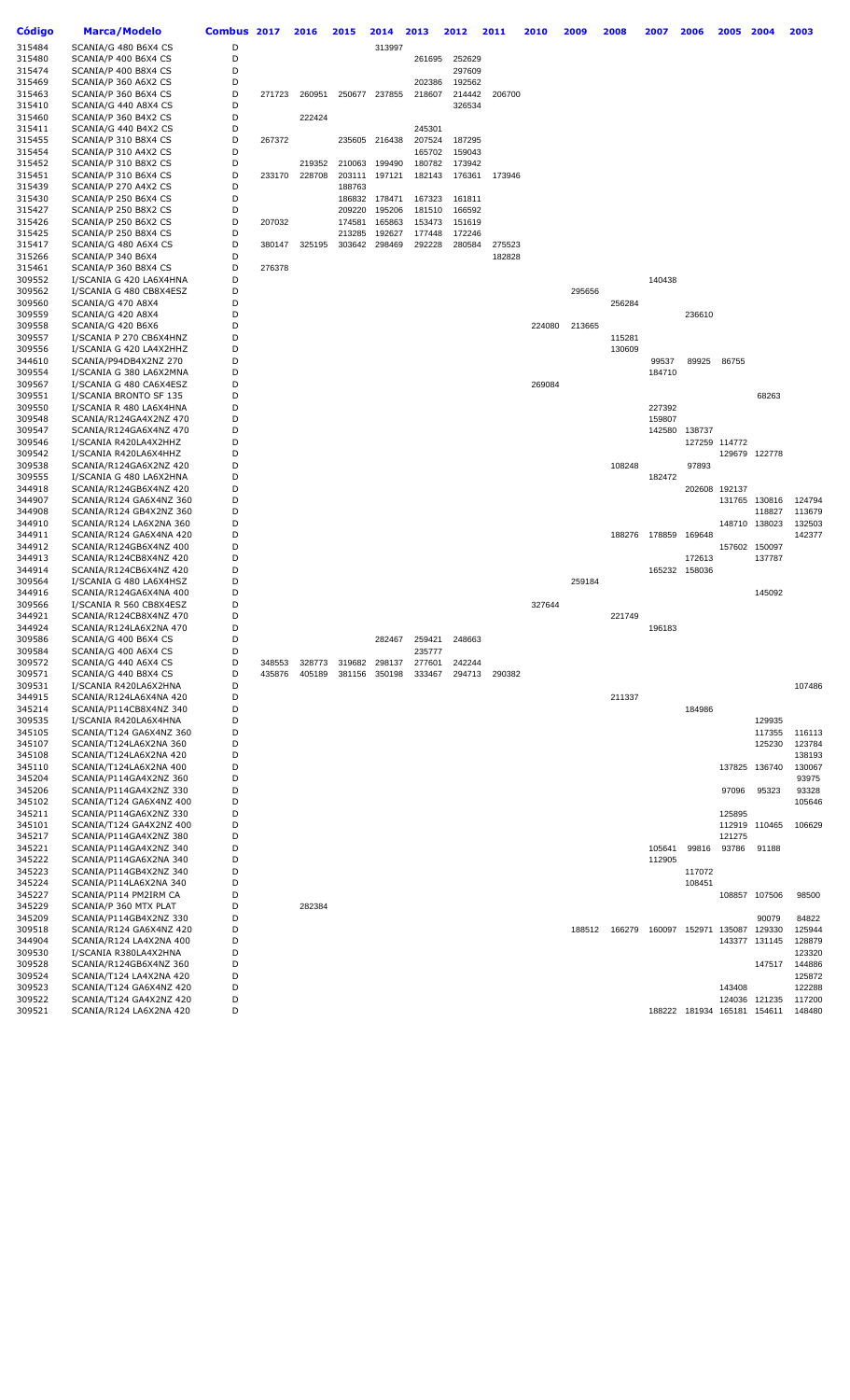| Código           | <b>Marca/Modelo</b>                                | Combus 2017 |        | 2016   | 2015             | 2014             | 2013             | 2012             | 2011   | 2010   | 2009   | 2008   | 2007             | 2006                        | 2005          | 2004             | 2003             |
|------------------|----------------------------------------------------|-------------|--------|--------|------------------|------------------|------------------|------------------|--------|--------|--------|--------|------------------|-----------------------------|---------------|------------------|------------------|
| 315484           | SCANIA/G 480 B6X4 CS                               | D           |        |        |                  | 313997           |                  |                  |        |        |        |        |                  |                             |               |                  |                  |
| 315480           | SCANIA/P 400 B6X4 CS                               | D           |        |        |                  |                  | 261695           | 252629           |        |        |        |        |                  |                             |               |                  |                  |
| 315474           | SCANIA/P 400 B8X4 CS                               | D           |        |        |                  |                  |                  | 297609           |        |        |        |        |                  |                             |               |                  |                  |
| 315469           | SCANIA/P 360 A6X2 CS                               | D           |        |        |                  |                  | 202386           | 192562           |        |        |        |        |                  |                             |               |                  |                  |
| 315463<br>315410 | SCANIA/P 360 B6X4 CS<br>SCANIA/G 440 A8X4 CS       | D<br>D      | 271723 | 260951 | 250677           | 237855           | 218607           | 214442<br>326534 | 206700 |        |        |        |                  |                             |               |                  |                  |
| 315460           | SCANIA/P 360 B4X2 CS                               | D           |        | 222424 |                  |                  |                  |                  |        |        |        |        |                  |                             |               |                  |                  |
| 315411           | SCANIA/G 440 B4X2 CS                               | D           |        |        |                  |                  | 245301           |                  |        |        |        |        |                  |                             |               |                  |                  |
| 315455           | SCANIA/P 310 B8X4 CS                               | D           | 267372 |        | 235605           | 216438           | 207524           | 187295           |        |        |        |        |                  |                             |               |                  |                  |
| 315454           | SCANIA/P 310 A4X2 CS                               | D           |        |        |                  |                  | 165702           | 159043           |        |        |        |        |                  |                             |               |                  |                  |
| 315452           | SCANIA/P 310 B8X2 CS                               | D           |        | 219352 | 210063           | 199490           | 180782           | 173942           |        |        |        |        |                  |                             |               |                  |                  |
| 315451           | SCANIA/P 310 B6X4 CS                               | D           | 233170 | 228708 | 203111           | 197121           | 182143           | 176361           | 173946 |        |        |        |                  |                             |               |                  |                  |
| 315439           | SCANIA/P 270 A4X2 CS                               | D           |        |        | 188763           |                  |                  |                  |        |        |        |        |                  |                             |               |                  |                  |
| 315430<br>315427 | SCANIA/P 250 B6X4 CS<br>SCANIA/P 250 B8X2 CS       | D<br>D      |        |        | 186832<br>209220 | 178471<br>195206 | 167323<br>181510 | 161811<br>166592 |        |        |        |        |                  |                             |               |                  |                  |
| 315426           | SCANIA/P 250 B6X2 CS                               | D           | 207032 |        | 174581           | 165863           | 153473           | 151619           |        |        |        |        |                  |                             |               |                  |                  |
| 315425           | SCANIA/P 250 B8X4 CS                               | D           |        |        | 213285           | 192627           | 177448           | 172246           |        |        |        |        |                  |                             |               |                  |                  |
| 315417           | SCANIA/G 480 A6X4 CS                               | D           | 380147 | 325195 | 303642           | 298469           | 292228           | 280584           | 275523 |        |        |        |                  |                             |               |                  |                  |
| 315266           | SCANIA/P 340 B6X4                                  | D           |        |        |                  |                  |                  |                  | 182828 |        |        |        |                  |                             |               |                  |                  |
| 315461           | SCANIA/P 360 B8X4 CS                               | D           | 276378 |        |                  |                  |                  |                  |        |        |        |        |                  |                             |               |                  |                  |
| 309552           | I/SCANIA G 420 LA6X4HNA                            | D           |        |        |                  |                  |                  |                  |        |        |        |        | 140438           |                             |               |                  |                  |
| 309562           | I/SCANIA G 480 CB8X4ESZ                            | D<br>D      |        |        |                  |                  |                  |                  |        |        | 295656 |        |                  |                             |               |                  |                  |
| 309560<br>309559 | SCANIA/G 470 A8X4<br>SCANIA/G 420 A8X4             | D           |        |        |                  |                  |                  |                  |        |        |        | 256284 |                  | 236610                      |               |                  |                  |
| 309558           | SCANIA/G 420 B6X6                                  | D           |        |        |                  |                  |                  |                  |        | 224080 | 213665 |        |                  |                             |               |                  |                  |
| 309557           | I/SCANIA P 270 CB6X4HNZ                            | D           |        |        |                  |                  |                  |                  |        |        |        | 115281 |                  |                             |               |                  |                  |
| 309556           | I/SCANIA G 420 LA4X2HHZ                            | D           |        |        |                  |                  |                  |                  |        |        |        | 130609 |                  |                             |               |                  |                  |
| 344610           | SCANIA/P94DB4X2NZ 270                              | D           |        |        |                  |                  |                  |                  |        |        |        |        | 99537            | 89925                       | 86755         |                  |                  |
| 309554           | I/SCANIA G 380 LA6X2MNA                            | D           |        |        |                  |                  |                  |                  |        |        |        |        | 184710           |                             |               |                  |                  |
| 309567           | I/SCANIA G 480 CA6X4ESZ                            | D           |        |        |                  |                  |                  |                  |        | 269084 |        |        |                  |                             |               |                  |                  |
| 309551           | I/SCANIA BRONTO SF 135                             | D           |        |        |                  |                  |                  |                  |        |        |        |        |                  |                             |               | 68263            |                  |
| 309550<br>309548 | I/SCANIA R 480 LA6X4HNA<br>SCANIA/R124GA4X2NZ 470  | D<br>D      |        |        |                  |                  |                  |                  |        |        |        |        | 227392<br>159807 |                             |               |                  |                  |
| 309547           | SCANIA/R124GA6X4NZ 470                             | D           |        |        |                  |                  |                  |                  |        |        |        |        | 142580           | 138737                      |               |                  |                  |
| 309546           | I/SCANIA R420LA4X2HHZ                              | D           |        |        |                  |                  |                  |                  |        |        |        |        |                  |                             | 127259 114772 |                  |                  |
| 309542           | I/SCANIA R420LA6X4HHZ                              | D           |        |        |                  |                  |                  |                  |        |        |        |        |                  |                             |               | 129679 122778    |                  |
| 309538           | SCANIA/R124GA6X2NZ 420                             | D           |        |        |                  |                  |                  |                  |        |        |        | 108248 |                  | 97893                       |               |                  |                  |
| 309555           | I/SCANIA G 480 LA6X2HNA                            | D           |        |        |                  |                  |                  |                  |        |        |        |        | 182472           |                             |               |                  |                  |
| 344918           | SCANIA/R124GB6X4NZ 420                             | D           |        |        |                  |                  |                  |                  |        |        |        |        |                  | 202608                      | 192137        |                  |                  |
| 344907           | SCANIA/R124 GA6X4NZ 360                            | D<br>D      |        |        |                  |                  |                  |                  |        |        |        |        |                  |                             | 131765        | 130816           | 124794           |
| 344908<br>344910 | SCANIA/R124 GB4X2NZ 360<br>SCANIA/R124 LA6X2NA 360 | D           |        |        |                  |                  |                  |                  |        |        |        |        |                  |                             | 148710        | 118827<br>138023 | 113679<br>132503 |
| 344911           | SCANIA/R124 GA6X4NA 420                            | D           |        |        |                  |                  |                  |                  |        |        |        | 188276 | 178859           | 169648                      |               |                  | 142377           |
| 344912           | SCANIA/R124GB6X4NZ 400                             | D           |        |        |                  |                  |                  |                  |        |        |        |        |                  |                             | 157602        | 150097           |                  |
| 344913           | SCANIA/R124CB8X4NZ 420                             | D           |        |        |                  |                  |                  |                  |        |        |        |        |                  | 172613                      |               | 137787           |                  |
| 344914           | SCANIA/R124CB6X4NZ 420                             | D           |        |        |                  |                  |                  |                  |        |        |        |        |                  | 165232 158036               |               |                  |                  |
| 309564           | I/SCANIA G 480 LA6X4HSZ                            | D           |        |        |                  |                  |                  |                  |        |        | 259184 |        |                  |                             |               |                  |                  |
| 344916           | SCANIA/R124GA6X4NA 400                             | D<br>D      |        |        |                  |                  |                  |                  |        |        |        |        |                  |                             |               | 145092           |                  |
| 309566<br>344921 | I/SCANIA R 560 CB8X4ESZ<br>SCANIA/R124CB8X4NZ 470  | D           |        |        |                  |                  |                  |                  |        | 327644 |        | 221749 |                  |                             |               |                  |                  |
| 344924           | SCANIA/R124LA6X2NA 470                             | D           |        |        |                  |                  |                  |                  |        |        |        |        | 196183           |                             |               |                  |                  |
| 309586           | SCANIA/G 400 B6X4 CS                               | D           |        |        |                  | 282467           | 259421           | 248663           |        |        |        |        |                  |                             |               |                  |                  |
| 309584           | SCANIA/G 400 A6X4 CS                               | D           |        |        |                  |                  | 235777           |                  |        |        |        |        |                  |                             |               |                  |                  |
| 309572           | SCANIA/G 440 A6X4 CS                               | D           | 348553 | 328773 | 319682           | 298137           | 277601           | 242244           |        |        |        |        |                  |                             |               |                  |                  |
| 309571           | SCANIA/G 440 B8X4 CS                               | D           | 435876 | 405189 | 381156           | 350198           | 333467           | 294713           | 290382 |        |        |        |                  |                             |               |                  |                  |
| 309531<br>344915 | I/SCANIA R420LA6X2HNA                              | D<br>D      |        |        |                  |                  |                  |                  |        |        |        | 211337 |                  |                             |               |                  | 107486           |
| 345214           | SCANIA/R124LA6X4NA 420<br>SCANIA/P114CB8X4NZ 340   | D           |        |        |                  |                  |                  |                  |        |        |        |        |                  | 184986                      |               |                  |                  |
| 309535           | I/SCANIA R420LA6X4HNA                              | D           |        |        |                  |                  |                  |                  |        |        |        |        |                  |                             |               | 129935           |                  |
| 345105           | SCANIA/T124 GA6X4NZ 360                            | D           |        |        |                  |                  |                  |                  |        |        |        |        |                  |                             |               | 117355           | 116113           |
| 345107           | SCANIA/T124LA6X2NA 360                             | D           |        |        |                  |                  |                  |                  |        |        |        |        |                  |                             |               | 125230           | 123784           |
| 345108           | SCANIA/T124LA6X2NA 420                             | D           |        |        |                  |                  |                  |                  |        |        |        |        |                  |                             |               |                  | 138193           |
| 345110           | SCANIA/T124LA6X2NA 400                             | D           |        |        |                  |                  |                  |                  |        |        |        |        |                  |                             | 137825        | 136740           | 130067           |
| 345204           | SCANIA/P114GA4X2NZ 360                             | D           |        |        |                  |                  |                  |                  |        |        |        |        |                  |                             |               |                  | 93975            |
| 345206<br>345102 | SCANIA/P114GA4X2NZ 330<br>SCANIA/T124 GA6X4NZ 400  | D<br>D      |        |        |                  |                  |                  |                  |        |        |        |        |                  |                             | 97096         | 95323            | 93328<br>105646  |
| 345211           | SCANIA/P114GA6X2NZ 330                             | D           |        |        |                  |                  |                  |                  |        |        |        |        |                  |                             | 125895        |                  |                  |
| 345101           | SCANIA/T124 GA4X2NZ 400                            | D           |        |        |                  |                  |                  |                  |        |        |        |        |                  |                             | 112919        | 110465           | 106629           |
| 345217           | SCANIA/P114GA4X2NZ 380                             | D           |        |        |                  |                  |                  |                  |        |        |        |        |                  |                             | 121275        |                  |                  |
| 345221           | SCANIA/P114GA4X2NZ 340                             | D           |        |        |                  |                  |                  |                  |        |        |        |        | 105641           | 99816                       | 93786         | 91188            |                  |
| 345222           | SCANIA/P114GA6X2NA 340                             | D           |        |        |                  |                  |                  |                  |        |        |        |        | 112905           |                             |               |                  |                  |
| 345223           | SCANIA/P114GB4X2NZ 340                             | D           |        |        |                  |                  |                  |                  |        |        |        |        |                  | 117072                      |               |                  |                  |
| 345224           | SCANIA/P114LA6X2NA 340                             | D           |        |        |                  |                  |                  |                  |        |        |        |        |                  | 108451                      |               |                  |                  |
| 345227<br>345229 | SCANIA/P114 PM2IRM CA<br>SCANIA/P 360 MTX PLAT     | D<br>D      |        | 282384 |                  |                  |                  |                  |        |        |        |        |                  |                             |               | 108857 107506    | 98500            |
| 345209           | SCANIA/P114GB4X2NZ 330                             | D           |        |        |                  |                  |                  |                  |        |        |        |        |                  |                             |               | 90079            | 84822            |
| 309518           | SCANIA/R124 GA6X4NZ 420                            | D           |        |        |                  |                  |                  |                  |        |        | 188512 | 166279 | 160097           | 152971                      | 135087 129330 |                  | 125944           |
| 344904           | SCANIA/R124 LA4X2NA 400                            | D           |        |        |                  |                  |                  |                  |        |        |        |        |                  |                             |               | 143377 131145    | 128879           |
| 309530           | I/SCANIA R380LA4X2HNA                              | D           |        |        |                  |                  |                  |                  |        |        |        |        |                  |                             |               |                  | 123320           |
| 309528           | SCANIA/R124GB6X4NZ 360                             | D           |        |        |                  |                  |                  |                  |        |        |        |        |                  |                             |               | 147517           | 144886           |
| 309524           | SCANIA/T124 LA4X2NA 420                            | D           |        |        |                  |                  |                  |                  |        |        |        |        |                  |                             |               |                  | 125872           |
| 309523           | SCANIA/T124 GA6X4NZ 420                            | D<br>D      |        |        |                  |                  |                  |                  |        |        |        |        |                  |                             | 143408        |                  | 122288           |
| 309522<br>309521 | SCANIA/T124 GA4X2NZ 420<br>SCANIA/R124 LA6X2NA 420 | D           |        |        |                  |                  |                  |                  |        |        |        |        |                  | 188222 181934 165181 154611 | 124036        | 121235           | 117200<br>148480 |
|                  |                                                    |             |        |        |                  |                  |                  |                  |        |        |        |        |                  |                             |               |                  |                  |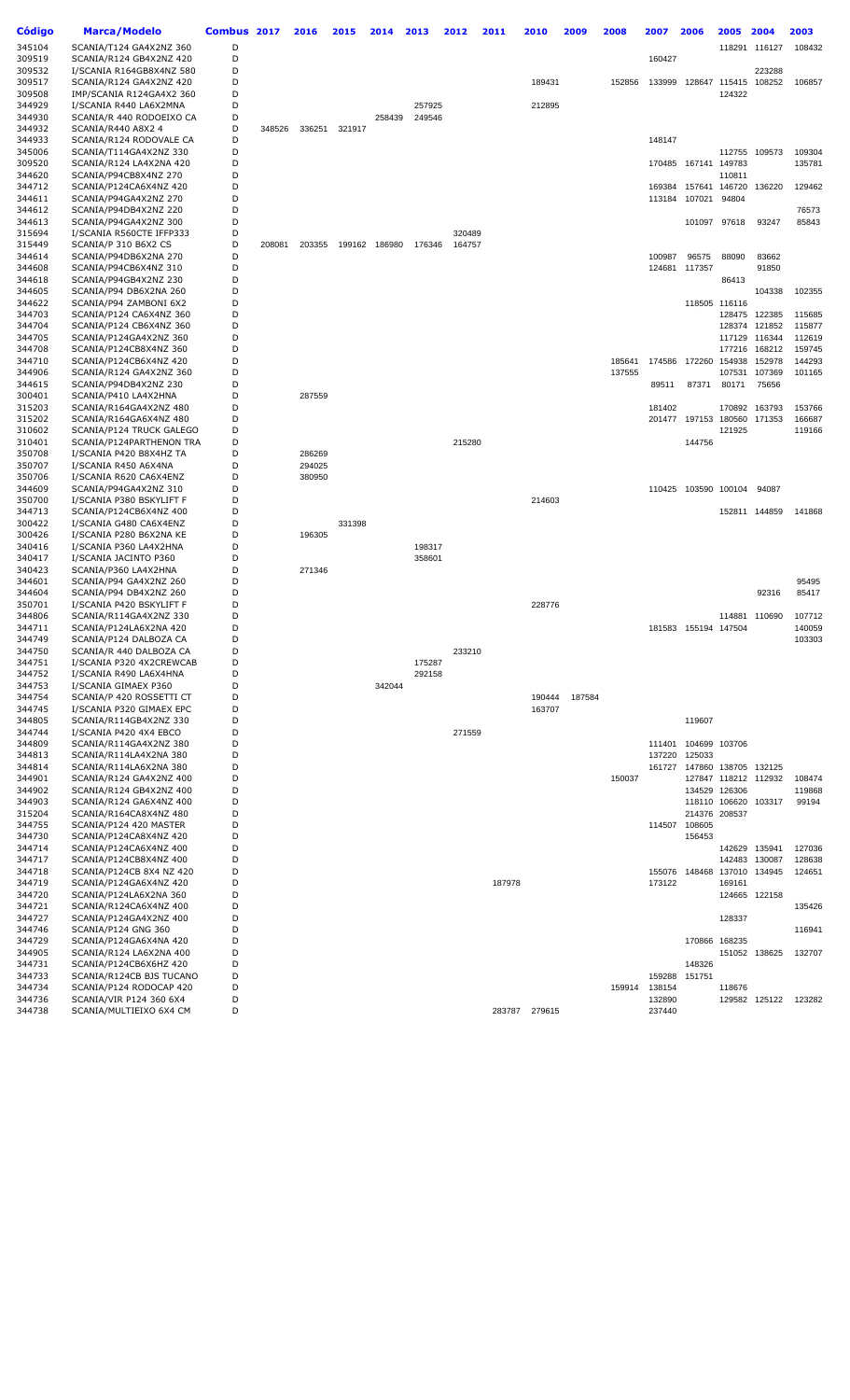| Código           | <b>Marca/Modelo</b>                               | Combus 2017 |        | 2016   | 2015   | 2014          | 2013   | 2012   | 2011   | 2010   | 2009   | 2008   | 2007   | 2006                 | 2005          | 2004                 | 2003   |
|------------------|---------------------------------------------------|-------------|--------|--------|--------|---------------|--------|--------|--------|--------|--------|--------|--------|----------------------|---------------|----------------------|--------|
| 345104           | SCANIA/T124 GA4X2NZ 360                           | D           |        |        |        |               |        |        |        |        |        |        |        |                      |               | 118291 116127        | 108432 |
| 309519           | SCANIA/R124 GB4X2NZ 420                           | D           |        |        |        |               |        |        |        |        |        |        | 160427 |                      |               |                      |        |
| 309532           | I/SCANIA R164GB8X4NZ 580                          | D           |        |        |        |               |        |        |        |        |        |        |        |                      |               | 223288               |        |
| 309517           | SCANIA/R124 GA4X2NZ 420                           | D           |        |        |        |               |        |        |        | 189431 |        | 152856 | 133999 |                      |               | 128647 115415 108252 | 106857 |
| 309508           | IMP/SCANIA R124GA4X2 360                          | D           |        |        |        |               |        |        |        |        |        |        |        |                      | 124322        |                      |        |
| 344929           | I/SCANIA R440 LA6X2MNA                            | D           |        |        |        |               | 257925 |        |        | 212895 |        |        |        |                      |               |                      |        |
| 344930           | SCANIA/R 440 RODOEIXO CA                          | D           |        |        |        | 258439        | 249546 |        |        |        |        |        |        |                      |               |                      |        |
| 344932           | SCANIA/R440 A8X2 4                                | D           | 348526 | 336251 | 321917 |               |        |        |        |        |        |        |        |                      |               |                      |        |
| 344933           | SCANIA/R124 RODOVALE CA                           | D           |        |        |        |               |        |        |        |        |        |        | 148147 |                      |               |                      |        |
| 345006           | SCANIA/T114GA4X2NZ 330                            | D           |        |        |        |               |        |        |        |        |        |        |        |                      | 112755        | 109573               | 109304 |
| 309520           | SCANIA/R124 LA4X2NA 420                           | D           |        |        |        |               |        |        |        |        |        |        | 170485 | 167141 149783        |               |                      | 135781 |
| 344620           | SCANIA/P94CB8X4NZ 270                             | D           |        |        |        |               |        |        |        |        |        |        |        |                      | 110811        |                      |        |
| 344712           | SCANIA/P124CA6X4NZ 420                            | D           |        |        |        |               |        |        |        |        |        |        | 169384 | 157641               | 146720        | 136220               | 129462 |
| 344611           | SCANIA/P94GA4X2NZ 270                             | D           |        |        |        |               |        |        |        |        |        |        | 113184 | 107021               | 94804         |                      |        |
| 344612           | SCANIA/P94DB4X2NZ 220                             | D           |        |        |        |               |        |        |        |        |        |        |        |                      |               |                      | 76573  |
| 344613           | SCANIA/P94GA4X2NZ 300                             | D           |        |        |        |               |        |        |        |        |        |        |        | 101097 97618         |               | 93247                | 85843  |
| 315694           | I/SCANIA R560CTE IFFP333                          | D<br>D      |        |        |        |               |        | 320489 |        |        |        |        |        |                      |               |                      |        |
| 315449<br>344614 | SCANIA/P 310 B6X2 CS<br>SCANIA/P94DB6X2NA 270     | D           | 208081 | 203355 |        | 199162 186980 | 176346 | 164757 |        |        |        |        | 100987 | 96575                | 88090         | 83662                |        |
| 344608           | SCANIA/P94CB6X4NZ 310                             | D           |        |        |        |               |        |        |        |        |        |        | 124681 | 117357               |               | 91850                |        |
| 344618           | SCANIA/P94GB4X2NZ 230                             | D           |        |        |        |               |        |        |        |        |        |        |        |                      | 86413         |                      |        |
| 344605           | SCANIA/P94 DB6X2NA 260                            | D           |        |        |        |               |        |        |        |        |        |        |        |                      |               | 104338               | 102355 |
| 344622           | SCANIA/P94 ZAMBONI 6X2                            | D           |        |        |        |               |        |        |        |        |        |        |        |                      | 118505 116116 |                      |        |
| 344703           | SCANIA/P124 CA6X4NZ 360                           | D           |        |        |        |               |        |        |        |        |        |        |        |                      | 128475        | 122385               | 115685 |
| 344704           | SCANIA/P124 CB6X4NZ 360                           | D           |        |        |        |               |        |        |        |        |        |        |        |                      | 128374        | 121852               | 115877 |
| 344705           | SCANIA/P124GA4X2NZ 360                            | D           |        |        |        |               |        |        |        |        |        |        |        |                      | 117129        | 116344               | 112619 |
| 344708           | SCANIA/P124CB8X4NZ 360                            | D           |        |        |        |               |        |        |        |        |        |        |        |                      | 177216        | 168212               | 159745 |
| 344710           | SCANIA/P124CB6X4NZ 420                            | D           |        |        |        |               |        |        |        |        |        | 185641 | 174586 | 172260               | 154938        | 152978               | 144293 |
| 344906           | SCANIA/R124 GA4X2NZ 360                           | D           |        |        |        |               |        |        |        |        |        | 137555 |        |                      | 107531        | 107369               | 101165 |
| 344615           | SCANIA/P94DB4X2NZ 230                             | D           |        |        |        |               |        |        |        |        |        |        | 89511  | 87371                | 80171         | 75656                |        |
| 300401           | SCANIA/P410 LA4X2HNA                              | D           |        | 287559 |        |               |        |        |        |        |        |        |        |                      |               |                      |        |
| 315203           | SCANIA/R164GA4X2NZ 480                            | D           |        |        |        |               |        |        |        |        |        |        | 181402 |                      | 170892        | 163793               | 153766 |
| 315202           | SCANIA/R164GA6X4NZ 480                            | D           |        |        |        |               |        |        |        |        |        |        | 201477 |                      | 197153 180560 | 171353               | 166687 |
| 310602           | SCANIA/P124 TRUCK GALEGO                          | D           |        |        |        |               |        |        |        |        |        |        |        |                      | 121925        |                      | 119166 |
| 310401           | SCANIA/P124PARTHENON TRA                          | D           |        |        |        |               |        | 215280 |        |        |        |        |        | 144756               |               |                      |        |
| 350708           | I/SCANIA P420 B8X4HZ TA                           | D           |        | 286269 |        |               |        |        |        |        |        |        |        |                      |               |                      |        |
| 350707           | I/SCANIA R450 A6X4NA                              | D           |        | 294025 |        |               |        |        |        |        |        |        |        |                      |               |                      |        |
| 350706           | I/SCANIA R620 CA6X4ENZ                            | D           |        | 380950 |        |               |        |        |        |        |        |        |        |                      |               |                      |        |
| 344609           | SCANIA/P94GA4X2NZ 310                             | D           |        |        |        |               |        |        |        |        |        |        | 110425 | 103590 100104        |               | 94087                |        |
| 350700           | I/SCANIA P380 BSKYLIFT F                          | D<br>D      |        |        |        |               |        |        |        | 214603 |        |        |        |                      |               |                      |        |
| 344713           | SCANIA/P124CB6X4NZ 400                            | D           |        |        | 331398 |               |        |        |        |        |        |        |        |                      |               | 152811 144859        | 141868 |
| 300422<br>300426 | I/SCANIA G480 CA6X4ENZ<br>I/SCANIA P280 B6X2NA KE | D           |        | 196305 |        |               |        |        |        |        |        |        |        |                      |               |                      |        |
| 340416           | I/SCANIA P360 LA4X2HNA                            | D           |        |        |        |               | 198317 |        |        |        |        |        |        |                      |               |                      |        |
| 340417           | I/SCANIA JACINTO P360                             | D           |        |        |        |               | 358601 |        |        |        |        |        |        |                      |               |                      |        |
| 340423           | SCANIA/P360 LA4X2HNA                              | D           |        | 271346 |        |               |        |        |        |        |        |        |        |                      |               |                      |        |
| 344601           | SCANIA/P94 GA4X2NZ 260                            | D           |        |        |        |               |        |        |        |        |        |        |        |                      |               |                      | 95495  |
| 344604           | SCANIA/P94 DB4X2NZ 260                            | D           |        |        |        |               |        |        |        |        |        |        |        |                      |               | 92316                | 85417  |
| 350701           | I/SCANIA P420 BSKYLIFT F                          | D           |        |        |        |               |        |        |        | 228776 |        |        |        |                      |               |                      |        |
| 344806           | SCANIA/R114GA4X2NZ 330                            | D           |        |        |        |               |        |        |        |        |        |        |        |                      |               | 114881 110690        | 107712 |
| 344711           | SCANIA/P124LA6X2NA 420                            | D           |        |        |        |               |        |        |        |        |        |        |        | 181583 155194 147504 |               |                      | 140059 |
| 344749           | SCANIA/P124 DALBOZA CA                            | D           |        |        |        |               |        |        |        |        |        |        |        |                      |               |                      | 103303 |
| 344750           | SCANIA/R 440 DALBOZA CA                           | D           |        |        |        |               |        | 233210 |        |        |        |        |        |                      |               |                      |        |
| 344751           | I/SCANIA P320 4X2CREWCAB                          | D           |        |        |        |               | 175287 |        |        |        |        |        |        |                      |               |                      |        |
| 344752           | I/SCANIA R490 LA6X4HNA                            | D           |        |        |        |               | 292158 |        |        |        |        |        |        |                      |               |                      |        |
| 344753           | I/SCANIA GIMAEX P360                              | D           |        |        |        | 342044        |        |        |        |        |        |        |        |                      |               |                      |        |
| 344754           | SCANIA/P 420 ROSSETTI CT                          | D           |        |        |        |               |        |        |        | 190444 | 187584 |        |        |                      |               |                      |        |
| 344745           | I/SCANIA P320 GIMAEX EPC                          | D           |        |        |        |               |        |        |        | 163707 |        |        |        |                      |               |                      |        |
| 344805           | SCANIA/R114GB4X2NZ 330                            | D           |        |        |        |               |        |        |        |        |        |        |        | 119607               |               |                      |        |
| 344744           | I/SCANIA P420 4X4 EBCO<br>SCANIA/R114GA4X2NZ 380  | D<br>D      |        |        |        |               |        | 271559 |        |        |        |        |        |                      |               |                      |        |
| 344809           |                                                   |             |        |        |        |               |        |        |        |        |        |        | 111401 | 104699 103706        |               |                      |        |
| 344813           | SCANIA/R114LA4X2NA 380                            | D<br>D      |        |        |        |               |        |        |        |        |        |        | 137220 | 125033               |               | 147860 138705 132125 |        |
| 344814<br>344901 | SCANIA/R114LA6X2NA 380<br>SCANIA/R124 GA4X2NZ 400 | D           |        |        |        |               |        |        |        |        |        | 150037 | 161727 |                      |               | 127847 118212 112932 | 108474 |
| 344902           | SCANIA/R124 GB4X2NZ 400                           | D           |        |        |        |               |        |        |        |        |        |        |        | 134529 126306        |               |                      | 119868 |
| 344903           | SCANIA/R124 GA6X4NZ 400                           | D           |        |        |        |               |        |        |        |        |        |        |        |                      | 118110 106620 | 103317               | 99194  |
| 315204           | SCANIA/R164CA8X4NZ 480                            | D           |        |        |        |               |        |        |        |        |        |        |        | 214376 208537        |               |                      |        |
| 344755           | SCANIA/P124 420 MASTER                            | D           |        |        |        |               |        |        |        |        |        |        | 114507 | 108605               |               |                      |        |
| 344730           | SCANIA/P124CA8X4NZ 420                            | D           |        |        |        |               |        |        |        |        |        |        |        | 156453               |               |                      |        |
| 344714           | SCANIA/P124CA6X4NZ 400                            | D           |        |        |        |               |        |        |        |        |        |        |        |                      |               | 142629 135941        | 127036 |
| 344717           | SCANIA/P124CB8X4NZ 400                            | D           |        |        |        |               |        |        |        |        |        |        |        |                      | 142483        | 130087               | 128638 |
| 344718           | SCANIA/P124CB 8X4 NZ 420                          | D           |        |        |        |               |        |        |        |        |        |        | 155076 |                      |               | 148468 137010 134945 | 124651 |
| 344719           | SCANIA/P124GA6X4NZ 420                            | D           |        |        |        |               |        |        | 187978 |        |        |        | 173122 |                      | 169161        |                      |        |
| 344720           | SCANIA/P124LA6X2NA 360                            | D           |        |        |        |               |        |        |        |        |        |        |        |                      |               | 124665 122158        |        |
| 344721           | SCANIA/R124CA6X4NZ 400                            | D           |        |        |        |               |        |        |        |        |        |        |        |                      |               |                      | 135426 |
| 344727           | SCANIA/P124GA4X2NZ 400                            | D           |        |        |        |               |        |        |        |        |        |        |        |                      | 128337        |                      |        |
| 344746           | SCANIA/P124 GNG 360                               | D           |        |        |        |               |        |        |        |        |        |        |        |                      |               |                      | 116941 |
| 344729           | SCANIA/P124GA6X4NA 420                            | D           |        |        |        |               |        |        |        |        |        |        |        | 170866 168235        |               |                      |        |
| 344905           | SCANIA/R124 LA6X2NA 400                           | D           |        |        |        |               |        |        |        |        |        |        |        |                      |               | 151052 138625        | 132707 |
| 344731           | SCANIA/P124CB6X6HZ 420                            | D           |        |        |        |               |        |        |        |        |        |        |        | 148326               |               |                      |        |
| 344733           | SCANIA/R124CB BJS TUCANO                          | D           |        |        |        |               |        |        |        |        |        |        | 159288 | 151751               |               |                      |        |
| 344734           | SCANIA/P124 RODOCAP 420                           | D           |        |        |        |               |        |        |        |        |        | 159914 | 138154 |                      | 118676        |                      |        |
| 344736           | SCANIA/VIR P124 360 6X4                           | D           |        |        |        |               |        |        |        |        |        |        | 132890 |                      |               | 129582 125122        | 123282 |
| 344738           | SCANIA/MULTIEIXO 6X4 CM                           | D           |        |        |        |               |        |        | 283787 | 279615 |        |        | 237440 |                      |               |                      |        |
|                  |                                                   |             |        |        |        |               |        |        |        |        |        |        |        |                      |               |                      |        |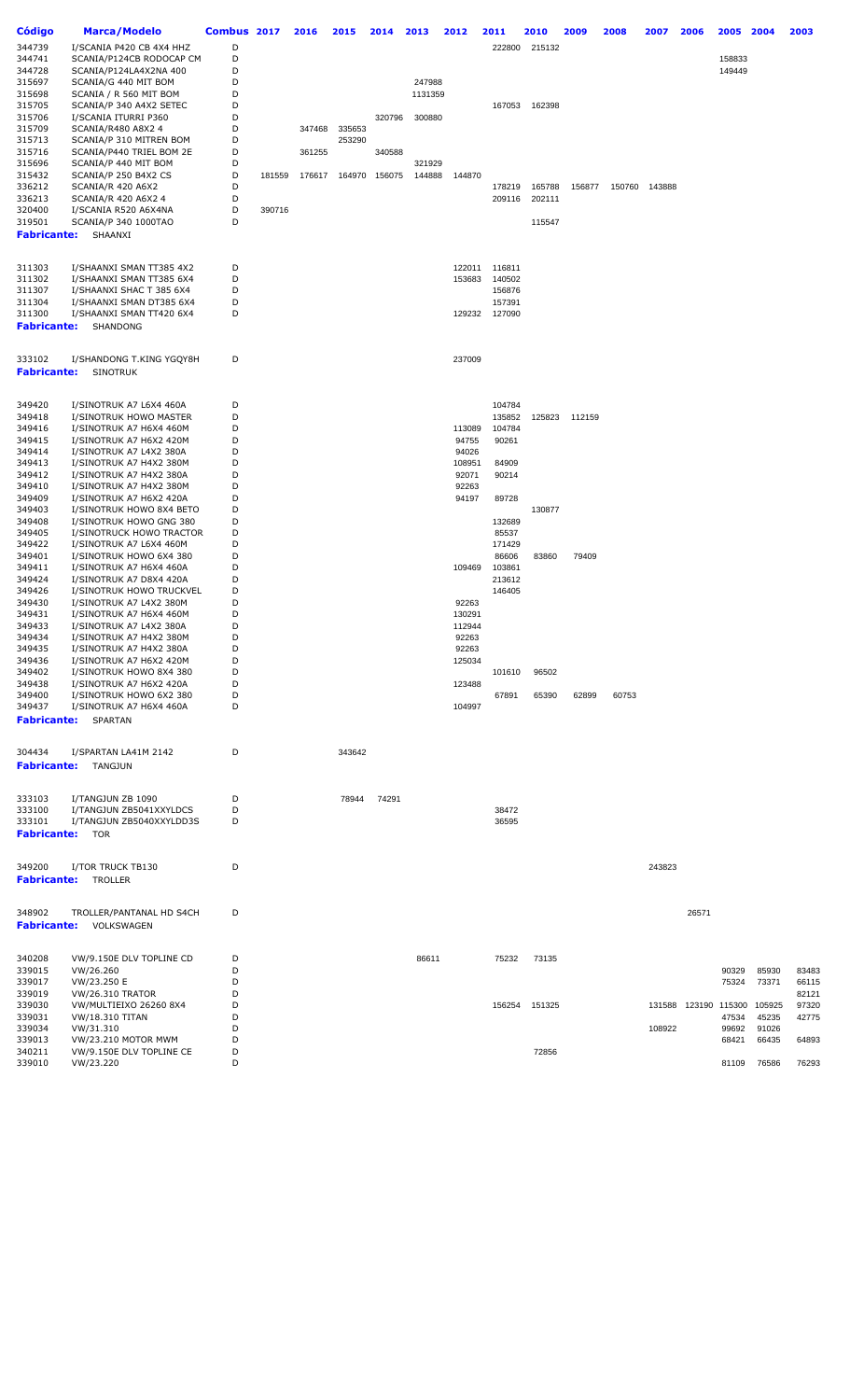| Código                       | <b>Marca/Modelo</b>                         | Combus 2017 |        | 2016   | 2015   | 2014   | 2013    | 2012   | 2011   | 2010          | 2009          | 2008  | 2007          | 2006  | 2005          | 2004        | 2003  |
|------------------------------|---------------------------------------------|-------------|--------|--------|--------|--------|---------|--------|--------|---------------|---------------|-------|---------------|-------|---------------|-------------|-------|
| 344739                       | I/SCANIA P420 CB 4X4 HHZ                    | D           |        |        |        |        |         |        | 222800 | 215132        |               |       |               |       |               |             |       |
| 344741                       | SCANIA/P124CB RODOCAP CM                    | D           |        |        |        |        |         |        |        |               |               |       |               |       | 158833        |             |       |
| 344728                       | SCANIA/P124LA4X2NA 400                      | D           |        |        |        |        |         |        |        |               |               |       |               |       | 149449        |             |       |
| 315697                       | SCANIA/G 440 MIT BOM                        | D           |        |        |        |        | 247988  |        |        |               |               |       |               |       |               |             |       |
| 315698                       | SCANIA / R 560 MIT BOM                      | D           |        |        |        |        | 1131359 |        |        |               |               |       |               |       |               |             |       |
| 315705                       | SCANIA/P 340 A4X2 SETEC                     | D           |        |        |        |        |         |        |        | 167053 162398 |               |       |               |       |               |             |       |
| 315706                       | I/SCANIA ITURRI P360                        | D           |        |        |        | 320796 | 300880  |        |        |               |               |       |               |       |               |             |       |
| 315709                       | SCANIA/R480 A8X2 4                          | D           |        | 347468 | 335653 |        |         |        |        |               |               |       |               |       |               |             |       |
| 315713                       | SCANIA/P 310 MITREN BOM                     | D           |        |        | 253290 |        |         |        |        |               |               |       |               |       |               |             |       |
| 315716                       | SCANIA/P440 TRIEL BOM 2E                    | D           |        | 361255 |        | 340588 |         |        |        |               |               |       |               |       |               |             |       |
| 315696                       | SCANIA/P 440 MIT BOM                        | D           |        |        |        |        | 321929  |        |        |               |               |       |               |       |               |             |       |
| 315432                       | SCANIA/P 250 B4X2 CS                        | D           | 181559 | 176617 | 164970 | 156075 | 144888  | 144870 |        |               |               |       |               |       |               |             |       |
| 336212                       | SCANIA/R 420 A6X2                           | D           |        |        |        |        |         |        | 178219 | 165788        | 156877        |       | 150760 143888 |       |               |             |       |
| 336213                       | SCANIA/R 420 A6X2 4                         | D           |        |        |        |        |         |        | 209116 | 202111        |               |       |               |       |               |             |       |
| 320400                       | I/SCANIA R520 A6X4NA                        | D           | 390716 |        |        |        |         |        |        |               |               |       |               |       |               |             |       |
| 319501                       | SCANIA/P 340 1000TAO                        | D           |        |        |        |        |         |        |        | 115547        |               |       |               |       |               |             |       |
| <b>Fabricante:</b>           | SHAANXI                                     |             |        |        |        |        |         |        |        |               |               |       |               |       |               |             |       |
|                              |                                             |             |        |        |        |        |         |        |        |               |               |       |               |       |               |             |       |
| 311303                       | I/SHAANXI SMAN TT385 4X2                    | D           |        |        |        |        |         | 122011 | 116811 |               |               |       |               |       |               |             |       |
| 311302                       | I/SHAANXI SMAN TT385 6X4                    | D           |        |        |        |        |         | 153683 | 140502 |               |               |       |               |       |               |             |       |
| 311307                       | I/SHAANXI SHAC T 385 6X4                    | D           |        |        |        |        |         |        | 156876 |               |               |       |               |       |               |             |       |
| 311304                       | I/SHAANXI SMAN DT385 6X4                    | D           |        |        |        |        |         |        | 157391 |               |               |       |               |       |               |             |       |
| 311300                       | I/SHAANXI SMAN TT420 6X4                    | D           |        |        |        |        |         | 129232 | 127090 |               |               |       |               |       |               |             |       |
| <b>Fabricante:</b>           | SHANDONG                                    |             |        |        |        |        |         |        |        |               |               |       |               |       |               |             |       |
|                              |                                             |             |        |        |        |        |         |        |        |               |               |       |               |       |               |             |       |
| 333102<br><b>Fabricante:</b> | I/SHANDONG T.KING YGQY8H<br><b>SINOTRUK</b> | D           |        |        |        |        |         | 237009 |        |               |               |       |               |       |               |             |       |
|                              |                                             |             |        |        |        |        |         |        |        |               |               |       |               |       |               |             |       |
| 349420                       | I/SINOTRUK A7 L6X4 460A                     | D           |        |        |        |        |         |        | 104784 |               |               |       |               |       |               |             |       |
| 349418                       | I/SINOTRUK HOWO MASTER                      | D           |        |        |        |        |         |        | 135852 |               | 125823 112159 |       |               |       |               |             |       |
| 349416                       | I/SINOTRUK A7 H6X4 460M                     | D           |        |        |        |        |         | 113089 | 104784 |               |               |       |               |       |               |             |       |
| 349415                       | I/SINOTRUK A7 H6X2 420M                     | D           |        |        |        |        |         | 94755  | 90261  |               |               |       |               |       |               |             |       |
| 349414                       | I/SINOTRUK A7 L4X2 380A                     | D           |        |        |        |        |         | 94026  |        |               |               |       |               |       |               |             |       |
| 349413                       | I/SINOTRUK A7 H4X2 380M                     | D           |        |        |        |        |         | 108951 | 84909  |               |               |       |               |       |               |             |       |
| 349412                       | I/SINOTRUK A7 H4X2 380A                     | D           |        |        |        |        |         | 92071  | 90214  |               |               |       |               |       |               |             |       |
| 349410                       | I/SINOTRUK A7 H4X2 380M                     | D           |        |        |        |        |         | 92263  |        |               |               |       |               |       |               |             |       |
| 349409                       | I/SINOTRUK A7 H6X2 420A                     | D           |        |        |        |        |         | 94197  | 89728  |               |               |       |               |       |               |             |       |
| 349403                       | I/SINOTRUK HOWO 8X4 BETO                    | D           |        |        |        |        |         |        |        | 130877        |               |       |               |       |               |             |       |
| 349408                       | I/SINOTRUK HOWO GNG 380                     | D           |        |        |        |        |         |        | 132689 |               |               |       |               |       |               |             |       |
| 349405                       | I/SINOTRUCK HOWO TRACTOR                    | D           |        |        |        |        |         |        | 85537  |               |               |       |               |       |               |             |       |
| 349422                       | I/SINOTRUK A7 L6X4 460M                     | D           |        |        |        |        |         |        | 171429 |               |               |       |               |       |               |             |       |
| 349401                       | I/SINOTRUK HOWO 6X4 380                     | D           |        |        |        |        |         |        | 86606  | 83860         | 79409         |       |               |       |               |             |       |
| 349411                       | I/SINOTRUK A7 H6X4 460A                     | D           |        |        |        |        |         | 109469 | 103861 |               |               |       |               |       |               |             |       |
| 349424                       | I/SINOTRUK A7 D8X4 420A                     | D           |        |        |        |        |         |        | 213612 |               |               |       |               |       |               |             |       |
| 349426                       | I/SINOTRUK HOWO TRUCKVEL                    | D           |        |        |        |        |         |        | 146405 |               |               |       |               |       |               |             |       |
| 349430                       | I/SINOTRUK A7 L4X2 380M                     | D           |        |        |        |        |         | 92263  |        |               |               |       |               |       |               |             |       |
| 349431                       | I/SINOTRUK A7 H6X4 460M                     | D           |        |        |        |        |         | 130291 |        |               |               |       |               |       |               |             |       |
| 349433                       | I/SINOTRUK A7 L4X2 380A                     | D           |        |        |        |        |         | 112944 |        |               |               |       |               |       |               |             |       |
| 349434                       | I/SINOTRUK A7 H4X2 380M                     | D           |        |        |        |        |         | 92263  |        |               |               |       |               |       |               |             |       |
| 349435                       | I/SINOTRUK A7 H4X2 380A                     | D           |        |        |        |        |         | 92263  |        |               |               |       |               |       |               |             |       |
| 349436                       | I/SINOTRUK A7 H6X2 420M                     | D           |        |        |        |        |         | 125034 |        |               |               |       |               |       |               |             |       |
| 349402                       | I/SINOTRUK HOWO 8X4 380                     | D           |        |        |        |        |         |        | 101610 | 96502         |               |       |               |       |               |             |       |
| 349438                       | I/SINOTRUK A7 H6X2 420A                     | D           |        |        |        |        |         | 123488 |        |               |               |       |               |       |               |             |       |
| 349400                       | I/SINOTRUK HOWO 6X2 380                     | D           |        |        |        |        |         |        | 67891  | 65390         | 62899         | 60753 |               |       |               |             |       |
| 349437                       | I/SINOTRUK A7 H6X4 460A                     | D           |        |        |        |        |         | 104997 |        |               |               |       |               |       |               |             |       |
| <b>Fabricante:</b>           | SPARTAN                                     |             |        |        |        |        |         |        |        |               |               |       |               |       |               |             |       |
| 304434                       | I/SPARTAN LA41M 2142                        | D           |        |        | 343642 |        |         |        |        |               |               |       |               |       |               |             |       |
| <b>Fabricante:</b>           | TANGJUN                                     |             |        |        |        |        |         |        |        |               |               |       |               |       |               |             |       |
|                              |                                             |             |        |        |        |        |         |        |        |               |               |       |               |       |               |             |       |
| 333103                       | I/TANGJUN ZB 1090                           | D           |        |        | 78944  | 74291  |         |        |        |               |               |       |               |       |               |             |       |
| 333100                       | I/TANGJUN ZB5041XXYLDCS                     | D           |        |        |        |        |         |        | 38472  |               |               |       |               |       |               |             |       |
| 333101<br><b>Fabricante:</b> | I/TANGJUN ZB5040XXYLDD3S<br>TOR             | D           |        |        |        |        |         |        | 36595  |               |               |       |               |       |               |             |       |
|                              |                                             |             |        |        |        |        |         |        |        |               |               |       |               |       |               |             |       |
| 349200                       | I/TOR TRUCK TB130                           | D           |        |        |        |        |         |        |        |               |               |       | 243823        |       |               |             |       |
| <b>Fabricante:</b>           | TROLLER                                     |             |        |        |        |        |         |        |        |               |               |       |               |       |               |             |       |
|                              |                                             |             |        |        |        |        |         |        |        |               |               |       |               |       |               |             |       |
| 348902<br><b>Fabricante:</b> | TROLLER/PANTANAL HD S4CH<br>VOLKSWAGEN      | D           |        |        |        |        |         |        |        |               |               |       |               | 26571 |               |             |       |
|                              |                                             |             |        |        |        |        |         |        |        |               |               |       |               |       |               |             |       |
| 340208                       | VW/9.150E DLV TOPLINE CD                    | D           |        |        |        |        | 86611   |        | 75232  | 73135         |               |       |               |       |               |             |       |
| 339015                       | VW/26.260                                   | D           |        |        |        |        |         |        |        |               |               |       |               |       | 90329         | 85930       | 83483 |
| 339017                       | VW/23.250 E                                 | D           |        |        |        |        |         |        |        |               |               |       |               |       | 75324         | 73371       | 66115 |
| 339019                       | <b>VW/26.310 TRATOR</b>                     | D           |        |        |        |        |         |        |        |               |               |       |               |       |               |             | 82121 |
| 339030                       | VW/MULTIEIXO 26260 8X4                      | D           |        |        |        |        |         |        | 156254 | 151325        |               |       | 131588        |       | 123190 115300 | 105925      | 97320 |
| 339031                       | <b>VW/18.310 TITAN</b>                      | D           |        |        |        |        |         |        |        |               |               |       |               |       | 47534         | 45235       | 42775 |
| 339034                       | VW/31.310                                   | D           |        |        |        |        |         |        |        |               |               |       | 108922        |       | 99692         | 91026       |       |
| 339013                       | VW/23.210 MOTOR MWM                         | D<br>D      |        |        |        |        |         |        |        |               |               |       |               |       | 68421         | 66435       | 64893 |
| 340211<br>339010             | VW/9.150E DLV TOPLINE CE<br>VW/23.220       | D           |        |        |        |        |         |        |        | 72856         |               |       |               |       |               | 81109 76586 | 76293 |
|                              |                                             |             |        |        |        |        |         |        |        |               |               |       |               |       |               |             |       |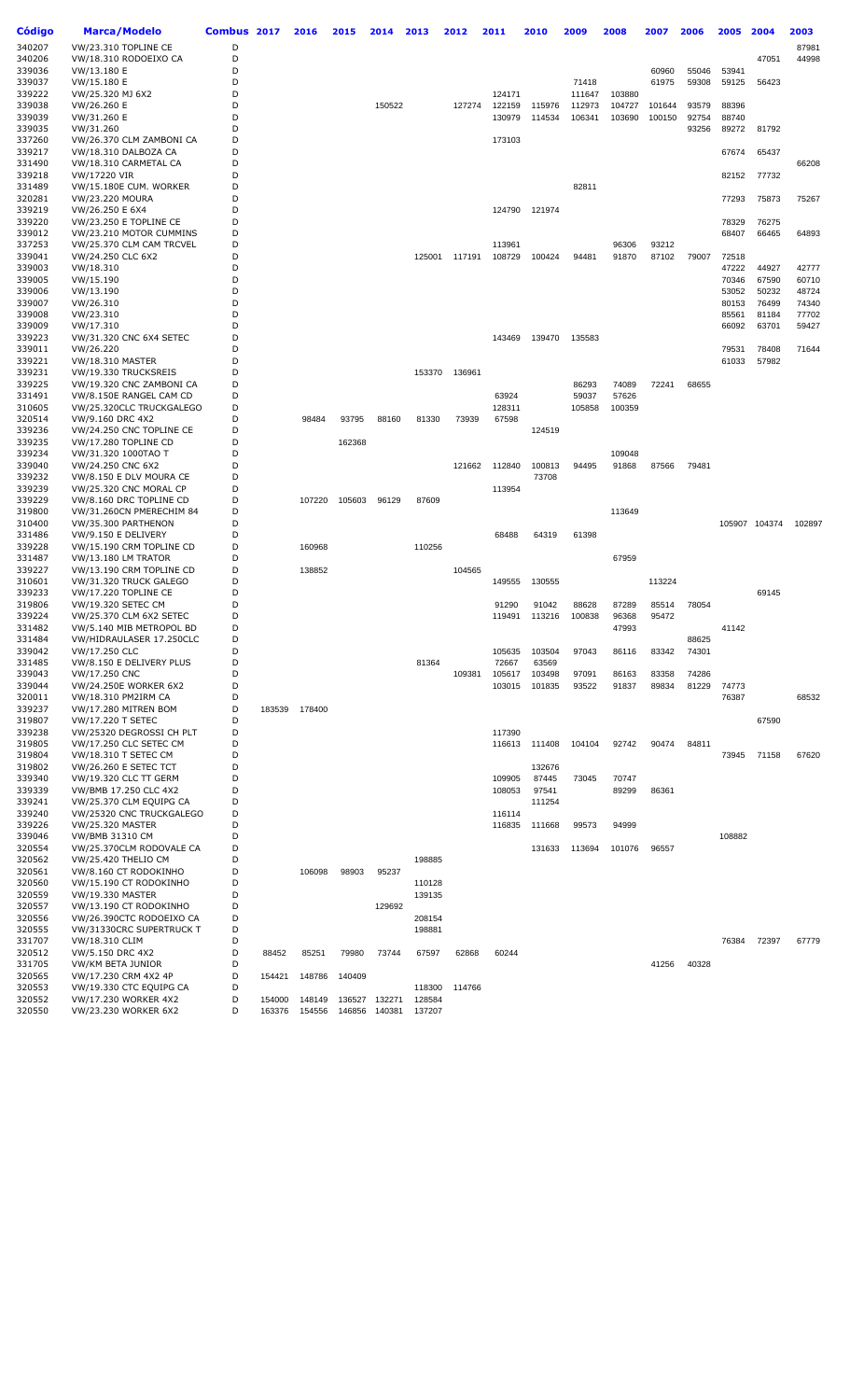| Código           | <b>Marca/Modelo</b>                                 | <b>Combus</b> | 2017   | 2016   | 2015   | 2014   | 2013             | 2012   | 2011             | 2010   | 2009   | 2008           | 2007           | 2006  | 2005           | 2004          | 2003   |
|------------------|-----------------------------------------------------|---------------|--------|--------|--------|--------|------------------|--------|------------------|--------|--------|----------------|----------------|-------|----------------|---------------|--------|
| 340207           | VW/23.310 TOPLINE CE                                | D             |        |        |        |        |                  |        |                  |        |        |                |                |       |                |               | 87981  |
| 340206           | VW/18.310 RODOEIXO CA                               | D             |        |        |        |        |                  |        |                  |        |        |                |                |       |                | 47051         | 44998  |
| 339036           | VW/13.180 E                                         | D             |        |        |        |        |                  |        |                  |        |        |                | 60960          | 55046 | 53941          |               |        |
| 339037           | VW/15.180 E                                         | D             |        |        |        |        |                  |        |                  |        | 71418  |                | 61975          | 59308 | 59125          | 56423         |        |
| 339222           | VW/25.320 MJ 6X2                                    | D             |        |        |        |        |                  |        | 124171           |        | 111647 | 103880         |                |       |                |               |        |
| 339038           | VW/26.260 E                                         | D             |        |        |        | 150522 |                  | 127274 | 122159           | 115976 | 112973 | 104727         | 101644         | 93579 | 88396          |               |        |
| 339039           | VW/31.260 E                                         | D             |        |        |        |        |                  |        | 130979           | 114534 | 106341 | 103690         | 100150         | 92754 | 88740          |               |        |
| 339035<br>337260 | VW/31.260<br>VW/26.370 CLM ZAMBONI CA               | D<br>D        |        |        |        |        |                  |        | 173103           |        |        |                |                | 93256 | 89272          | 81792         |        |
| 339217           | VW/18.310 DALBOZA CA                                | D             |        |        |        |        |                  |        |                  |        |        |                |                |       | 67674          | 65437         |        |
| 331490           | VW/18.310 CARMETAL CA                               | D             |        |        |        |        |                  |        |                  |        |        |                |                |       |                |               | 66208  |
| 339218           | VW/17220 VIR                                        | D             |        |        |        |        |                  |        |                  |        |        |                |                |       | 82152          | 77732         |        |
| 331489           | VW/15.180E CUM. WORKER                              | D             |        |        |        |        |                  |        |                  |        | 82811  |                |                |       |                |               |        |
| 320281           | <b>VW/23.220 MOURA</b>                              | D             |        |        |        |        |                  |        |                  |        |        |                |                |       | 77293          | 75873         | 75267  |
| 339219           | VW/26.250 E 6X4                                     | D             |        |        |        |        |                  |        | 124790           | 121974 |        |                |                |       |                |               |        |
| 339220           | VW/23.250 E TOPLINE CE                              | D             |        |        |        |        |                  |        |                  |        |        |                |                |       | 78329          | 76275         |        |
| 339012           | VW/23.210 MOTOR CUMMINS                             | D             |        |        |        |        |                  |        |                  |        |        |                |                |       | 68407          | 66465         | 64893  |
| 337253<br>339041 | VW/25.370 CLM CAM TRCVEL<br>VW/24.250 CLC 6X2       | D<br>D        |        |        |        |        | 125001           |        | 113961<br>108729 | 100424 | 94481  | 96306<br>91870 | 93212<br>87102 | 79007 | 72518          |               |        |
| 339003           | VW/18.310                                           | D             |        |        |        |        |                  | 117191 |                  |        |        |                |                |       | 47222          | 44927         | 42777  |
| 339005           | VW/15.190                                           | D             |        |        |        |        |                  |        |                  |        |        |                |                |       | 70346          | 67590         | 60710  |
| 339006           | VW/13.190                                           | D             |        |        |        |        |                  |        |                  |        |        |                |                |       | 53052          | 50232         | 48724  |
| 339007           | VW/26.310                                           | D             |        |        |        |        |                  |        |                  |        |        |                |                |       | 80153          | 76499         | 74340  |
| 339008           | VW/23.310                                           | D             |        |        |        |        |                  |        |                  |        |        |                |                |       | 85561          | 81184         | 77702  |
| 339009           | VW/17.310                                           | D             |        |        |        |        |                  |        |                  |        |        |                |                |       | 66092          | 63701         | 59427  |
| 339223           | VW/31.320 CNC 6X4 SETEC                             | D             |        |        |        |        |                  |        | 143469           | 139470 | 135583 |                |                |       |                |               |        |
| 339011           | VW/26.220                                           | D             |        |        |        |        |                  |        |                  |        |        |                |                |       | 79531          | 78408         | 71644  |
| 339221<br>339231 | <b>VW/18.310 MASTER</b><br>VW/19.330 TRUCKSREIS     | D<br>D        |        |        |        |        | 153370           | 136961 |                  |        |        |                |                |       | 61033          | 57982         |        |
| 339225           | VW/19.320 CNC ZAMBONI CA                            | D             |        |        |        |        |                  |        |                  |        | 86293  | 74089          | 72241          | 68655 |                |               |        |
| 331491           | VW/8.150E RANGEL CAM CD                             | D             |        |        |        |        |                  |        | 63924            |        | 59037  | 57626          |                |       |                |               |        |
| 310605           | VW/25.320CLC TRUCKGALEGO                            | D             |        |        |        |        |                  |        | 128311           |        | 105858 | 100359         |                |       |                |               |        |
| 320514           | VW/9.160 DRC 4X2                                    | D             |        | 98484  | 93795  | 88160  | 81330            | 73939  | 67598            |        |        |                |                |       |                |               |        |
| 339236           | VW/24.250 CNC TOPLINE CE                            | D             |        |        |        |        |                  |        |                  | 124519 |        |                |                |       |                |               |        |
| 339235           | VW/17.280 TOPLINE CD                                | D             |        |        | 162368 |        |                  |        |                  |        |        |                |                |       |                |               |        |
| 339234           | VW/31.320 1000TAO T                                 | D             |        |        |        |        |                  |        |                  |        |        | 109048         |                |       |                |               |        |
| 339040           | VW/24.250 CNC 6X2                                   | D<br>D        |        |        |        |        |                  | 121662 | 112840           | 100813 | 94495  | 91868          | 87566          | 79481 |                |               |        |
| 339232<br>339239 | VW/8.150 E DLV MOURA CE<br>VW/25.320 CNC MORAL CP   | D             |        |        |        |        |                  |        | 113954           | 73708  |        |                |                |       |                |               |        |
| 339229           | VW/8.160 DRC TOPLINE CD                             | D             |        | 107220 | 105603 | 96129  | 87609            |        |                  |        |        |                |                |       |                |               |        |
| 319800           | VW/31.260CN PMERECHIM 84                            | D             |        |        |        |        |                  |        |                  |        |        | 113649         |                |       |                |               |        |
| 310400           | VW/35.300 PARTHENON                                 | D             |        |        |        |        |                  |        |                  |        |        |                |                |       |                | 105907 104374 | 102897 |
| 331486           | VW/9.150 E DELIVERY                                 | D             |        |        |        |        |                  |        | 68488            | 64319  | 61398  |                |                |       |                |               |        |
| 339228           | VW/15.190 CRM TOPLINE CD                            | D             |        | 160968 |        |        | 110256           |        |                  |        |        |                |                |       |                |               |        |
| 331487           | <b>VW/13.180 LM TRATOR</b>                          | D             |        |        |        |        |                  |        |                  |        |        | 67959          |                |       |                |               |        |
| 339227           | VW/13.190 CRM TOPLINE CD                            | D             |        | 138852 |        |        |                  | 104565 |                  |        |        |                |                |       |                |               |        |
| 310601           | VW/31.320 TRUCK GALEGO                              | D<br>D        |        |        |        |        |                  |        | 149555           | 130555 |        |                | 113224         |       |                | 69145         |        |
| 339233<br>319806 | VW/17.220 TOPLINE CE<br>VW/19.320 SETEC CM          | D             |        |        |        |        |                  |        | 91290            | 91042  | 88628  | 87289          | 85514          | 78054 |                |               |        |
| 339224           | VW/25.370 CLM 6X2 SETEC                             | D             |        |        |        |        |                  |        | 119491           | 113216 | 100838 | 96368          | 95472          |       |                |               |        |
| 331482           | VW/5.140 MIB METROPOL BD                            | D             |        |        |        |        |                  |        |                  |        |        | 47993          |                |       | 41142          |               |        |
| 331484           | VW/HIDRAULASER 17.250CLC                            | D             |        |        |        |        |                  |        |                  |        |        |                |                | 88625 |                |               |        |
| 339042           | VW/17.250 CLC                                       | D             |        |        |        |        |                  |        | 105635           | 103504 | 97043  | 86116          | 83342          | 74301 |                |               |        |
| 331485           | VW/8.150 E DELIVERY PLUS                            | D             |        |        |        |        | 81364            |        | 72667            | 63569  |        |                |                |       |                |               |        |
| 339043           | VW/17.250 CNC                                       | D             |        |        |        |        |                  | 109381 | 105617           | 103498 | 97091  | 86163          | 83358          | 74286 |                |               |        |
| 339044<br>320011 | VW/24.250E WORKER 6X2<br>VW/18.310 PM2IRM CA        | D<br>D        |        |        |        |        |                  |        | 103015           | 101835 | 93522  | 91837          | 89834          | 81229 | 74773<br>76387 |               | 68532  |
| 339237           | VW/17.280 MITREN BOM                                | D             | 183539 | 178400 |        |        |                  |        |                  |        |        |                |                |       |                |               |        |
| 319807           | VW/17.220 T SETEC                                   | D             |        |        |        |        |                  |        |                  |        |        |                |                |       |                | 67590         |        |
| 339238           | VW/25320 DEGROSSI CH PLT                            | D             |        |        |        |        |                  |        | 117390           |        |        |                |                |       |                |               |        |
| 319805           | VW/17.250 CLC SETEC CM                              | D             |        |        |        |        |                  |        | 116613           | 111408 | 104104 | 92742          | 90474          | 84811 |                |               |        |
| 319804           | VW/18.310 T SETEC CM                                | D             |        |        |        |        |                  |        |                  |        |        |                |                |       | 73945          | 71158         | 67620  |
| 319802           | <b>VW/26.260 E SETEC TCT</b>                        | D             |        |        |        |        |                  |        |                  | 132676 |        |                |                |       |                |               |        |
| 339340           | VW/19.320 CLC TT GERM                               | D             |        |        |        |        |                  |        | 109905           | 87445  | 73045  | 70747          |                |       |                |               |        |
| 339339           | VW/BMB 17.250 CLC 4X2                               | D<br>D        |        |        |        |        |                  |        | 108053           | 97541  |        | 89299          | 86361          |       |                |               |        |
| 339241<br>339240 | VW/25.370 CLM EQUIPG CA<br>VW/25320 CNC TRUCKGALEGO | D             |        |        |        |        |                  |        | 116114           | 111254 |        |                |                |       |                |               |        |
| 339226           | <b>VW/25.320 MASTER</b>                             | D             |        |        |        |        |                  |        | 116835           | 111668 | 99573  | 94999          |                |       |                |               |        |
| 339046           | <b>VW/BMB 31310 CM</b>                              | D             |        |        |        |        |                  |        |                  |        |        |                |                |       | 108882         |               |        |
| 320554           | VW/25.370CLM RODOVALE CA                            | D             |        |        |        |        |                  |        |                  | 131633 | 113694 | 101076         | 96557          |       |                |               |        |
| 320562           | VW/25.420 THELIO CM                                 | D             |        |        |        |        | 198885           |        |                  |        |        |                |                |       |                |               |        |
| 320561           | VW/8.160 CT RODOKINHO                               | D             |        | 106098 | 98903  | 95237  |                  |        |                  |        |        |                |                |       |                |               |        |
| 320560           | VW/15.190 CT RODOKINHO                              | D             |        |        |        |        | 110128           |        |                  |        |        |                |                |       |                |               |        |
| 320559           | <b>VW/19.330 MASTER</b>                             | D<br>D        |        |        |        |        | 139135           |        |                  |        |        |                |                |       |                |               |        |
| 320557<br>320556 | VW/13.190 CT RODOKINHO<br>VW/26.390CTC RODOEIXO CA  | D             |        |        |        | 129692 |                  |        |                  |        |        |                |                |       |                |               |        |
| 320555           | VW/31330CRC SUPERTRUCK T                            | D             |        |        |        |        | 208154<br>198881 |        |                  |        |        |                |                |       |                |               |        |
| 331707           | VW/18.310 CLIM                                      | D             |        |        |        |        |                  |        |                  |        |        |                |                |       | 76384          | 72397         | 67779  |
| 320512           | VW/5.150 DRC 4X2                                    | D             | 88452  | 85251  | 79980  | 73744  | 67597            | 62868  | 60244            |        |        |                |                |       |                |               |        |
| 331705           | VW/KM BETA JUNIOR                                   | D             |        |        |        |        |                  |        |                  |        |        |                | 41256          | 40328 |                |               |        |
| 320565           | VW/17.230 CRM 4X2 4P                                | D             | 154421 | 148786 | 140409 |        |                  |        |                  |        |        |                |                |       |                |               |        |
| 320553           | VW/19.330 CTC EQUIPG CA                             | D             |        |        |        |        | 118300           | 114766 |                  |        |        |                |                |       |                |               |        |
| 320552           | VW/17.230 WORKER 4X2                                | D             | 154000 | 148149 | 136527 | 132271 | 128584           |        |                  |        |        |                |                |       |                |               |        |
| 320550           | VW/23.230 WORKER 6X2                                | D             | 163376 | 154556 | 146856 | 140381 | 137207           |        |                  |        |        |                |                |       |                |               |        |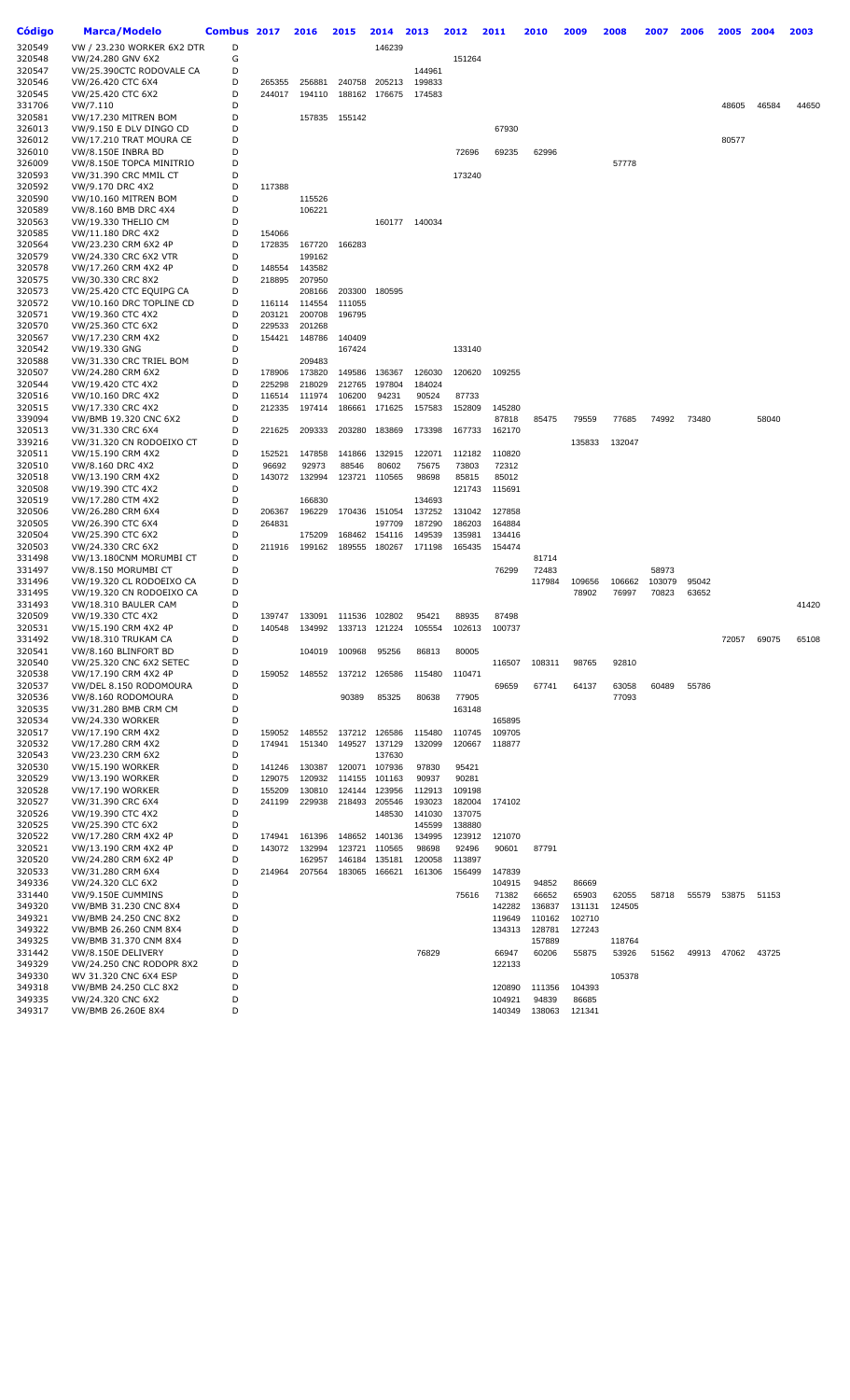| Código           | <b>Marca/Modelo</b>                             | Combus 2017 |                  | 2016             | 2015             | 2014             | 2013             | 2012             | 2011             | 2010             | 2009             | 2008   | 2007   | 2006  | 2005  | 2004  | 2003  |
|------------------|-------------------------------------------------|-------------|------------------|------------------|------------------|------------------|------------------|------------------|------------------|------------------|------------------|--------|--------|-------|-------|-------|-------|
| 320549           | VW / 23.230 WORKER 6X2 DTR                      | D           |                  |                  |                  | 146239           |                  |                  |                  |                  |                  |        |        |       |       |       |       |
| 320548           | VW/24.280 GNV 6X2                               | G           |                  |                  |                  |                  |                  | 151264           |                  |                  |                  |        |        |       |       |       |       |
| 320547           | VW/25.390CTC RODOVALE CA                        | D           |                  |                  |                  |                  | 144961           |                  |                  |                  |                  |        |        |       |       |       |       |
| 320546           | VW/26.420 CTC 6X4                               | D           | 265355           | 256881           | 240758           | 205213           | 199833           |                  |                  |                  |                  |        |        |       |       |       |       |
| 320545<br>331706 | VW/25.420 CTC 6X2<br>VW/7.110                   | D<br>D      | 244017           | 194110           | 188162           | 176675           | 174583           |                  |                  |                  |                  |        |        |       | 48605 | 46584 | 44650 |
| 320581           | <b>VW/17.230 MITREN BOM</b>                     | D           |                  | 157835           | 155142           |                  |                  |                  |                  |                  |                  |        |        |       |       |       |       |
| 326013           | VW/9.150 E DLV DINGO CD                         | D           |                  |                  |                  |                  |                  |                  | 67930            |                  |                  |        |        |       |       |       |       |
| 326012           | VW/17.210 TRAT MOURA CE                         | D           |                  |                  |                  |                  |                  |                  |                  |                  |                  |        |        |       | 80577 |       |       |
| 326010           | VW/8.150E INBRA BD                              | D           |                  |                  |                  |                  |                  | 72696            | 69235            | 62996            |                  |        |        |       |       |       |       |
| 326009           | VW/8.150E TOPCA MINITRIO                        | D           |                  |                  |                  |                  |                  |                  |                  |                  |                  | 57778  |        |       |       |       |       |
| 320593           | VW/31.390 CRC MMIL CT                           | D           |                  |                  |                  |                  |                  | 173240           |                  |                  |                  |        |        |       |       |       |       |
| 320592           | VW/9.170 DRC 4X2                                | D           | 117388           |                  |                  |                  |                  |                  |                  |                  |                  |        |        |       |       |       |       |
| 320590           | VW/10.160 MITREN BOM                            | D<br>D      |                  | 115526           |                  |                  |                  |                  |                  |                  |                  |        |        |       |       |       |       |
| 320589<br>320563 | VW/8.160 BMB DRC 4X4<br>VW/19.330 THELIO CM     | D           |                  | 106221           |                  | 160177           | 140034           |                  |                  |                  |                  |        |        |       |       |       |       |
| 320585           | VW/11.180 DRC 4X2                               | D           | 154066           |                  |                  |                  |                  |                  |                  |                  |                  |        |        |       |       |       |       |
| 320564           | VW/23.230 CRM 6X2 4P                            | D           | 172835           | 167720           | 166283           |                  |                  |                  |                  |                  |                  |        |        |       |       |       |       |
| 320579           | VW/24.330 CRC 6X2 VTR                           | D           |                  | 199162           |                  |                  |                  |                  |                  |                  |                  |        |        |       |       |       |       |
| 320578           | VW/17.260 CRM 4X2 4P                            | D           | 148554           | 143582           |                  |                  |                  |                  |                  |                  |                  |        |        |       |       |       |       |
| 320575           | VW/30.330 CRC 8X2                               | D           | 218895           | 207950           |                  |                  |                  |                  |                  |                  |                  |        |        |       |       |       |       |
| 320573           | VW/25.420 CTC EQUIPG CA                         | D           |                  | 208166           | 203300           | 180595           |                  |                  |                  |                  |                  |        |        |       |       |       |       |
| 320572<br>320571 | VW/10.160 DRC TOPLINE CD<br>VW/19.360 CTC 4X2   | D<br>D      | 116114<br>203121 | 114554<br>200708 | 111055<br>196795 |                  |                  |                  |                  |                  |                  |        |        |       |       |       |       |
| 320570           | VW/25.360 CTC 6X2                               | D           | 229533           | 201268           |                  |                  |                  |                  |                  |                  |                  |        |        |       |       |       |       |
| 320567           | VW/17.230 CRM 4X2                               | D           | 154421           | 148786           | 140409           |                  |                  |                  |                  |                  |                  |        |        |       |       |       |       |
| 320542           | VW/19.330 GNG                                   | D           |                  |                  | 167424           |                  |                  | 133140           |                  |                  |                  |        |        |       |       |       |       |
| 320588           | VW/31.330 CRC TRIEL BOM                         | D           |                  | 209483           |                  |                  |                  |                  |                  |                  |                  |        |        |       |       |       |       |
| 320507           | VW/24.280 CRM 6X2                               | D           | 178906           | 173820           | 149586           | 136367           | 126030           | 120620           | 109255           |                  |                  |        |        |       |       |       |       |
| 320544           | VW/19.420 CTC 4X2                               | D           | 225298           | 218029           | 212765           | 197804           | 184024           |                  |                  |                  |                  |        |        |       |       |       |       |
| 320516           | VW/10.160 DRC 4X2                               | D           | 116514           | 111974           | 106200           | 94231            | 90524            | 87733            |                  |                  |                  |        |        |       |       |       |       |
| 320515           | VW/17.330 CRC 4X2                               | D<br>D      | 212335           | 197414           | 186661           | 171625           | 157583           | 152809           | 145280           |                  |                  |        |        |       |       |       |       |
| 339094<br>320513 | VW/BMB 19.320 CNC 6X2<br>VW/31.330 CRC 6X4      | D           | 221625           | 209333           | 203280           | 183869           | 173398           | 167733           | 87818<br>162170  | 85475            | 79559            | 77685  | 74992  | 73480 |       | 58040 |       |
| 339216           | VW/31.320 CN RODOEIXO CT                        | D           |                  |                  |                  |                  |                  |                  |                  |                  | 135833           | 132047 |        |       |       |       |       |
| 320511           | VW/15.190 CRM 4X2                               | D           | 152521           | 147858           | 141866           | 132915           | 122071           | 112182           | 110820           |                  |                  |        |        |       |       |       |       |
| 320510           | VW/8.160 DRC 4X2                                | D           | 96692            | 92973            | 88546            | 80602            | 75675            | 73803            | 72312            |                  |                  |        |        |       |       |       |       |
| 320518           | VW/13.190 CRM 4X2                               | D           | 143072           | 132994           | 123721           | 110565           | 98698            | 85815            | 85012            |                  |                  |        |        |       |       |       |       |
| 320508           | VW/19.390 CTC 4X2                               | D           |                  |                  |                  |                  |                  | 121743           | 115691           |                  |                  |        |        |       |       |       |       |
| 320519           | VW/17.280 CTM 4X2                               | D           |                  | 166830           |                  |                  | 134693           |                  |                  |                  |                  |        |        |       |       |       |       |
| 320506<br>320505 | VW/26.280 CRM 6X4<br>VW/26.390 CTC 6X4          | D<br>D      | 206367<br>264831 | 196229           | 170436           | 151054<br>197709 | 137252<br>187290 | 131042<br>186203 | 127858<br>164884 |                  |                  |        |        |       |       |       |       |
| 320504           | VW/25.390 CTC 6X2                               | D           |                  | 175209           | 168462           | 154116           | 149539           | 135981           | 134416           |                  |                  |        |        |       |       |       |       |
| 320503           | VW/24.330 CRC 6X2                               | D           | 211916           | 199162           | 189555           | 180267           | 171198           | 165435           | 154474           |                  |                  |        |        |       |       |       |       |
| 331498           | VW/13.180CNM MORUMBI CT                         | D           |                  |                  |                  |                  |                  |                  |                  | 81714            |                  |        |        |       |       |       |       |
| 331497           | VW/8.150 MORUMBI CT                             | D           |                  |                  |                  |                  |                  |                  | 76299            | 72483            |                  |        | 58973  |       |       |       |       |
| 331496           | VW/19.320 CL RODOEIXO CA                        | D           |                  |                  |                  |                  |                  |                  |                  | 117984           | 109656           | 106662 | 103079 | 95042 |       |       |       |
| 331495           | VW/19.320 CN RODOEIXO CA                        | D           |                  |                  |                  |                  |                  |                  |                  |                  | 78902            | 76997  | 70823  | 63652 |       |       |       |
| 331493           | VW/18.310 BAULER CAM                            | D           |                  |                  |                  |                  |                  |                  |                  |                  |                  |        |        |       |       |       | 41420 |
| 320509<br>320531 | VW/19.330 CTC 4X2<br>VW/15.190 CRM 4X2 4P       | D<br>D      | 139747<br>140548 | 133091<br>134992 | 111536<br>133713 | 102802<br>121224 | 95421<br>105554  | 88935<br>102613  | 87498<br>100737  |                  |                  |        |        |       |       |       |       |
| 331492           | VW/18.310 TRUKAM CA                             | D           |                  |                  |                  |                  |                  |                  |                  |                  |                  |        |        |       | 72057 | 69075 | 65108 |
| 320541           | VW/8.160 BLINFORT BD                            | D           |                  | 104019           | 100968           | 95256            | 86813            | 80005            |                  |                  |                  |        |        |       |       |       |       |
| 320540           | VW/25.320 CNC 6X2 SETEC                         | D           |                  |                  |                  |                  |                  |                  | 116507           | 108311           | 98765            | 92810  |        |       |       |       |       |
| 320538           | VW/17.190 CRM 4X2 4P                            | D           | 159052           | 148552           | 137212           | 126586           | 115480           | 110471           |                  |                  |                  |        |        |       |       |       |       |
| 320537           | VW/DEL 8.150 RODOMOURA                          | D           |                  |                  |                  |                  |                  |                  | 69659            | 67741            | 64137            | 63058  | 60489  | 55786 |       |       |       |
| 320536           | VW/8.160 RODOMOURA                              | D           |                  |                  | 90389            | 85325            | 80638            | 77905            |                  |                  |                  | 77093  |        |       |       |       |       |
| 320535<br>320534 | VW/31.280 BMB CRM CM<br><b>VW/24.330 WORKER</b> | D<br>D      |                  |                  |                  |                  |                  | 163148           | 165895           |                  |                  |        |        |       |       |       |       |
| 320517           | VW/17.190 CRM 4X2                               | D           | 159052           | 148552           | 137212           | 126586           | 115480           | 110745           | 109705           |                  |                  |        |        |       |       |       |       |
| 320532           | VW/17.280 CRM 4X2                               | D           | 174941           | 151340           | 149527           | 137129           | 132099           | 120667           | 118877           |                  |                  |        |        |       |       |       |       |
| 320543           | VW/23.230 CRM 6X2                               | D           |                  |                  |                  | 137630           |                  |                  |                  |                  |                  |        |        |       |       |       |       |
| 320530           | <b>VW/15.190 WORKER</b>                         | D           | 141246           | 130387           | 120071           | 107936           | 97830            | 95421            |                  |                  |                  |        |        |       |       |       |       |
| 320529           | VW/13.190 WORKER                                | D           | 129075           | 120932           | 114155           | 101163           | 90937            | 90281            |                  |                  |                  |        |        |       |       |       |       |
| 320528           | <b>VW/17.190 WORKER</b>                         | D           | 155209           | 130810           | 124144           | 123956           | 112913           | 109198           |                  |                  |                  |        |        |       |       |       |       |
| 320527           | VW/31.390 CRC 6X4<br>VW/19.390 CTC 4X2          | D<br>D      | 241199           | 229938           | 218493           | 205546           | 193023           | 182004           | 174102           |                  |                  |        |        |       |       |       |       |
| 320526<br>320525 | VW/25.390 CTC 6X2                               | D           |                  |                  |                  | 148530           | 141030<br>145599 | 137075<br>138880 |                  |                  |                  |        |        |       |       |       |       |
| 320522           | VW/17.280 CRM 4X2 4P                            | D           | 174941           | 161396           | 148652           | 140136           | 134995           | 123912           | 121070           |                  |                  |        |        |       |       |       |       |
| 320521           | VW/13.190 CRM 4X2 4P                            | D           | 143072           | 132994           | 123721           | 110565           | 98698            | 92496            | 90601            | 87791            |                  |        |        |       |       |       |       |
| 320520           | VW/24.280 CRM 6X2 4P                            | D           |                  | 162957           | 146184           | 135181           | 120058           | 113897           |                  |                  |                  |        |        |       |       |       |       |
| 320533           | VW/31.280 CRM 6X4                               | D           | 214964           | 207564           | 183065           | 166621           | 161306           | 156499           | 147839           |                  |                  |        |        |       |       |       |       |
| 349336           | VW/24.320 CLC 6X2                               | D           |                  |                  |                  |                  |                  |                  | 104915           | 94852            | 86669            |        |        |       |       |       |       |
| 331440           | VW/9.150E CUMMINS                               | D           |                  |                  |                  |                  |                  | 75616            | 71382            | 66652            | 65903            | 62055  | 58718  | 55579 | 53875 | 51153 |       |
| 349320           | VW/BMB 31.230 CNC 8X4                           | D           |                  |                  |                  |                  |                  |                  | 142282           | 136837           | 131131           | 124505 |        |       |       |       |       |
| 349321<br>349322 | VW/BMB 24.250 CNC 8X2<br>VW/BMB 26.260 CNM 8X4  | D<br>D      |                  |                  |                  |                  |                  |                  | 119649<br>134313 | 110162<br>128781 | 102710<br>127243 |        |        |       |       |       |       |
| 349325           | VW/BMB 31.370 CNM 8X4                           | D           |                  |                  |                  |                  |                  |                  |                  | 157889           |                  | 118764 |        |       |       |       |       |
| 331442           | VW/8.150E DELIVERY                              | D           |                  |                  |                  |                  | 76829            |                  | 66947            | 60206            | 55875            | 53926  | 51562  | 49913 | 47062 | 43725 |       |
| 349329           | VW/24.250 CNC RODOPR 8X2                        | D           |                  |                  |                  |                  |                  |                  | 122133           |                  |                  |        |        |       |       |       |       |
| 349330           | WV 31.320 CNC 6X4 ESP                           | D           |                  |                  |                  |                  |                  |                  |                  |                  |                  | 105378 |        |       |       |       |       |
| 349318           | VW/BMB 24.250 CLC 8X2                           | D           |                  |                  |                  |                  |                  |                  | 120890           | 111356           | 104393           |        |        |       |       |       |       |
| 349335           | VW/24.320 CNC 6X2                               | D           |                  |                  |                  |                  |                  |                  | 104921           | 94839            | 86685            |        |        |       |       |       |       |
| 349317           | VW/BMB 26.260E 8X4                              | D           |                  |                  |                  |                  |                  |                  | 140349           | 138063           | 121341           |        |        |       |       |       |       |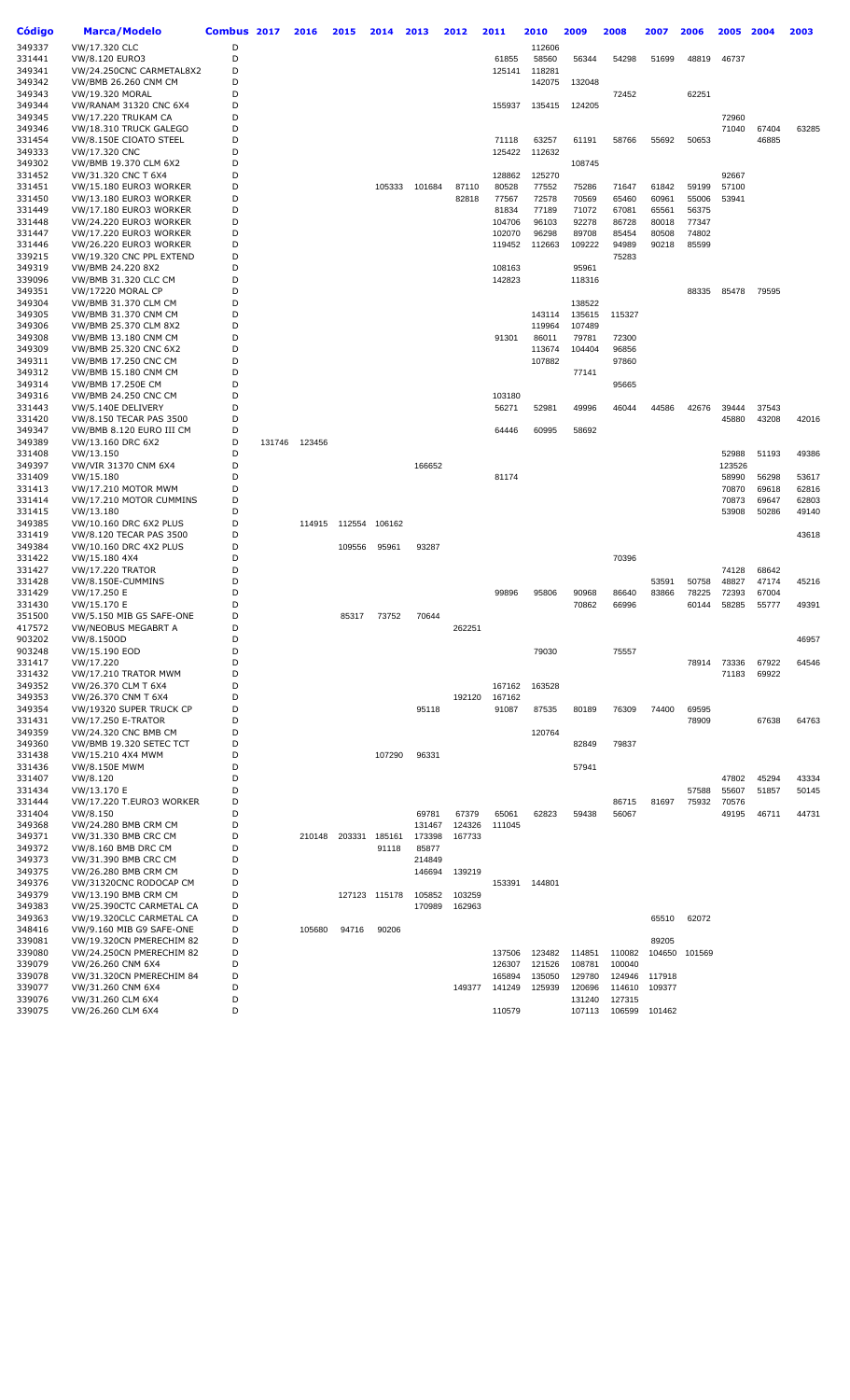| Código           | Marca/Modelo                                   | Combus 2017 |        | 2016   | 2015   | 2014          | 2013   | 2012   | 2011           | 2010           | 2009           | 2008           | 2007           | 2006          | 2005           | 2004  | 2003  |
|------------------|------------------------------------------------|-------------|--------|--------|--------|---------------|--------|--------|----------------|----------------|----------------|----------------|----------------|---------------|----------------|-------|-------|
| 349337           | VW/17.320 CLC                                  | D           |        |        |        |               |        |        |                | 112606         |                |                |                |               |                |       |       |
| 331441           | VW/8.120 EURO3                                 | D           |        |        |        |               |        |        | 61855          | 58560          | 56344          | 54298          | 51699          | 48819         | 46737          |       |       |
| 349341           | VW/24.250CNC CARMETAL8X2                       | D           |        |        |        |               |        |        | 125141         | 118281         |                |                |                |               |                |       |       |
| 349342           | VW/BMB 26.260 CNM CM                           | D           |        |        |        |               |        |        |                | 142075         | 132048         |                |                |               |                |       |       |
| 349343           | VW/19.320 MORAL                                | D           |        |        |        |               |        |        |                |                |                | 72452          |                | 62251         |                |       |       |
| 349344           | <b>VW/RANAM 31320 CNC 6X4</b>                  | D           |        |        |        |               |        |        | 155937         | 135415         | 124205         |                |                |               |                |       |       |
| 349345           | <b>VW/17.220 TRUKAM CA</b>                     | D           |        |        |        |               |        |        |                |                |                |                |                |               | 72960          |       |       |
| 349346           | VW/18.310 TRUCK GALEGO                         | D           |        |        |        |               |        |        |                |                |                |                |                |               | 71040          | 67404 | 63285 |
| 331454           | VW/8.150E CIOATO STEEL                         | D           |        |        |        |               |        |        | 71118          | 63257          | 61191          | 58766          | 55692          | 50653         |                | 46885 |       |
| 349333           | VW/17.320 CNC                                  | D           |        |        |        |               |        |        | 125422         | 112632         |                |                |                |               |                |       |       |
| 349302           | VW/BMB 19.370 CLM 6X2                          | D           |        |        |        |               |        |        |                |                | 108745         |                |                |               |                |       |       |
| 331452<br>331451 | VW/31.320 CNC T 6X4<br>VW/15.180 EURO3 WORKER  | D<br>D      |        |        |        | 105333        | 101684 | 87110  | 128862         | 125270         |                |                |                | 59199         | 92667<br>57100 |       |       |
| 331450           | VW/13.180 EURO3 WORKER                         | D           |        |        |        |               |        | 82818  | 80528<br>77567 | 77552<br>72578 | 75286<br>70569 | 71647<br>65460 | 61842<br>60961 | 55006         | 53941          |       |       |
| 331449           | VW/17.180 EURO3 WORKER                         | D           |        |        |        |               |        |        | 81834          | 77189          | 71072          | 67081          | 65561          | 56375         |                |       |       |
| 331448           | VW/24.220 EURO3 WORKER                         | D           |        |        |        |               |        |        | 104706         | 96103          | 92278          | 86728          | 80018          | 77347         |                |       |       |
| 331447           | VW/17.220 EURO3 WORKER                         | D           |        |        |        |               |        |        | 102070         | 96298          | 89708          | 85454          | 80508          | 74802         |                |       |       |
| 331446           | VW/26.220 EURO3 WORKER                         | D           |        |        |        |               |        |        | 119452         | 112663         | 109222         | 94989          | 90218          | 85599         |                |       |       |
| 339215           | VW/19.320 CNC PPL EXTEND                       | D           |        |        |        |               |        |        |                |                |                | 75283          |                |               |                |       |       |
| 349319           | VW/BMB 24.220 8X2                              | D           |        |        |        |               |        |        | 108163         |                | 95961          |                |                |               |                |       |       |
| 339096           | VW/BMB 31.320 CLC CM                           | D           |        |        |        |               |        |        | 142823         |                | 118316         |                |                |               |                |       |       |
| 349351           | <b>VW/17220 MORAL CP</b>                       | D           |        |        |        |               |        |        |                |                |                |                |                | 88335         | 85478          | 79595 |       |
| 349304           | VW/BMB 31.370 CLM CM                           | D           |        |        |        |               |        |        |                |                | 138522         |                |                |               |                |       |       |
| 349305           | <b>VW/BMB 31.370 CNM CM</b>                    | D           |        |        |        |               |        |        |                | 143114         | 135615         | 115327         |                |               |                |       |       |
| 349306           | VW/BMB 25.370 CLM 8X2                          | D           |        |        |        |               |        |        |                | 119964         | 107489         |                |                |               |                |       |       |
| 349308           | <b>VW/BMB 13.180 CNM CM</b>                    | D           |        |        |        |               |        |        | 91301          | 86011          | 79781          | 72300          |                |               |                |       |       |
| 349309           | VW/BMB 25.320 CNC 6X2                          | D           |        |        |        |               |        |        |                | 113674         | 104404         | 96856          |                |               |                |       |       |
| 349311           | <b>VW/BMB 17.250 CNC CM</b>                    | D           |        |        |        |               |        |        |                | 107882         |                | 97860          |                |               |                |       |       |
| 349312           | <b>VW/BMB 15.180 CNM CM</b>                    | D           |        |        |        |               |        |        |                |                | 77141          |                |                |               |                |       |       |
| 349314           | <b>VW/BMB 17.250E CM</b>                       | D           |        |        |        |               |        |        |                |                |                | 95665          |                |               |                |       |       |
| 349316           | <b>VW/BMB 24.250 CNC CM</b>                    | D           |        |        |        |               |        |        | 103180         |                |                |                |                |               |                |       |       |
| 331443           | VW/5.140E DELIVERY                             | D           |        |        |        |               |        |        | 56271          | 52981          | 49996          | 46044          | 44586          | 42676         | 39444          | 37543 |       |
| 331420           | VW/8.150 TECAR PAS 3500                        | D           |        |        |        |               |        |        |                |                |                |                |                |               | 45880          | 43208 | 42016 |
| 349347<br>349389 | VW/BMB 8.120 EURO III CM                       | D<br>D      | 131746 |        |        |               |        |        | 64446          | 60995          | 58692          |                |                |               |                |       |       |
| 331408           | VW/13.160 DRC 6X2<br>VW/13.150                 | D           |        | 123456 |        |               |        |        |                |                |                |                |                |               | 52988          | 51193 | 49386 |
| 349397           | VW/VIR 31370 CNM 6X4                           | D           |        |        |        |               | 166652 |        |                |                |                |                |                |               | 123526         |       |       |
| 331409           | VW/15.180                                      | D           |        |        |        |               |        |        | 81174          |                |                |                |                |               | 58990          | 56298 | 53617 |
| 331413           | VW/17.210 MOTOR MWM                            | D           |        |        |        |               |        |        |                |                |                |                |                |               | 70870          | 69618 | 62816 |
| 331414           | VW/17.210 MOTOR CUMMINS                        | D           |        |        |        |               |        |        |                |                |                |                |                |               | 70873          | 69647 | 62803 |
| 331415           | VW/13.180                                      | D           |        |        |        |               |        |        |                |                |                |                |                |               | 53908          | 50286 | 49140 |
| 349385           | VW/10.160 DRC 6X2 PLUS                         | D           |        | 114915 | 112554 | 106162        |        |        |                |                |                |                |                |               |                |       |       |
| 331419           | VW/8.120 TECAR PAS 3500                        | D           |        |        |        |               |        |        |                |                |                |                |                |               |                |       | 43618 |
| 349384           | VW/10.160 DRC 4X2 PLUS                         | D           |        |        | 109556 | 95961         | 93287  |        |                |                |                |                |                |               |                |       |       |
| 331422           | VW/15.180 4X4                                  | D           |        |        |        |               |        |        |                |                |                | 70396          |                |               |                |       |       |
| 331427           | <b>VW/17.220 TRATOR</b>                        | D           |        |        |        |               |        |        |                |                |                |                |                |               | 74128          | 68642 |       |
| 331428           | VW/8.150E-CUMMINS                              | D           |        |        |        |               |        |        |                |                |                |                | 53591          | 50758         | 48827          | 47174 | 45216 |
| 331429           | VW/17.250 E                                    | D           |        |        |        |               |        |        | 99896          | 95806          | 90968          | 86640          | 83866          | 78225         | 72393          | 67004 |       |
| 331430           | VW/15.170 E                                    | D           |        |        |        |               |        |        |                |                | 70862          | 66996          |                | 60144         | 58285          | 55777 | 49391 |
| 351500           | VW/5.150 MIB G5 SAFE-ONE                       | D           |        |        | 85317  | 73752         | 70644  |        |                |                |                |                |                |               |                |       |       |
| 417572           | VW/NEOBUS MEGABRT A                            | D           |        |        |        |               |        | 262251 |                |                |                |                |                |               |                |       |       |
| 903202           | VW/8.150OD                                     | D           |        |        |        |               |        |        |                |                |                |                |                |               |                |       | 46957 |
| 903248<br>331417 | VW/15.190 EOD<br>VW/17.220                     | D<br>D      |        |        |        |               |        |        |                | 79030          |                | 75557          |                | 78914         | 73336          | 67922 | 64546 |
| 331432           | VW/17.210 TRATOR MWM                           | D           |        |        |        |               |        |        |                |                |                |                |                |               | 71183          | 69922 |       |
| 349352           | VW/26.370 CLM T 6X4                            | D           |        |        |        |               |        |        | 167162         | 163528         |                |                |                |               |                |       |       |
| 349353           | VW/26.370 CNM T 6X4                            | D           |        |        |        |               |        | 192120 | 167162         |                |                |                |                |               |                |       |       |
| 349354           | VW/19320 SUPER TRUCK CP                        | D           |        |        |        |               | 95118  |        | 91087          | 87535          | 80189          | 76309          | 74400          | 69595         |                |       |       |
| 331431           | VW/17.250 E-TRATOR                             | D           |        |        |        |               |        |        |                |                |                |                |                | 78909         |                | 67638 | 64763 |
| 349359           | VW/24.320 CNC BMB CM                           | D           |        |        |        |               |        |        |                | 120764         |                |                |                |               |                |       |       |
| 349360           | VW/BMB 19.320 SETEC TCT                        | D           |        |        |        |               |        |        |                |                | 82849          | 79837          |                |               |                |       |       |
| 331438           | VW/15.210 4X4 MWM                              | D           |        |        |        | 107290        | 96331  |        |                |                |                |                |                |               |                |       |       |
| 331436           | <b>VW/8.150E MWM</b>                           | D           |        |        |        |               |        |        |                |                | 57941          |                |                |               |                |       |       |
| 331407           | VW/8.120                                       | D           |        |        |        |               |        |        |                |                |                |                |                |               | 47802          | 45294 | 43334 |
| 331434           | VW/13.170 E                                    | D           |        |        |        |               |        |        |                |                |                |                |                | 57588         | 55607          | 51857 | 50145 |
| 331444           | VW/17.220 T.EURO3 WORKER                       | D           |        |        |        |               |        |        |                |                |                | 86715          | 81697          | 75932         | 70576          |       |       |
| 331404           | VW/8.150                                       | D           |        |        |        |               | 69781  | 67379  | 65061          | 62823          | 59438          | 56067          |                |               | 49195          | 46711 | 44731 |
| 349368           | VW/24.280 BMB CRM CM                           | D           |        |        |        |               | 131467 | 124326 | 111045         |                |                |                |                |               |                |       |       |
| 349371           | VW/31.330 BMB CRC CM                           | D           |        | 210148 | 203331 | 185161        | 173398 | 167733 |                |                |                |                |                |               |                |       |       |
| 349372<br>349373 | VW/8.160 BMB DRC CM                            | D           |        |        |        | 91118         | 85877  |        |                |                |                |                |                |               |                |       |       |
|                  | VW/31.390 BMB CRC CM                           | D           |        |        |        |               | 214849 |        |                |                |                |                |                |               |                |       |       |
| 349375<br>349376 | VW/26.280 BMB CRM CM<br>VW/31320CNC RODOCAP CM | D<br>D      |        |        |        |               | 146694 | 139219 | 153391         | 144801         |                |                |                |               |                |       |       |
| 349379           | VW/13.190 BMB CRM CM                           | D           |        |        |        | 127123 115178 | 105852 | 103259 |                |                |                |                |                |               |                |       |       |
| 349383           | VW/25.390CTC CARMETAL CA                       | D           |        |        |        |               | 170989 | 162963 |                |                |                |                |                |               |                |       |       |
| 349363           | VW/19.320CLC CARMETAL CA                       | D           |        |        |        |               |        |        |                |                |                |                | 65510          | 62072         |                |       |       |
| 348416           | VW/9.160 MIB G9 SAFE-ONE                       | D           |        | 105680 | 94716  | 90206         |        |        |                |                |                |                |                |               |                |       |       |
| 339081           | VW/19.320CN PMERECHIM 82                       | D           |        |        |        |               |        |        |                |                |                |                | 89205          |               |                |       |       |
| 339080           | VW/24.250CN PMERECHIM 82                       | D           |        |        |        |               |        |        | 137506         | 123482         | 114851         | 110082         |                | 104650 101569 |                |       |       |
| 339079           | VW/26.260 CNM 6X4                              | D           |        |        |        |               |        |        | 126307         | 121526         | 108781         | 100040         |                |               |                |       |       |
| 339078           | VW/31.320CN PMERECHIM 84                       | D           |        |        |        |               |        |        | 165894         | 135050         | 129780         | 124946         | 117918         |               |                |       |       |
| 339077           | VW/31.260 CNM 6X4                              | D           |        |        |        |               |        | 149377 | 141249         | 125939         | 120696         | 114610         | 109377         |               |                |       |       |
| 339076           | VW/31.260 CLM 6X4                              | D           |        |        |        |               |        |        |                |                | 131240         | 127315         |                |               |                |       |       |
| 339075           | VW/26.260 CLM 6X4                              | D           |        |        |        |               |        |        | 110579         |                | 107113         | 106599         | 101462         |               |                |       |       |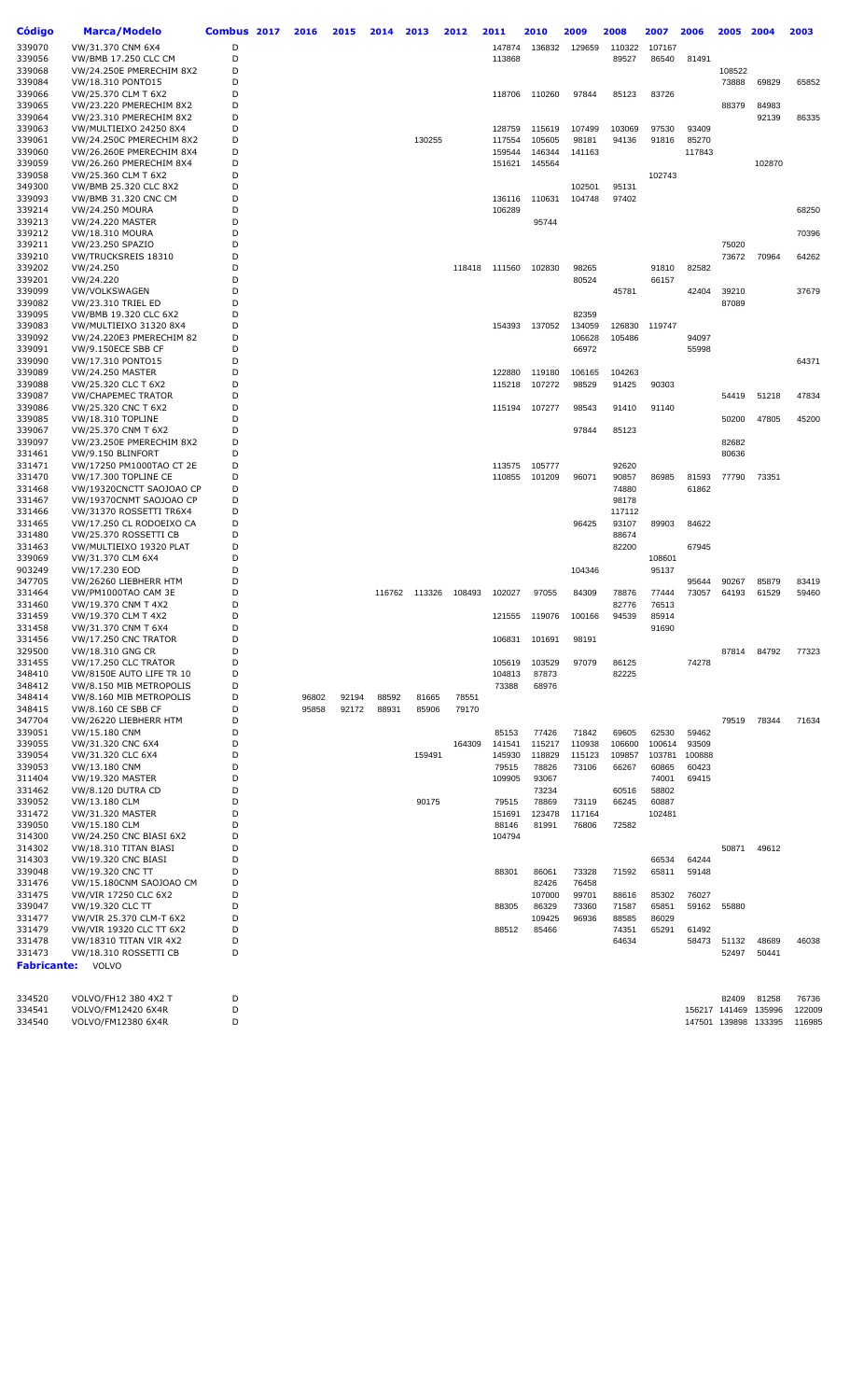| Código             | <b>Marca/Modelo</b>                                | Combus 2017 | 2016  | 2015  | 2014  | 2013          | 2012   | 2011             | 2010             | 2009            | 2008   | 2007            | 2006           | 2005                 | 2004   | 2003   |
|--------------------|----------------------------------------------------|-------------|-------|-------|-------|---------------|--------|------------------|------------------|-----------------|--------|-----------------|----------------|----------------------|--------|--------|
| 339070             | VW/31.370 CNM 6X4                                  | D           |       |       |       |               |        | 147874           | 136832           | 129659          | 110322 | 107167          |                |                      |        |        |
| 339056             | VW/BMB 17.250 CLC CM                               | D           |       |       |       |               |        | 113868           |                  |                 | 89527  | 86540           | 81491          |                      |        |        |
| 339068             | VW/24.250E PMERECHIM 8X2                           | D           |       |       |       |               |        |                  |                  |                 |        |                 |                | 108522               |        |        |
| 339084             | VW/18.310 PONTO15                                  | D           |       |       |       |               |        |                  |                  |                 |        |                 |                | 73888                | 69829  | 65852  |
| 339066             | VW/25.370 CLM T 6X2                                | D           |       |       |       |               |        | 118706           | 110260           | 97844           | 85123  | 83726           |                |                      |        |        |
| 339065             | VW/23.220 PMERECHIM 8X2                            | D           |       |       |       |               |        |                  |                  |                 |        |                 |                | 88379                | 84983  |        |
| 339064             | VW/23.310 PMERECHIM 8X2                            | D           |       |       |       |               |        |                  |                  |                 |        |                 |                |                      | 92139  | 86335  |
| 339063<br>339061   | VW/MULTIEIXO 24250 8X4<br>VW/24.250C PMERECHIM 8X2 | D<br>D      |       |       |       | 130255        |        | 128759<br>117554 | 115619<br>105605 | 107499<br>98181 | 103069 | 97530<br>91816  | 93409<br>85270 |                      |        |        |
| 339060             | VW/26.260E PMERECHIM 8X4                           | D           |       |       |       |               |        | 159544           | 146344           | 141163          | 94136  |                 | 117843         |                      |        |        |
| 339059             | VW/26.260 PMERECHIM 8X4                            | D           |       |       |       |               |        | 151621           | 145564           |                 |        |                 |                |                      | 102870 |        |
| 339058             | VW/25.360 CLM T 6X2                                | D           |       |       |       |               |        |                  |                  |                 |        | 102743          |                |                      |        |        |
| 349300             | VW/BMB 25.320 CLC 8X2                              | D           |       |       |       |               |        |                  |                  | 102501          | 95131  |                 |                |                      |        |        |
| 339093             | <b>VW/BMB 31.320 CNC CM</b>                        | D           |       |       |       |               |        | 136116           | 110631           | 104748          | 97402  |                 |                |                      |        |        |
| 339214             | <b>VW/24.250 MOURA</b>                             | D           |       |       |       |               |        | 106289           |                  |                 |        |                 |                |                      |        | 68250  |
| 339213             | <b>VW/24.220 MASTER</b>                            | D           |       |       |       |               |        |                  | 95744            |                 |        |                 |                |                      |        |        |
| 339212             | <b>VW/18.310 MOURA</b>                             | D           |       |       |       |               |        |                  |                  |                 |        |                 |                |                      |        | 70396  |
| 339211             | VW/23.250 SPAZIO                                   | D           |       |       |       |               |        |                  |                  |                 |        |                 |                | 75020                |        |        |
| 339210             | VW/TRUCKSREIS 18310                                | D           |       |       |       |               |        |                  |                  |                 |        |                 |                | 73672                | 70964  | 64262  |
| 339202             | VW/24.250                                          | D           |       |       |       |               | 118418 | 111560           | 102830           | 98265           |        | 91810           | 82582          |                      |        |        |
| 339201<br>339099   | VW/24.220<br><b>VW/VOLKSWAGEN</b>                  | D<br>D      |       |       |       |               |        |                  |                  | 80524           | 45781  | 66157           | 42404          | 39210                |        | 37679  |
| 339082             | VW/23.310 TRIEL ED                                 | D           |       |       |       |               |        |                  |                  |                 |        |                 |                | 87089                |        |        |
| 339095             | VW/BMB 19.320 CLC 6X2                              | D           |       |       |       |               |        |                  |                  | 82359           |        |                 |                |                      |        |        |
| 339083             | VW/MULTIEIXO 31320 8X4                             | D           |       |       |       |               |        | 154393           | 137052           | 134059          | 126830 | 119747          |                |                      |        |        |
| 339092             | VW/24.220E3 PMERECHIM 82                           | D           |       |       |       |               |        |                  |                  | 106628          | 105486 |                 | 94097          |                      |        |        |
| 339091             | VW/9.150ECE SBB CF                                 | D           |       |       |       |               |        |                  |                  | 66972           |        |                 | 55998          |                      |        |        |
| 339090             | VW/17.310 PONTO15                                  | D           |       |       |       |               |        |                  |                  |                 |        |                 |                |                      |        | 64371  |
| 339089             | <b>VW/24.250 MASTER</b>                            | D           |       |       |       |               |        | 122880           | 119180           | 106165          | 104263 |                 |                |                      |        |        |
| 339088             | VW/25.320 CLC T 6X2                                | D           |       |       |       |               |        | 115218           | 107272           | 98529           | 91425  | 90303           |                |                      |        |        |
| 339087             | <b>VW/CHAPEMEC TRATOR</b>                          | D           |       |       |       |               |        |                  |                  |                 |        |                 |                | 54419                | 51218  | 47834  |
| 339086             | VW/25.320 CNC T 6X2                                | D           |       |       |       |               |        | 115194           | 107277           | 98543           | 91410  | 91140           |                |                      |        |        |
| 339085             | VW/18.310 TOPLINE                                  | D           |       |       |       |               |        |                  |                  |                 |        |                 |                | 50200                | 47805  | 45200  |
| 339067<br>339097   | VW/25.370 CNM T 6X2<br>VW/23.250E PMERECHIM 8X2    | D<br>D      |       |       |       |               |        |                  |                  | 97844           | 85123  |                 |                | 82682                |        |        |
| 331461             | VW/9.150 BLINFORT                                  | D           |       |       |       |               |        |                  |                  |                 |        |                 |                | 80636                |        |        |
| 331471             | VW/17250 PM1000TAO CT 2E                           | D           |       |       |       |               |        | 113575           | 105777           |                 | 92620  |                 |                |                      |        |        |
| 331470             | VW/17.300 TOPLINE CE                               | D           |       |       |       |               |        | 110855           | 101209           | 96071           | 90857  | 86985           | 81593          | 77790                | 73351  |        |
| 331468             | VW/19320CNCTT SAOJOAO CP                           | D           |       |       |       |               |        |                  |                  |                 | 74880  |                 | 61862          |                      |        |        |
| 331467             | VW/19370CNMT SAOJOAO CP                            | D           |       |       |       |               |        |                  |                  |                 | 98178  |                 |                |                      |        |        |
| 331466             | VW/31370 ROSSETTI TR6X4                            | D           |       |       |       |               |        |                  |                  |                 | 117112 |                 |                |                      |        |        |
| 331465             | VW/17.250 CL RODOEIXO CA                           | D           |       |       |       |               |        |                  |                  | 96425           | 93107  | 89903           | 84622          |                      |        |        |
| 331480             | VW/25.370 ROSSETTI CB                              | D           |       |       |       |               |        |                  |                  |                 | 88674  |                 |                |                      |        |        |
| 331463             | VW/MULTIEIXO 19320 PLAT                            | D           |       |       |       |               |        |                  |                  |                 | 82200  |                 | 67945          |                      |        |        |
| 339069             | VW/31.370 CLM 6X4                                  | D<br>D      |       |       |       |               |        |                  |                  |                 |        | 108601<br>95137 |                |                      |        |        |
| 903249<br>347705   | VW/17.230 EOD<br>VW/26260 LIEBHERR HTM             | D           |       |       |       |               |        |                  |                  | 104346          |        |                 | 95644          | 90267                | 85879  | 83419  |
| 331464             | VW/PM1000TAO CAM 3E                                | D           |       |       |       | 116762 113326 | 108493 | 102027           | 97055            | 84309           | 78876  | 77444           | 73057          | 64193                | 61529  | 59460  |
| 331460             | VW/19.370 CNM T 4X2                                | D           |       |       |       |               |        |                  |                  |                 | 82776  | 76513           |                |                      |        |        |
| 331459             | VW/19.370 CLM T 4X2                                | D           |       |       |       |               |        | 121555           | 119076           | 100166          | 94539  | 85914           |                |                      |        |        |
| 331458             | VW/31.370 CNM T 6X4                                | D           |       |       |       |               |        |                  |                  |                 |        | 91690           |                |                      |        |        |
| 331456             | <b>VW/17.250 CNC TRATOR</b>                        | D           |       |       |       |               |        | 106831           | 101691           | 98191           |        |                 |                |                      |        |        |
| 329500             | VW/18.310 GNG CR                                   | D           |       |       |       |               |        |                  |                  |                 |        |                 |                | 87814                | 84792  | 77323  |
| 331455             | <b>VW/17.250 CLC TRATOR</b>                        | D           |       |       |       |               |        | 105619           | 103529           | 97079           | 86125  |                 | 74278          |                      |        |        |
| 348410             | VW/8150E AUTO LIFE TR 10                           | D           |       |       |       |               |        | 104813           | 87873            |                 | 82225  |                 |                |                      |        |        |
| 348412             | VW/8.150 MIB METROPOLIS                            | D           |       |       |       |               |        | 73388            | 68976            |                 |        |                 |                |                      |        |        |
| 348414             | VW/8.160 MIB METROPOLIS                            | D           | 96802 | 92194 | 88592 | 81665         | 78551  |                  |                  |                 |        |                 |                |                      |        |        |
| 348415<br>347704   | VW/8.160 CE SBB CF<br>VW/26220 LIEBHERR HTM        | D<br>D      | 95858 | 92172 | 88931 | 85906         | 79170  |                  |                  |                 |        |                 |                | 79519                | 78344  | 71634  |
| 339051             | VW/15.180 CNM                                      | D           |       |       |       |               |        | 85153            | 77426            | 71842           | 69605  | 62530           | 59462          |                      |        |        |
| 339055             | VW/31.320 CNC 6X4                                  | D           |       |       |       |               | 164309 | 141541           | 115217           | 110938          | 106600 | 100614          | 93509          |                      |        |        |
| 339054             | VW/31.320 CLC 6X4                                  | D           |       |       |       | 159491        |        | 145930           | 118829           | 115123          | 109857 | 103781          | 100888         |                      |        |        |
| 339053             | VW/13.180 CNM                                      | D           |       |       |       |               |        | 79515            | 78826            | 73106           | 66267  | 60865           | 60423          |                      |        |        |
| 311404             | <b>VW/19.320 MASTER</b>                            | D           |       |       |       |               |        | 109905           | 93067            |                 |        | 74001           | 69415          |                      |        |        |
| 331462             | VW/8.120 DUTRA CD                                  | D           |       |       |       |               |        |                  | 73234            |                 | 60516  | 58802           |                |                      |        |        |
| 339052             | VW/13.180 CLM                                      | D           |       |       |       | 90175         |        | 79515            | 78869            | 73119           | 66245  | 60887           |                |                      |        |        |
| 331472             | VW/31.320 MASTER                                   | D           |       |       |       |               |        | 151691           | 123478           | 117164          |        | 102481          |                |                      |        |        |
| 339050             | VW/15.180 CLM                                      | D           |       |       |       |               |        | 88146            | 81991            | 76806           | 72582  |                 |                |                      |        |        |
| 314300<br>314302   | VW/24.250 CNC BIASI 6X2<br>VW/18.310 TITAN BIASI   | D<br>D      |       |       |       |               |        | 104794           |                  |                 |        |                 |                | 50871                | 49612  |        |
| 314303             | <b>VW/19.320 CNC BIASI</b>                         | D           |       |       |       |               |        |                  |                  |                 |        | 66534           | 64244          |                      |        |        |
| 339048             | VW/19.320 CNC TT                                   | D           |       |       |       |               |        | 88301            | 86061            | 73328           | 71592  | 65811           | 59148          |                      |        |        |
| 331476             | VW/15.180CNM SAOJOAO CM                            | D           |       |       |       |               |        |                  | 82426            | 76458           |        |                 |                |                      |        |        |
| 331475             | VW/VIR 17250 CLC 6X2                               | D           |       |       |       |               |        |                  | 107000           | 99701           | 88616  | 85302           | 76027          |                      |        |        |
| 339047             | VW/19.320 CLC TT                                   | D           |       |       |       |               |        | 88305            | 86329            | 73360           | 71587  | 65851           | 59162          | 55880                |        |        |
| 331477             | VW/VIR 25.370 CLM-T 6X2                            | D           |       |       |       |               |        |                  | 109425           | 96936           | 88585  | 86029           |                |                      |        |        |
| 331479             | VW/VIR 19320 CLC TT 6X2                            | D           |       |       |       |               |        | 88512            | 85466            |                 | 74351  | 65291           | 61492          |                      |        |        |
| 331478             | VW/18310 TITAN VIR 4X2                             | D           |       |       |       |               |        |                  |                  |                 | 64634  |                 | 58473          | 51132                | 48689  | 46038  |
| 331473             | VW/18.310 ROSSETTI CB                              | D           |       |       |       |               |        |                  |                  |                 |        |                 |                | 52497                | 50441  |        |
| <b>Fabricante:</b> | VOLVO                                              |             |       |       |       |               |        |                  |                  |                 |        |                 |                |                      |        |        |
|                    |                                                    |             |       |       |       |               |        |                  |                  |                 |        |                 |                |                      |        |        |
| 334520             | VOLVO/FH12 380 4X2 T                               | D           |       |       |       |               |        |                  |                  |                 |        |                 |                | 82409                | 81258  | 76736  |
| 334541             | VOLVO/FM12420 6X4R                                 | D           |       |       |       |               |        |                  |                  |                 |        |                 |                | 156217 141469        | 135996 | 122009 |
| 334540             | VOLVO/FM12380 6X4R                                 | D           |       |       |       |               |        |                  |                  |                 |        |                 |                | 147501 139898 133395 |        | 116985 |
|                    |                                                    |             |       |       |       |               |        |                  |                  |                 |        |                 |                |                      |        |        |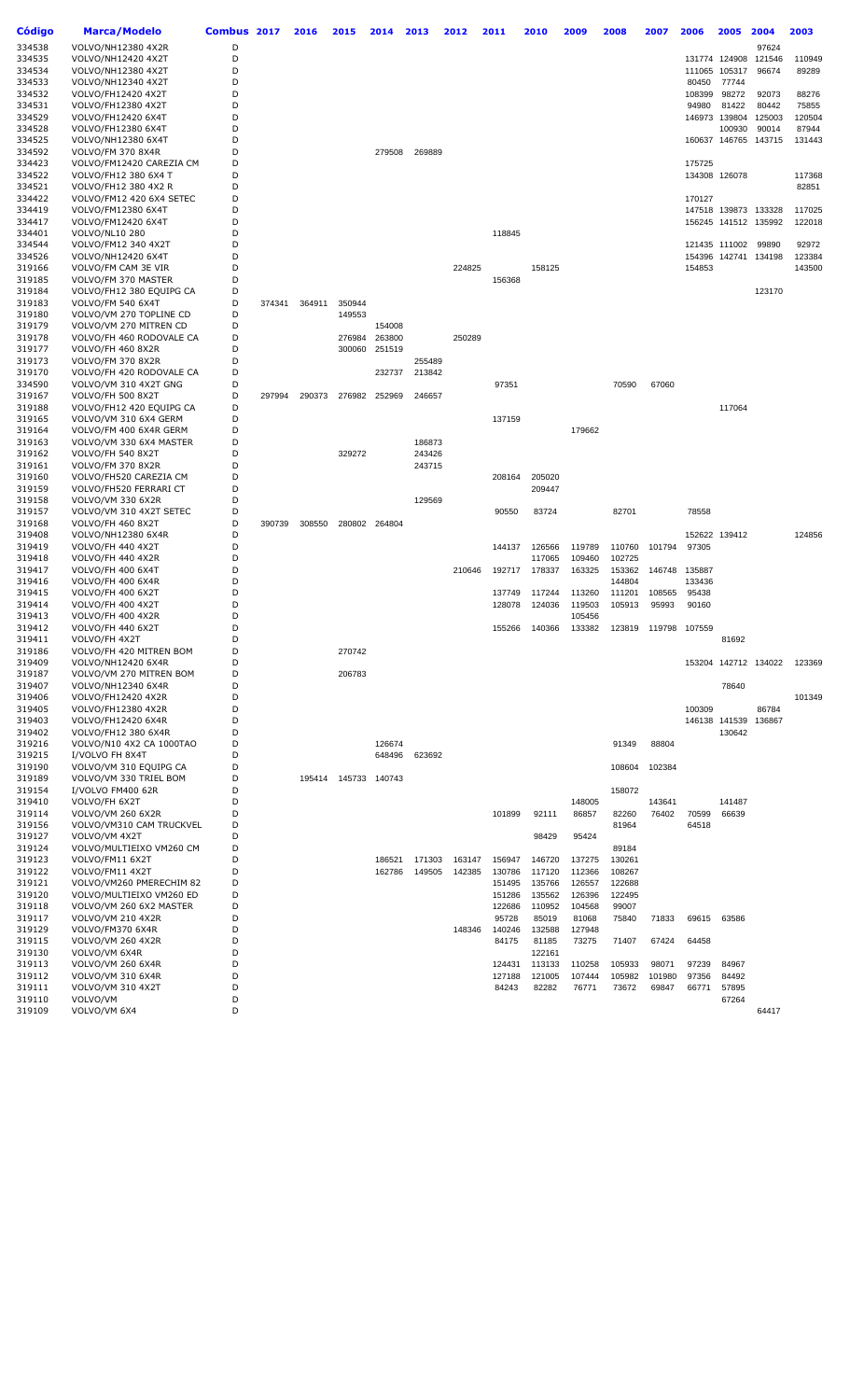| Código           | Marca/Modelo                                 | Combus 2017 |        | 2016   | 2015                 | 2014          | 2013             | 2012   | 2011             | 2010   | 2009   | 2008             | 2007          | 2006            | 2005                 | 2004            | 2003   |
|------------------|----------------------------------------------|-------------|--------|--------|----------------------|---------------|------------------|--------|------------------|--------|--------|------------------|---------------|-----------------|----------------------|-----------------|--------|
| 334538           | VOLVO/NH12380 4X2R                           | D           |        |        |                      |               |                  |        |                  |        |        |                  |               |                 |                      | 97624           |        |
| 334535           | VOLVO/NH12420 4X2T                           | D           |        |        |                      |               |                  |        |                  |        |        |                  |               |                 | 131774 124908        | 121546          | 110949 |
| 334534           | VOLVO/NH12380 4X2T                           | D           |        |        |                      |               |                  |        |                  |        |        |                  |               | 111065          | 105317               | 96674           | 89289  |
| 334533           | VOLVO/NH12340 4X2T                           | D           |        |        |                      |               |                  |        |                  |        |        |                  |               | 80450           | 77744                |                 |        |
| 334532           | VOLVO/FH12420 4X2T                           | D           |        |        |                      |               |                  |        |                  |        |        |                  |               | 108399          | 98272                | 92073           | 88276  |
| 334531           | VOLVO/FH12380 4X2T                           | D           |        |        |                      |               |                  |        |                  |        |        |                  |               | 94980           | 81422                | 80442           | 75855  |
| 334529           | VOLVO/FH12420 6X4T                           | D           |        |        |                      |               |                  |        |                  |        |        |                  |               |                 | 146973 139804        | 125003          | 120504 |
| 334528           | VOLVO/FH12380 6X4T                           | D           |        |        |                      |               |                  |        |                  |        |        |                  |               |                 | 100930               | 90014           | 87944  |
| 334525<br>334592 | VOLVO/NH12380 6X4T<br>VOLVO/FM 370 8X4R      | D<br>D      |        |        |                      | 279508        | 269889           |        |                  |        |        |                  |               |                 | 160637 146765        | 143715          | 131443 |
| 334423           | VOLVO/FM12420 CAREZIA CM                     | D           |        |        |                      |               |                  |        |                  |        |        |                  |               | 175725          |                      |                 |        |
| 334522           | VOLVO/FH12 380 6X4 T                         | D           |        |        |                      |               |                  |        |                  |        |        |                  |               |                 | 134308 126078        |                 | 117368 |
| 334521           | VOLVO/FH12 380 4X2 R                         | D           |        |        |                      |               |                  |        |                  |        |        |                  |               |                 |                      |                 | 82851  |
| 334422           | VOLVO/FM12 420 6X4 SETEC                     | D           |        |        |                      |               |                  |        |                  |        |        |                  |               | 170127          |                      |                 |        |
| 334419           | VOLVO/FM12380 6X4T                           | D           |        |        |                      |               |                  |        |                  |        |        |                  |               |                 | 147518 139873 133328 |                 | 117025 |
| 334417           | VOLVO/FM12420 6X4T                           | D           |        |        |                      |               |                  |        |                  |        |        |                  |               |                 | 156245 141512 135992 |                 | 122018 |
| 334401           | VOLVO/NL10 280                               | D           |        |        |                      |               |                  |        | 118845           |        |        |                  |               |                 |                      |                 |        |
| 334544           | VOLVO/FM12 340 4X2T                          | D           |        |        |                      |               |                  |        |                  |        |        |                  |               |                 | 121435 111002        | 99890           | 92972  |
| 334526           | VOLVO/NH12420 6X4T                           | D           |        |        |                      |               |                  |        |                  |        |        |                  |               |                 | 154396 142741        | 134198          | 123384 |
| 319166           | VOLVO/FM CAM 3E VIR                          | D           |        |        |                      |               |                  | 224825 |                  | 158125 |        |                  |               | 154853          |                      |                 | 143500 |
| 319185           | VOLVO/FM 370 MASTER                          | D           |        |        |                      |               |                  |        | 156368           |        |        |                  |               |                 |                      |                 |        |
| 319184<br>319183 | VOLVO/FH12 380 EQUIPG CA                     | D<br>D      |        |        |                      |               |                  |        |                  |        |        |                  |               |                 |                      | 123170          |        |
| 319180           | VOLVO/FM 540 6X4T<br>VOLVO/VM 270 TOPLINE CD | D           | 374341 | 364911 | 350944<br>149553     |               |                  |        |                  |        |        |                  |               |                 |                      |                 |        |
| 319179           | VOLVO/VM 270 MITREN CD                       | D           |        |        |                      | 154008        |                  |        |                  |        |        |                  |               |                 |                      |                 |        |
| 319178           | VOLVO/FH 460 RODOVALE CA                     | D           |        |        | 276984               | 263800        |                  | 250289 |                  |        |        |                  |               |                 |                      |                 |        |
| 319177           | VOLVO/FH 460 8X2R                            | D           |        |        | 300060               | 251519        |                  |        |                  |        |        |                  |               |                 |                      |                 |        |
| 319173           | VOLVO/FM 370 8X2R                            | D           |        |        |                      |               | 255489           |        |                  |        |        |                  |               |                 |                      |                 |        |
| 319170           | VOLVO/FH 420 RODOVALE CA                     | D           |        |        |                      | 232737        | 213842           |        |                  |        |        |                  |               |                 |                      |                 |        |
| 334590           | VOLVO/VM 310 4X2T GNG                        | D           |        |        |                      |               |                  |        | 97351            |        |        | 70590            | 67060         |                 |                      |                 |        |
| 319167           | VOLVO/FH 500 8X2T                            | D           | 297994 | 290373 |                      | 276982 252969 | 246657           |        |                  |        |        |                  |               |                 |                      |                 |        |
| 319188           | VOLVO/FH12 420 EQUIPG CA                     | D           |        |        |                      |               |                  |        |                  |        |        |                  |               |                 | 117064               |                 |        |
| 319165           | VOLVO/VM 310 6X4 GERM                        | D           |        |        |                      |               |                  |        | 137159           |        |        |                  |               |                 |                      |                 |        |
| 319164           | VOLVO/FM 400 6X4R GERM                       | D           |        |        |                      |               |                  |        |                  |        | 179662 |                  |               |                 |                      |                 |        |
| 319163           | VOLVO/VM 330 6X4 MASTER                      | D<br>D      |        |        |                      |               | 186873           |        |                  |        |        |                  |               |                 |                      |                 |        |
| 319162<br>319161 | VOLVO/FH 540 8X2T<br>VOLVO/FM 370 8X2R       | D           |        |        | 329272               |               | 243426<br>243715 |        |                  |        |        |                  |               |                 |                      |                 |        |
| 319160           | VOLVO/FH520 CAREZIA CM                       | D           |        |        |                      |               |                  |        | 208164           | 205020 |        |                  |               |                 |                      |                 |        |
| 319159           | VOLVO/FH520 FERRARI CT                       | D           |        |        |                      |               |                  |        |                  | 209447 |        |                  |               |                 |                      |                 |        |
| 319158           | VOLVO/VM 330 6X2R                            | D           |        |        |                      |               | 129569           |        |                  |        |        |                  |               |                 |                      |                 |        |
| 319157           | VOLVO/VM 310 4X2T SETEC                      | D           |        |        |                      |               |                  |        | 90550            | 83724  |        | 82701            |               | 78558           |                      |                 |        |
| 319168           | VOLVO/FH 460 8X2T                            | D           | 390739 | 308550 |                      | 280802 264804 |                  |        |                  |        |        |                  |               |                 |                      |                 |        |
| 319408           | VOLVO/NH12380 6X4R                           | D           |        |        |                      |               |                  |        |                  |        |        |                  |               |                 | 152622 139412        |                 | 124856 |
| 319419           | VOLVO/FH 440 4X2T                            | D           |        |        |                      |               |                  |        | 144137           | 126566 | 119789 | 110760           | 101794        | 97305           |                      |                 |        |
| 319418           | VOLVO/FH 440 4X2R                            | D           |        |        |                      |               |                  |        |                  | 117065 | 109460 | 102725           |               |                 |                      |                 |        |
| 319417<br>319416 | VOLVO/FH 400 6X4T                            | D<br>D      |        |        |                      |               |                  | 210646 | 192717           | 178337 | 163325 | 153362           | 146748        | 135887          |                      |                 |        |
| 319415           | VOLVO/FH 400 6X4R<br>VOLVO/FH 400 6X2T       | D           |        |        |                      |               |                  |        | 137749           | 117244 | 113260 | 144804<br>111201 | 108565        | 133436<br>95438 |                      |                 |        |
| 319414           | VOLVO/FH 400 4X2T                            | D           |        |        |                      |               |                  |        | 128078           | 124036 | 119503 | 105913           | 95993         | 90160           |                      |                 |        |
| 319413           | VOLVO/FH 400 4X2R                            | D           |        |        |                      |               |                  |        |                  |        | 105456 |                  |               |                 |                      |                 |        |
| 319412           | VOLVO/FH 440 6X2T                            | D           |        |        |                      |               |                  |        | 155266           | 140366 | 133382 | 123819           | 119798 107559 |                 |                      |                 |        |
| 319411           | VOLVO/FH 4X2T                                | D           |        |        |                      |               |                  |        |                  |        |        |                  |               |                 | 81692                |                 |        |
| 319186           | VOLVO/FH 420 MITREN BOM                      | D           |        |        | 270742               |               |                  |        |                  |        |        |                  |               |                 |                      |                 |        |
| 319409           | VOLVO/NH12420 6X4R                           | D           |        |        |                      |               |                  |        |                  |        |        |                  |               |                 | 153204 142712 134022 |                 | 123369 |
| 319187           | VOLVO/VM 270 MITREN BOM                      | D           |        |        | 206783               |               |                  |        |                  |        |        |                  |               |                 |                      |                 |        |
| 319407           | VOLVO/NH12340 6X4R                           | D           |        |        |                      |               |                  |        |                  |        |        |                  |               |                 | 78640                |                 |        |
| 319406           | VOLVO/FH12420 4X2R                           | D<br>D      |        |        |                      |               |                  |        |                  |        |        |                  |               |                 |                      |                 | 101349 |
| 319405<br>319403 | VOLVO/FH12380 4X2R<br>VOLVO/FH12420 6X4R     | D           |        |        |                      |               |                  |        |                  |        |        |                  |               | 100309          | 146138 141539        | 86784<br>136867 |        |
| 319402           | VOLVO/FH12 380 6X4R                          | D           |        |        |                      |               |                  |        |                  |        |        |                  |               |                 | 130642               |                 |        |
| 319216           | VOLVO/N10 4X2 CA 1000TAO                     | D           |        |        |                      | 126674        |                  |        |                  |        |        | 91349            | 88804         |                 |                      |                 |        |
| 319215           | I/VOLVO FH 8X4T                              | D           |        |        |                      | 648496        | 623692           |        |                  |        |        |                  |               |                 |                      |                 |        |
| 319190           | VOLVO/VM 310 EQUIPG CA                       | D           |        |        |                      |               |                  |        |                  |        |        | 108604           | 102384        |                 |                      |                 |        |
| 319189           | VOLVO/VM 330 TRIEL BOM                       | D           |        |        | 195414 145733 140743 |               |                  |        |                  |        |        |                  |               |                 |                      |                 |        |
| 319154           | I/VOLVO FM400 62R                            | D           |        |        |                      |               |                  |        |                  |        |        | 158072           |               |                 |                      |                 |        |
| 319410           | VOLVO/FH 6X2T                                | D           |        |        |                      |               |                  |        |                  |        | 148005 |                  | 143641        |                 | 141487               |                 |        |
| 319114           | <b>VOLVO/VM 260 6X2R</b>                     | D           |        |        |                      |               |                  |        | 101899           | 92111  | 86857  | 82260            | 76402         | 70599           | 66639                |                 |        |
| 319156           | VOLVO/VM310 CAM TRUCKVEL                     | D           |        |        |                      |               |                  |        |                  |        |        | 81964            |               | 64518           |                      |                 |        |
| 319127           | VOLVO/VM 4X2T                                | D           |        |        |                      |               |                  |        |                  | 98429  | 95424  |                  |               |                 |                      |                 |        |
| 319124<br>319123 | VOLVO/MULTIEIXO VM260 CM                     | D<br>D      |        |        |                      | 186521        | 171303           | 163147 |                  | 146720 | 137275 | 89184            |               |                 |                      |                 |        |
| 319122           | VOLVO/FM11 6X2T<br>VOLVO/FM11 4X2T           | D           |        |        |                      | 162786        | 149505           | 142385 | 156947<br>130786 | 117120 | 112366 | 130261<br>108267 |               |                 |                      |                 |        |
| 319121           | VOLVO/VM260 PMERECHIM 82                     | D           |        |        |                      |               |                  |        | 151495           | 135766 | 126557 | 122688           |               |                 |                      |                 |        |
| 319120           | VOLVO/MULTIEIXO VM260 ED                     | D           |        |        |                      |               |                  |        | 151286           | 135562 | 126396 | 122495           |               |                 |                      |                 |        |
| 319118           | VOLVO/VM 260 6X2 MASTER                      | D           |        |        |                      |               |                  |        | 122686           | 110952 | 104568 | 99007            |               |                 |                      |                 |        |
| 319117           | VOLVO/VM 210 4X2R                            | D           |        |        |                      |               |                  |        | 95728            | 85019  | 81068  | 75840            | 71833         | 69615           | 63586                |                 |        |
| 319129           | VOLVO/FM370 6X4R                             | D           |        |        |                      |               |                  | 148346 | 140246           | 132588 | 127948 |                  |               |                 |                      |                 |        |
| 319115           | VOLVO/VM 260 4X2R                            | D           |        |        |                      |               |                  |        | 84175            | 81185  | 73275  | 71407            | 67424         | 64458           |                      |                 |        |
| 319130           | VOLVO/VM 6X4R                                | D           |        |        |                      |               |                  |        |                  | 122161 |        |                  |               |                 |                      |                 |        |
| 319113           | <b>VOLVO/VM 260 6X4R</b>                     | D           |        |        |                      |               |                  |        | 124431           | 113133 | 110258 | 105933           | 98071         | 97239           | 84967                |                 |        |
| 319112           | VOLVO/VM 310 6X4R                            | D           |        |        |                      |               |                  |        | 127188           | 121005 | 107444 | 105982           | 101980        | 97356           | 84492                |                 |        |
| 319111           | VOLVO/VM 310 4X2T<br>VOLVO/VM                | D<br>D      |        |        |                      |               |                  |        | 84243            | 82282  | 76771  | 73672            | 69847         | 66771           | 57895                |                 |        |
| 319110<br>319109 | VOLVO/VM 6X4                                 | D           |        |        |                      |               |                  |        |                  |        |        |                  |               |                 | 67264                | 64417           |        |
|                  |                                              |             |        |        |                      |               |                  |        |                  |        |        |                  |               |                 |                      |                 |        |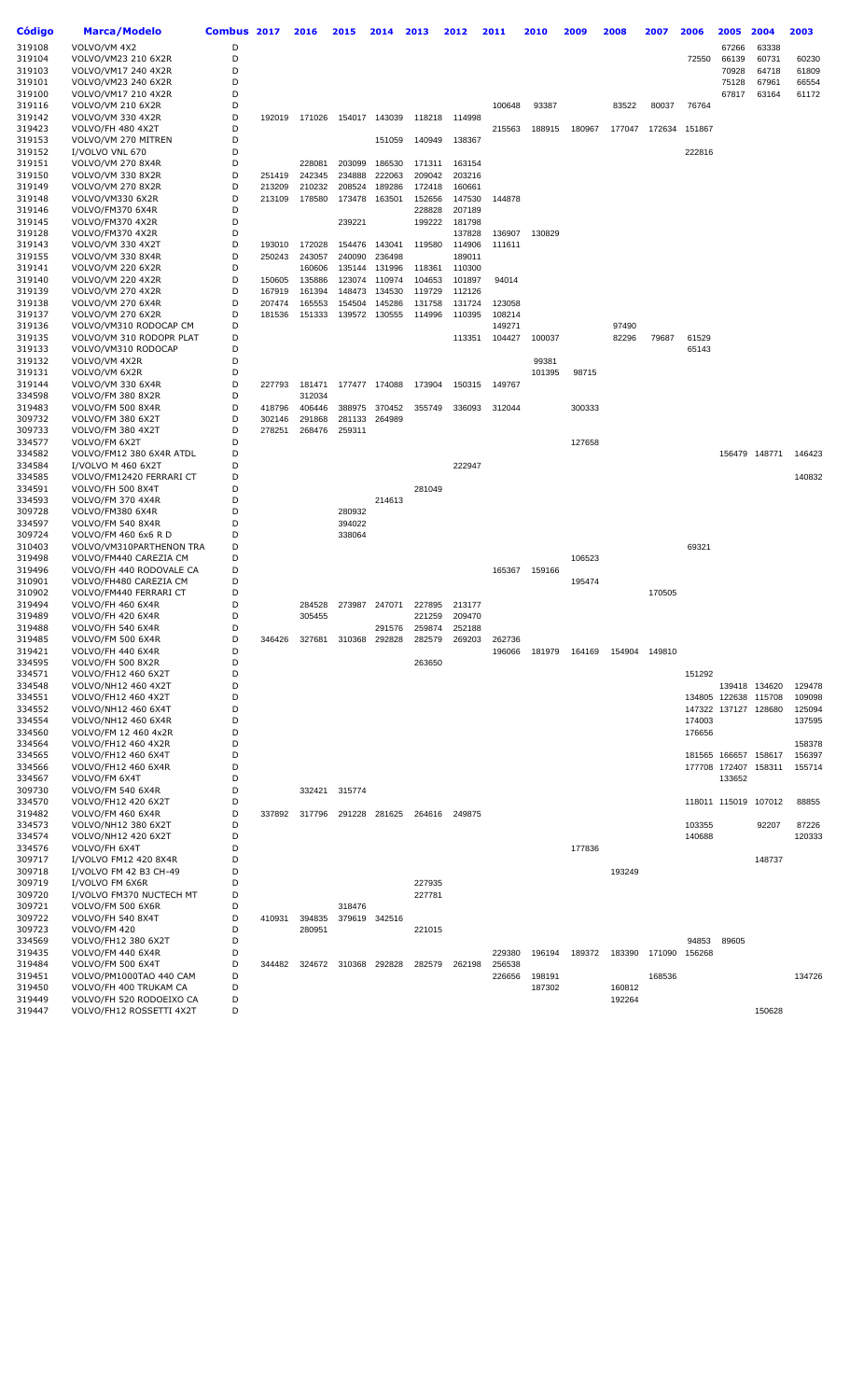| Código           | Marca/Modelo                                   | Combus 2017 |                  | 2016             | 2015             | 2014             | 2013   | 2012             | 2011   | 2010   | 2009   | 2008   | 2007          | 2006   | 2005                 | 2004          | 2003   |
|------------------|------------------------------------------------|-------------|------------------|------------------|------------------|------------------|--------|------------------|--------|--------|--------|--------|---------------|--------|----------------------|---------------|--------|
| 319108           | VOLVO/VM 4X2                                   | D           |                  |                  |                  |                  |        |                  |        |        |        |        |               |        | 67266                | 63338         |        |
| 319104           | VOLVO/VM23 210 6X2R                            | D           |                  |                  |                  |                  |        |                  |        |        |        |        |               | 72550  | 66139                | 60731         | 60230  |
| 319103           | VOLVO/VM17 240 4X2R                            | D           |                  |                  |                  |                  |        |                  |        |        |        |        |               |        | 70928                | 64718         | 61809  |
| 319101           | VOLVO/VM23 240 6X2R                            | D           |                  |                  |                  |                  |        |                  |        |        |        |        |               |        | 75128                | 67961         | 66554  |
| 319100           | VOLVO/VM17 210 4X2R                            | D           |                  |                  |                  |                  |        |                  |        |        |        |        |               |        | 67817                | 63164         | 61172  |
| 319116           | VOLVO/VM 210 6X2R                              | D           |                  |                  |                  |                  |        |                  | 100648 | 93387  |        | 83522  | 80037         | 76764  |                      |               |        |
| 319142           | VOLVO/VM 330 4X2R                              | D           | 192019           | 171026           |                  | 154017 143039    | 118218 | 114998           |        |        |        |        |               |        |                      |               |        |
| 319423           | VOLVO/FH 480 4X2T                              | D           |                  |                  |                  |                  |        |                  | 215563 | 188915 | 180967 | 177047 | 172634        | 151867 |                      |               |        |
| 319153           | VOLVO/VM 270 MITREN                            | D           |                  |                  |                  | 151059           | 140949 | 138367           |        |        |        |        |               |        |                      |               |        |
| 319152           | I/VOLVO VNL 670                                | D           |                  |                  |                  |                  |        |                  |        |        |        |        |               | 222816 |                      |               |        |
| 319151           | <b>VOLVO/VM 270 8X4R</b>                       | D           |                  | 228081           | 203099           | 186530           | 171311 | 163154           |        |        |        |        |               |        |                      |               |        |
| 319150           | VOLVO/VM 330 8X2R                              | D           | 251419           | 242345           | 234888           | 222063           | 209042 | 203216           |        |        |        |        |               |        |                      |               |        |
| 319149           | <b>VOLVO/VM 270 8X2R</b>                       | D           | 213209           | 210232           | 208524           | 189286           | 172418 | 160661           |        |        |        |        |               |        |                      |               |        |
| 319148           | VOLVO/VM330 6X2R                               | D           | 213109           | 178580           | 173478           | 163501           | 152656 | 147530           | 144878 |        |        |        |               |        |                      |               |        |
| 319146           | VOLVO/FM370 6X4R                               | D           |                  |                  |                  |                  | 228828 | 207189           |        |        |        |        |               |        |                      |               |        |
| 319145           | VOLVO/FM370 4X2R                               | D           |                  |                  | 239221           |                  | 199222 | 181798           |        |        |        |        |               |        |                      |               |        |
| 319128           | VOLVO/FM370 4X2R                               | D           |                  |                  |                  |                  |        | 137828           | 136907 | 130829 |        |        |               |        |                      |               |        |
| 319143           | VOLVO/VM 330 4X2T                              | D<br>D      | 193010<br>250243 | 172028           | 154476           | 143041<br>236498 | 119580 | 114906           | 111611 |        |        |        |               |        |                      |               |        |
| 319155<br>319141 | VOLVO/VM 330 8X4R<br><b>VOLVO/VM 220 6X2R</b>  | D           |                  | 243057<br>160606 | 240090<br>135144 | 131996           | 118361 | 189011<br>110300 |        |        |        |        |               |        |                      |               |        |
| 319140           | VOLVO/VM 220 4X2R                              | D           | 150605           | 135886           | 123074           | 110974           | 104653 | 101897           | 94014  |        |        |        |               |        |                      |               |        |
| 319139           | VOLVO/VM 270 4X2R                              | D           | 167919           | 161394           | 148473           | 134530           | 119729 | 112126           |        |        |        |        |               |        |                      |               |        |
| 319138           | <b>VOLVO/VM 270 6X4R</b>                       | D           | 207474           | 165553           | 154504           | 145286           | 131758 | 131724           | 123058 |        |        |        |               |        |                      |               |        |
| 319137           | VOLVO/VM 270 6X2R                              | D           | 181536           | 151333           | 139572           | 130555           | 114996 | 110395           | 108214 |        |        |        |               |        |                      |               |        |
| 319136           | VOLVO/VM310 RODOCAP CM                         | D           |                  |                  |                  |                  |        |                  | 149271 |        |        | 97490  |               |        |                      |               |        |
| 319135           | VOLVO/VM 310 RODOPR PLAT                       | D           |                  |                  |                  |                  |        | 113351           | 104427 | 100037 |        | 82296  | 79687         | 61529  |                      |               |        |
| 319133           | VOLVO/VM310 RODOCAP                            | D           |                  |                  |                  |                  |        |                  |        |        |        |        |               | 65143  |                      |               |        |
| 319132           | VOLVO/VM 4X2R                                  | D           |                  |                  |                  |                  |        |                  |        | 99381  |        |        |               |        |                      |               |        |
| 319131           | VOLVO/VM 6X2R                                  | D           |                  |                  |                  |                  |        |                  |        | 101395 | 98715  |        |               |        |                      |               |        |
| 319144           | VOLVO/VM 330 6X4R                              | D           | 227793           | 181471           |                  | 177477 174088    | 173904 | 150315           | 149767 |        |        |        |               |        |                      |               |        |
| 334598           | VOLVO/FM 380 8X2R                              | D           |                  | 312034           |                  |                  |        |                  |        |        |        |        |               |        |                      |               |        |
| 319483           | VOLVO/FM 500 8X4R                              | D           | 418796           | 406446           | 388975           | 370452           | 355749 | 336093           | 312044 |        | 300333 |        |               |        |                      |               |        |
| 309732           | VOLVO/FM 380 6X2T                              | D           | 302146           | 291868           | 281133           | 264989           |        |                  |        |        |        |        |               |        |                      |               |        |
| 309733           | VOLVO/FM 380 4X2T                              | D           | 278251           | 268476           | 259311           |                  |        |                  |        |        |        |        |               |        |                      |               |        |
| 334577           | VOLVO/FM 6X2T                                  | D           |                  |                  |                  |                  |        |                  |        |        | 127658 |        |               |        |                      |               |        |
| 334582           | VOLVO/FM12 380 6X4R ATDL                       | D<br>D      |                  |                  |                  |                  |        |                  |        |        |        |        |               |        |                      | 156479 148771 | 146423 |
| 334584<br>334585 | I/VOLVO M 460 6X2T<br>VOLVO/FM12420 FERRARI CT | D           |                  |                  |                  |                  |        | 222947           |        |        |        |        |               |        |                      |               | 140832 |
| 334591           | VOLVO/FH 500 8X4T                              | D           |                  |                  |                  |                  | 281049 |                  |        |        |        |        |               |        |                      |               |        |
| 334593           | VOLVO/FM 370 4X4R                              | D           |                  |                  |                  | 214613           |        |                  |        |        |        |        |               |        |                      |               |        |
| 309728           | VOLVO/FM380 6X4R                               | D           |                  |                  | 280932           |                  |        |                  |        |        |        |        |               |        |                      |               |        |
| 334597           | VOLVO/FM 540 8X4R                              | D           |                  |                  | 394022           |                  |        |                  |        |        |        |        |               |        |                      |               |        |
| 309724           | VOLVO/FM 460 6x6 R D                           | D           |                  |                  | 338064           |                  |        |                  |        |        |        |        |               |        |                      |               |        |
| 310403           | VOLVO/VM310PARTHENON TRA                       | D           |                  |                  |                  |                  |        |                  |        |        |        |        |               | 69321  |                      |               |        |
| 319498           | VOLVO/FM440 CAREZIA CM                         | D           |                  |                  |                  |                  |        |                  |        |        | 106523 |        |               |        |                      |               |        |
| 319496           | VOLVO/FH 440 RODOVALE CA                       | D           |                  |                  |                  |                  |        |                  | 165367 | 159166 |        |        |               |        |                      |               |        |
| 310901           | VOLVO/FH480 CAREZIA CM                         | D           |                  |                  |                  |                  |        |                  |        |        | 195474 |        |               |        |                      |               |        |
| 310902           | VOLVO/FM440 FERRARI CT                         | D           |                  |                  |                  |                  |        |                  |        |        |        |        | 170505        |        |                      |               |        |
| 319494           | VOLVO/FH 460 6X4R                              | D           |                  | 284528           | 273987           | 247071           | 227895 | 213177           |        |        |        |        |               |        |                      |               |        |
| 319489           | VOLVO/FH 420 6X4R                              | D           |                  | 305455           |                  |                  | 221259 | 209470           |        |        |        |        |               |        |                      |               |        |
| 319488           | VOLVO/FH 540 6X4R                              | D           |                  |                  |                  | 291576           | 259874 | 252188           |        |        |        |        |               |        |                      |               |        |
| 319485           | VOLVO/FM 500 6X4R                              | D           | 346426           | 327681           | 310368           | 292828           | 282579 | 269203           | 262736 |        |        |        |               |        |                      |               |        |
| 319421           | VOLVO/FH 440 6X4R                              | D           |                  |                  |                  |                  |        |                  | 196066 | 181979 | 164169 |        | 154904 149810 |        |                      |               |        |
| 334595<br>334571 | VOLVO/FH 500 8X2R<br>VOLVO/FH12 460 6X2T       | D<br>D      |                  |                  |                  |                  | 263650 |                  |        |        |        |        |               | 151292 |                      |               |        |
| 334548           | VOLVO/NH12 460 4X2T                            | D           |                  |                  |                  |                  |        |                  |        |        |        |        |               |        |                      | 139418 134620 | 129478 |
| 334551           | VOLVO/FH12 460 4X2T                            | D           |                  |                  |                  |                  |        |                  |        |        |        |        |               |        | 134805 122638 115708 |               | 109098 |
| 334552           | VOLVO/NH12 460 6X4T                            | D           |                  |                  |                  |                  |        |                  |        |        |        |        |               |        | 147322 137127 128680 |               | 125094 |
| 334554           | VOLVO/NH12 460 6X4R                            | D           |                  |                  |                  |                  |        |                  |        |        |        |        |               | 174003 |                      |               | 137595 |
| 334560           | VOLVO/FM 12 460 4x2R                           | D           |                  |                  |                  |                  |        |                  |        |        |        |        |               | 176656 |                      |               |        |
| 334564           | VOLVO/FH12 460 4X2R                            | D           |                  |                  |                  |                  |        |                  |        |        |        |        |               |        |                      |               | 158378 |
| 334565           | VOLVO/FH12 460 6X4T                            | D           |                  |                  |                  |                  |        |                  |        |        |        |        |               |        | 181565 166657 158617 |               | 156397 |
| 334566           | VOLVO/FH12 460 6X4R                            | D           |                  |                  |                  |                  |        |                  |        |        |        |        |               |        | 177708 172407 158311 |               | 155714 |
| 334567           | VOLVO/FM 6X4T                                  | D           |                  |                  |                  |                  |        |                  |        |        |        |        |               |        | 133652               |               |        |
| 309730           | VOLVO/FM 540 6X4R                              | D           |                  |                  | 332421 315774    |                  |        |                  |        |        |        |        |               |        |                      |               |        |
| 334570           | VOLVO/FH12 420 6X2T                            | D           |                  |                  |                  |                  |        |                  |        |        |        |        |               |        | 118011 115019 107012 |               | 88855  |
| 319482           | VOLVO/FM 460 6X4R                              | D           | 337892           | 317796           |                  | 291228 281625    |        | 264616 249875    |        |        |        |        |               |        |                      |               |        |
| 334573           | VOLVO/NH12 380 6X2T                            | D           |                  |                  |                  |                  |        |                  |        |        |        |        |               | 103355 |                      | 92207         | 87226  |
| 334574           | VOLVO/NH12 420 6X2T                            | D           |                  |                  |                  |                  |        |                  |        |        |        |        |               | 140688 |                      |               | 120333 |
| 334576           | VOLVO/FH 6X4T                                  | D<br>D      |                  |                  |                  |                  |        |                  |        |        | 177836 |        |               |        |                      |               |        |
| 309717           | I/VOLVO FM12 420 8X4R                          |             |                  |                  |                  |                  |        |                  |        |        |        |        |               |        |                      | 148737        |        |
| 309718<br>309719 | I/VOLVO FM 42 B3 CH-49<br>I/VOLVO FM 6X6R      | D<br>D      |                  |                  |                  |                  | 227935 |                  |        |        |        | 193249 |               |        |                      |               |        |
| 309720           | I/VOLVO FM370 NUCTECH MT                       | D           |                  |                  |                  |                  | 227781 |                  |        |        |        |        |               |        |                      |               |        |
| 309721           | VOLVO/FM 500 6X6R                              | D           |                  |                  | 318476           |                  |        |                  |        |        |        |        |               |        |                      |               |        |
| 309722           | VOLVO/FH 540 8X4T                              | D           | 410931           | 394835           | 379619           | 342516           |        |                  |        |        |        |        |               |        |                      |               |        |
| 309723           | VOLVO/FM 420                                   | D           |                  | 280951           |                  |                  | 221015 |                  |        |        |        |        |               |        |                      |               |        |
| 334569           | VOLVO/FH12 380 6X2T                            | D           |                  |                  |                  |                  |        |                  |        |        |        |        |               | 94853  | 89605                |               |        |
| 319435           | VOLVO/FM 440 6X4R                              | D           |                  |                  |                  |                  |        |                  | 229380 | 196194 | 189372 | 183390 | 171090        | 156268 |                      |               |        |
| 319484           | VOLVO/FM 500 6X4T                              | D           | 344482           | 324672           | 310368           | 292828           | 282579 | 262198           | 256538 |        |        |        |               |        |                      |               |        |
| 319451           | VOLVO/PM1000TAO 440 CAM                        | D           |                  |                  |                  |                  |        |                  | 226656 | 198191 |        |        | 168536        |        |                      |               | 134726 |
| 319450           | VOLVO/FH 400 TRUKAM CA                         | D           |                  |                  |                  |                  |        |                  |        | 187302 |        | 160812 |               |        |                      |               |        |
| 319449           | VOLVO/FH 520 RODOEIXO CA                       | D           |                  |                  |                  |                  |        |                  |        |        |        | 192264 |               |        |                      |               |        |
| 319447           | VOLVO/FH12 ROSSETTI 4X2T                       | D           |                  |                  |                  |                  |        |                  |        |        |        |        |               |        |                      | 150628        |        |